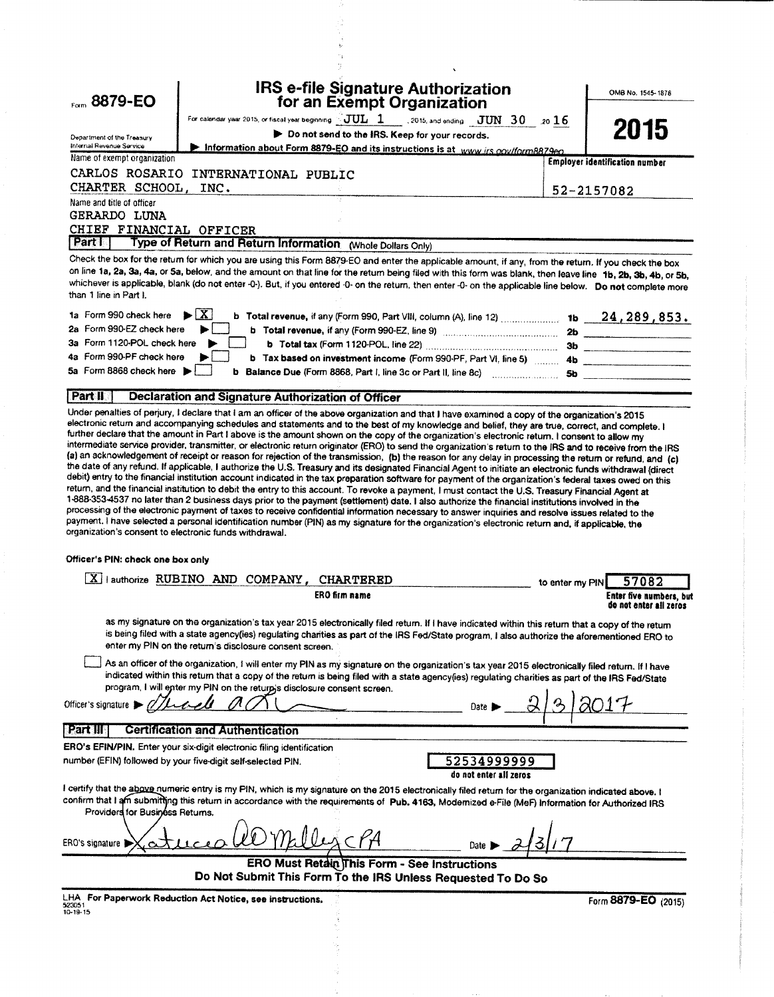| <b>EQTR 8879-EO</b>                                                                         |                                                                                                                                                                                                                                                                                                                                                                                                                                                                                       | <b>IRS e-file Signature Authorization</b><br>for an Exempt Organization |                                                                                                                                                                                                    |                 | OMB No. 1545-1876                     |
|---------------------------------------------------------------------------------------------|---------------------------------------------------------------------------------------------------------------------------------------------------------------------------------------------------------------------------------------------------------------------------------------------------------------------------------------------------------------------------------------------------------------------------------------------------------------------------------------|-------------------------------------------------------------------------|----------------------------------------------------------------------------------------------------------------------------------------------------------------------------------------------------|-----------------|---------------------------------------|
|                                                                                             |                                                                                                                                                                                                                                                                                                                                                                                                                                                                                       |                                                                         | For calendar year 2015, or fiscal year beginning $\sqrt{JUL}$ 1 (2015, and ending $\sqrt{JUN}$ 30 (20 16)                                                                                          |                 | 2015                                  |
| Department of the Treasury<br>Internal Revenue Service                                      |                                                                                                                                                                                                                                                                                                                                                                                                                                                                                       | Do not send to the IRS. Keep for your records.                          |                                                                                                                                                                                                    |                 |                                       |
| Name of exempt organization                                                                 |                                                                                                                                                                                                                                                                                                                                                                                                                                                                                       |                                                                         | Information about Form 8879-EO and its instructions is at www.irs.gov/form8879eo.                                                                                                                  |                 | <b>Employer identification number</b> |
|                                                                                             | CARLOS ROSARIO INTERNATIONAL PUBLIC                                                                                                                                                                                                                                                                                                                                                                                                                                                   |                                                                         |                                                                                                                                                                                                    |                 |                                       |
| CHARTER SCHOOL, INC.                                                                        |                                                                                                                                                                                                                                                                                                                                                                                                                                                                                       |                                                                         |                                                                                                                                                                                                    |                 | 52-2157082                            |
| Name and title of officer<br>GERARDO LUNA                                                   |                                                                                                                                                                                                                                                                                                                                                                                                                                                                                       |                                                                         |                                                                                                                                                                                                    |                 |                                       |
| CHIEF FINANCIAL OFFICER                                                                     |                                                                                                                                                                                                                                                                                                                                                                                                                                                                                       |                                                                         |                                                                                                                                                                                                    |                 |                                       |
| <b>Part I</b>                                                                               | Type of Return and Return Information (Whole Dollars Only)                                                                                                                                                                                                                                                                                                                                                                                                                            |                                                                         |                                                                                                                                                                                                    |                 |                                       |
| than 1 line in Part I.                                                                      | Check the box for the return for which you are using this Form 8879-EO and enter the applicable amount, if any, from the return. If you check the box<br>on line 1a, 2a, 3a, 4a, or 5a, below, and the amount on that line for the return being filed with this form was blank, then leave line 1b, 2b, 3b, 4b, or 5b,<br>whichever is applicable, blank (do not enter -0-). But, if you entered -0- on the return, then enter -0- on the applicable line below. Do not complete more |                                                                         |                                                                                                                                                                                                    |                 |                                       |
| 1a Form 990 check here                                                                      | $\mathbf{x}$                                                                                                                                                                                                                                                                                                                                                                                                                                                                          |                                                                         | <b>b</b> Total revenue, if any (Form 990, Part VIII, column (A), line 12) $\ldots$ $\ldots$ 1b $24,289,853$ .                                                                                      |                 |                                       |
| 2a Form 990-EZ check here                                                                   |                                                                                                                                                                                                                                                                                                                                                                                                                                                                                       |                                                                         |                                                                                                                                                                                                    |                 |                                       |
| 3a Form 1120-POL check here                                                                 |                                                                                                                                                                                                                                                                                                                                                                                                                                                                                       |                                                                         |                                                                                                                                                                                                    |                 |                                       |
| 4a Form 990-PF check here<br>5a Form 8868 check here ▶                                      |                                                                                                                                                                                                                                                                                                                                                                                                                                                                                       |                                                                         | b Tax based on investment income (Form 990-PF, Part VI, line 5) [10001001] 4b [2000100100101010101010101010101<br>b Balance Due (Form 8868, Part I, line 3c or Part II, line 8c) (Communication 5b |                 |                                       |
|                                                                                             |                                                                                                                                                                                                                                                                                                                                                                                                                                                                                       |                                                                         |                                                                                                                                                                                                    |                 |                                       |
| Part II                                                                                     | Declaration and Signature Authorization of Officer                                                                                                                                                                                                                                                                                                                                                                                                                                    |                                                                         |                                                                                                                                                                                                    |                 |                                       |
| organization's consent to electronic funds withdrawal.<br>Officer's PIN: check one box only | 1-888-353-4537 no later than 2 business days prior to the payment (settlement) date. I also authorize the financial institutions involved in the<br>processing of the electronic payment of taxes to receive confidential information necessary to answer inquiries and resolve issues related to the<br>payment. I have selected a personal identification number (PIN) as my signature for the organization's electronic return and, if applicable, the                             |                                                                         |                                                                                                                                                                                                    |                 |                                       |
| X   authorize RUBINO AND                                                                    | COMPANY.                                                                                                                                                                                                                                                                                                                                                                                                                                                                              | <b>CHARTERED</b>                                                        |                                                                                                                                                                                                    | to enter my PIN | 57082                                 |
|                                                                                             |                                                                                                                                                                                                                                                                                                                                                                                                                                                                                       | <b>ERO</b> firm name                                                    |                                                                                                                                                                                                    |                 | Enter five numbers, but               |
|                                                                                             |                                                                                                                                                                                                                                                                                                                                                                                                                                                                                       |                                                                         |                                                                                                                                                                                                    |                 | do not enter all zeros                |
|                                                                                             | as my signature on the organization's tax year 2015 electronically filed return. If I have indicated within this return that a copy of the return<br>is being filed with a state agency(ies) regulating charities as part of the IRS Fed/State program, I also authorize the aforementioned ERO to<br>enter my PIN on the return's disclosure consent screen.                                                                                                                         |                                                                         |                                                                                                                                                                                                    |                 |                                       |
|                                                                                             | As an officer of the organization, I will enter my PIN as my signature on the organization's tax year 2015 electronically filed return. If I have<br>indicated within this return that a copy of the return is being filed with a state agency(ies) regulating charities as part of the IRS Fed/State<br>program. I will enter my PIN on the return's disclosure consent screen.                                                                                                      |                                                                         |                                                                                                                                                                                                    |                 |                                       |
| Officer's signature                                                                         |                                                                                                                                                                                                                                                                                                                                                                                                                                                                                       |                                                                         |                                                                                                                                                                                                    |                 |                                       |
| <b>Part III</b>                                                                             | <b>Certification and Authentication</b>                                                                                                                                                                                                                                                                                                                                                                                                                                               |                                                                         |                                                                                                                                                                                                    |                 |                                       |
|                                                                                             | ERO's EFIN/PIN. Enter your six-digit electronic filing identification                                                                                                                                                                                                                                                                                                                                                                                                                 |                                                                         |                                                                                                                                                                                                    |                 |                                       |
|                                                                                             | number (EFIN) followed by your five-digit self-selected PIN.                                                                                                                                                                                                                                                                                                                                                                                                                          |                                                                         | 52534999999<br>do not enter all zeros                                                                                                                                                              |                 |                                       |
| Providers for Business Returns.                                                             | I certify that the above numeric entry is my PIN, which is my signature on the 2015 electronically filed return for the organization indicated above. I<br>confirm that I am submitting this return in accordance with the requirements of Pub. 4163, Modemized e-File (MeF) Information for Authorized IRS                                                                                                                                                                           |                                                                         |                                                                                                                                                                                                    |                 |                                       |
| ERO's signature D                                                                           |                                                                                                                                                                                                                                                                                                                                                                                                                                                                                       |                                                                         | Date                                                                                                                                                                                               |                 |                                       |
|                                                                                             |                                                                                                                                                                                                                                                                                                                                                                                                                                                                                       | <b>ERO Must Retain This Form - See Instructions</b>                     | Do Not Submit This Form To the IRS Unless Requested To Do So                                                                                                                                       |                 |                                       |
|                                                                                             | LHA For Paperwork Reduction Act Notice, see instructions.                                                                                                                                                                                                                                                                                                                                                                                                                             |                                                                         |                                                                                                                                                                                                    |                 | Form 8879-EO (2015)                   |
| 523051<br>$10 - 19 - 15$                                                                    |                                                                                                                                                                                                                                                                                                                                                                                                                                                                                       |                                                                         |                                                                                                                                                                                                    |                 |                                       |
|                                                                                             |                                                                                                                                                                                                                                                                                                                                                                                                                                                                                       |                                                                         |                                                                                                                                                                                                    |                 |                                       |
|                                                                                             |                                                                                                                                                                                                                                                                                                                                                                                                                                                                                       |                                                                         |                                                                                                                                                                                                    |                 |                                       |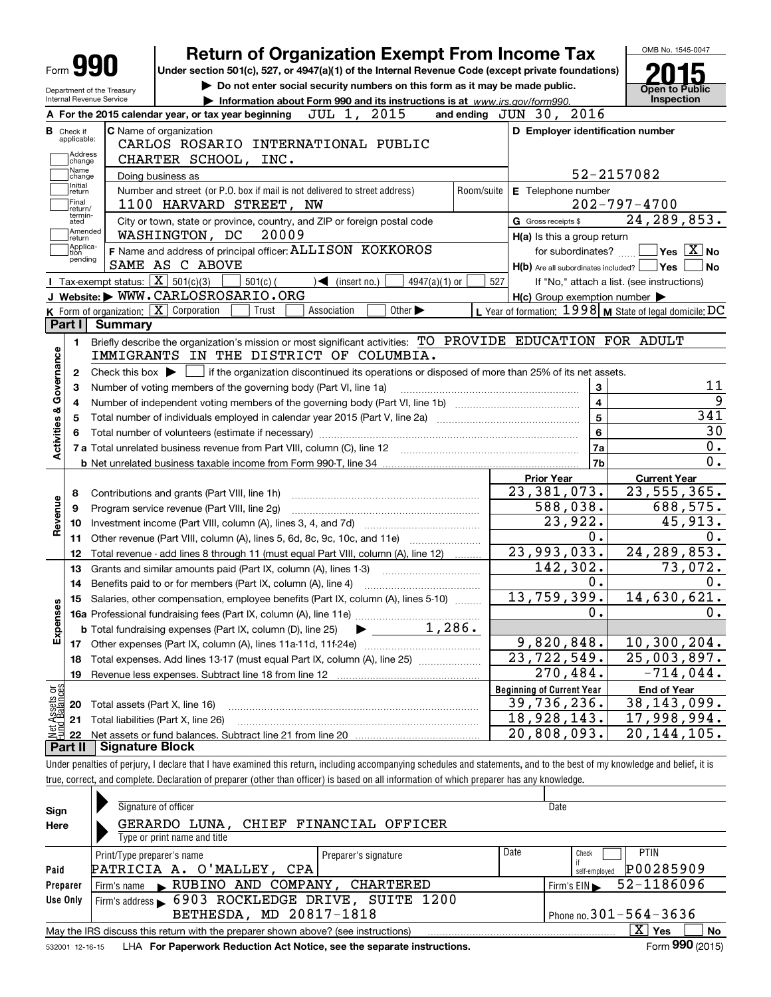|                                                 | <b>Return of Organization Exempt From Income Tax</b>                                                                                    |                                                           | OMB No. 1545-0047                           |
|-------------------------------------------------|-----------------------------------------------------------------------------------------------------------------------------------------|-----------------------------------------------------------|---------------------------------------------|
| Form YY                                         | Under section 501(c), 527, or 4947(a)(1) of the Internal Revenue Code (except private foundations)                                      |                                                           |                                             |
| Department of the Treasury                      | Do not enter social security numbers on this form as it may be made public.                                                             |                                                           | <b>Open to Public</b>                       |
| Internal Revenue Service                        | Information about Form 990 and its instructions is at www.irs.gov/form990.                                                              |                                                           | Inspection                                  |
|                                                 | JUL 1, 2015<br>A For the 2015 calendar year, or tax year beginning                                                                      | and ending JUN 30, 2016                                   |                                             |
| <b>B</b> Check if<br>applicable:                | C Name of organization                                                                                                                  | D Employer identification number                          |                                             |
|                                                 | CARLOS ROSARIO INTERNATIONAL PUBLIC                                                                                                     |                                                           |                                             |
| Address<br>change                               | CHARTER SCHOOL, INC.                                                                                                                    |                                                           |                                             |
| Name<br>change<br>Initial                       | Doing business as                                                                                                                       | 52-2157082                                                |                                             |
| return                                          | Number and street (or P.O. box if mail is not delivered to street address)<br>Room/suite<br>1100 HARVARD STREET, NW                     | E Telephone number                                        |                                             |
| Final<br>return/<br>termin-                     | $202 - 797 - 4700$                                                                                                                      |                                                           |                                             |
| ated                                            | City or town, state or province, country, and ZIP or foreign postal code                                                                | G Gross receipts \$                                       | 24, 289, 853.                               |
| Amended<br> return                              | WASHINGTON, DC<br>20009                                                                                                                 | H(a) Is this a group return                               |                                             |
| Applica-<br>tion<br>pending                     | F Name and address of principal officer: ALLISON KOKKOROS                                                                               |                                                           | for subordinates? $\Box$ Yes $\boxed{X}$ No |
|                                                 | SAME AS C ABOVE                                                                                                                         | H(b) Are all subordinates included?   Yes                 | No                                          |
|                                                 | Tax-exempt status: $\boxed{\mathbf{X}}$ 501(c)(3)<br>$501(c)$ (<br>4947(a)(1) or<br>$\sqrt{\frac{1}{1}}$ (insert no.)                   | 527                                                       | If "No," attach a list. (see instructions)  |
|                                                 | J Website: WWW.CARLOSROSARIO.ORG                                                                                                        | $H(c)$ Group exemption number $\blacktriangleright$       |                                             |
|                                                 | K Form of organization: X Corporation<br>Other $\blacktriangleright$<br>Association<br>Trust                                            | L Year of formation: $1998$ M State of legal domicile: DC |                                             |
| Part I I                                        | <b>Summary</b>                                                                                                                          |                                                           |                                             |
| 1.                                              | Briefly describe the organization's mission or most significant activities: TO PROVIDE EDUCATION FOR ADULT                              |                                                           |                                             |
|                                                 | IMMIGRANTS IN THE DISTRICT OF COLUMBIA.                                                                                                 |                                                           |                                             |
| 2                                               | if the organization discontinued its operations or disposed of more than 25% of its net assets.<br>Check this box $\blacktriangleright$ |                                                           |                                             |
| З                                               | Number of voting members of the governing body (Part VI, line 1a)                                                                       | 3                                                         | 11                                          |
| Activities & Governance<br>4                    |                                                                                                                                         | $\overline{4}$                                            | 9                                           |
| 5                                               |                                                                                                                                         | $\overline{5}$                                            | 341                                         |
| 6                                               |                                                                                                                                         | 6                                                         | 30                                          |
|                                                 |                                                                                                                                         | 7a                                                        | 0.                                          |
|                                                 |                                                                                                                                         | 7b                                                        | 0.                                          |
|                                                 |                                                                                                                                         | <b>Prior Year</b>                                         | <b>Current Year</b>                         |
| 8                                               | Contributions and grants (Part VIII, line 1h)                                                                                           | 23,381,073.                                               | 23, 555, 365.                               |
| Revenue<br>9                                    | Program service revenue (Part VIII, line 2g)                                                                                            | 588,038.                                                  | 688,575.                                    |
| 10                                              |                                                                                                                                         | 23,922.                                                   | 45,913.                                     |
| 11                                              | Other revenue (Part VIII, column (A), lines 5, 6d, 8c, 9c, 10c, and 11e)                                                                | 0.                                                        | 0.                                          |
| 12                                              | Total revenue - add lines 8 through 11 (must equal Part VIII, column (A), line 12)                                                      | $\overline{23,993,033.}$                                  | 24,289,853.                                 |
| 13                                              | Grants and similar amounts paid (Part IX, column (A), lines 1-3)                                                                        | 142,302.                                                  | 73,072.                                     |
| 14                                              | Benefits paid to or for members (Part IX, column (A), line 4)                                                                           | 0.                                                        | О.                                          |
| ŵ                                               | 15 Salaries, other compensation, employee benefits (Part IX, column (A), lines 5-10)                                                    | 13, 759, 399.                                             | 14,630,621.                                 |
|                                                 |                                                                                                                                         | 0.                                                        | Ο.                                          |
| Expense                                         | $\blacktriangleright$ 1,286.<br><b>b</b> Total fundraising expenses (Part IX, column (D), line 25)                                      |                                                           |                                             |
| 17                                              |                                                                                                                                         | 9,820,848.                                                | 10,300,204.                                 |
| 18                                              | Total expenses. Add lines 13-17 (must equal Part IX, column (A), line 25)                                                               | $\overline{23}$ , 722, 549.                               | 25,003,897.                                 |
|                                                 |                                                                                                                                         | 270,484.                                                  | $-714,044.$                                 |
| 19                                              |                                                                                                                                         |                                                           |                                             |
|                                                 |                                                                                                                                         | <b>Beginning of Current Year</b>                          | <b>End of Year</b>                          |
| 20                                              | Total assets (Part X, line 16)                                                                                                          | 39,736,236.                                               |                                             |
| 21                                              | Total liabilities (Part X, line 26)                                                                                                     | $\overline{18,928,143}$ .                                 | 38, 143, 099.<br>17,998,994.                |
| Net Assets or<br>Fund Balances<br>22<br>Part II | <b>Signature Block</b>                                                                                                                  | 20,808,093.                                               | $\overline{20}$ , 144, 105.                 |

| Sign<br>Here | Signature of officer<br>GERARDO LUNA, CHIEF FINANCIAL OFFICER<br>Type or print name and title                                                                                                                                     |                      |      | Date                                               |
|--------------|-----------------------------------------------------------------------------------------------------------------------------------------------------------------------------------------------------------------------------------|----------------------|------|----------------------------------------------------|
| Paid         | Print/Type preparer's name<br>PATRICIA A. O'MALLEY, CPA                                                                                                                                                                           | Preparer's signature | Date | <b>PTIN</b><br>Check<br>P00285909<br>self-emploved |
| Preparer     | Firm's name RUBINO AND COMPANY, CHARTERED                                                                                                                                                                                         |                      |      | 52-1186096<br>Firm's EIN                           |
| Use Only     | Firm's address 6903 ROCKLEDGE DRIVE, SUITE 1200<br>BETHESDA, MD 20817-1818                                                                                                                                                        |                      |      | Phone no. $301 - 564 - 3636$                       |
|              | May the IRS discuss this return with the preparer shown above? (see instructions)                                                                                                                                                 |                      |      | $\mathbf{X}$<br>No<br>Yes                          |
|              | $\mathbf{r}$ . The contract of the contract of the contract of the contract of the contract of the contract of the contract of the contract of the contract of the contract of the contract of the contract of the contract of th |                      |      | $\sim$ 000 $\sim$                                  |

true, correct, and complete. Declaration of preparer (other than officer) is based on all information of which preparer has any knowledge.

532001 12-16-15 **For Paperwork Reduction Act Notice, see the separate instructions.** LHA Form (2015)

**990**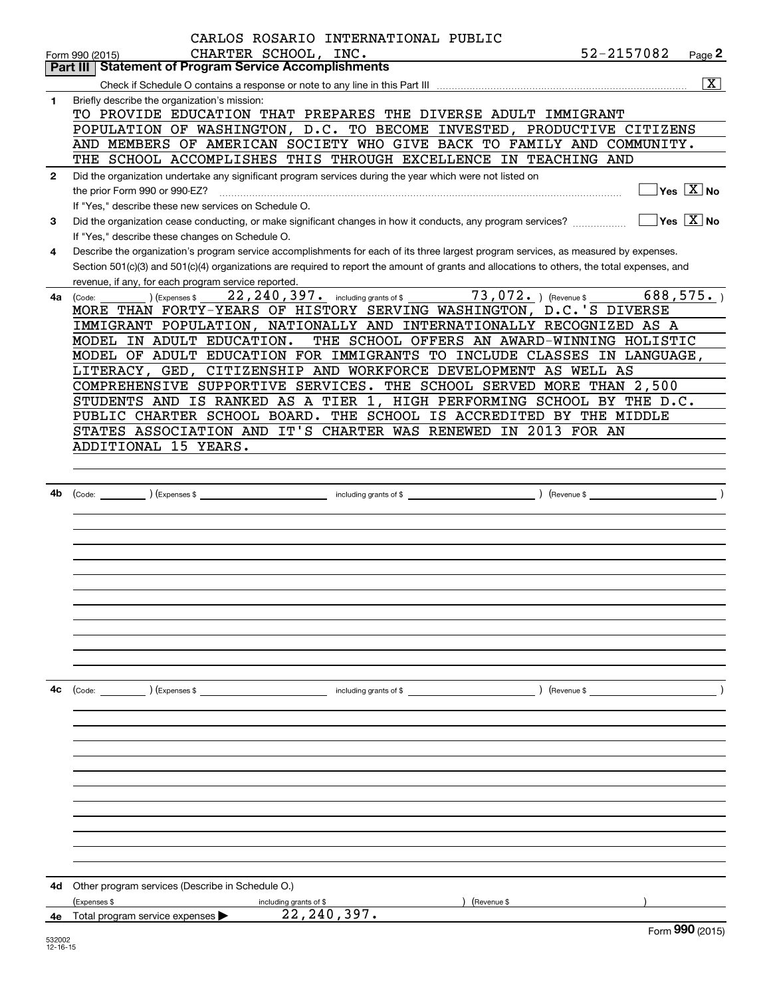|              | CARLOS ROSARIO INTERNATIONAL PUBLIC                                                                                                                    |                         |
|--------------|--------------------------------------------------------------------------------------------------------------------------------------------------------|-------------------------|
|              | 52-2157082<br>CHARTER SCHOOL, INC.<br>Page 2<br>Form 990 (2015)<br><b>Statement of Program Service Accomplishments</b>                                 |                         |
|              | Part III                                                                                                                                               | $\overline{\textbf{X}}$ |
| $\mathbf{1}$ | Briefly describe the organization's mission:                                                                                                           |                         |
|              | TO PROVIDE EDUCATION THAT PREPARES THE DIVERSE ADULT IMMIGRANT                                                                                         |                         |
|              | POPULATION OF WASHINGTON, D.C. TO BECOME INVESTED, PRODUCTIVE CITIZENS                                                                                 |                         |
|              | AND MEMBERS OF AMERICAN SOCIETY WHO GIVE BACK TO FAMILY AND COMMUNITY.                                                                                 |                         |
|              | THE SCHOOL ACCOMPLISHES THIS THROUGH EXCELLENCE IN TEACHING AND                                                                                        |                         |
| $\mathbf{2}$ | Did the organization undertake any significant program services during the year which were not listed on                                               |                         |
|              | $\sqrt{}$ Yes $\sqrt{}$ X $\sqrt{}$ No<br>the prior Form 990 or 990-EZ?                                                                                |                         |
|              | If "Yes," describe these new services on Schedule O.                                                                                                   |                         |
| З.           | $\sqrt{}$ Yes $\sqrt{}$ X $\sqrt{}$ No<br>Did the organization cease conducting, or make significant changes in how it conducts, any program services? |                         |
|              | If "Yes," describe these changes on Schedule O.                                                                                                        |                         |
| 4            | Describe the organization's program service accomplishments for each of its three largest program services, as measured by expenses.                   |                         |
|              | Section 501(c)(3) and 501(c)(4) organizations are required to report the amount of grants and allocations to others, the total expenses, and           |                         |
|              | revenue, if any, for each program service reported.<br>22, 240, 397. including grants of \$ 73, 072. ) (Revenue \$<br>688, 575.                        |                         |
| 4a l         | (Expenses \$<br>(Code:<br>MORE THAN FORTY-YEARS OF HISTORY SERVING WASHINGTON, D.C.'S DIVERSE                                                          |                         |
|              | IMMIGRANT POPULATION, NATIONALLY AND INTERNATIONALLY RECOGNIZED AS A                                                                                   |                         |
|              | MODEL IN ADULT EDUCATION.<br>THE SCHOOL OFFERS AN AWARD-WINNING HOLISTIC                                                                               |                         |
|              | MODEL OF ADULT EDUCATION FOR IMMIGRANTS TO INCLUDE CLASSES IN LANGUAGE,                                                                                |                         |
|              | LITERACY, GED, CITIZENSHIP AND WORKFORCE DEVELOPMENT AS WELL AS                                                                                        |                         |
|              | COMPREHENSIVE SUPPORTIVE SERVICES. THE SCHOOL SERVED MORE THAN 2,500                                                                                   |                         |
|              | STUDENTS AND IS RANKED AS A TIER 1, HIGH PERFORMING SCHOOL BY THE D.C.                                                                                 |                         |
|              | PUBLIC CHARTER SCHOOL BOARD. THE SCHOOL IS ACCREDITED BY THE MIDDLE                                                                                    |                         |
|              | STATES ASSOCIATION AND IT'S CHARTER WAS RENEWED IN 2013 FOR AN                                                                                         |                         |
|              | ADDITIONAL 15 YEARS.                                                                                                                                   |                         |
|              |                                                                                                                                                        |                         |
| 4b           | $\overline{\phantom{a}}$ and $\overline{\phantom{a}}$ and $\overline{\phantom{a}}$                                                                     |                         |
|              |                                                                                                                                                        |                         |
|              |                                                                                                                                                        |                         |
|              |                                                                                                                                                        |                         |
|              |                                                                                                                                                        |                         |
|              |                                                                                                                                                        |                         |
|              |                                                                                                                                                        |                         |
|              |                                                                                                                                                        |                         |
|              |                                                                                                                                                        |                         |
|              |                                                                                                                                                        |                         |
|              |                                                                                                                                                        |                         |
|              |                                                                                                                                                        |                         |
|              |                                                                                                                                                        |                         |
| 4с           | (Code: ) (Expenses \$<br>including grants of \$<br>) (Revenue \$                                                                                       |                         |
|              |                                                                                                                                                        |                         |
|              |                                                                                                                                                        |                         |
|              |                                                                                                                                                        |                         |
|              |                                                                                                                                                        |                         |
|              |                                                                                                                                                        |                         |
|              |                                                                                                                                                        |                         |
|              |                                                                                                                                                        |                         |
|              |                                                                                                                                                        |                         |
|              |                                                                                                                                                        |                         |
|              |                                                                                                                                                        |                         |
|              |                                                                                                                                                        |                         |
| 4d           | Other program services (Describe in Schedule O.)                                                                                                       |                         |
| 4e           | (Expenses \$<br>including grants of \$<br>(Revenue \$<br>22, 240, 397.<br>Total program service expenses                                               |                         |
|              | Form 990 (2015)                                                                                                                                        |                         |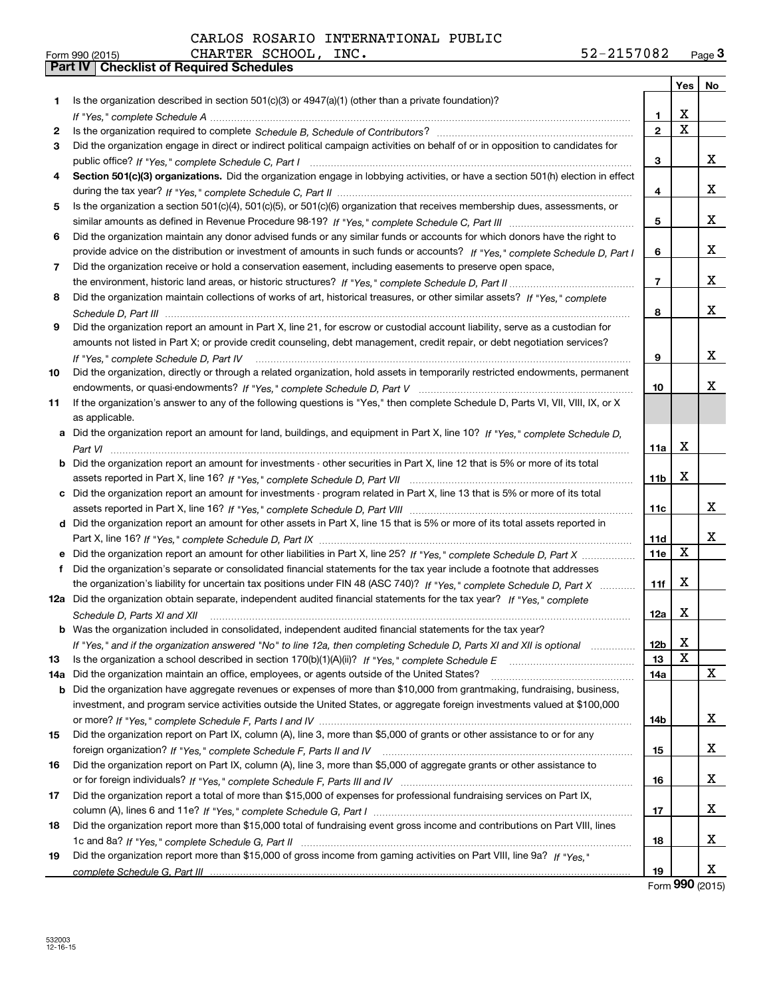| Is the organization described in section $501(c)(3)$ or $4947(a)(1)$ (other than a private foundation)?<br>1<br>х<br>1<br>x<br>$\mathbf{2}$<br>2<br>Did the organization engage in direct or indirect political campaign activities on behalf of or in opposition to candidates for<br>3<br>3<br>Section 501(c)(3) organizations. Did the organization engage in lobbying activities, or have a section 501(h) election in effect<br>4<br>4<br>Is the organization a section 501(c)(4), 501(c)(5), or 501(c)(6) organization that receives membership dues, assessments, or<br>5<br>5<br>Did the organization maintain any donor advised funds or any similar funds or accounts for which donors have the right to<br>6<br>provide advice on the distribution or investment of amounts in such funds or accounts? If "Yes," complete Schedule D, Part I<br>6<br>Did the organization receive or hold a conservation easement, including easements to preserve open space,<br>7<br>7<br>Did the organization maintain collections of works of art, historical treasures, or other similar assets? If "Yes," complete<br>8<br>8<br>Did the organization report an amount in Part X, line 21, for escrow or custodial account liability, serve as a custodian for<br>9<br>amounts not listed in Part X; or provide credit counseling, debt management, credit repair, or debt negotiation services?<br>9<br>If "Yes," complete Schedule D, Part IV<br>Did the organization, directly or through a related organization, hold assets in temporarily restricted endowments, permanent<br>10<br>10<br>If the organization's answer to any of the following questions is "Yes," then complete Schedule D, Parts VI, VII, VIII, IX, or X<br>11<br>as applicable.<br>a Did the organization report an amount for land, buildings, and equipment in Part X, line 10? If "Yes," complete Schedule D,<br>х<br>11a<br>Did the organization report an amount for investments - other securities in Part X, line 12 that is 5% or more of its total<br>b<br>х<br>11 <sub>b</sub><br>c Did the organization report an amount for investments - program related in Part X, line 13 that is 5% or more of its total<br>11c<br>d Did the organization report an amount for other assets in Part X, line 15 that is 5% or more of its total assets reported in<br>11d<br>х<br>11e<br>Did the organization's separate or consolidated financial statements for the tax year include a footnote that addresses<br>f<br>х<br>the organization's liability for uncertain tax positions under FIN 48 (ASC 740)? If "Yes," complete Schedule D, Part X<br>11f<br>12a Did the organization obtain separate, independent audited financial statements for the tax year? If "Yes," complete<br>х<br>12a<br>Schedule D, Parts XI and XII<br><b>b</b> Was the organization included in consolidated, independent audited financial statements for the tax year?<br>x<br>12 <sub>b</sub><br>If "Yes," and if the organization answered "No" to line 12a, then completing Schedule D, Parts XI and XII is optional<br>X<br>13<br>13<br>x<br>Did the organization maintain an office, employees, or agents outside of the United States?<br>14a<br>14a<br>Did the organization have aggregate revenues or expenses of more than \$10,000 from grantmaking, fundraising, business,<br>b<br>investment, and program service activities outside the United States, or aggregate foreign investments valued at \$100,000<br>x<br>14b<br>Did the organization report on Part IX, column (A), line 3, more than \$5,000 of grants or other assistance to or for any<br>15<br>x<br>15<br>Did the organization report on Part IX, column (A), line 3, more than \$5,000 of aggregate grants or other assistance to<br>16<br>x<br>16<br>Did the organization report a total of more than \$15,000 of expenses for professional fundraising services on Part IX,<br>17<br>x<br>17<br>Did the organization report more than \$15,000 total of fundraising event gross income and contributions on Part VIII, lines<br>18 |  |    | Yes | No |
|-----------------------------------------------------------------------------------------------------------------------------------------------------------------------------------------------------------------------------------------------------------------------------------------------------------------------------------------------------------------------------------------------------------------------------------------------------------------------------------------------------------------------------------------------------------------------------------------------------------------------------------------------------------------------------------------------------------------------------------------------------------------------------------------------------------------------------------------------------------------------------------------------------------------------------------------------------------------------------------------------------------------------------------------------------------------------------------------------------------------------------------------------------------------------------------------------------------------------------------------------------------------------------------------------------------------------------------------------------------------------------------------------------------------------------------------------------------------------------------------------------------------------------------------------------------------------------------------------------------------------------------------------------------------------------------------------------------------------------------------------------------------------------------------------------------------------------------------------------------------------------------------------------------------------------------------------------------------------------------------------------------------------------------------------------------------------------------------------------------------------------------------------------------------------------------------------------------------------------------------------------------------------------------------------------------------------------------------------------------------------------------------------------------------------------------------------------------------------------------------------------------------------------------------------------------------------------------------------------------------------------------------------------------------------------------------------------------------------------------------------------------------------------------------------------------------------------------------------------------------------------------------------------------------------------------------------------------------------------------------------------------------------------------------------------------------------------------------------------------------------------------------------------------------------------------------------------------------------------------------------------------------------------------------------------------------------------------------------------------------------------------------------------------------------------------------------------------------------------------------------------------------------------------------------------------------------------------------------------------------------------------------------------------------------------------------------------------------------------------------------------------------------------------------------------------------------------------------------------------------------------------------------------------------------------------------------------------------------------------------------------------------------------------------------------------------------------|--|----|-----|----|
|                                                                                                                                                                                                                                                                                                                                                                                                                                                                                                                                                                                                                                                                                                                                                                                                                                                                                                                                                                                                                                                                                                                                                                                                                                                                                                                                                                                                                                                                                                                                                                                                                                                                                                                                                                                                                                                                                                                                                                                                                                                                                                                                                                                                                                                                                                                                                                                                                                                                                                                                                                                                                                                                                                                                                                                                                                                                                                                                                                                                                                                                                                                                                                                                                                                                                                                                                                                                                                                                                                                                                                                                                                                                                                                                                                                                                                                                                                                                                                                                                                                                             |  |    |     |    |
|                                                                                                                                                                                                                                                                                                                                                                                                                                                                                                                                                                                                                                                                                                                                                                                                                                                                                                                                                                                                                                                                                                                                                                                                                                                                                                                                                                                                                                                                                                                                                                                                                                                                                                                                                                                                                                                                                                                                                                                                                                                                                                                                                                                                                                                                                                                                                                                                                                                                                                                                                                                                                                                                                                                                                                                                                                                                                                                                                                                                                                                                                                                                                                                                                                                                                                                                                                                                                                                                                                                                                                                                                                                                                                                                                                                                                                                                                                                                                                                                                                                                             |  |    |     |    |
|                                                                                                                                                                                                                                                                                                                                                                                                                                                                                                                                                                                                                                                                                                                                                                                                                                                                                                                                                                                                                                                                                                                                                                                                                                                                                                                                                                                                                                                                                                                                                                                                                                                                                                                                                                                                                                                                                                                                                                                                                                                                                                                                                                                                                                                                                                                                                                                                                                                                                                                                                                                                                                                                                                                                                                                                                                                                                                                                                                                                                                                                                                                                                                                                                                                                                                                                                                                                                                                                                                                                                                                                                                                                                                                                                                                                                                                                                                                                                                                                                                                                             |  |    |     |    |
|                                                                                                                                                                                                                                                                                                                                                                                                                                                                                                                                                                                                                                                                                                                                                                                                                                                                                                                                                                                                                                                                                                                                                                                                                                                                                                                                                                                                                                                                                                                                                                                                                                                                                                                                                                                                                                                                                                                                                                                                                                                                                                                                                                                                                                                                                                                                                                                                                                                                                                                                                                                                                                                                                                                                                                                                                                                                                                                                                                                                                                                                                                                                                                                                                                                                                                                                                                                                                                                                                                                                                                                                                                                                                                                                                                                                                                                                                                                                                                                                                                                                             |  |    |     |    |
|                                                                                                                                                                                                                                                                                                                                                                                                                                                                                                                                                                                                                                                                                                                                                                                                                                                                                                                                                                                                                                                                                                                                                                                                                                                                                                                                                                                                                                                                                                                                                                                                                                                                                                                                                                                                                                                                                                                                                                                                                                                                                                                                                                                                                                                                                                                                                                                                                                                                                                                                                                                                                                                                                                                                                                                                                                                                                                                                                                                                                                                                                                                                                                                                                                                                                                                                                                                                                                                                                                                                                                                                                                                                                                                                                                                                                                                                                                                                                                                                                                                                             |  |    |     | x  |
|                                                                                                                                                                                                                                                                                                                                                                                                                                                                                                                                                                                                                                                                                                                                                                                                                                                                                                                                                                                                                                                                                                                                                                                                                                                                                                                                                                                                                                                                                                                                                                                                                                                                                                                                                                                                                                                                                                                                                                                                                                                                                                                                                                                                                                                                                                                                                                                                                                                                                                                                                                                                                                                                                                                                                                                                                                                                                                                                                                                                                                                                                                                                                                                                                                                                                                                                                                                                                                                                                                                                                                                                                                                                                                                                                                                                                                                                                                                                                                                                                                                                             |  |    |     |    |
|                                                                                                                                                                                                                                                                                                                                                                                                                                                                                                                                                                                                                                                                                                                                                                                                                                                                                                                                                                                                                                                                                                                                                                                                                                                                                                                                                                                                                                                                                                                                                                                                                                                                                                                                                                                                                                                                                                                                                                                                                                                                                                                                                                                                                                                                                                                                                                                                                                                                                                                                                                                                                                                                                                                                                                                                                                                                                                                                                                                                                                                                                                                                                                                                                                                                                                                                                                                                                                                                                                                                                                                                                                                                                                                                                                                                                                                                                                                                                                                                                                                                             |  |    |     | х  |
|                                                                                                                                                                                                                                                                                                                                                                                                                                                                                                                                                                                                                                                                                                                                                                                                                                                                                                                                                                                                                                                                                                                                                                                                                                                                                                                                                                                                                                                                                                                                                                                                                                                                                                                                                                                                                                                                                                                                                                                                                                                                                                                                                                                                                                                                                                                                                                                                                                                                                                                                                                                                                                                                                                                                                                                                                                                                                                                                                                                                                                                                                                                                                                                                                                                                                                                                                                                                                                                                                                                                                                                                                                                                                                                                                                                                                                                                                                                                                                                                                                                                             |  |    |     |    |
|                                                                                                                                                                                                                                                                                                                                                                                                                                                                                                                                                                                                                                                                                                                                                                                                                                                                                                                                                                                                                                                                                                                                                                                                                                                                                                                                                                                                                                                                                                                                                                                                                                                                                                                                                                                                                                                                                                                                                                                                                                                                                                                                                                                                                                                                                                                                                                                                                                                                                                                                                                                                                                                                                                                                                                                                                                                                                                                                                                                                                                                                                                                                                                                                                                                                                                                                                                                                                                                                                                                                                                                                                                                                                                                                                                                                                                                                                                                                                                                                                                                                             |  |    |     | х  |
|                                                                                                                                                                                                                                                                                                                                                                                                                                                                                                                                                                                                                                                                                                                                                                                                                                                                                                                                                                                                                                                                                                                                                                                                                                                                                                                                                                                                                                                                                                                                                                                                                                                                                                                                                                                                                                                                                                                                                                                                                                                                                                                                                                                                                                                                                                                                                                                                                                                                                                                                                                                                                                                                                                                                                                                                                                                                                                                                                                                                                                                                                                                                                                                                                                                                                                                                                                                                                                                                                                                                                                                                                                                                                                                                                                                                                                                                                                                                                                                                                                                                             |  |    |     |    |
|                                                                                                                                                                                                                                                                                                                                                                                                                                                                                                                                                                                                                                                                                                                                                                                                                                                                                                                                                                                                                                                                                                                                                                                                                                                                                                                                                                                                                                                                                                                                                                                                                                                                                                                                                                                                                                                                                                                                                                                                                                                                                                                                                                                                                                                                                                                                                                                                                                                                                                                                                                                                                                                                                                                                                                                                                                                                                                                                                                                                                                                                                                                                                                                                                                                                                                                                                                                                                                                                                                                                                                                                                                                                                                                                                                                                                                                                                                                                                                                                                                                                             |  |    |     | х  |
|                                                                                                                                                                                                                                                                                                                                                                                                                                                                                                                                                                                                                                                                                                                                                                                                                                                                                                                                                                                                                                                                                                                                                                                                                                                                                                                                                                                                                                                                                                                                                                                                                                                                                                                                                                                                                                                                                                                                                                                                                                                                                                                                                                                                                                                                                                                                                                                                                                                                                                                                                                                                                                                                                                                                                                                                                                                                                                                                                                                                                                                                                                                                                                                                                                                                                                                                                                                                                                                                                                                                                                                                                                                                                                                                                                                                                                                                                                                                                                                                                                                                             |  |    |     |    |
|                                                                                                                                                                                                                                                                                                                                                                                                                                                                                                                                                                                                                                                                                                                                                                                                                                                                                                                                                                                                                                                                                                                                                                                                                                                                                                                                                                                                                                                                                                                                                                                                                                                                                                                                                                                                                                                                                                                                                                                                                                                                                                                                                                                                                                                                                                                                                                                                                                                                                                                                                                                                                                                                                                                                                                                                                                                                                                                                                                                                                                                                                                                                                                                                                                                                                                                                                                                                                                                                                                                                                                                                                                                                                                                                                                                                                                                                                                                                                                                                                                                                             |  |    |     | x  |
|                                                                                                                                                                                                                                                                                                                                                                                                                                                                                                                                                                                                                                                                                                                                                                                                                                                                                                                                                                                                                                                                                                                                                                                                                                                                                                                                                                                                                                                                                                                                                                                                                                                                                                                                                                                                                                                                                                                                                                                                                                                                                                                                                                                                                                                                                                                                                                                                                                                                                                                                                                                                                                                                                                                                                                                                                                                                                                                                                                                                                                                                                                                                                                                                                                                                                                                                                                                                                                                                                                                                                                                                                                                                                                                                                                                                                                                                                                                                                                                                                                                                             |  |    |     |    |
|                                                                                                                                                                                                                                                                                                                                                                                                                                                                                                                                                                                                                                                                                                                                                                                                                                                                                                                                                                                                                                                                                                                                                                                                                                                                                                                                                                                                                                                                                                                                                                                                                                                                                                                                                                                                                                                                                                                                                                                                                                                                                                                                                                                                                                                                                                                                                                                                                                                                                                                                                                                                                                                                                                                                                                                                                                                                                                                                                                                                                                                                                                                                                                                                                                                                                                                                                                                                                                                                                                                                                                                                                                                                                                                                                                                                                                                                                                                                                                                                                                                                             |  |    |     | х  |
|                                                                                                                                                                                                                                                                                                                                                                                                                                                                                                                                                                                                                                                                                                                                                                                                                                                                                                                                                                                                                                                                                                                                                                                                                                                                                                                                                                                                                                                                                                                                                                                                                                                                                                                                                                                                                                                                                                                                                                                                                                                                                                                                                                                                                                                                                                                                                                                                                                                                                                                                                                                                                                                                                                                                                                                                                                                                                                                                                                                                                                                                                                                                                                                                                                                                                                                                                                                                                                                                                                                                                                                                                                                                                                                                                                                                                                                                                                                                                                                                                                                                             |  |    |     |    |
|                                                                                                                                                                                                                                                                                                                                                                                                                                                                                                                                                                                                                                                                                                                                                                                                                                                                                                                                                                                                                                                                                                                                                                                                                                                                                                                                                                                                                                                                                                                                                                                                                                                                                                                                                                                                                                                                                                                                                                                                                                                                                                                                                                                                                                                                                                                                                                                                                                                                                                                                                                                                                                                                                                                                                                                                                                                                                                                                                                                                                                                                                                                                                                                                                                                                                                                                                                                                                                                                                                                                                                                                                                                                                                                                                                                                                                                                                                                                                                                                                                                                             |  |    |     |    |
|                                                                                                                                                                                                                                                                                                                                                                                                                                                                                                                                                                                                                                                                                                                                                                                                                                                                                                                                                                                                                                                                                                                                                                                                                                                                                                                                                                                                                                                                                                                                                                                                                                                                                                                                                                                                                                                                                                                                                                                                                                                                                                                                                                                                                                                                                                                                                                                                                                                                                                                                                                                                                                                                                                                                                                                                                                                                                                                                                                                                                                                                                                                                                                                                                                                                                                                                                                                                                                                                                                                                                                                                                                                                                                                                                                                                                                                                                                                                                                                                                                                                             |  |    |     | х  |
|                                                                                                                                                                                                                                                                                                                                                                                                                                                                                                                                                                                                                                                                                                                                                                                                                                                                                                                                                                                                                                                                                                                                                                                                                                                                                                                                                                                                                                                                                                                                                                                                                                                                                                                                                                                                                                                                                                                                                                                                                                                                                                                                                                                                                                                                                                                                                                                                                                                                                                                                                                                                                                                                                                                                                                                                                                                                                                                                                                                                                                                                                                                                                                                                                                                                                                                                                                                                                                                                                                                                                                                                                                                                                                                                                                                                                                                                                                                                                                                                                                                                             |  |    |     |    |
|                                                                                                                                                                                                                                                                                                                                                                                                                                                                                                                                                                                                                                                                                                                                                                                                                                                                                                                                                                                                                                                                                                                                                                                                                                                                                                                                                                                                                                                                                                                                                                                                                                                                                                                                                                                                                                                                                                                                                                                                                                                                                                                                                                                                                                                                                                                                                                                                                                                                                                                                                                                                                                                                                                                                                                                                                                                                                                                                                                                                                                                                                                                                                                                                                                                                                                                                                                                                                                                                                                                                                                                                                                                                                                                                                                                                                                                                                                                                                                                                                                                                             |  |    |     | x  |
|                                                                                                                                                                                                                                                                                                                                                                                                                                                                                                                                                                                                                                                                                                                                                                                                                                                                                                                                                                                                                                                                                                                                                                                                                                                                                                                                                                                                                                                                                                                                                                                                                                                                                                                                                                                                                                                                                                                                                                                                                                                                                                                                                                                                                                                                                                                                                                                                                                                                                                                                                                                                                                                                                                                                                                                                                                                                                                                                                                                                                                                                                                                                                                                                                                                                                                                                                                                                                                                                                                                                                                                                                                                                                                                                                                                                                                                                                                                                                                                                                                                                             |  |    |     |    |
|                                                                                                                                                                                                                                                                                                                                                                                                                                                                                                                                                                                                                                                                                                                                                                                                                                                                                                                                                                                                                                                                                                                                                                                                                                                                                                                                                                                                                                                                                                                                                                                                                                                                                                                                                                                                                                                                                                                                                                                                                                                                                                                                                                                                                                                                                                                                                                                                                                                                                                                                                                                                                                                                                                                                                                                                                                                                                                                                                                                                                                                                                                                                                                                                                                                                                                                                                                                                                                                                                                                                                                                                                                                                                                                                                                                                                                                                                                                                                                                                                                                                             |  |    |     |    |
|                                                                                                                                                                                                                                                                                                                                                                                                                                                                                                                                                                                                                                                                                                                                                                                                                                                                                                                                                                                                                                                                                                                                                                                                                                                                                                                                                                                                                                                                                                                                                                                                                                                                                                                                                                                                                                                                                                                                                                                                                                                                                                                                                                                                                                                                                                                                                                                                                                                                                                                                                                                                                                                                                                                                                                                                                                                                                                                                                                                                                                                                                                                                                                                                                                                                                                                                                                                                                                                                                                                                                                                                                                                                                                                                                                                                                                                                                                                                                                                                                                                                             |  |    |     |    |
|                                                                                                                                                                                                                                                                                                                                                                                                                                                                                                                                                                                                                                                                                                                                                                                                                                                                                                                                                                                                                                                                                                                                                                                                                                                                                                                                                                                                                                                                                                                                                                                                                                                                                                                                                                                                                                                                                                                                                                                                                                                                                                                                                                                                                                                                                                                                                                                                                                                                                                                                                                                                                                                                                                                                                                                                                                                                                                                                                                                                                                                                                                                                                                                                                                                                                                                                                                                                                                                                                                                                                                                                                                                                                                                                                                                                                                                                                                                                                                                                                                                                             |  |    |     |    |
|                                                                                                                                                                                                                                                                                                                                                                                                                                                                                                                                                                                                                                                                                                                                                                                                                                                                                                                                                                                                                                                                                                                                                                                                                                                                                                                                                                                                                                                                                                                                                                                                                                                                                                                                                                                                                                                                                                                                                                                                                                                                                                                                                                                                                                                                                                                                                                                                                                                                                                                                                                                                                                                                                                                                                                                                                                                                                                                                                                                                                                                                                                                                                                                                                                                                                                                                                                                                                                                                                                                                                                                                                                                                                                                                                                                                                                                                                                                                                                                                                                                                             |  |    |     |    |
|                                                                                                                                                                                                                                                                                                                                                                                                                                                                                                                                                                                                                                                                                                                                                                                                                                                                                                                                                                                                                                                                                                                                                                                                                                                                                                                                                                                                                                                                                                                                                                                                                                                                                                                                                                                                                                                                                                                                                                                                                                                                                                                                                                                                                                                                                                                                                                                                                                                                                                                                                                                                                                                                                                                                                                                                                                                                                                                                                                                                                                                                                                                                                                                                                                                                                                                                                                                                                                                                                                                                                                                                                                                                                                                                                                                                                                                                                                                                                                                                                                                                             |  |    |     |    |
|                                                                                                                                                                                                                                                                                                                                                                                                                                                                                                                                                                                                                                                                                                                                                                                                                                                                                                                                                                                                                                                                                                                                                                                                                                                                                                                                                                                                                                                                                                                                                                                                                                                                                                                                                                                                                                                                                                                                                                                                                                                                                                                                                                                                                                                                                                                                                                                                                                                                                                                                                                                                                                                                                                                                                                                                                                                                                                                                                                                                                                                                                                                                                                                                                                                                                                                                                                                                                                                                                                                                                                                                                                                                                                                                                                                                                                                                                                                                                                                                                                                                             |  |    |     |    |
|                                                                                                                                                                                                                                                                                                                                                                                                                                                                                                                                                                                                                                                                                                                                                                                                                                                                                                                                                                                                                                                                                                                                                                                                                                                                                                                                                                                                                                                                                                                                                                                                                                                                                                                                                                                                                                                                                                                                                                                                                                                                                                                                                                                                                                                                                                                                                                                                                                                                                                                                                                                                                                                                                                                                                                                                                                                                                                                                                                                                                                                                                                                                                                                                                                                                                                                                                                                                                                                                                                                                                                                                                                                                                                                                                                                                                                                                                                                                                                                                                                                                             |  |    |     | x  |
|                                                                                                                                                                                                                                                                                                                                                                                                                                                                                                                                                                                                                                                                                                                                                                                                                                                                                                                                                                                                                                                                                                                                                                                                                                                                                                                                                                                                                                                                                                                                                                                                                                                                                                                                                                                                                                                                                                                                                                                                                                                                                                                                                                                                                                                                                                                                                                                                                                                                                                                                                                                                                                                                                                                                                                                                                                                                                                                                                                                                                                                                                                                                                                                                                                                                                                                                                                                                                                                                                                                                                                                                                                                                                                                                                                                                                                                                                                                                                                                                                                                                             |  |    |     |    |
|                                                                                                                                                                                                                                                                                                                                                                                                                                                                                                                                                                                                                                                                                                                                                                                                                                                                                                                                                                                                                                                                                                                                                                                                                                                                                                                                                                                                                                                                                                                                                                                                                                                                                                                                                                                                                                                                                                                                                                                                                                                                                                                                                                                                                                                                                                                                                                                                                                                                                                                                                                                                                                                                                                                                                                                                                                                                                                                                                                                                                                                                                                                                                                                                                                                                                                                                                                                                                                                                                                                                                                                                                                                                                                                                                                                                                                                                                                                                                                                                                                                                             |  |    |     | х  |
|                                                                                                                                                                                                                                                                                                                                                                                                                                                                                                                                                                                                                                                                                                                                                                                                                                                                                                                                                                                                                                                                                                                                                                                                                                                                                                                                                                                                                                                                                                                                                                                                                                                                                                                                                                                                                                                                                                                                                                                                                                                                                                                                                                                                                                                                                                                                                                                                                                                                                                                                                                                                                                                                                                                                                                                                                                                                                                                                                                                                                                                                                                                                                                                                                                                                                                                                                                                                                                                                                                                                                                                                                                                                                                                                                                                                                                                                                                                                                                                                                                                                             |  |    |     |    |
|                                                                                                                                                                                                                                                                                                                                                                                                                                                                                                                                                                                                                                                                                                                                                                                                                                                                                                                                                                                                                                                                                                                                                                                                                                                                                                                                                                                                                                                                                                                                                                                                                                                                                                                                                                                                                                                                                                                                                                                                                                                                                                                                                                                                                                                                                                                                                                                                                                                                                                                                                                                                                                                                                                                                                                                                                                                                                                                                                                                                                                                                                                                                                                                                                                                                                                                                                                                                                                                                                                                                                                                                                                                                                                                                                                                                                                                                                                                                                                                                                                                                             |  |    |     |    |
|                                                                                                                                                                                                                                                                                                                                                                                                                                                                                                                                                                                                                                                                                                                                                                                                                                                                                                                                                                                                                                                                                                                                                                                                                                                                                                                                                                                                                                                                                                                                                                                                                                                                                                                                                                                                                                                                                                                                                                                                                                                                                                                                                                                                                                                                                                                                                                                                                                                                                                                                                                                                                                                                                                                                                                                                                                                                                                                                                                                                                                                                                                                                                                                                                                                                                                                                                                                                                                                                                                                                                                                                                                                                                                                                                                                                                                                                                                                                                                                                                                                                             |  |    |     |    |
|                                                                                                                                                                                                                                                                                                                                                                                                                                                                                                                                                                                                                                                                                                                                                                                                                                                                                                                                                                                                                                                                                                                                                                                                                                                                                                                                                                                                                                                                                                                                                                                                                                                                                                                                                                                                                                                                                                                                                                                                                                                                                                                                                                                                                                                                                                                                                                                                                                                                                                                                                                                                                                                                                                                                                                                                                                                                                                                                                                                                                                                                                                                                                                                                                                                                                                                                                                                                                                                                                                                                                                                                                                                                                                                                                                                                                                                                                                                                                                                                                                                                             |  |    |     |    |
|                                                                                                                                                                                                                                                                                                                                                                                                                                                                                                                                                                                                                                                                                                                                                                                                                                                                                                                                                                                                                                                                                                                                                                                                                                                                                                                                                                                                                                                                                                                                                                                                                                                                                                                                                                                                                                                                                                                                                                                                                                                                                                                                                                                                                                                                                                                                                                                                                                                                                                                                                                                                                                                                                                                                                                                                                                                                                                                                                                                                                                                                                                                                                                                                                                                                                                                                                                                                                                                                                                                                                                                                                                                                                                                                                                                                                                                                                                                                                                                                                                                                             |  |    |     |    |
|                                                                                                                                                                                                                                                                                                                                                                                                                                                                                                                                                                                                                                                                                                                                                                                                                                                                                                                                                                                                                                                                                                                                                                                                                                                                                                                                                                                                                                                                                                                                                                                                                                                                                                                                                                                                                                                                                                                                                                                                                                                                                                                                                                                                                                                                                                                                                                                                                                                                                                                                                                                                                                                                                                                                                                                                                                                                                                                                                                                                                                                                                                                                                                                                                                                                                                                                                                                                                                                                                                                                                                                                                                                                                                                                                                                                                                                                                                                                                                                                                                                                             |  |    |     |    |
|                                                                                                                                                                                                                                                                                                                                                                                                                                                                                                                                                                                                                                                                                                                                                                                                                                                                                                                                                                                                                                                                                                                                                                                                                                                                                                                                                                                                                                                                                                                                                                                                                                                                                                                                                                                                                                                                                                                                                                                                                                                                                                                                                                                                                                                                                                                                                                                                                                                                                                                                                                                                                                                                                                                                                                                                                                                                                                                                                                                                                                                                                                                                                                                                                                                                                                                                                                                                                                                                                                                                                                                                                                                                                                                                                                                                                                                                                                                                                                                                                                                                             |  |    |     |    |
|                                                                                                                                                                                                                                                                                                                                                                                                                                                                                                                                                                                                                                                                                                                                                                                                                                                                                                                                                                                                                                                                                                                                                                                                                                                                                                                                                                                                                                                                                                                                                                                                                                                                                                                                                                                                                                                                                                                                                                                                                                                                                                                                                                                                                                                                                                                                                                                                                                                                                                                                                                                                                                                                                                                                                                                                                                                                                                                                                                                                                                                                                                                                                                                                                                                                                                                                                                                                                                                                                                                                                                                                                                                                                                                                                                                                                                                                                                                                                                                                                                                                             |  |    |     |    |
|                                                                                                                                                                                                                                                                                                                                                                                                                                                                                                                                                                                                                                                                                                                                                                                                                                                                                                                                                                                                                                                                                                                                                                                                                                                                                                                                                                                                                                                                                                                                                                                                                                                                                                                                                                                                                                                                                                                                                                                                                                                                                                                                                                                                                                                                                                                                                                                                                                                                                                                                                                                                                                                                                                                                                                                                                                                                                                                                                                                                                                                                                                                                                                                                                                                                                                                                                                                                                                                                                                                                                                                                                                                                                                                                                                                                                                                                                                                                                                                                                                                                             |  |    |     |    |
|                                                                                                                                                                                                                                                                                                                                                                                                                                                                                                                                                                                                                                                                                                                                                                                                                                                                                                                                                                                                                                                                                                                                                                                                                                                                                                                                                                                                                                                                                                                                                                                                                                                                                                                                                                                                                                                                                                                                                                                                                                                                                                                                                                                                                                                                                                                                                                                                                                                                                                                                                                                                                                                                                                                                                                                                                                                                                                                                                                                                                                                                                                                                                                                                                                                                                                                                                                                                                                                                                                                                                                                                                                                                                                                                                                                                                                                                                                                                                                                                                                                                             |  |    |     |    |
|                                                                                                                                                                                                                                                                                                                                                                                                                                                                                                                                                                                                                                                                                                                                                                                                                                                                                                                                                                                                                                                                                                                                                                                                                                                                                                                                                                                                                                                                                                                                                                                                                                                                                                                                                                                                                                                                                                                                                                                                                                                                                                                                                                                                                                                                                                                                                                                                                                                                                                                                                                                                                                                                                                                                                                                                                                                                                                                                                                                                                                                                                                                                                                                                                                                                                                                                                                                                                                                                                                                                                                                                                                                                                                                                                                                                                                                                                                                                                                                                                                                                             |  |    |     |    |
|                                                                                                                                                                                                                                                                                                                                                                                                                                                                                                                                                                                                                                                                                                                                                                                                                                                                                                                                                                                                                                                                                                                                                                                                                                                                                                                                                                                                                                                                                                                                                                                                                                                                                                                                                                                                                                                                                                                                                                                                                                                                                                                                                                                                                                                                                                                                                                                                                                                                                                                                                                                                                                                                                                                                                                                                                                                                                                                                                                                                                                                                                                                                                                                                                                                                                                                                                                                                                                                                                                                                                                                                                                                                                                                                                                                                                                                                                                                                                                                                                                                                             |  |    |     |    |
|                                                                                                                                                                                                                                                                                                                                                                                                                                                                                                                                                                                                                                                                                                                                                                                                                                                                                                                                                                                                                                                                                                                                                                                                                                                                                                                                                                                                                                                                                                                                                                                                                                                                                                                                                                                                                                                                                                                                                                                                                                                                                                                                                                                                                                                                                                                                                                                                                                                                                                                                                                                                                                                                                                                                                                                                                                                                                                                                                                                                                                                                                                                                                                                                                                                                                                                                                                                                                                                                                                                                                                                                                                                                                                                                                                                                                                                                                                                                                                                                                                                                             |  |    |     |    |
|                                                                                                                                                                                                                                                                                                                                                                                                                                                                                                                                                                                                                                                                                                                                                                                                                                                                                                                                                                                                                                                                                                                                                                                                                                                                                                                                                                                                                                                                                                                                                                                                                                                                                                                                                                                                                                                                                                                                                                                                                                                                                                                                                                                                                                                                                                                                                                                                                                                                                                                                                                                                                                                                                                                                                                                                                                                                                                                                                                                                                                                                                                                                                                                                                                                                                                                                                                                                                                                                                                                                                                                                                                                                                                                                                                                                                                                                                                                                                                                                                                                                             |  |    |     |    |
|                                                                                                                                                                                                                                                                                                                                                                                                                                                                                                                                                                                                                                                                                                                                                                                                                                                                                                                                                                                                                                                                                                                                                                                                                                                                                                                                                                                                                                                                                                                                                                                                                                                                                                                                                                                                                                                                                                                                                                                                                                                                                                                                                                                                                                                                                                                                                                                                                                                                                                                                                                                                                                                                                                                                                                                                                                                                                                                                                                                                                                                                                                                                                                                                                                                                                                                                                                                                                                                                                                                                                                                                                                                                                                                                                                                                                                                                                                                                                                                                                                                                             |  |    |     |    |
|                                                                                                                                                                                                                                                                                                                                                                                                                                                                                                                                                                                                                                                                                                                                                                                                                                                                                                                                                                                                                                                                                                                                                                                                                                                                                                                                                                                                                                                                                                                                                                                                                                                                                                                                                                                                                                                                                                                                                                                                                                                                                                                                                                                                                                                                                                                                                                                                                                                                                                                                                                                                                                                                                                                                                                                                                                                                                                                                                                                                                                                                                                                                                                                                                                                                                                                                                                                                                                                                                                                                                                                                                                                                                                                                                                                                                                                                                                                                                                                                                                                                             |  |    |     |    |
|                                                                                                                                                                                                                                                                                                                                                                                                                                                                                                                                                                                                                                                                                                                                                                                                                                                                                                                                                                                                                                                                                                                                                                                                                                                                                                                                                                                                                                                                                                                                                                                                                                                                                                                                                                                                                                                                                                                                                                                                                                                                                                                                                                                                                                                                                                                                                                                                                                                                                                                                                                                                                                                                                                                                                                                                                                                                                                                                                                                                                                                                                                                                                                                                                                                                                                                                                                                                                                                                                                                                                                                                                                                                                                                                                                                                                                                                                                                                                                                                                                                                             |  |    |     |    |
|                                                                                                                                                                                                                                                                                                                                                                                                                                                                                                                                                                                                                                                                                                                                                                                                                                                                                                                                                                                                                                                                                                                                                                                                                                                                                                                                                                                                                                                                                                                                                                                                                                                                                                                                                                                                                                                                                                                                                                                                                                                                                                                                                                                                                                                                                                                                                                                                                                                                                                                                                                                                                                                                                                                                                                                                                                                                                                                                                                                                                                                                                                                                                                                                                                                                                                                                                                                                                                                                                                                                                                                                                                                                                                                                                                                                                                                                                                                                                                                                                                                                             |  |    |     |    |
|                                                                                                                                                                                                                                                                                                                                                                                                                                                                                                                                                                                                                                                                                                                                                                                                                                                                                                                                                                                                                                                                                                                                                                                                                                                                                                                                                                                                                                                                                                                                                                                                                                                                                                                                                                                                                                                                                                                                                                                                                                                                                                                                                                                                                                                                                                                                                                                                                                                                                                                                                                                                                                                                                                                                                                                                                                                                                                                                                                                                                                                                                                                                                                                                                                                                                                                                                                                                                                                                                                                                                                                                                                                                                                                                                                                                                                                                                                                                                                                                                                                                             |  | 18 |     | x  |
| Did the organization report more than \$15,000 of gross income from gaming activities on Part VIII, line 9a? If "Yes."<br>19                                                                                                                                                                                                                                                                                                                                                                                                                                                                                                                                                                                                                                                                                                                                                                                                                                                                                                                                                                                                                                                                                                                                                                                                                                                                                                                                                                                                                                                                                                                                                                                                                                                                                                                                                                                                                                                                                                                                                                                                                                                                                                                                                                                                                                                                                                                                                                                                                                                                                                                                                                                                                                                                                                                                                                                                                                                                                                                                                                                                                                                                                                                                                                                                                                                                                                                                                                                                                                                                                                                                                                                                                                                                                                                                                                                                                                                                                                                                                |  |    |     |    |
| 19                                                                                                                                                                                                                                                                                                                                                                                                                                                                                                                                                                                                                                                                                                                                                                                                                                                                                                                                                                                                                                                                                                                                                                                                                                                                                                                                                                                                                                                                                                                                                                                                                                                                                                                                                                                                                                                                                                                                                                                                                                                                                                                                                                                                                                                                                                                                                                                                                                                                                                                                                                                                                                                                                                                                                                                                                                                                                                                                                                                                                                                                                                                                                                                                                                                                                                                                                                                                                                                                                                                                                                                                                                                                                                                                                                                                                                                                                                                                                                                                                                                                          |  |    |     | х  |

Form (2015) **990**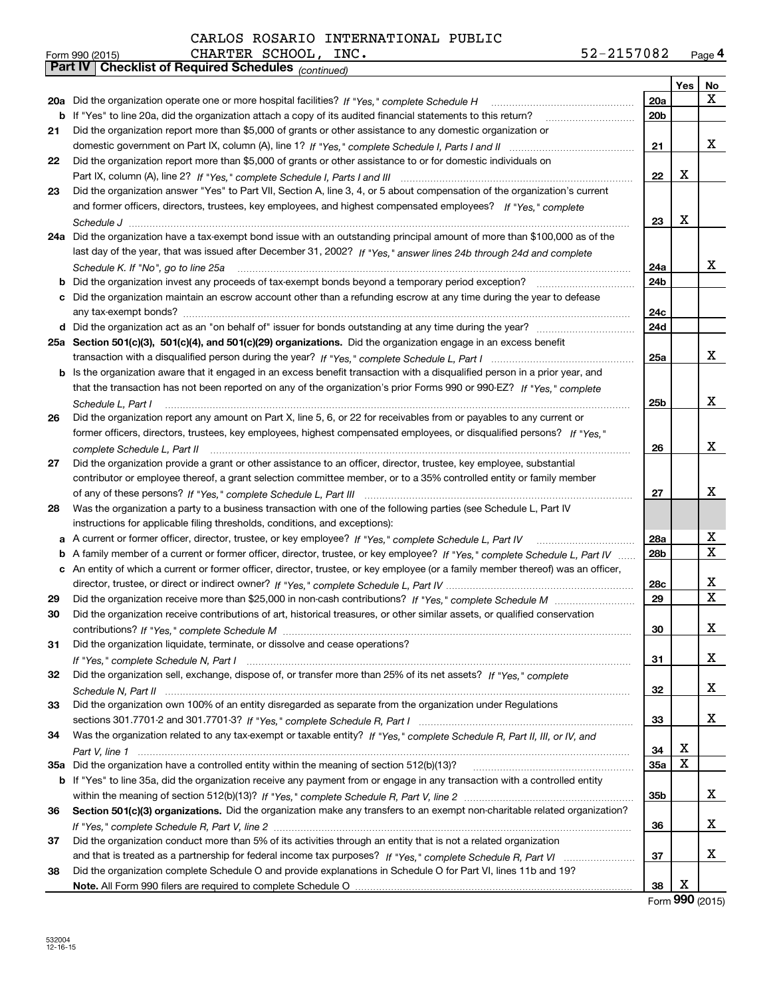| 52-2157082 | Page $4$ |
|------------|----------|
|------------|----------|

|    | CHARTER SCHOOL, INC.<br>52-2157082<br>Form 990 (2015)                                                                             |                 |     | Page 4 |
|----|-----------------------------------------------------------------------------------------------------------------------------------|-----------------|-----|--------|
|    | <b>Checklist of Required Schedules (continued)</b><br>Part IV                                                                     |                 |     |        |
|    |                                                                                                                                   |                 | Yes | No     |
|    | 20a Did the organization operate one or more hospital facilities? If "Yes," complete Schedule H                                   | 20a             |     | x      |
|    | <b>b</b> If "Yes" to line 20a, did the organization attach a copy of its audited financial statements to this return?             | 20 <sub>b</sub> |     |        |
| 21 | Did the organization report more than \$5,000 of grants or other assistance to any domestic organization or                       |                 |     |        |
|    |                                                                                                                                   | 21              |     | x      |
| 22 | Did the organization report more than \$5,000 of grants or other assistance to or for domestic individuals on                     |                 |     |        |
|    |                                                                                                                                   | 22              | x   |        |
| 23 | Did the organization answer "Yes" to Part VII, Section A, line 3, 4, or 5 about compensation of the organization's current        |                 |     |        |
|    | and former officers, directors, trustees, key employees, and highest compensated employees? If "Yes." complete                    |                 |     |        |
|    |                                                                                                                                   | 23              | х   |        |
|    | 24a Did the organization have a tax-exempt bond issue with an outstanding principal amount of more than \$100,000 as of the       |                 |     |        |
|    | last day of the year, that was issued after December 31, 2002? If "Yes," answer lines 24b through 24d and complete                |                 |     |        |
|    | Schedule K. If "No", go to line 25a                                                                                               | 24a             |     | x      |
|    |                                                                                                                                   | 24b             |     |        |
|    | c Did the organization maintain an escrow account other than a refunding escrow at any time during the year to defease            |                 |     |        |
|    |                                                                                                                                   | 24c             |     |        |
|    |                                                                                                                                   | 24d             |     |        |
|    | 25a Section 501(c)(3), 501(c)(4), and 501(c)(29) organizations. Did the organization engage in an excess benefit                  |                 |     |        |
|    |                                                                                                                                   | 25a             |     | x      |
|    | b Is the organization aware that it engaged in an excess benefit transaction with a disqualified person in a prior year, and      |                 |     |        |
|    | that the transaction has not been reported on any of the organization's prior Forms 990 or 990-EZ? If "Yes," complete             |                 |     |        |
|    | Schedule L. Part I                                                                                                                | 25 <sub>b</sub> |     | x      |
| 26 | Did the organization report any amount on Part X, line 5, 6, or 22 for receivables from or payables to any current or             |                 |     |        |
|    | former officers, directors, trustees, key employees, highest compensated employees, or disqualified persons? If "Yes."            |                 |     |        |
|    | complete Schedule L, Part II                                                                                                      | 26              |     | x      |
| 27 | Did the organization provide a grant or other assistance to an officer, director, trustee, key employee, substantial              |                 |     |        |
|    | contributor or employee thereof, a grant selection committee member, or to a 35% controlled entity or family member               |                 |     |        |
|    |                                                                                                                                   | 27              |     | x      |
| 28 | Was the organization a party to a business transaction with one of the following parties (see Schedule L, Part IV                 |                 |     |        |
|    | instructions for applicable filing thresholds, conditions, and exceptions):                                                       |                 |     |        |
|    | a A current or former officer, director, trustee, or key employee? If "Yes," complete Schedule L, Part IV                         | 28a             |     | х      |
|    | b A family member of a current or former officer, director, trustee, or key employee? If "Yes," complete Schedule L, Part IV      | 28 <sub>b</sub> |     | X      |
|    | c An entity of which a current or former officer, director, trustee, or key employee (or a family member thereof) was an officer, |                 |     |        |
|    |                                                                                                                                   | 28c             |     | x      |
| 29 |                                                                                                                                   | 29              |     | X      |
|    | Did the organization receive contributions of art, historical treasures, or other similar assets, or qualified conservation       |                 |     |        |
|    |                                                                                                                                   | 30              |     | x      |
| 31 | Did the organization liquidate, terminate, or dissolve and cease operations?                                                      |                 |     |        |
|    |                                                                                                                                   | 31              |     | x      |
| 32 | Did the organization sell, exchange, dispose of, or transfer more than 25% of its net assets? If "Yes," complete                  |                 |     |        |
|    |                                                                                                                                   | 32              |     | х      |
| 33 | Did the organization own 100% of an entity disregarded as separate from the organization under Regulations                        |                 |     |        |
|    |                                                                                                                                   | 33              |     | x      |
| 34 | Was the organization related to any tax-exempt or taxable entity? If "Yes," complete Schedule R, Part II, III, or IV, and         |                 |     |        |
|    |                                                                                                                                   | 34              | х   |        |
|    | 35a Did the organization have a controlled entity within the meaning of section 512(b)(13)?                                       | 35a             | X   |        |
|    | b If "Yes" to line 35a, did the organization receive any payment from or engage in any transaction with a controlled entity       |                 |     |        |
|    |                                                                                                                                   | 35b             |     | x      |
| 36 | Section 501(c)(3) organizations. Did the organization make any transfers to an exempt non-charitable related organization?        |                 |     |        |
|    |                                                                                                                                   | 36              |     | x      |
| 37 | Did the organization conduct more than 5% of its activities through an entity that is not a related organization                  |                 |     |        |
|    |                                                                                                                                   | 37              |     | х      |
| 38 | Did the organization complete Schedule O and provide explanations in Schedule O for Part VI, lines 11b and 19?                    |                 |     |        |
|    |                                                                                                                                   | 38              | х   |        |

Form (2015) **990**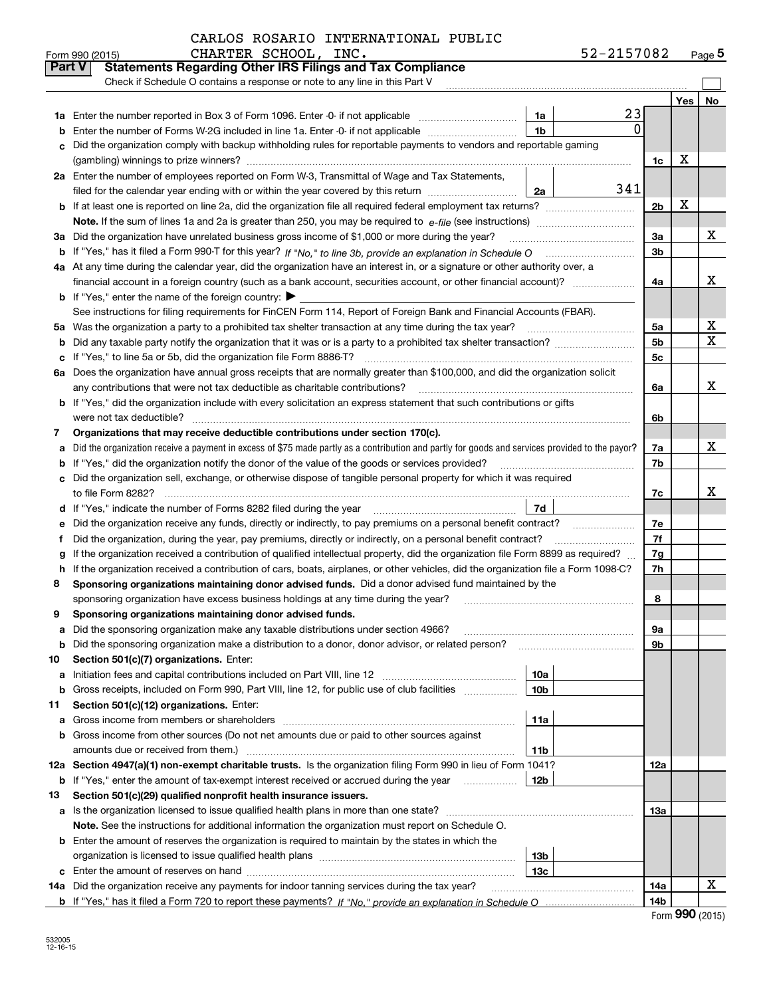|        | CHARTER SCHOOL, INC.<br>Form 990 (2015)                                                                                                         |                 | 52-2157082 |                |     | Page $5$ |
|--------|-------------------------------------------------------------------------------------------------------------------------------------------------|-----------------|------------|----------------|-----|----------|
| Part V | <b>Statements Regarding Other IRS Filings and Tax Compliance</b>                                                                                |                 |            |                |     |          |
|        | Check if Schedule O contains a response or note to any line in this Part V                                                                      |                 |            |                |     |          |
|        |                                                                                                                                                 |                 |            |                | Yes | No       |
| 1a     | Enter the number reported in Box 3 of Form 1096. Enter -0- if not applicable                                                                    | 1a              | 23         |                |     |          |
| b      | Enter the number of Forms W-2G included in line 1a. Enter -0- if not applicable                                                                 | 1 <sub>b</sub>  | $\Omega$   |                |     |          |
| c      | Did the organization comply with backup withholding rules for reportable payments to vendors and reportable gaming                              |                 |            |                |     |          |
|        |                                                                                                                                                 |                 |            | 1c             | х   |          |
|        | 2a Enter the number of employees reported on Form W-3, Transmittal of Wage and Tax Statements,                                                  |                 |            |                |     |          |
|        | filed for the calendar year ending with or within the year covered by this return                                                               | 2a              | 341        |                |     |          |
|        |                                                                                                                                                 |                 |            | 2 <sub>b</sub> | х   |          |
|        |                                                                                                                                                 |                 |            |                |     |          |
| За     | Did the organization have unrelated business gross income of \$1,000 or more during the year?                                                   |                 |            | 3a             |     | х        |
|        |                                                                                                                                                 |                 |            | 3b             |     |          |
|        | 4a At any time during the calendar year, did the organization have an interest in, or a signature or other authority over, a                    |                 |            |                |     |          |
|        | financial account in a foreign country (such as a bank account, securities account, or other financial account)?                                |                 |            | 4a             |     | X        |
|        | <b>b</b> If "Yes," enter the name of the foreign country: $\blacktriangleright$                                                                 |                 |            |                |     |          |
|        | See instructions for filing requirements for FinCEN Form 114, Report of Foreign Bank and Financial Accounts (FBAR).                             |                 |            |                |     |          |
|        | 5a Was the organization a party to a prohibited tax shelter transaction at any time during the tax year?                                        |                 |            | 5a             |     | х        |
| b      |                                                                                                                                                 |                 |            | 5 <sub>b</sub> |     | X        |
|        | c If "Yes," to line 5a or 5b, did the organization file Form 8886-T?                                                                            |                 |            | 5с             |     |          |
|        | 6a Does the organization have annual gross receipts that are normally greater than \$100,000, and did the organization solicit                  |                 |            |                |     |          |
|        |                                                                                                                                                 |                 |            | 6a             |     | x        |
|        | <b>b</b> If "Yes," did the organization include with every solicitation an express statement that such contributions or gifts                   |                 |            |                |     |          |
|        | were not tax deductible?                                                                                                                        |                 |            | 6b             |     |          |
| 7      | Organizations that may receive deductible contributions under section 170(c).                                                                   |                 |            |                |     |          |
| a      | Did the organization receive a payment in excess of \$75 made partly as a contribution and partly for goods and services provided to the payor? |                 |            | 7a             |     | x        |
|        | <b>b</b> If "Yes," did the organization notify the donor of the value of the goods or services provided?                                        |                 |            | 7b             |     |          |
|        | c Did the organization sell, exchange, or otherwise dispose of tangible personal property for which it was required                             |                 |            |                |     |          |
|        |                                                                                                                                                 |                 |            | 7c             |     | x        |
|        |                                                                                                                                                 | 7d              |            |                |     |          |
| е      | Did the organization receive any funds, directly or indirectly, to pay premiums on a personal benefit contract?                                 |                 |            | 7e             |     |          |
| f      | Did the organization, during the year, pay premiums, directly or indirectly, on a personal benefit contract?                                    |                 |            | 7f             |     |          |
| g      | If the organization received a contribution of qualified intellectual property, did the organization file Form 8899 as required?                |                 |            | 7g             |     |          |
|        | h If the organization received a contribution of cars, boats, airplanes, or other vehicles, did the organization file a Form 1098-C?            |                 |            | 7h             |     |          |
| 8      | Sponsoring organizations maintaining donor advised funds. Did a donor advised fund maintained by the                                            |                 |            |                |     |          |
|        | sponsoring organization have excess business holdings at any time during the year?                                                              |                 |            | 8              |     |          |
|        | Sponsoring organizations maintaining donor advised funds.                                                                                       |                 |            |                |     |          |
| a      | Did the sponsoring organization make any taxable distributions under section 4966?                                                              |                 |            | 9a             |     |          |
| b      | Did the sponsoring organization make a distribution to a donor, donor advisor, or related person?                                               |                 |            | 9b             |     |          |
| 10     | Section 501(c)(7) organizations. Enter:                                                                                                         |                 |            |                |     |          |
| а      | Initiation fees and capital contributions included on Part VIII, line 12 <i>manuarrouus</i> manuations of the latest                            | 10a             |            |                |     |          |
| b      | Gross receipts, included on Form 990, Part VIII, line 12, for public use of club facilities                                                     | 10 <sub>b</sub> |            |                |     |          |
| 11     | Section 501(c)(12) organizations. Enter:                                                                                                        |                 |            |                |     |          |
|        | a Gross income from members or shareholders                                                                                                     | 11a             |            |                |     |          |
|        | b Gross income from other sources (Do not net amounts due or paid to other sources against                                                      |                 |            |                |     |          |
|        | amounts due or received from them.)                                                                                                             | 11b             |            |                |     |          |
|        | 12a Section 4947(a)(1) non-exempt charitable trusts. Is the organization filing Form 990 in lieu of Form 1041?                                  |                 |            | 12a            |     |          |
|        | <b>b</b> If "Yes," enter the amount of tax-exempt interest received or accrued during the year <i>manument</i>                                  | 12b             |            |                |     |          |
| 13     | Section 501(c)(29) qualified nonprofit health insurance issuers.                                                                                |                 |            |                |     |          |
|        | a Is the organization licensed to issue qualified health plans in more than one state?                                                          |                 |            | 13а            |     |          |
|        | Note. See the instructions for additional information the organization must report on Schedule O.                                               |                 |            |                |     |          |
|        | <b>b</b> Enter the amount of reserves the organization is required to maintain by the states in which the                                       |                 |            |                |     |          |
|        |                                                                                                                                                 | 13 <sub>b</sub> |            |                |     |          |
|        |                                                                                                                                                 | 13с             |            |                |     |          |
| 14a    | Did the organization receive any payments for indoor tanning services during the tax year?                                                      |                 |            | 14a            |     | x        |
|        |                                                                                                                                                 |                 |            | 14b            |     |          |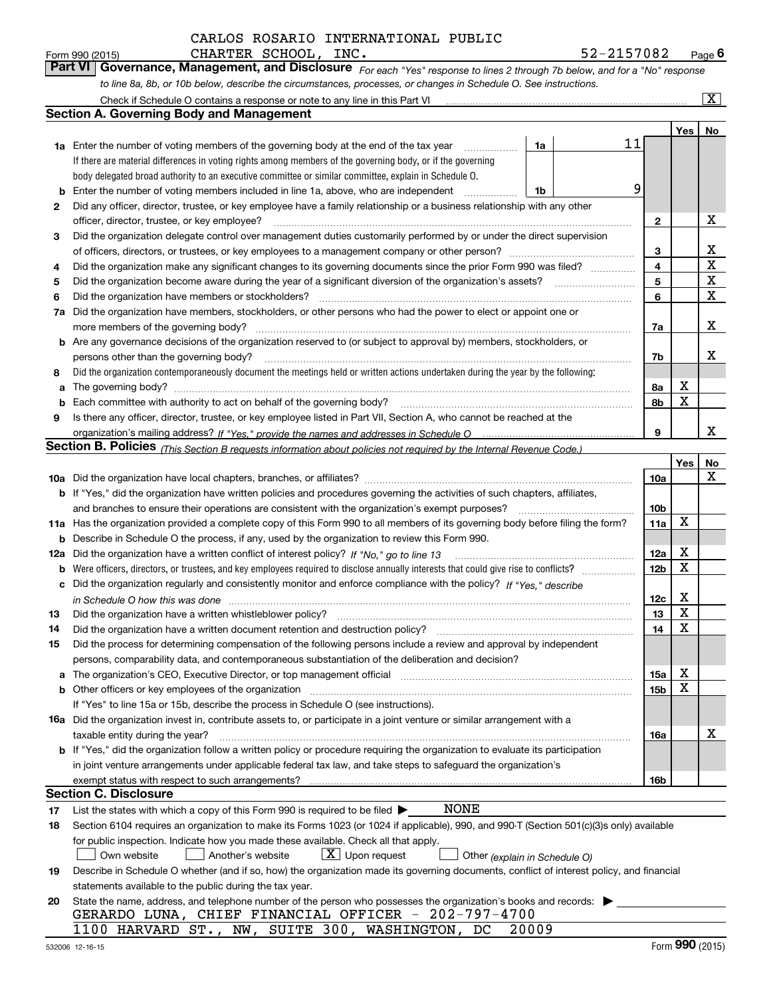*For each "Yes" response to lines 2 through 7b below, and for a "No" response to line 8a, 8b, or 10b below, describe the circumstances, processes, or changes in Schedule O. See instructions.* Form 990 (2015) **CHARTER SCHOOL, INC.**<br>**Part VI Governance, Management, and Disclosure** For each "Yes" response to lines 2 through 7b below, and for a "No" response

|     | Check if Schedule O contains a response or note to any line in this Part VI                                                                                                                                                   |       |    |                 |     | $\mathbf{X}$ |  |  |  |
|-----|-------------------------------------------------------------------------------------------------------------------------------------------------------------------------------------------------------------------------------|-------|----|-----------------|-----|--------------|--|--|--|
|     | Section A. Governing Body and Management                                                                                                                                                                                      |       |    |                 |     |              |  |  |  |
|     |                                                                                                                                                                                                                               |       |    |                 | Yes | No           |  |  |  |
|     | <b>1a</b> Enter the number of voting members of the governing body at the end of the tax year                                                                                                                                 | 1a    | 11 |                 |     |              |  |  |  |
|     | If there are material differences in voting rights among members of the governing body, or if the governing                                                                                                                   |       |    |                 |     |              |  |  |  |
|     | body delegated broad authority to an executive committee or similar committee, explain in Schedule O.                                                                                                                         |       |    |                 |     |              |  |  |  |
| b   | Enter the number of voting members included in line 1a, above, who are independent                                                                                                                                            | 1b    | 9  |                 |     |              |  |  |  |
| 2   | Did any officer, director, trustee, or key employee have a family relationship or a business relationship with any other                                                                                                      |       |    |                 |     |              |  |  |  |
|     | officer, director, trustee, or key employee?                                                                                                                                                                                  |       |    | 2               |     | х            |  |  |  |
| 3   | Did the organization delegate control over management duties customarily performed by or under the direct supervision                                                                                                         |       |    |                 |     |              |  |  |  |
|     |                                                                                                                                                                                                                               |       |    | 3               |     | х            |  |  |  |
| 4   | Did the organization make any significant changes to its governing documents since the prior Form 990 was filed?                                                                                                              |       |    | 4               |     | X            |  |  |  |
| 5   |                                                                                                                                                                                                                               |       |    | 5               |     | X            |  |  |  |
| 6   | Did the organization have members or stockholders?                                                                                                                                                                            |       |    | 6               |     | X            |  |  |  |
| 7a  | Did the organization have members, stockholders, or other persons who had the power to elect or appoint one or                                                                                                                |       |    |                 |     |              |  |  |  |
|     | more members of the governing body?                                                                                                                                                                                           |       |    | 7a              |     | Х            |  |  |  |
|     | <b>b</b> Are any governance decisions of the organization reserved to (or subject to approval by) members, stockholders, or                                                                                                   |       |    |                 |     |              |  |  |  |
|     | persons other than the governing body?                                                                                                                                                                                        |       |    | 7b              |     | x            |  |  |  |
| 8   | Did the organization contemporaneously document the meetings held or written actions undertaken during the vear by the following:                                                                                             |       |    |                 |     |              |  |  |  |
| a   |                                                                                                                                                                                                                               |       |    | 8а              | x   |              |  |  |  |
| b   |                                                                                                                                                                                                                               |       |    | 8b              | X   |              |  |  |  |
| 9   | Is there any officer, director, trustee, or key employee listed in Part VII, Section A, who cannot be reached at the                                                                                                          |       |    |                 |     |              |  |  |  |
|     |                                                                                                                                                                                                                               |       |    | 9               |     | x            |  |  |  |
|     | <b>Section B. Policies</b> (This Section B requests information about policies not required by the Internal Revenue Code.)                                                                                                    |       |    |                 |     |              |  |  |  |
|     |                                                                                                                                                                                                                               |       |    |                 | Yes | No           |  |  |  |
|     |                                                                                                                                                                                                                               |       |    | 10a             |     | x            |  |  |  |
|     | <b>b</b> If "Yes," did the organization have written policies and procedures governing the activities of such chapters, affiliates,                                                                                           |       |    |                 |     |              |  |  |  |
|     | and branches to ensure their operations are consistent with the organization's exempt purposes?                                                                                                                               |       |    | 10 <sub>b</sub> |     |              |  |  |  |
|     | 11a Has the organization provided a complete copy of this Form 990 to all members of its governing body before filing the form?                                                                                               |       |    |                 |     |              |  |  |  |
| b   | Describe in Schedule O the process, if any, used by the organization to review this Form 990.                                                                                                                                 |       |    |                 |     |              |  |  |  |
| 12a | Did the organization have a written conflict of interest policy? If "No," go to line 13                                                                                                                                       |       |    | 12a             | X   |              |  |  |  |
| b   |                                                                                                                                                                                                                               |       |    | 12 <sub>b</sub> | X   |              |  |  |  |
|     | c Did the organization regularly and consistently monitor and enforce compliance with the policy? If "Yes." describe                                                                                                          |       |    |                 |     |              |  |  |  |
|     | in Schedule O how this was done www.communication.com/www.communications.com/www.communications.com/                                                                                                                          |       |    | 12c             | X   |              |  |  |  |
| 13  | Did the organization have a written whistleblower policy?                                                                                                                                                                     |       |    | 13              | X   |              |  |  |  |
| 14  | Did the organization have a written document retention and destruction policy?                                                                                                                                                |       |    | 14              | X   |              |  |  |  |
| 15  | Did the process for determining compensation of the following persons include a review and approval by independent                                                                                                            |       |    |                 |     |              |  |  |  |
|     | persons, comparability data, and contemporaneous substantiation of the deliberation and decision?                                                                                                                             |       |    |                 |     |              |  |  |  |
| a   | The organization's CEO, Executive Director, or top management official manufactured content content of the organization's CEO, Executive Director, or top management official manufactured content of the organization's CEO, |       |    | 15a             | х   |              |  |  |  |
|     | <b>b</b> Other officers or key employees of the organization                                                                                                                                                                  |       |    | 15b             | x   |              |  |  |  |
|     | If "Yes" to line 15a or 15b, describe the process in Schedule O (see instructions).                                                                                                                                           |       |    |                 |     |              |  |  |  |
|     | <b>16a</b> Did the organization invest in, contribute assets to, or participate in a joint venture or similar arrangement with a                                                                                              |       |    |                 |     |              |  |  |  |
|     | taxable entity during the year?                                                                                                                                                                                               |       |    | 16a             |     | х            |  |  |  |
|     | b If "Yes," did the organization follow a written policy or procedure requiring the organization to evaluate its participation                                                                                                |       |    |                 |     |              |  |  |  |
|     | in joint venture arrangements under applicable federal tax law, and take steps to safeguard the organization's                                                                                                                |       |    |                 |     |              |  |  |  |
|     | exempt status with respect to such arrangements?                                                                                                                                                                              |       |    | 16b             |     |              |  |  |  |
|     | Section C. Disclosure                                                                                                                                                                                                         |       |    |                 |     |              |  |  |  |
| 17  | NONE<br>List the states with which a copy of this Form 990 is required to be filed $\blacktriangleright$                                                                                                                      |       |    |                 |     |              |  |  |  |
| 18  | Section 6104 requires an organization to make its Forms 1023 (or 1024 if applicable), 990, and 990-T (Section 501(c)(3)s only) available                                                                                      |       |    |                 |     |              |  |  |  |
|     | for public inspection. Indicate how you made these available. Check all that apply.                                                                                                                                           |       |    |                 |     |              |  |  |  |
|     | $\lfloor x \rfloor$ Upon request<br>Another's website<br>Own website<br>Other (explain in Schedule O)                                                                                                                         |       |    |                 |     |              |  |  |  |
| 19  | Describe in Schedule O whether (and if so, how) the organization made its governing documents, conflict of interest policy, and financial                                                                                     |       |    |                 |     |              |  |  |  |
|     | statements available to the public during the tax year.                                                                                                                                                                       |       |    |                 |     |              |  |  |  |
| 20  | State the name, address, and telephone number of the person who possesses the organization's books and records:                                                                                                               |       |    |                 |     |              |  |  |  |
|     | GERARDO LUNA, CHIEF FINANCIAL OFFICER - 202-797-4700                                                                                                                                                                          |       |    |                 |     |              |  |  |  |
|     | 1100 HARVARD ST., NW, SUITE 300, WASHINGTON, DC                                                                                                                                                                               | 20009 |    |                 |     |              |  |  |  |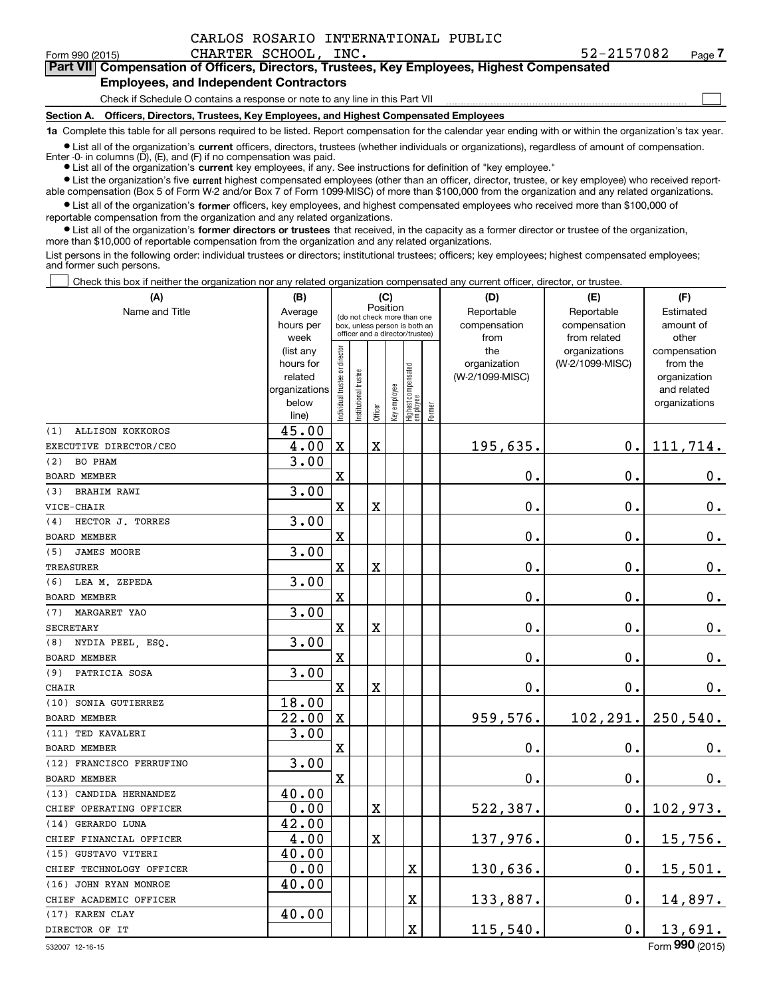Form 990 (2015) CHARTER SCHOOL, INC. 52-2157082 Page **7Part VII Compensation of Officers, Directors, Trustees, Key Employees, Highest Compensated**

#### **Employees, and Independent Contractors**

Check if Schedule O contains a response or note to any line in this Part VII

**Section A. Officers, Directors, Trustees, Key Employees, and Highest Compensated Employees**

**1a**  Complete this table for all persons required to be listed. Report compensation for the calendar year ending with or within the organization's tax year.

**•** List all of the organization's current officers, directors, trustees (whether individuals or organizations), regardless of amount of compensation. Enter -0- in columns  $(D)$ ,  $(E)$ , and  $(F)$  if no compensation was paid.

● List all of the organization's **current** key employees, if any. See instructions for definition of "key employee."

**•** List the organization's five current highest compensated employees (other than an officer, director, trustee, or key employee) who received reportable compensation (Box 5 of Form W-2 and/or Box 7 of Form 1099-MISC) of more than \$100,000 from the organization and any related organizations.

 $\bullet$  List all of the organization's **former** officers, key employees, and highest compensated employees who received more than \$100,000 of reportable compensation from the organization and any related organizations.

**•** List all of the organization's former directors or trustees that received, in the capacity as a former director or trustee of the organization, more than \$10,000 of reportable compensation from the organization and any related organizations.

List persons in the following order: individual trustees or directors; institutional trustees; officers; key employees; highest compensated employees; and former such persons.

Check this box if neither the organization nor any related organization compensated any current officer, director, or trustee.  $\mathcal{L}^{\text{max}}$ 

| (A)                            | (B)               |                                         |                                                                  | (C)     |              |                                  |        | (D)             | (E)                           | (F)                   |
|--------------------------------|-------------------|-----------------------------------------|------------------------------------------------------------------|---------|--------------|----------------------------------|--------|-----------------|-------------------------------|-----------------------|
| Name and Title                 | Average           | Position<br>(do not check more than one |                                                                  |         |              |                                  |        | Reportable      | Reportable                    | Estimated             |
|                                | hours per         |                                         | box, unless person is both an<br>officer and a director/trustee) |         |              |                                  |        | compensation    | compensation                  | amount of             |
|                                | week<br>(list any |                                         |                                                                  |         |              |                                  |        | from<br>the     | from related<br>organizations | other<br>compensation |
|                                | hours for         |                                         |                                                                  |         |              |                                  |        | organization    | (W-2/1099-MISC)               | from the              |
|                                | related           |                                         |                                                                  |         |              |                                  |        | (W-2/1099-MISC) |                               | organization          |
|                                | organizations     |                                         |                                                                  |         |              |                                  |        |                 |                               | and related           |
|                                | below<br>line)    | Individual trustee or director          | Institutional trustee                                            | Officer | Key employee | Highest compensated<br> employee | Former |                 |                               | organizations         |
| <b>ALLISON KOKKOROS</b><br>(1) | 45.00             |                                         |                                                                  |         |              |                                  |        |                 |                               |                       |
| EXECUTIVE DIRECTOR/CEO         | 4.00              | $\mathbf X$                             |                                                                  | X       |              |                                  |        | 195,635.        | 0.                            | 111,714.              |
| BO PHAM<br>(2)                 | 3.00              |                                         |                                                                  |         |              |                                  |        |                 |                               |                       |
| <b>BOARD MEMBER</b>            |                   | $\mathbf X$                             |                                                                  |         |              |                                  |        | 0.              | $\mathbf 0$ .                 | $0_{.}$               |
| <b>BRAHIM RAWI</b><br>(3)      | 3.00              |                                         |                                                                  |         |              |                                  |        |                 |                               |                       |
| VICE-CHAIR                     |                   | $\mathbf X$                             |                                                                  | X       |              |                                  |        | 0.              | 0.                            | $\mathbf 0$ .         |
| HECTOR J. TORRES<br>(4)        | 3.00              |                                         |                                                                  |         |              |                                  |        |                 |                               |                       |
| <b>BOARD MEMBER</b>            |                   | $\mathbf X$                             |                                                                  |         |              |                                  |        | 0.              | 0.                            | $\mathbf 0$ .         |
| <b>JAMES MOORE</b><br>(5)      | 3.00              |                                         |                                                                  |         |              |                                  |        |                 |                               |                       |
| <b>TREASURER</b>               |                   | $\mathbf X$                             |                                                                  | X       |              |                                  |        | $\mathbf 0$ .   | 0.                            | $\mathbf 0$ .         |
| (6)<br>LEA M. ZEPEDA           | 3.00              |                                         |                                                                  |         |              |                                  |        |                 |                               |                       |
| <b>BOARD MEMBER</b>            |                   | $\mathbf X$                             |                                                                  |         |              |                                  |        | $\mathbf 0$ .   | $\mathbf 0$ .                 | $0_{.}$               |
| MARGARET YAO<br>(7)            | 3.00              |                                         |                                                                  |         |              |                                  |        |                 |                               |                       |
| <b>SECRETARY</b>               |                   | $\mathbf X$                             |                                                                  | X       |              |                                  |        | 0.              | 0.                            | 0.                    |
| NYDIA PEEL, ESQ.<br>(8)        | 3.00              |                                         |                                                                  |         |              |                                  |        |                 |                               |                       |
| <b>BOARD MEMBER</b>            |                   | $\mathbf X$                             |                                                                  |         |              |                                  |        | $\mathbf 0$ .   | 0.                            | $0_{.}$               |
| (9) PATRICIA SOSA              | 3.00              |                                         |                                                                  |         |              |                                  |        |                 |                               |                       |
| <b>CHAIR</b>                   |                   | $\mathbf X$                             |                                                                  | X       |              |                                  |        | $\mathbf 0$ .   | 0.                            | 0.                    |
| (10) SONIA GUTIERREZ           | 18.00             |                                         |                                                                  |         |              |                                  |        |                 |                               |                       |
| <b>BOARD MEMBER</b>            | 22.00             | $\mathbf X$                             |                                                                  |         |              |                                  |        | 959,576.        | 102,291.                      | 250,540.              |
| (11) TED KAVALERI              | 3.00              |                                         |                                                                  |         |              |                                  |        |                 |                               |                       |
| <b>BOARD MEMBER</b>            |                   | $\mathbf x$                             |                                                                  |         |              |                                  |        | 0.              | $\mathbf 0$ .                 | $0_{.}$               |
| (12) FRANCISCO FERRUFINO       | 3.00              |                                         |                                                                  |         |              |                                  |        |                 |                               |                       |
| <b>BOARD MEMBER</b>            |                   | $\mathbf X$                             |                                                                  |         |              |                                  |        | $0$ .           | 0.                            | 0.                    |
| (13) CANDIDA HERNANDEZ         | 40.00             |                                         |                                                                  |         |              |                                  |        |                 |                               |                       |
| CHIEF OPERATING OFFICER        | 0.00              |                                         |                                                                  | X       |              |                                  |        | 522,387.        | 0.                            | 102,973.              |
| (14) GERARDO LUNA              | 42.00             |                                         |                                                                  |         |              |                                  |        |                 |                               |                       |
| CHIEF FINANCIAL OFFICER        | 4.00              |                                         |                                                                  | X       |              |                                  |        | 137,976.        | 0.                            | $15,756$ .            |
| (15) GUSTAVO VITERI            | 40.00             |                                         |                                                                  |         |              |                                  |        |                 |                               |                       |
| CHIEF TECHNOLOGY OFFICER       | 0.00              |                                         |                                                                  |         |              | X                                |        | 130,636.        | 0.                            | 15,501.               |
| (16) JOHN RYAN MONROE          | 40.00             |                                         |                                                                  |         |              |                                  |        |                 |                               |                       |
| CHIEF ACADEMIC OFFICER         |                   |                                         |                                                                  |         |              | $\overline{\textbf{X}}$          |        | 133,887.        | 0.                            | 14,897.               |
| (17) KAREN CLAY                | 40.00             |                                         |                                                                  |         |              |                                  |        |                 |                               |                       |
| DIRECTOR OF IT                 |                   |                                         |                                                                  |         |              | $\overline{\textbf{X}}$          |        | 115,540.        | $0$ .                         | 13,691.               |

Form (2015) **990**

 $\mathcal{L}^{\text{max}}$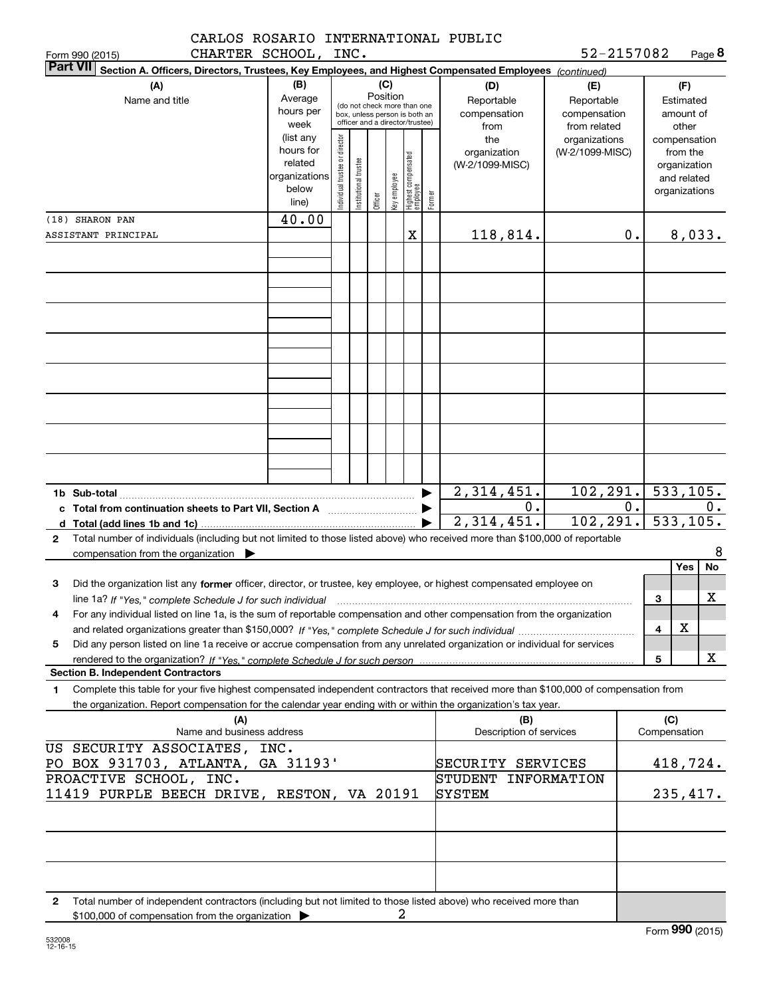|                                            | CARLOS ROSARIO INTERNATIONAL PUBLIC |  |
|--------------------------------------------|-------------------------------------|--|
| $\alpha$ ii Domoo $\alpha$ aii $\alpha$ ot |                                     |  |

| 52-2157082 | Page 8 |
|------------|--------|
|------------|--------|

|                                                                                            | CHARTER SCHOOL, INC.<br>Form 990 (2015)                                                                                                         |               |                               |                                                              |         |              |                                  |                       |                         | 52-2157082      |              |     | Page 8        |
|--------------------------------------------------------------------------------------------|-------------------------------------------------------------------------------------------------------------------------------------------------|---------------|-------------------------------|--------------------------------------------------------------|---------|--------------|----------------------------------|-----------------------|-------------------------|-----------------|--------------|-----|---------------|
| <b>Part VII</b>                                                                            | Section A. Officers, Directors, Trustees, Key Employees, and Highest Compensated Employees (continued)                                          |               |                               |                                                              |         |              |                                  |                       |                         |                 |              |     |               |
|                                                                                            | (A)                                                                                                                                             | (B)           |                               |                                                              |         | (C)          |                                  |                       | (D)                     | (E)             |              | (F) |               |
|                                                                                            | Name and title                                                                                                                                  | Average       |                               |                                                              |         | Position     |                                  |                       | Reportable              | Reportable      |              |     | Estimated     |
|                                                                                            |                                                                                                                                                 | hours per     |                               | (do not check more than one<br>box, unless person is both an |         |              |                                  |                       | compensation            | compensation    |              |     | amount of     |
|                                                                                            |                                                                                                                                                 | week          |                               | officer and a director/trustee)                              |         |              |                                  |                       | from                    | from related    |              |     | other         |
|                                                                                            |                                                                                                                                                 | (list any     |                               |                                                              |         |              |                                  |                       | the                     | organizations   |              |     | compensation  |
|                                                                                            |                                                                                                                                                 | hours for     |                               |                                                              |         |              |                                  |                       | organization            | (W-2/1099-MISC) |              |     | from the      |
|                                                                                            |                                                                                                                                                 | related       |                               |                                                              |         |              |                                  |                       | (W-2/1099-MISC)         |                 |              |     | organization  |
|                                                                                            |                                                                                                                                                 | organizations |                               |                                                              |         |              |                                  |                       |                         |                 |              |     | and related   |
|                                                                                            |                                                                                                                                                 | below         |                               |                                                              |         |              |                                  |                       |                         |                 |              |     | organizations |
|                                                                                            |                                                                                                                                                 | line)         | ndividual trustee or director | nstitutional trustee                                         | Officer | Key employee | Highest compensated<br> employee | Former                |                         |                 |              |     |               |
|                                                                                            | (18) SHARON PAN                                                                                                                                 |               |                               |                                                              |         |              |                                  |                       |                         |                 |              |     |               |
|                                                                                            |                                                                                                                                                 | 40.00         |                               |                                                              |         |              |                                  |                       |                         |                 |              |     |               |
|                                                                                            | ASSISTANT PRINCIPAL                                                                                                                             |               |                               |                                                              |         |              | X                                |                       | 118,814.                |                 | 0.           |     | 8,033.        |
|                                                                                            |                                                                                                                                                 |               |                               |                                                              |         |              |                                  |                       |                         |                 |              |     |               |
|                                                                                            |                                                                                                                                                 |               |                               |                                                              |         |              |                                  |                       |                         |                 |              |     |               |
|                                                                                            |                                                                                                                                                 |               |                               |                                                              |         |              |                                  |                       |                         |                 |              |     |               |
|                                                                                            |                                                                                                                                                 |               |                               |                                                              |         |              |                                  |                       |                         |                 |              |     |               |
|                                                                                            |                                                                                                                                                 |               |                               |                                                              |         |              |                                  |                       |                         |                 |              |     |               |
|                                                                                            |                                                                                                                                                 |               |                               |                                                              |         |              |                                  |                       |                         |                 |              |     |               |
|                                                                                            |                                                                                                                                                 |               |                               |                                                              |         |              |                                  |                       |                         |                 |              |     |               |
|                                                                                            |                                                                                                                                                 |               |                               |                                                              |         |              |                                  |                       |                         |                 |              |     |               |
|                                                                                            |                                                                                                                                                 |               |                               |                                                              |         |              |                                  |                       |                         |                 |              |     |               |
|                                                                                            |                                                                                                                                                 |               |                               |                                                              |         |              |                                  |                       |                         |                 |              |     |               |
|                                                                                            |                                                                                                                                                 |               |                               |                                                              |         |              |                                  |                       |                         |                 |              |     |               |
|                                                                                            |                                                                                                                                                 |               |                               |                                                              |         |              |                                  |                       |                         |                 |              |     |               |
|                                                                                            |                                                                                                                                                 |               |                               |                                                              |         |              |                                  |                       |                         |                 |              |     |               |
|                                                                                            |                                                                                                                                                 |               |                               |                                                              |         |              |                                  |                       |                         |                 |              |     |               |
|                                                                                            |                                                                                                                                                 |               |                               |                                                              |         |              |                                  |                       |                         |                 |              |     |               |
|                                                                                            |                                                                                                                                                 |               |                               |                                                              |         |              |                                  |                       |                         |                 |              |     |               |
|                                                                                            |                                                                                                                                                 |               |                               |                                                              |         |              |                                  |                       |                         |                 |              |     |               |
|                                                                                            |                                                                                                                                                 |               |                               |                                                              |         |              |                                  |                       |                         |                 |              |     |               |
|                                                                                            |                                                                                                                                                 |               |                               |                                                              |         |              |                                  |                       |                         |                 |              |     |               |
|                                                                                            | 2,314,451.<br>▶                                                                                                                                 |               |                               |                                                              |         |              |                                  |                       | $102, 291.$ 533, 105.   |                 |              |     |               |
| 0.<br>c Total from continuation sheets to Part VII, Section A <b>Constant Contact Part</b> |                                                                                                                                                 |               |                               |                                                              |         |              |                                  | 0.                    |                         | 0.              |              |     |               |
| 2,314,451.                                                                                 |                                                                                                                                                 |               |                               |                                                              |         |              |                                  | $102, 291.$ 533, 105. |                         |                 |              |     |               |
| $\mathbf{2}$                                                                               | Total number of individuals (including but not limited to those listed above) who received more than \$100,000 of reportable                    |               |                               |                                                              |         |              |                                  |                       |                         |                 |              |     |               |
|                                                                                            | compensation from the organization $\blacktriangleright$                                                                                        |               |                               |                                                              |         |              |                                  |                       |                         |                 |              |     | 8             |
|                                                                                            |                                                                                                                                                 |               |                               |                                                              |         |              |                                  |                       |                         |                 |              |     | No<br>Yes     |
|                                                                                            |                                                                                                                                                 |               |                               |                                                              |         |              |                                  |                       |                         |                 |              |     |               |
| 3                                                                                          | Did the organization list any former officer, director, or trustee, key employee, or highest compensated employee on                            |               |                               |                                                              |         |              |                                  |                       |                         |                 |              |     |               |
|                                                                                            | line 1a? If "Yes," complete Schedule J for such individual manufactured contained and the 1a? If "Yes," complete Schedule J for such individual |               |                               |                                                              |         |              |                                  |                       |                         |                 | 3            |     | x             |
|                                                                                            | For any individual listed on line 1a, is the sum of reportable compensation and other compensation from the organization                        |               |                               |                                                              |         |              |                                  |                       |                         |                 |              |     |               |
|                                                                                            |                                                                                                                                                 |               |                               |                                                              |         |              |                                  |                       |                         |                 | 4            |     | х             |
| 5                                                                                          | Did any person listed on line 1a receive or accrue compensation from any unrelated organization or individual for services                      |               |                               |                                                              |         |              |                                  |                       |                         |                 |              |     |               |
|                                                                                            |                                                                                                                                                 |               |                               |                                                              |         |              |                                  |                       |                         |                 | 5            |     | X             |
|                                                                                            | <b>Section B. Independent Contractors</b>                                                                                                       |               |                               |                                                              |         |              |                                  |                       |                         |                 |              |     |               |
|                                                                                            |                                                                                                                                                 |               |                               |                                                              |         |              |                                  |                       |                         |                 |              |     |               |
| 1.                                                                                         | Complete this table for your five highest compensated independent contractors that received more than \$100,000 of compensation from            |               |                               |                                                              |         |              |                                  |                       |                         |                 |              |     |               |
|                                                                                            | the organization. Report compensation for the calendar year ending with or within the organization's tax year.                                  |               |                               |                                                              |         |              |                                  |                       |                         |                 |              |     |               |
|                                                                                            | (A)                                                                                                                                             |               |                               |                                                              |         |              |                                  |                       | (B)                     |                 |              | (C) |               |
|                                                                                            | Name and business address                                                                                                                       |               |                               |                                                              |         |              |                                  |                       | Description of services |                 | Compensation |     |               |
|                                                                                            | US SECURITY ASSOCIATES, INC.                                                                                                                    |               |                               |                                                              |         |              |                                  |                       |                         |                 |              |     |               |
|                                                                                            |                                                                                                                                                 |               |                               |                                                              |         |              |                                  |                       |                         |                 |              |     |               |
|                                                                                            | PO BOX 931703, ATLANTA, GA 31193'                                                                                                               |               |                               |                                                              |         |              |                                  |                       | SECURITY SERVICES       |                 |              |     | 418,724.      |
|                                                                                            | PROACTIVE SCHOOL, INC.                                                                                                                          |               |                               |                                                              |         |              |                                  |                       | STUDENT INFORMATION     |                 |              |     |               |
|                                                                                            | 11419 PURPLE BEECH DRIVE, RESTON, VA 20191                                                                                                      |               |                               |                                                              |         |              |                                  |                       | SYSTEM                  |                 |              |     | 235,417.      |
|                                                                                            |                                                                                                                                                 |               |                               |                                                              |         |              |                                  |                       |                         |                 |              |     |               |
|                                                                                            |                                                                                                                                                 |               |                               |                                                              |         |              |                                  |                       |                         |                 |              |     |               |
|                                                                                            |                                                                                                                                                 |               |                               |                                                              |         |              |                                  |                       |                         |                 |              |     |               |
|                                                                                            |                                                                                                                                                 |               |                               |                                                              |         |              |                                  |                       |                         |                 |              |     |               |
|                                                                                            |                                                                                                                                                 |               |                               |                                                              |         |              |                                  |                       |                         |                 |              |     |               |
|                                                                                            |                                                                                                                                                 |               |                               |                                                              |         |              |                                  |                       |                         |                 |              |     |               |
|                                                                                            |                                                                                                                                                 |               |                               |                                                              |         |              |                                  |                       |                         |                 |              |     |               |
| 2                                                                                          | Total number of independent contractors (including but not limited to those listed above) who received more than                                |               |                               |                                                              |         |              |                                  |                       |                         |                 |              |     |               |
|                                                                                            | \$100,000 of compensation from the organization                                                                                                 |               |                               |                                                              |         |              | 2                                |                       |                         |                 |              |     |               |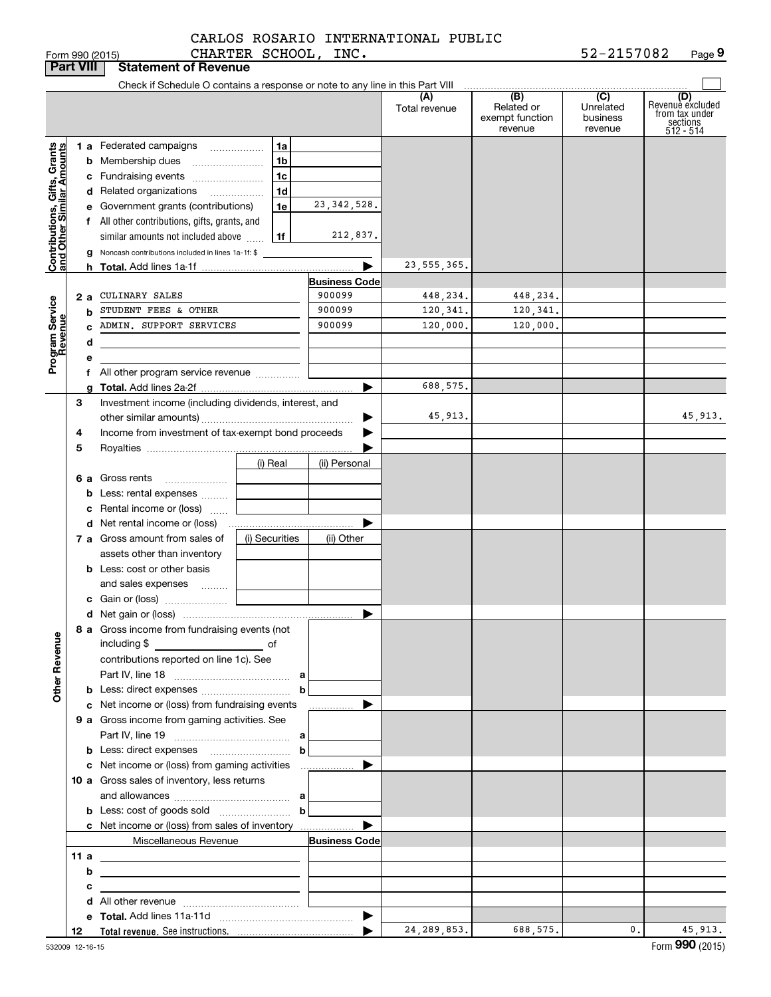|                                                           | <b>Part VIII</b>                                             |    | <b>Statement of Revenue</b>                                                                                                                                                                                                                                                                    |                |                      |                      |                                                 |                                         |                                                                    |
|-----------------------------------------------------------|--------------------------------------------------------------|----|------------------------------------------------------------------------------------------------------------------------------------------------------------------------------------------------------------------------------------------------------------------------------------------------|----------------|----------------------|----------------------|-------------------------------------------------|-----------------------------------------|--------------------------------------------------------------------|
|                                                           |                                                              |    | Check if Schedule O contains a response or note to any line in this Part VIII                                                                                                                                                                                                                  |                |                      |                      |                                                 |                                         |                                                                    |
|                                                           |                                                              |    |                                                                                                                                                                                                                                                                                                |                |                      | (A)<br>Total revenue | (B)<br>Related or<br>exempt function<br>revenue | (C)<br>Unrelated<br>business<br>revenue | (D)<br>Revenuè excluded<br>from tax under<br>sections<br>512 - 514 |
|                                                           |                                                              |    | <b>1 a</b> Federated campaigns                                                                                                                                                                                                                                                                 | 1a             |                      |                      |                                                 |                                         |                                                                    |
|                                                           |                                                              |    | <b>b</b> Membership dues                                                                                                                                                                                                                                                                       | 1 <sub>b</sub> |                      |                      |                                                 |                                         |                                                                    |
|                                                           |                                                              |    | c Fundraising events                                                                                                                                                                                                                                                                           | 1c             |                      |                      |                                                 |                                         |                                                                    |
|                                                           |                                                              |    | d Related organizations                                                                                                                                                                                                                                                                        | 1 <sub>d</sub> |                      |                      |                                                 |                                         |                                                                    |
|                                                           |                                                              |    | e Government grants (contributions)                                                                                                                                                                                                                                                            | 1e             | 23, 342, 528.        |                      |                                                 |                                         |                                                                    |
|                                                           |                                                              |    | f All other contributions, gifts, grants, and                                                                                                                                                                                                                                                  |                |                      |                      |                                                 |                                         |                                                                    |
|                                                           |                                                              |    | similar amounts not included above                                                                                                                                                                                                                                                             | 1f             | 212,837.             |                      |                                                 |                                         |                                                                    |
| Contributions, Gifts, Grants<br>and Other Similar Amounts |                                                              |    | g Noncash contributions included in lines 1a-1f: \$                                                                                                                                                                                                                                            |                |                      |                      |                                                 |                                         |                                                                    |
|                                                           |                                                              |    |                                                                                                                                                                                                                                                                                                |                | ▶                    | 23, 555, 365.        |                                                 |                                         |                                                                    |
|                                                           |                                                              |    |                                                                                                                                                                                                                                                                                                |                | <b>Business Code</b> |                      |                                                 |                                         |                                                                    |
|                                                           | 2 a                                                          |    | CULINARY SALES                                                                                                                                                                                                                                                                                 |                | 900099               | 448,234.             | 448,234.                                        |                                         |                                                                    |
| Program Service<br>Revenue                                | b                                                            |    | STUDENT FEES & OTHER                                                                                                                                                                                                                                                                           |                | 900099               | 120,341.             | 120,341.                                        |                                         |                                                                    |
|                                                           |                                                              | c. | ADMIN. SUPPORT SERVICES                                                                                                                                                                                                                                                                        |                | 900099               | 120,000.             | 120,000.                                        |                                         |                                                                    |
|                                                           | d                                                            |    |                                                                                                                                                                                                                                                                                                |                |                      |                      |                                                 |                                         |                                                                    |
|                                                           | е                                                            |    |                                                                                                                                                                                                                                                                                                |                |                      |                      |                                                 |                                         |                                                                    |
|                                                           |                                                              |    | f All other program service revenue                                                                                                                                                                                                                                                            |                |                      |                      |                                                 |                                         |                                                                    |
|                                                           |                                                              |    |                                                                                                                                                                                                                                                                                                |                | ▶                    | 688,575.             |                                                 |                                         |                                                                    |
|                                                           | З                                                            |    | Investment income (including dividends, interest, and                                                                                                                                                                                                                                          |                |                      |                      |                                                 |                                         |                                                                    |
|                                                           | Income from investment of tax-exempt bond proceeds<br>4<br>5 |    |                                                                                                                                                                                                                                                                                                |                |                      | 45,913.              |                                                 |                                         | 45,913.                                                            |
|                                                           |                                                              |    |                                                                                                                                                                                                                                                                                                |                |                      |                      |                                                 |                                         |                                                                    |
|                                                           |                                                              |    |                                                                                                                                                                                                                                                                                                | (i) Real       | (ii) Personal        |                      |                                                 |                                         |                                                                    |
|                                                           |                                                              |    | 6 a Gross rents                                                                                                                                                                                                                                                                                |                |                      |                      |                                                 |                                         |                                                                    |
|                                                           |                                                              |    | <b>b</b> Less: rental expenses                                                                                                                                                                                                                                                                 |                |                      |                      |                                                 |                                         |                                                                    |
|                                                           | c                                                            |    | Rental income or (loss)                                                                                                                                                                                                                                                                        |                |                      |                      |                                                 |                                         |                                                                    |
|                                                           |                                                              |    |                                                                                                                                                                                                                                                                                                |                |                      |                      |                                                 |                                         |                                                                    |
|                                                           |                                                              |    | 7 a Gross amount from sales of                                                                                                                                                                                                                                                                 | (i) Securities | (ii) Other           |                      |                                                 |                                         |                                                                    |
|                                                           |                                                              |    | assets other than inventory                                                                                                                                                                                                                                                                    |                |                      |                      |                                                 |                                         |                                                                    |
|                                                           |                                                              |    | <b>b</b> Less: cost or other basis                                                                                                                                                                                                                                                             |                |                      |                      |                                                 |                                         |                                                                    |
|                                                           |                                                              |    | and sales expenses                                                                                                                                                                                                                                                                             |                |                      |                      |                                                 |                                         |                                                                    |
|                                                           |                                                              |    |                                                                                                                                                                                                                                                                                                |                |                      |                      |                                                 |                                         |                                                                    |
|                                                           |                                                              |    |                                                                                                                                                                                                                                                                                                |                | ▶                    |                      |                                                 |                                         |                                                                    |
| <b>Other Revenue</b>                                      |                                                              |    | 8 a Gross income from fundraising events (not<br>including $$$<br>$\overline{\phantom{a}}$ of                                                                                                                                                                                                  |                |                      |                      |                                                 |                                         |                                                                    |
|                                                           |                                                              |    | contributions reported on line 1c). See                                                                                                                                                                                                                                                        |                |                      |                      |                                                 |                                         |                                                                    |
|                                                           |                                                              |    |                                                                                                                                                                                                                                                                                                |                |                      |                      |                                                 |                                         |                                                                    |
|                                                           |                                                              |    |                                                                                                                                                                                                                                                                                                | b              |                      |                      |                                                 |                                         |                                                                    |
|                                                           |                                                              |    | c Net income or (loss) from fundraising events                                                                                                                                                                                                                                                 |                | ▶<br>.               |                      |                                                 |                                         |                                                                    |
|                                                           |                                                              |    | 9 a Gross income from gaming activities. See                                                                                                                                                                                                                                                   |                |                      |                      |                                                 |                                         |                                                                    |
|                                                           |                                                              |    |                                                                                                                                                                                                                                                                                                |                |                      |                      |                                                 |                                         |                                                                    |
|                                                           |                                                              |    |                                                                                                                                                                                                                                                                                                | b              |                      |                      |                                                 |                                         |                                                                    |
|                                                           |                                                              |    | c Net income or (loss) from gaming activities                                                                                                                                                                                                                                                  |                | ▶<br>. <u>.</u>      |                      |                                                 |                                         |                                                                    |
|                                                           |                                                              |    | 10 a Gross sales of inventory, less returns                                                                                                                                                                                                                                                    |                |                      |                      |                                                 |                                         |                                                                    |
|                                                           |                                                              |    |                                                                                                                                                                                                                                                                                                |                |                      |                      |                                                 |                                         |                                                                    |
|                                                           |                                                              |    | $\mathbf b$                                                                                                                                                                                                                                                                                    |                |                      |                      |                                                 |                                         |                                                                    |
|                                                           |                                                              |    | c Net income or (loss) from sales of inventory                                                                                                                                                                                                                                                 |                | ▶                    |                      |                                                 |                                         |                                                                    |
|                                                           |                                                              |    | Miscellaneous Revenue                                                                                                                                                                                                                                                                          |                | <b>Business Code</b> |                      |                                                 |                                         |                                                                    |
|                                                           |                                                              |    | 11 a $\frac{1}{2}$ a $\frac{1}{2}$ and $\frac{1}{2}$ and $\frac{1}{2}$ and $\frac{1}{2}$ and $\frac{1}{2}$ and $\frac{1}{2}$ and $\frac{1}{2}$ and $\frac{1}{2}$ and $\frac{1}{2}$ and $\frac{1}{2}$ and $\frac{1}{2}$ and $\frac{1}{2}$ and $\frac{1}{2}$ and $\frac{1}{2}$ and $\frac{1}{2}$ |                |                      |                      |                                                 |                                         |                                                                    |
|                                                           | b                                                            |    | the control of the control of the control of the control of the control of the control of                                                                                                                                                                                                      |                |                      |                      |                                                 |                                         |                                                                    |
|                                                           | с                                                            |    | <u> 1989 - Johann Barbara, martxa alemaniar arg</u>                                                                                                                                                                                                                                            |                |                      |                      |                                                 |                                         |                                                                    |
|                                                           |                                                              |    |                                                                                                                                                                                                                                                                                                |                |                      |                      |                                                 |                                         |                                                                    |
|                                                           |                                                              |    |                                                                                                                                                                                                                                                                                                |                |                      | 24, 289, 853.        | 688,575.                                        | 0.1                                     | 45,913.                                                            |
|                                                           | 12                                                           |    |                                                                                                                                                                                                                                                                                                |                |                      |                      |                                                 |                                         |                                                                    |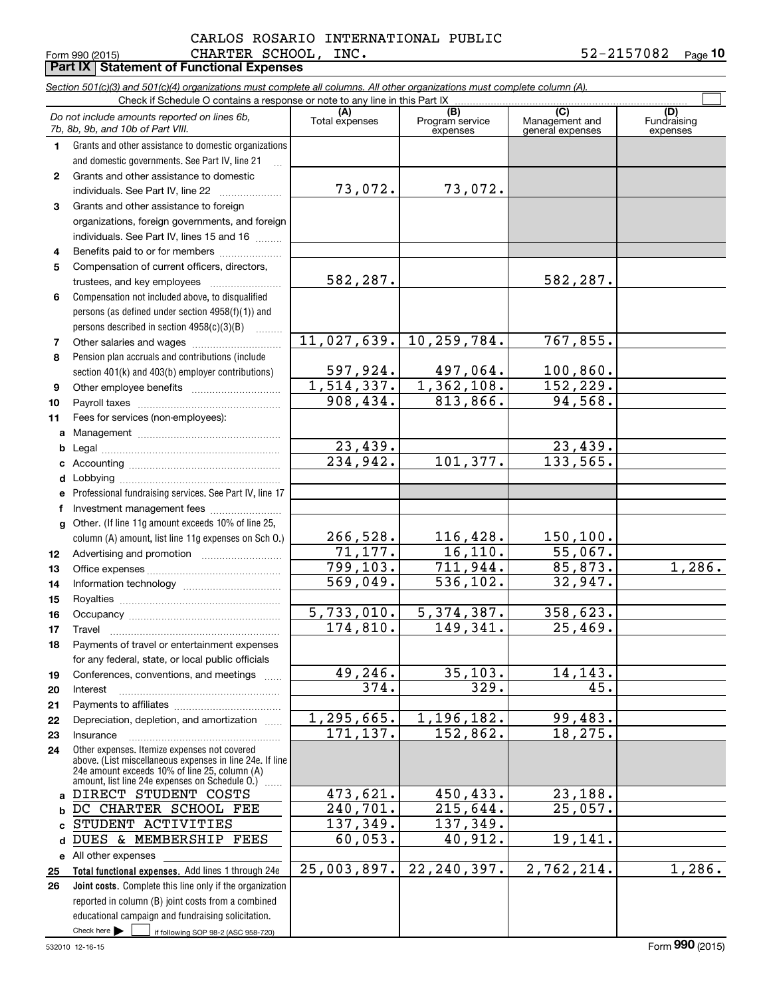#### Form 990 (2015) Page **Part IX Statement of Functional Expenses** <code>CHARTER SCHOOL, INC</code> . The set of the set of  $52-2157082$ CARLOS ROSARIO INTERNATIONAL PUBLIC

**10**

|              | <u>Section 501(c)(3) and 501(c)(4) organizations must complete all columns. All other organizations must complete column (A).</u>                                                                                                                                        |                               |                               |                                          |                         |
|--------------|--------------------------------------------------------------------------------------------------------------------------------------------------------------------------------------------------------------------------------------------------------------------------|-------------------------------|-------------------------------|------------------------------------------|-------------------------|
|              | Check if Schedule O contains a response or note to any line in this Part IX                                                                                                                                                                                              | (A)                           | (B)                           |                                          | (D)                     |
|              | Do not include amounts reported on lines 6b,<br>7b, 8b, 9b, and 10b of Part VIII.                                                                                                                                                                                        | Total expenses                | Program service<br>expenses   | Management and<br>general expenses       | Fundraising<br>expenses |
| 1.           | Grants and other assistance to domestic organizations                                                                                                                                                                                                                    |                               |                               |                                          |                         |
|              | and domestic governments. See Part IV, line 21                                                                                                                                                                                                                           |                               |                               |                                          |                         |
| $\mathbf{2}$ | Grants and other assistance to domestic<br>individuals. See Part IV, line 22                                                                                                                                                                                             | 73,072.                       | 73,072.                       |                                          |                         |
| 3            | and a complete the complete state of the state of the state of the state of the state of the state of the state of the state of the state of the state of the state of the state of the state of the state of the state of the<br>Grants and other assistance to foreign |                               |                               |                                          |                         |
|              | organizations, foreign governments, and foreign                                                                                                                                                                                                                          |                               |                               |                                          |                         |
|              | individuals. See Part IV, lines 15 and 16                                                                                                                                                                                                                                |                               |                               |                                          |                         |
| 4            | Benefits paid to or for members                                                                                                                                                                                                                                          |                               |                               |                                          |                         |
| 5            | Compensation of current officers, directors,                                                                                                                                                                                                                             |                               |                               |                                          |                         |
|              |                                                                                                                                                                                                                                                                          | 582,287.                      |                               | 582,287.                                 |                         |
| 6            | Compensation not included above, to disqualified                                                                                                                                                                                                                         |                               |                               |                                          |                         |
|              | persons (as defined under section 4958(f)(1)) and                                                                                                                                                                                                                        |                               |                               |                                          |                         |
|              | persons described in section 4958(c)(3)(B)                                                                                                                                                                                                                               |                               |                               |                                          |                         |
| 7            |                                                                                                                                                                                                                                                                          | 11,027,639.                   | 10,259,784.                   | 767,855.                                 |                         |
| 8            | Pension plan accruals and contributions (include                                                                                                                                                                                                                         |                               |                               |                                          |                         |
|              | section 401(k) and 403(b) employer contributions)                                                                                                                                                                                                                        | $\frac{597,924.}{1,514,337.}$ | $\frac{497,064.}{1,362,108.}$ | <u>100,860.</u>                          |                         |
| 9            |                                                                                                                                                                                                                                                                          |                               |                               | 152,229.                                 |                         |
| 10           |                                                                                                                                                                                                                                                                          | 908, 434.                     | 813,866.                      | 94,568.                                  |                         |
| 11           | Fees for services (non-employees):                                                                                                                                                                                                                                       |                               |                               |                                          |                         |
| a            |                                                                                                                                                                                                                                                                          |                               |                               |                                          |                         |
| b            |                                                                                                                                                                                                                                                                          | $\frac{23,439}{234,942}$      |                               | $\frac{23,439}{133,565}$                 |                         |
| c            |                                                                                                                                                                                                                                                                          |                               | 101, 377.                     |                                          |                         |
| d            |                                                                                                                                                                                                                                                                          |                               |                               |                                          |                         |
| е            | Professional fundraising services. See Part IV, line 17                                                                                                                                                                                                                  |                               |                               |                                          |                         |
| f            | Investment management fees                                                                                                                                                                                                                                               |                               |                               |                                          |                         |
| g            | Other. (If line 11g amount exceeds 10% of line 25,                                                                                                                                                                                                                       |                               |                               |                                          |                         |
|              | column (A) amount, list line 11g expenses on Sch O.)                                                                                                                                                                                                                     | <u>266,528.</u><br>71, 177.   | <u>116,428.</u><br>16, 110.   | <u>150,100.</u><br>$\overline{55,067}$ . |                         |
| 12           |                                                                                                                                                                                                                                                                          | 799, 103.                     | 711,944.                      | 85,873.                                  | 1,286.                  |
| 13           |                                                                                                                                                                                                                                                                          | 569,049.                      | 536, 102.                     | 32,947.                                  |                         |
| 14           |                                                                                                                                                                                                                                                                          |                               |                               |                                          |                         |
| 15<br>16     |                                                                                                                                                                                                                                                                          | 5,733,010.                    | 5, 374, 387.                  | 358,623.                                 |                         |
| 17           | Travel                                                                                                                                                                                                                                                                   | 174,810.                      | 149,341.                      | $\overline{25,469}$ .                    |                         |
| 18           | Payments of travel or entertainment expenses                                                                                                                                                                                                                             |                               |                               |                                          |                         |
|              | for any federal, state, or local public officials                                                                                                                                                                                                                        |                               |                               |                                          |                         |
| 19           | Conferences, conventions, and meetings                                                                                                                                                                                                                                   | 49,246.                       | 35, 103.                      | 14,143.                                  |                         |
| 20           | Interest                                                                                                                                                                                                                                                                 | 374.                          | 329.                          | 45.                                      |                         |
| 21           |                                                                                                                                                                                                                                                                          |                               |                               |                                          |                         |
| 22           | Depreciation, depletion, and amortization                                                                                                                                                                                                                                | 1,295,665.                    | <u>1,196,182.</u>             | 99, 483.                                 |                         |
| 23           | Insurance                                                                                                                                                                                                                                                                | 171, 137.                     | 152,862.                      | 18, 275.                                 |                         |
| 24           | Other expenses. Itemize expenses not covered<br>above. (List miscellaneous expenses in line 24e. If line                                                                                                                                                                 |                               |                               |                                          |                         |
|              | 24e amount exceeds 10% of line 25, column (A)<br>amount, list line 24e expenses on Schedule O.)                                                                                                                                                                          |                               |                               |                                          |                         |
| a            | DIRECT STUDENT COSTS                                                                                                                                                                                                                                                     | 473,621.                      | 450,433.                      | 23,188.                                  |                         |
| b            | DC CHARTER SCHOOL FEE                                                                                                                                                                                                                                                    | 240, 701.                     | $\overline{215}$ , 644.       | 25,057.                                  |                         |
| C            | STUDENT ACTIVITIES                                                                                                                                                                                                                                                       | 137,349.                      | 137,349.                      |                                          |                         |
| d            | DUES & MEMBERSHIP FEES                                                                                                                                                                                                                                                   | 60,053.                       | 40,912.                       | 19,141.                                  |                         |
| е            | All other expenses                                                                                                                                                                                                                                                       |                               |                               |                                          |                         |
| 25           | Total functional expenses. Add lines 1 through 24e                                                                                                                                                                                                                       | 25,003,897.                   | 22, 240, 397.                 | 2,762,214.                               | 1,286.                  |
| 26           | Joint costs. Complete this line only if the organization                                                                                                                                                                                                                 |                               |                               |                                          |                         |
|              | reported in column (B) joint costs from a combined                                                                                                                                                                                                                       |                               |                               |                                          |                         |
|              | educational campaign and fundraising solicitation.                                                                                                                                                                                                                       |                               |                               |                                          |                         |
|              | Check here<br>if following SOP 98-2 (ASC 958-720)                                                                                                                                                                                                                        |                               |                               |                                          |                         |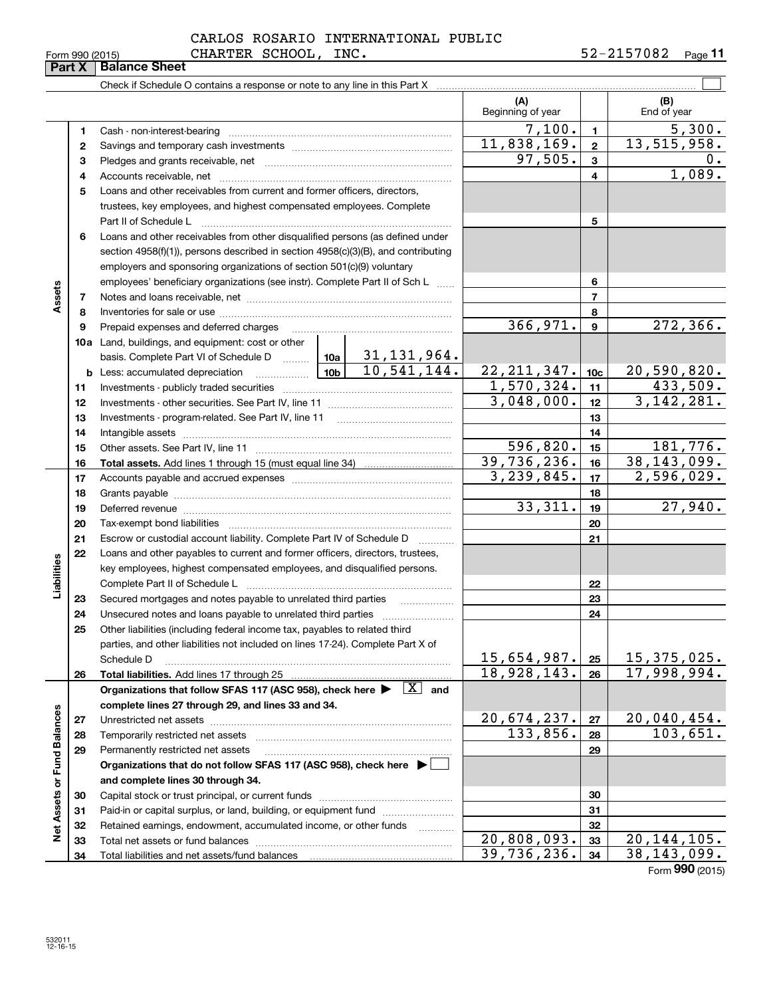$\overline{\phantom{0}}$ 

 $\overline{a}$ 

|                      | CARLOS ROSARIO INTERNATIONAL PUBLIC |  |
|----------------------|-------------------------------------|--|
| CHARTER SCHOOL, INC. |                                     |  |

 $\mathcal{L}^{\text{max}}$ 

|                 |                               |                 | CARLOS ROSARIO INTERNATIONAL PUBLIC |            |            |
|-----------------|-------------------------------|-----------------|-------------------------------------|------------|------------|
| Form 990 (2015) |                               | CHARTER SCHOOL. | INC.                                | 52-2157082 | $P$ age 11 |
|                 | <b>Part X   Balance Sheet</b> |                 |                                     |            |            |

|                             |          |                                                                                                                                     |            | (A)<br>Beginning of year |                         | (B)<br>End of year          |
|-----------------------------|----------|-------------------------------------------------------------------------------------------------------------------------------------|------------|--------------------------|-------------------------|-----------------------------|
|                             | 1        |                                                                                                                                     |            | 7,100.                   | $\mathbf{1}$            | 5,300.                      |
|                             | 2        |                                                                                                                                     |            | 11,838,169.              | $\mathbf{2}$            | 13, 515, 958.               |
|                             | з        |                                                                                                                                     |            | 97,505.                  | $\overline{3}$          | 0.                          |
|                             | 4        |                                                                                                                                     |            |                          | $\overline{\mathbf{4}}$ | 1,089.                      |
|                             | 5        | Loans and other receivables from current and former officers, directors,                                                            |            |                          |                         |                             |
|                             |          |                                                                                                                                     |            |                          |                         |                             |
|                             |          | trustees, key employees, and highest compensated employees. Complete<br>Part II of Schedule L                                       |            |                          | 5                       |                             |
|                             | 6        | Loans and other receivables from other disqualified persons (as defined under                                                       |            |                          |                         |                             |
|                             |          | section 4958(f)(1)), persons described in section 4958(c)(3)(B), and contributing                                                   |            |                          |                         |                             |
|                             |          | employers and sponsoring organizations of section 501(c)(9) voluntary                                                               |            |                          |                         |                             |
|                             |          | employees' beneficiary organizations (see instr). Complete Part II of Sch L                                                         |            | 6                        |                         |                             |
| Assets                      | 7        |                                                                                                                                     |            |                          | $\overline{7}$          |                             |
|                             | 8        |                                                                                                                                     |            |                          | 8                       |                             |
|                             | 9        | Prepaid expenses and deferred charges                                                                                               |            | 366,971.                 | $\mathbf{9}$            | 272, 366.                   |
|                             |          | <b>10a</b> Land, buildings, and equipment: cost or other                                                                            |            |                          |                         |                             |
|                             |          |                                                                                                                                     |            |                          |                         |                             |
|                             |          | <b>b</b> Less: accumulated depreciation                                                                                             |            | 22, 211, 347.            | 10 <sub>c</sub>         | 20,590,820.                 |
|                             | 11       |                                                                                                                                     | 1,570,324. | 11                       | 433,509.                |                             |
|                             | 12       |                                                                                                                                     | 3,048,000. | 12                       | 3, 142, 281.            |                             |
|                             | 13       |                                                                                                                                     |            | 13                       |                         |                             |
|                             | 14       |                                                                                                                                     |            | 14                       |                         |                             |
|                             | 15       |                                                                                                                                     |            | 596,820.                 | 15                      | 181,776.                    |
|                             | 16       |                                                                                                                                     |            | 39,736,236.              | 16                      | 38, 143, 099.               |
|                             | 17       |                                                                                                                                     | 3,239,845. | 17                       | 2,596,029.              |                             |
|                             | 18       |                                                                                                                                     |            | 18                       |                         |                             |
|                             | 19       |                                                                                                                                     |            | 33,311.                  | 19                      | 27,940.                     |
|                             | 20       |                                                                                                                                     |            |                          | 20                      |                             |
|                             | 21       | Escrow or custodial account liability. Complete Part IV of Schedule D                                                               |            |                          | 21                      |                             |
|                             | 22       | Loans and other payables to current and former officers, directors, trustees,                                                       |            |                          |                         |                             |
|                             |          | key employees, highest compensated employees, and disqualified persons.                                                             |            |                          |                         |                             |
| Liabilities                 |          |                                                                                                                                     |            |                          | 22                      |                             |
|                             | 23       | Secured mortgages and notes payable to unrelated third parties                                                                      |            |                          | 23                      |                             |
|                             | 24       |                                                                                                                                     |            |                          | 24                      |                             |
|                             | 25       | Other liabilities (including federal income tax, payables to related third                                                          |            |                          |                         |                             |
|                             |          | parties, and other liabilities not included on lines 17-24). Complete Part X of                                                     |            |                          |                         |                             |
|                             |          | Schedule D                                                                                                                          |            | 15,654,987.              | 25                      | 19,379,049.                 |
|                             | 26       | Total liabilities. Add lines 17 through 25                                                                                          |            | 18,928,143.              | 26                      | $\overline{17}$ ,998,994.   |
|                             |          | Organizations that follow SFAS 117 (ASC 958), check here $\blacktriangleright \begin{array}{ c } \hline X & \text{and} \end{array}$ |            |                          |                         |                             |
|                             |          | complete lines 27 through 29, and lines 33 and 34.                                                                                  |            | 20,674,237.              | 27                      | 20,040,454.                 |
|                             | 27<br>28 | Unrestricted net assets<br>Temporarily restricted net assets                                                                        |            | 133,856.                 | 28                      | 103,651.                    |
|                             | 29       | Permanently restricted net assets                                                                                                   |            |                          | 29                      |                             |
|                             |          | Organizations that do not follow SFAS 117 (ASC 958), check here ▶ □                                                                 |            |                          |                         |                             |
|                             |          | and complete lines 30 through 34.                                                                                                   |            |                          |                         |                             |
| Net Assets or Fund Balances | 30       |                                                                                                                                     |            |                          | 30                      |                             |
|                             | 31       | Paid-in or capital surplus, or land, building, or equipment fund                                                                    |            |                          | 31                      |                             |
|                             | 32       | Retained earnings, endowment, accumulated income, or other funds                                                                    |            |                          | 32                      |                             |
|                             | 33       | Total net assets or fund balances                                                                                                   |            | 20,808,093.              | 33                      | $\overline{20}$ , 144, 105. |
|                             | 34       |                                                                                                                                     |            | 39,736,236.              | 34                      | 38, 143, 099.               |

Form (2015) **990**

# Check if Schedule O contains a response or note to any line in this Part X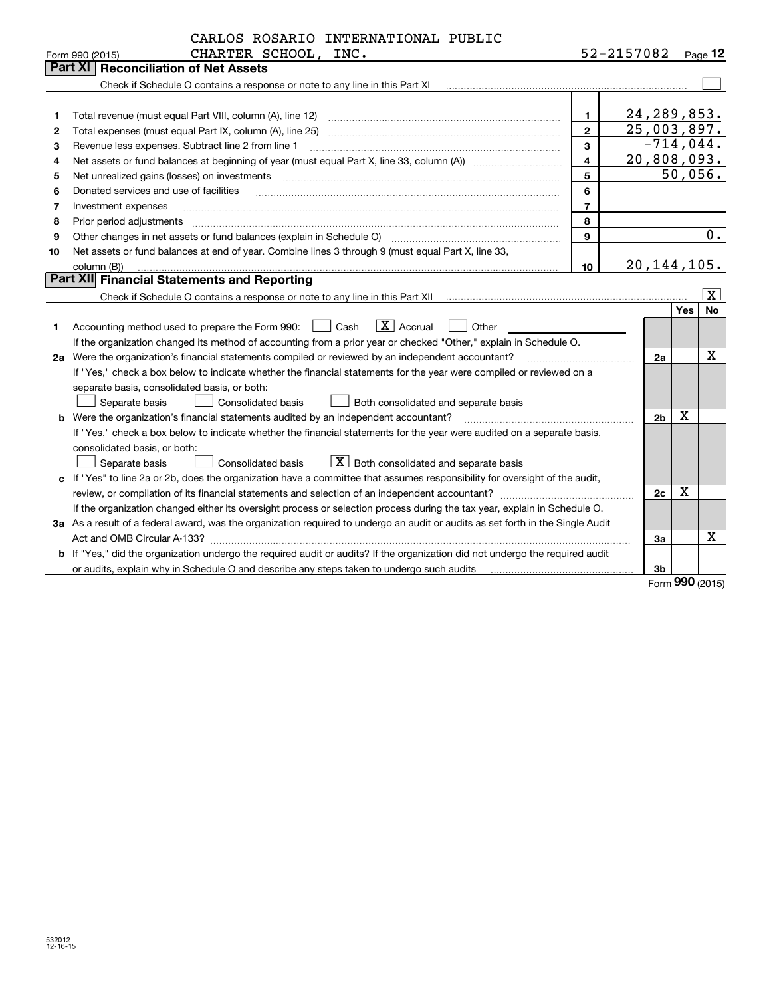| 52-2157082<br>CHARTER SCHOOL, INC.<br>Form 990 (2015)<br><b>Part XI   Reconciliation of Net Assets</b><br>Check if Schedule O contains a response or note to any line in this Part XI<br>24, 289, 853.<br>1<br>1<br>25,003,897.<br>$\overline{2}$<br>Total expenses (must equal Part IX, column (A), line 25)<br>2<br>$-714,044.$<br>3<br>Revenue less expenses. Subtract line 2 from line 1<br>з<br>20,808,093.<br>4<br>4<br>5<br>Net unrealized gains (losses) on investments<br>5<br>$\begin{minipage}{0.5\textwidth} \begin{tabular}{ l l l } \hline \multicolumn{1}{ l l l } \hline \multicolumn{1}{ l l } \multicolumn{1}{ l } \multicolumn{1}{ l } \multicolumn{1}{ l } \multicolumn{1}{ l } \multicolumn{1}{ l } \multicolumn{1}{ l } \multicolumn{1}{ l } \multicolumn{1}{ l } \multicolumn{1}{ l } \multicolumn{1}{ l } \multicolumn{1}{ l } \multicolumn{1}{ l } \multicolumn{1}{ l } \multicolumn{1}{ l } \multicolumn$<br>6<br>Donated services and use of facilities<br>6<br>$\overline{7}$<br>7<br>Investment expenses<br>8<br>Prior period adjustments<br>8<br>Other changes in net assets or fund balances (explain in Schedule O)<br>9<br>9<br>Net assets or fund balances at end of year. Combine lines 3 through 9 (must equal Part X, line 33,<br>10<br>20, 144, 105.<br>10<br>column (B))<br><b>Part XII</b> Financial Statements and Reporting | Page $12$                |  |  |  |  |  |  |  |
|-----------------------------------------------------------------------------------------------------------------------------------------------------------------------------------------------------------------------------------------------------------------------------------------------------------------------------------------------------------------------------------------------------------------------------------------------------------------------------------------------------------------------------------------------------------------------------------------------------------------------------------------------------------------------------------------------------------------------------------------------------------------------------------------------------------------------------------------------------------------------------------------------------------------------------------------------------------------------------------------------------------------------------------------------------------------------------------------------------------------------------------------------------------------------------------------------------------------------------------------------------------------------------------------------------------------------------------------------------------------------|--------------------------|--|--|--|--|--|--|--|
|                                                                                                                                                                                                                                                                                                                                                                                                                                                                                                                                                                                                                                                                                                                                                                                                                                                                                                                                                                                                                                                                                                                                                                                                                                                                                                                                                                       |                          |  |  |  |  |  |  |  |
|                                                                                                                                                                                                                                                                                                                                                                                                                                                                                                                                                                                                                                                                                                                                                                                                                                                                                                                                                                                                                                                                                                                                                                                                                                                                                                                                                                       |                          |  |  |  |  |  |  |  |
|                                                                                                                                                                                                                                                                                                                                                                                                                                                                                                                                                                                                                                                                                                                                                                                                                                                                                                                                                                                                                                                                                                                                                                                                                                                                                                                                                                       |                          |  |  |  |  |  |  |  |
|                                                                                                                                                                                                                                                                                                                                                                                                                                                                                                                                                                                                                                                                                                                                                                                                                                                                                                                                                                                                                                                                                                                                                                                                                                                                                                                                                                       |                          |  |  |  |  |  |  |  |
|                                                                                                                                                                                                                                                                                                                                                                                                                                                                                                                                                                                                                                                                                                                                                                                                                                                                                                                                                                                                                                                                                                                                                                                                                                                                                                                                                                       |                          |  |  |  |  |  |  |  |
|                                                                                                                                                                                                                                                                                                                                                                                                                                                                                                                                                                                                                                                                                                                                                                                                                                                                                                                                                                                                                                                                                                                                                                                                                                                                                                                                                                       |                          |  |  |  |  |  |  |  |
|                                                                                                                                                                                                                                                                                                                                                                                                                                                                                                                                                                                                                                                                                                                                                                                                                                                                                                                                                                                                                                                                                                                                                                                                                                                                                                                                                                       |                          |  |  |  |  |  |  |  |
|                                                                                                                                                                                                                                                                                                                                                                                                                                                                                                                                                                                                                                                                                                                                                                                                                                                                                                                                                                                                                                                                                                                                                                                                                                                                                                                                                                       |                          |  |  |  |  |  |  |  |
|                                                                                                                                                                                                                                                                                                                                                                                                                                                                                                                                                                                                                                                                                                                                                                                                                                                                                                                                                                                                                                                                                                                                                                                                                                                                                                                                                                       | 50,056.                  |  |  |  |  |  |  |  |
|                                                                                                                                                                                                                                                                                                                                                                                                                                                                                                                                                                                                                                                                                                                                                                                                                                                                                                                                                                                                                                                                                                                                                                                                                                                                                                                                                                       |                          |  |  |  |  |  |  |  |
|                                                                                                                                                                                                                                                                                                                                                                                                                                                                                                                                                                                                                                                                                                                                                                                                                                                                                                                                                                                                                                                                                                                                                                                                                                                                                                                                                                       |                          |  |  |  |  |  |  |  |
|                                                                                                                                                                                                                                                                                                                                                                                                                                                                                                                                                                                                                                                                                                                                                                                                                                                                                                                                                                                                                                                                                                                                                                                                                                                                                                                                                                       |                          |  |  |  |  |  |  |  |
|                                                                                                                                                                                                                                                                                                                                                                                                                                                                                                                                                                                                                                                                                                                                                                                                                                                                                                                                                                                                                                                                                                                                                                                                                                                                                                                                                                       | 0.                       |  |  |  |  |  |  |  |
|                                                                                                                                                                                                                                                                                                                                                                                                                                                                                                                                                                                                                                                                                                                                                                                                                                                                                                                                                                                                                                                                                                                                                                                                                                                                                                                                                                       |                          |  |  |  |  |  |  |  |
|                                                                                                                                                                                                                                                                                                                                                                                                                                                                                                                                                                                                                                                                                                                                                                                                                                                                                                                                                                                                                                                                                                                                                                                                                                                                                                                                                                       |                          |  |  |  |  |  |  |  |
|                                                                                                                                                                                                                                                                                                                                                                                                                                                                                                                                                                                                                                                                                                                                                                                                                                                                                                                                                                                                                                                                                                                                                                                                                                                                                                                                                                       |                          |  |  |  |  |  |  |  |
|                                                                                                                                                                                                                                                                                                                                                                                                                                                                                                                                                                                                                                                                                                                                                                                                                                                                                                                                                                                                                                                                                                                                                                                                                                                                                                                                                                       | $\vert \texttt{X} \vert$ |  |  |  |  |  |  |  |
|                                                                                                                                                                                                                                                                                                                                                                                                                                                                                                                                                                                                                                                                                                                                                                                                                                                                                                                                                                                                                                                                                                                                                                                                                                                                                                                                                                       | Yes<br><b>No</b>         |  |  |  |  |  |  |  |
| $\boxed{\mathbf{X}}$ Accrual<br>Accounting method used to prepare the Form 990: <u>II</u> Cash<br>Other<br>1                                                                                                                                                                                                                                                                                                                                                                                                                                                                                                                                                                                                                                                                                                                                                                                                                                                                                                                                                                                                                                                                                                                                                                                                                                                          |                          |  |  |  |  |  |  |  |
| If the organization changed its method of accounting from a prior year or checked "Other," explain in Schedule O.                                                                                                                                                                                                                                                                                                                                                                                                                                                                                                                                                                                                                                                                                                                                                                                                                                                                                                                                                                                                                                                                                                                                                                                                                                                     |                          |  |  |  |  |  |  |  |
| 2a Were the organization's financial statements compiled or reviewed by an independent accountant?<br>2a<br><u> 1986 - Jan Stein Stein Stein Stein Stein Stein Stein Stein Stein Stein Stein Stein Stein Stein Stein Stein S</u>                                                                                                                                                                                                                                                                                                                                                                                                                                                                                                                                                                                                                                                                                                                                                                                                                                                                                                                                                                                                                                                                                                                                      | X                        |  |  |  |  |  |  |  |
| If "Yes," check a box below to indicate whether the financial statements for the year were compiled or reviewed on a                                                                                                                                                                                                                                                                                                                                                                                                                                                                                                                                                                                                                                                                                                                                                                                                                                                                                                                                                                                                                                                                                                                                                                                                                                                  |                          |  |  |  |  |  |  |  |
| separate basis, consolidated basis, or both:                                                                                                                                                                                                                                                                                                                                                                                                                                                                                                                                                                                                                                                                                                                                                                                                                                                                                                                                                                                                                                                                                                                                                                                                                                                                                                                          |                          |  |  |  |  |  |  |  |
| Separate basis<br><b>Consolidated basis</b><br>Both consolidated and separate basis                                                                                                                                                                                                                                                                                                                                                                                                                                                                                                                                                                                                                                                                                                                                                                                                                                                                                                                                                                                                                                                                                                                                                                                                                                                                                   |                          |  |  |  |  |  |  |  |
| <b>b</b> Were the organization's financial statements audited by an independent accountant?<br>2 <sub>b</sub>                                                                                                                                                                                                                                                                                                                                                                                                                                                                                                                                                                                                                                                                                                                                                                                                                                                                                                                                                                                                                                                                                                                                                                                                                                                         | х                        |  |  |  |  |  |  |  |
| If "Yes," check a box below to indicate whether the financial statements for the year were audited on a separate basis,                                                                                                                                                                                                                                                                                                                                                                                                                                                                                                                                                                                                                                                                                                                                                                                                                                                                                                                                                                                                                                                                                                                                                                                                                                               |                          |  |  |  |  |  |  |  |
| consolidated basis, or both:                                                                                                                                                                                                                                                                                                                                                                                                                                                                                                                                                                                                                                                                                                                                                                                                                                                                                                                                                                                                                                                                                                                                                                                                                                                                                                                                          |                          |  |  |  |  |  |  |  |
| $X$ Both consolidated and separate basis<br><b>Consolidated basis</b><br>Separate basis                                                                                                                                                                                                                                                                                                                                                                                                                                                                                                                                                                                                                                                                                                                                                                                                                                                                                                                                                                                                                                                                                                                                                                                                                                                                               |                          |  |  |  |  |  |  |  |
| c If "Yes" to line 2a or 2b, does the organization have a committee that assumes responsibility for oversight of the audit,                                                                                                                                                                                                                                                                                                                                                                                                                                                                                                                                                                                                                                                                                                                                                                                                                                                                                                                                                                                                                                                                                                                                                                                                                                           |                          |  |  |  |  |  |  |  |
| 2c                                                                                                                                                                                                                                                                                                                                                                                                                                                                                                                                                                                                                                                                                                                                                                                                                                                                                                                                                                                                                                                                                                                                                                                                                                                                                                                                                                    | X                        |  |  |  |  |  |  |  |
| If the organization changed either its oversight process or selection process during the tax year, explain in Schedule O.                                                                                                                                                                                                                                                                                                                                                                                                                                                                                                                                                                                                                                                                                                                                                                                                                                                                                                                                                                                                                                                                                                                                                                                                                                             |                          |  |  |  |  |  |  |  |
| 3a As a result of a federal award, was the organization required to undergo an audit or audits as set forth in the Single Audit                                                                                                                                                                                                                                                                                                                                                                                                                                                                                                                                                                                                                                                                                                                                                                                                                                                                                                                                                                                                                                                                                                                                                                                                                                       |                          |  |  |  |  |  |  |  |
| За                                                                                                                                                                                                                                                                                                                                                                                                                                                                                                                                                                                                                                                                                                                                                                                                                                                                                                                                                                                                                                                                                                                                                                                                                                                                                                                                                                    | x                        |  |  |  |  |  |  |  |
| b If "Yes," did the organization undergo the required audit or audits? If the organization did not undergo the required audit                                                                                                                                                                                                                                                                                                                                                                                                                                                                                                                                                                                                                                                                                                                                                                                                                                                                                                                                                                                                                                                                                                                                                                                                                                         |                          |  |  |  |  |  |  |  |
| or audits, explain why in Schedule O and describe any steps taken to undergo such audits<br>3b                                                                                                                                                                                                                                                                                                                                                                                                                                                                                                                                                                                                                                                                                                                                                                                                                                                                                                                                                                                                                                                                                                                                                                                                                                                                        |                          |  |  |  |  |  |  |  |

Form (2015) **990**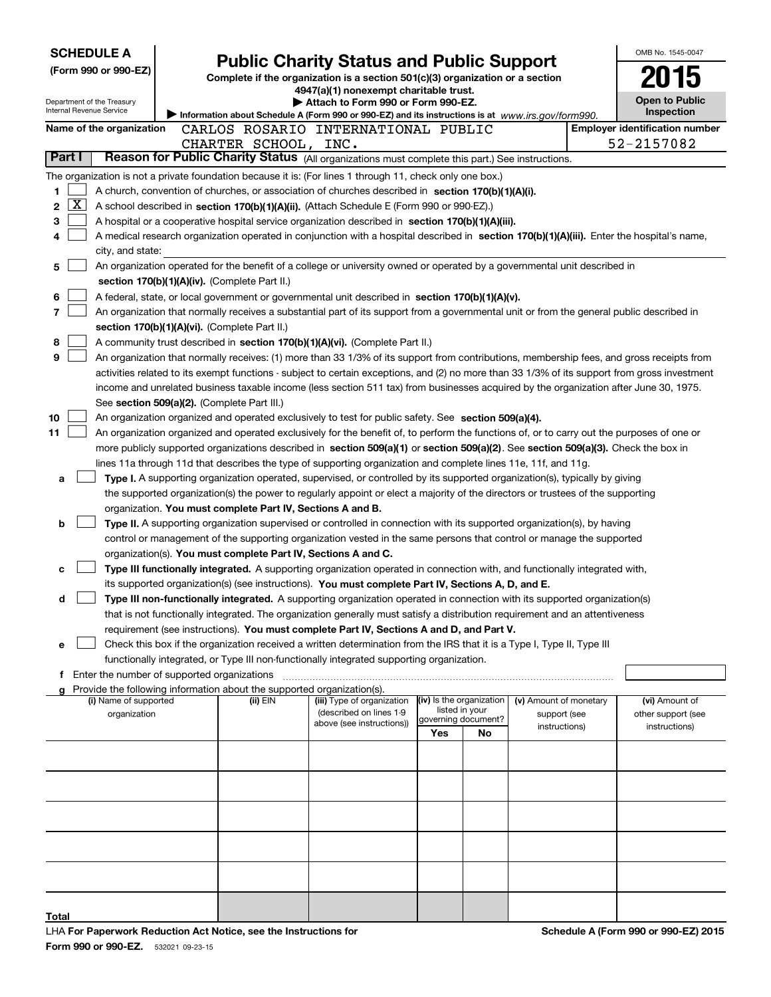| <b>SCHEDULE A</b>                                      |                                                                                                                                                                                                                                               |                                                                                                                                  |     |                                            |                        |  | OMB No. 1545-0047                           |  |  |  |
|--------------------------------------------------------|-----------------------------------------------------------------------------------------------------------------------------------------------------------------------------------------------------------------------------------------------|----------------------------------------------------------------------------------------------------------------------------------|-----|--------------------------------------------|------------------------|--|---------------------------------------------|--|--|--|
| (Form 990 or 990-EZ)                                   |                                                                                                                                                                                                                                               | <b>Public Charity Status and Public Support</b><br>Complete if the organization is a section 501(c)(3) organization or a section |     |                                            |                        |  |                                             |  |  |  |
|                                                        |                                                                                                                                                                                                                                               | 4947(a)(1) nonexempt charitable trust.                                                                                           |     |                                            |                        |  |                                             |  |  |  |
| Department of the Treasury<br>Internal Revenue Service | Information about Schedule A (Form 990 or 990-EZ) and its instructions is at www.irs.gov/form990.                                                                                                                                             | ▶ Attach to Form 990 or Form 990-EZ.                                                                                             |     |                                            |                        |  | <b>Open to Public</b><br>Inspection         |  |  |  |
| Name of the organization                               | CARLOS ROSARIO INTERNATIONAL PUBLIC                                                                                                                                                                                                           |                                                                                                                                  |     |                                            |                        |  | <b>Employer identification number</b>       |  |  |  |
|                                                        | CHARTER SCHOOL, INC.                                                                                                                                                                                                                          |                                                                                                                                  |     |                                            |                        |  | 52-2157082                                  |  |  |  |
| Part I                                                 | Reason for Public Charity Status (All organizations must complete this part.) See instructions.                                                                                                                                               |                                                                                                                                  |     |                                            |                        |  |                                             |  |  |  |
|                                                        | The organization is not a private foundation because it is: (For lines 1 through 11, check only one box.)                                                                                                                                     |                                                                                                                                  |     |                                            |                        |  |                                             |  |  |  |
| 1                                                      | A church, convention of churches, or association of churches described in section 170(b)(1)(A)(i).                                                                                                                                            |                                                                                                                                  |     |                                            |                        |  |                                             |  |  |  |
| $\overline{\text{X}}$<br>2                             | A school described in section 170(b)(1)(A)(ii). (Attach Schedule E (Form 990 or 990-EZ).)                                                                                                                                                     |                                                                                                                                  |     |                                            |                        |  |                                             |  |  |  |
| 3                                                      | A hospital or a cooperative hospital service organization described in section 170(b)(1)(A)(iii).                                                                                                                                             |                                                                                                                                  |     |                                            |                        |  |                                             |  |  |  |
| 4                                                      | A medical research organization operated in conjunction with a hospital described in section 170(b)(1)(A)(iii). Enter the hospital's name,                                                                                                    |                                                                                                                                  |     |                                            |                        |  |                                             |  |  |  |
| city, and state:                                       | An organization operated for the benefit of a college or university owned or operated by a governmental unit described in                                                                                                                     |                                                                                                                                  |     |                                            |                        |  |                                             |  |  |  |
| 5                                                      | section 170(b)(1)(A)(iv). (Complete Part II.)                                                                                                                                                                                                 |                                                                                                                                  |     |                                            |                        |  |                                             |  |  |  |
| 6                                                      | A federal, state, or local government or governmental unit described in section 170(b)(1)(A)(v).                                                                                                                                              |                                                                                                                                  |     |                                            |                        |  |                                             |  |  |  |
| 7                                                      | An organization that normally receives a substantial part of its support from a governmental unit or from the general public described in                                                                                                     |                                                                                                                                  |     |                                            |                        |  |                                             |  |  |  |
|                                                        | section 170(b)(1)(A)(vi). (Complete Part II.)                                                                                                                                                                                                 |                                                                                                                                  |     |                                            |                        |  |                                             |  |  |  |
| 8                                                      | A community trust described in section 170(b)(1)(A)(vi). (Complete Part II.)                                                                                                                                                                  |                                                                                                                                  |     |                                            |                        |  |                                             |  |  |  |
| 9                                                      | An organization that normally receives: (1) more than 33 1/3% of its support from contributions, membership fees, and gross receipts from                                                                                                     |                                                                                                                                  |     |                                            |                        |  |                                             |  |  |  |
|                                                        | activities related to its exempt functions - subject to certain exceptions, and (2) no more than 33 1/3% of its support from gross investment                                                                                                 |                                                                                                                                  |     |                                            |                        |  |                                             |  |  |  |
|                                                        | income and unrelated business taxable income (less section 511 tax) from businesses acquired by the organization after June 30, 1975.                                                                                                         |                                                                                                                                  |     |                                            |                        |  |                                             |  |  |  |
|                                                        | See section 509(a)(2). (Complete Part III.)                                                                                                                                                                                                   |                                                                                                                                  |     |                                            |                        |  |                                             |  |  |  |
| 10                                                     | An organization organized and operated exclusively to test for public safety. See section 509(a)(4).                                                                                                                                          |                                                                                                                                  |     |                                            |                        |  |                                             |  |  |  |
| 11                                                     | An organization organized and operated exclusively for the benefit of, to perform the functions of, or to carry out the purposes of one or                                                                                                    |                                                                                                                                  |     |                                            |                        |  |                                             |  |  |  |
|                                                        | more publicly supported organizations described in section 509(a)(1) or section 509(a)(2). See section 509(a)(3). Check the box in                                                                                                            |                                                                                                                                  |     |                                            |                        |  |                                             |  |  |  |
|                                                        | lines 11a through 11d that describes the type of supporting organization and complete lines 11e, 11f, and 11g.<br>Type I. A supporting organization operated, supervised, or controlled by its supported organization(s), typically by giving |                                                                                                                                  |     |                                            |                        |  |                                             |  |  |  |
| а                                                      | the supported organization(s) the power to regularly appoint or elect a majority of the directors or trustees of the supporting                                                                                                               |                                                                                                                                  |     |                                            |                        |  |                                             |  |  |  |
|                                                        | organization. You must complete Part IV, Sections A and B.                                                                                                                                                                                    |                                                                                                                                  |     |                                            |                        |  |                                             |  |  |  |
| b                                                      | Type II. A supporting organization supervised or controlled in connection with its supported organization(s), by having                                                                                                                       |                                                                                                                                  |     |                                            |                        |  |                                             |  |  |  |
|                                                        | control or management of the supporting organization vested in the same persons that control or manage the supported                                                                                                                          |                                                                                                                                  |     |                                            |                        |  |                                             |  |  |  |
|                                                        | organization(s). You must complete Part IV, Sections A and C.                                                                                                                                                                                 |                                                                                                                                  |     |                                            |                        |  |                                             |  |  |  |
| с                                                      | Type III functionally integrated. A supporting organization operated in connection with, and functionally integrated with,                                                                                                                    |                                                                                                                                  |     |                                            |                        |  |                                             |  |  |  |
|                                                        | its supported organization(s) (see instructions). You must complete Part IV, Sections A, D, and E.                                                                                                                                            |                                                                                                                                  |     |                                            |                        |  |                                             |  |  |  |
| d                                                      | Type III non-functionally integrated. A supporting organization operated in connection with its supported organization(s)                                                                                                                     |                                                                                                                                  |     |                                            |                        |  |                                             |  |  |  |
|                                                        | that is not functionally integrated. The organization generally must satisfy a distribution requirement and an attentiveness                                                                                                                  |                                                                                                                                  |     |                                            |                        |  |                                             |  |  |  |
|                                                        | requirement (see instructions). You must complete Part IV, Sections A and D, and Part V.                                                                                                                                                      |                                                                                                                                  |     |                                            |                        |  |                                             |  |  |  |
| е                                                      | Check this box if the organization received a written determination from the IRS that it is a Type I, Type II, Type III                                                                                                                       |                                                                                                                                  |     |                                            |                        |  |                                             |  |  |  |
| f                                                      | functionally integrated, or Type III non-functionally integrated supporting organization.<br>Enter the number of supported organizations                                                                                                      |                                                                                                                                  |     |                                            |                        |  |                                             |  |  |  |
|                                                        | Provide the following information about the supported organization(s).                                                                                                                                                                        |                                                                                                                                  |     |                                            |                        |  |                                             |  |  |  |
| (i) Name of supported                                  | (ii) EIN                                                                                                                                                                                                                                      | (iii) Type of organization                                                                                                       |     | (iv) Is the organization<br>listed in your | (v) Amount of monetary |  | (vi) Amount of                              |  |  |  |
| organization                                           |                                                                                                                                                                                                                                               | (described on lines 1-9<br>above (see instructions))                                                                             |     | governing document?                        | support (see           |  | other support (see                          |  |  |  |
|                                                        |                                                                                                                                                                                                                                               |                                                                                                                                  | Yes | No                                         | instructions)          |  | instructions)                               |  |  |  |
|                                                        |                                                                                                                                                                                                                                               |                                                                                                                                  |     |                                            |                        |  |                                             |  |  |  |
|                                                        |                                                                                                                                                                                                                                               |                                                                                                                                  |     |                                            |                        |  |                                             |  |  |  |
|                                                        |                                                                                                                                                                                                                                               |                                                                                                                                  |     |                                            |                        |  |                                             |  |  |  |
|                                                        |                                                                                                                                                                                                                                               |                                                                                                                                  |     |                                            |                        |  |                                             |  |  |  |
|                                                        |                                                                                                                                                                                                                                               |                                                                                                                                  |     |                                            |                        |  |                                             |  |  |  |
|                                                        |                                                                                                                                                                                                                                               |                                                                                                                                  |     |                                            |                        |  |                                             |  |  |  |
|                                                        |                                                                                                                                                                                                                                               |                                                                                                                                  |     |                                            |                        |  |                                             |  |  |  |
|                                                        |                                                                                                                                                                                                                                               |                                                                                                                                  |     |                                            |                        |  |                                             |  |  |  |
|                                                        |                                                                                                                                                                                                                                               |                                                                                                                                  |     |                                            |                        |  |                                             |  |  |  |
|                                                        |                                                                                                                                                                                                                                               |                                                                                                                                  |     |                                            |                        |  |                                             |  |  |  |
| Total                                                  |                                                                                                                                                                                                                                               |                                                                                                                                  |     |                                            |                        |  |                                             |  |  |  |
|                                                        | <b>LIA For Department Poduction Act Notice, can the Instructions for</b>                                                                                                                                                                      |                                                                                                                                  |     |                                            |                        |  | <b>Cohodulo A (Form 000 or 000 EZ) 2015</b> |  |  |  |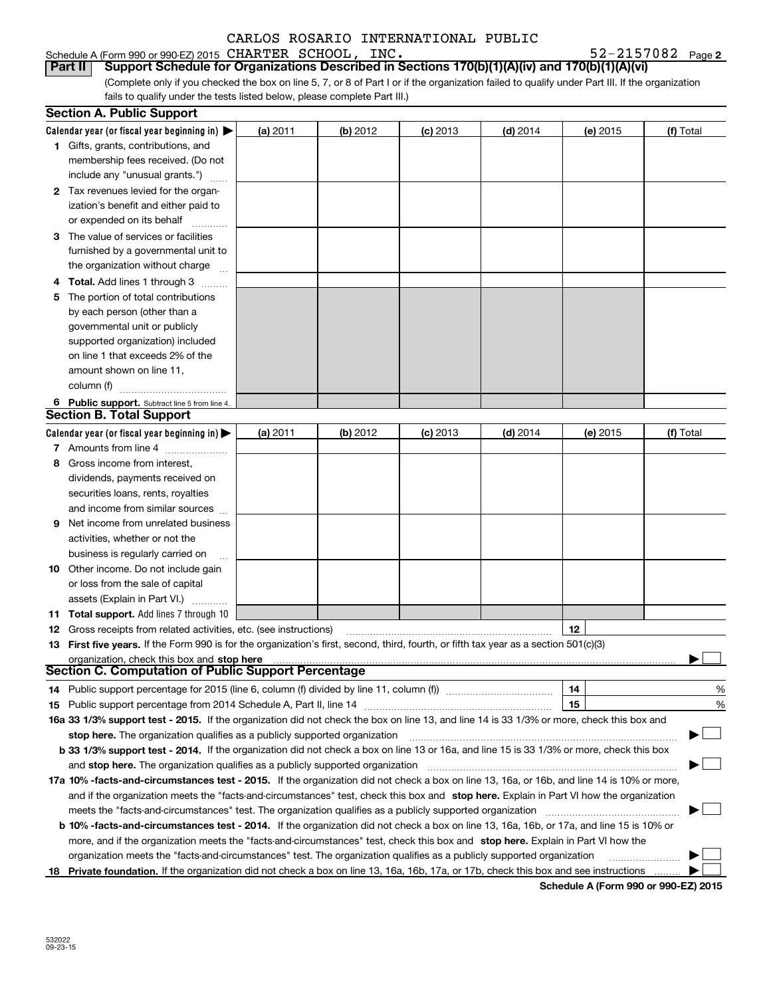Schedule A (Form 990 or 990-EZ) 2015 Page CHARTER SCHOOL, INC. 52-2157082

**2**

(Complete only if you checked the box on line 5, 7, or 8 of Part I or if the organization failed to qualify under Part III. If the organization fails to qualify under the tests listed below, please complete Part III.) **Part II Support Schedule for Organizations Described in Sections 170(b)(1)(A)(iv) and 170(b)(1)(A)(vi)**

|    | <b>Section A. Public Support</b>                                                                                                               |          |          |                 |            |          |           |
|----|------------------------------------------------------------------------------------------------------------------------------------------------|----------|----------|-----------------|------------|----------|-----------|
|    | Calendar year (or fiscal year beginning in) $\blacktriangleright$                                                                              | (a) 2011 | (b) 2012 | <b>(c)</b> 2013 | $(d)$ 2014 | (e) 2015 | (f) Total |
|    | <b>1</b> Gifts, grants, contributions, and                                                                                                     |          |          |                 |            |          |           |
|    | membership fees received. (Do not                                                                                                              |          |          |                 |            |          |           |
|    | include any "unusual grants.")                                                                                                                 |          |          |                 |            |          |           |
|    | 2 Tax revenues levied for the organ-                                                                                                           |          |          |                 |            |          |           |
|    | ization's benefit and either paid to                                                                                                           |          |          |                 |            |          |           |
|    | or expended on its behalf                                                                                                                      |          |          |                 |            |          |           |
|    | 3 The value of services or facilities                                                                                                          |          |          |                 |            |          |           |
|    | furnished by a governmental unit to                                                                                                            |          |          |                 |            |          |           |
|    | the organization without charge                                                                                                                |          |          |                 |            |          |           |
|    | <b>Total.</b> Add lines 1 through 3                                                                                                            |          |          |                 |            |          |           |
| 5. | The portion of total contributions                                                                                                             |          |          |                 |            |          |           |
|    | by each person (other than a                                                                                                                   |          |          |                 |            |          |           |
|    | governmental unit or publicly                                                                                                                  |          |          |                 |            |          |           |
|    | supported organization) included                                                                                                               |          |          |                 |            |          |           |
|    | on line 1 that exceeds 2% of the                                                                                                               |          |          |                 |            |          |           |
|    | amount shown on line 11,                                                                                                                       |          |          |                 |            |          |           |
|    | column (f)                                                                                                                                     |          |          |                 |            |          |           |
|    | 6 Public support. Subtract line 5 from line 4.                                                                                                 |          |          |                 |            |          |           |
|    | <b>Section B. Total Support</b>                                                                                                                |          |          |                 |            |          |           |
|    | Calendar year (or fiscal year beginning in)                                                                                                    | (a) 2011 | (b) 2012 | $(c)$ 2013      | $(d)$ 2014 | (e) 2015 | (f) Total |
|    | 7 Amounts from line 4                                                                                                                          |          |          |                 |            |          |           |
| 8  | Gross income from interest,                                                                                                                    |          |          |                 |            |          |           |
|    | dividends, payments received on                                                                                                                |          |          |                 |            |          |           |
|    | securities loans, rents, royalties                                                                                                             |          |          |                 |            |          |           |
|    | and income from similar sources                                                                                                                |          |          |                 |            |          |           |
| 9. | Net income from unrelated business                                                                                                             |          |          |                 |            |          |           |
|    | activities, whether or not the                                                                                                                 |          |          |                 |            |          |           |
|    | business is regularly carried on                                                                                                               |          |          |                 |            |          |           |
|    | <b>10</b> Other income. Do not include gain                                                                                                    |          |          |                 |            |          |           |
|    | or loss from the sale of capital                                                                                                               |          |          |                 |            |          |           |
|    | assets (Explain in Part VI.)                                                                                                                   |          |          |                 |            |          |           |
|    | 11 Total support. Add lines 7 through 10                                                                                                       |          |          |                 |            |          |           |
|    | <b>12</b> Gross receipts from related activities, etc. (see instructions)                                                                      |          |          |                 |            | 12       |           |
|    | 13 First five years. If the Form 990 is for the organization's first, second, third, fourth, or fifth tax year as a section 501(c)(3)          |          |          |                 |            |          |           |
|    | organization, check this box and stop here                                                                                                     |          |          |                 |            |          |           |
|    | <b>Section C. Computation of Public Support Percentage</b>                                                                                     |          |          |                 |            |          |           |
|    | 14 Public support percentage for 2015 (line 6, column (f) divided by line 11, column (f) <i>mummumumum</i>                                     |          |          |                 |            | 14       | %         |
|    |                                                                                                                                                |          |          |                 |            | 15       | %         |
|    | 16a 33 1/3% support test - 2015. If the organization did not check the box on line 13, and line 14 is 33 1/3% or more, check this box and      |          |          |                 |            |          |           |
|    | stop here. The organization qualifies as a publicly supported organization                                                                     |          |          |                 |            |          |           |
|    | b 33 1/3% support test - 2014. If the organization did not check a box on line 13 or 16a, and line 15 is 33 1/3% or more, check this box       |          |          |                 |            |          |           |
|    | and stop here. The organization qualifies as a publicly supported organization                                                                 |          |          |                 |            |          |           |
|    | 17a 10% -facts-and-circumstances test - 2015. If the organization did not check a box on line 13, 16a, or 16b, and line 14 is 10% or more,     |          |          |                 |            |          |           |
|    | and if the organization meets the "facts-and-circumstances" test, check this box and stop here. Explain in Part VI how the organization        |          |          |                 |            |          |           |
|    | meets the "facts-and-circumstances" test. The organization qualifies as a publicly supported organization                                      |          |          |                 |            |          |           |
|    | <b>b 10% -facts-and-circumstances test - 2014.</b> If the organization did not check a box on line 13, 16a, 16b, or 17a, and line 15 is 10% or |          |          |                 |            |          |           |
|    | more, and if the organization meets the "facts-and-circumstances" test, check this box and stop here. Explain in Part VI how the               |          |          |                 |            |          |           |
|    | organization meets the "facts-and-circumstances" test. The organization qualifies as a publicly supported organization                         |          |          |                 |            |          |           |
|    | 18 Private foundation. If the organization did not check a box on line 13, 16a, 16b, 17a, or 17b, check this box and see instructions          |          |          |                 |            |          |           |

**Schedule A (Form 990 or 990-EZ) 2015**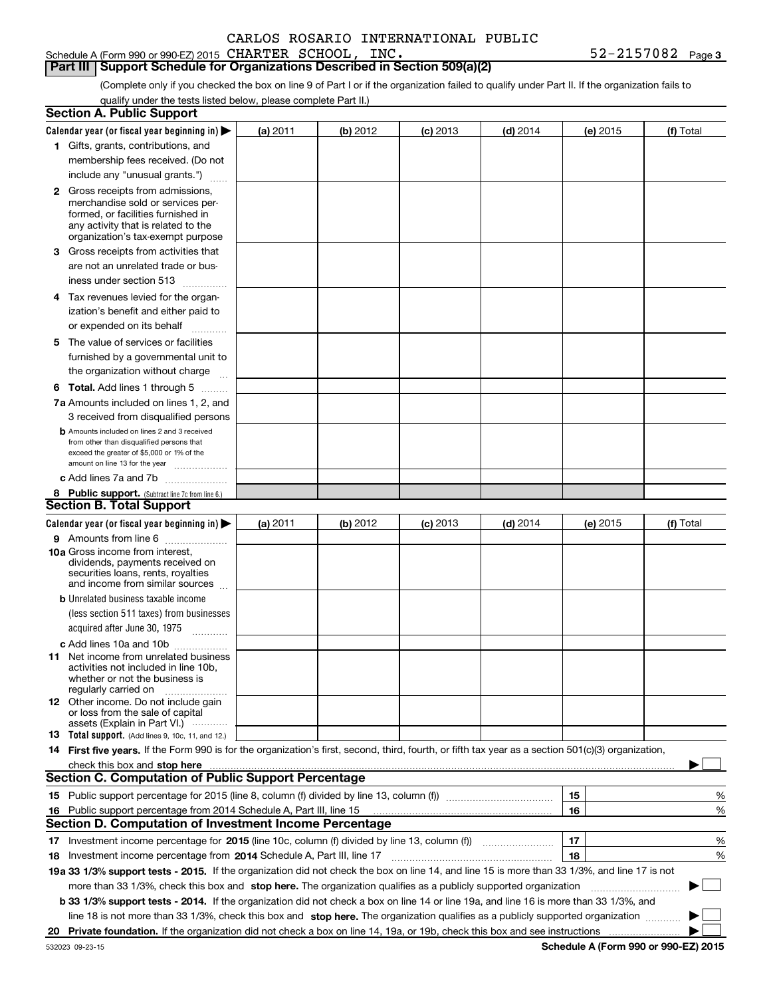Schedule A (Form 990 or 990-EZ) 2015 Page CHARTER SCHOOL, INC. 52-2157082

**3**

#### **Part III Support Schedule for Organizations Described in Section 509(a)(2)**

(Complete only if you checked the box on line 9 of Part I or if the organization failed to qualify under Part II. If the organization fails to qualify under the tests listed below, please complete Part II.)

|    | <b>Section A. Public Support</b>                                                                                                                    |          |          |            |            |          |           |
|----|-----------------------------------------------------------------------------------------------------------------------------------------------------|----------|----------|------------|------------|----------|-----------|
|    | Calendar year (or fiscal year beginning in) $\blacktriangleright$                                                                                   | (a) 2011 | (b) 2012 | $(c)$ 2013 | $(d)$ 2014 | (e) 2015 | (f) Total |
|    | 1 Gifts, grants, contributions, and                                                                                                                 |          |          |            |            |          |           |
|    | membership fees received. (Do not                                                                                                                   |          |          |            |            |          |           |
|    | include any "unusual grants.")                                                                                                                      |          |          |            |            |          |           |
|    | <b>2</b> Gross receipts from admissions,                                                                                                            |          |          |            |            |          |           |
|    | merchandise sold or services per-                                                                                                                   |          |          |            |            |          |           |
|    | formed, or facilities furnished in                                                                                                                  |          |          |            |            |          |           |
|    | any activity that is related to the<br>organization's tax-exempt purpose                                                                            |          |          |            |            |          |           |
|    | 3 Gross receipts from activities that                                                                                                               |          |          |            |            |          |           |
|    | are not an unrelated trade or bus-                                                                                                                  |          |          |            |            |          |           |
|    |                                                                                                                                                     |          |          |            |            |          |           |
|    | iness under section 513                                                                                                                             |          |          |            |            |          |           |
|    | 4 Tax revenues levied for the organ-                                                                                                                |          |          |            |            |          |           |
|    | ization's benefit and either paid to                                                                                                                |          |          |            |            |          |           |
|    | or expended on its behalf<br>.                                                                                                                      |          |          |            |            |          |           |
|    | 5 The value of services or facilities                                                                                                               |          |          |            |            |          |           |
|    | furnished by a governmental unit to                                                                                                                 |          |          |            |            |          |           |
|    | the organization without charge                                                                                                                     |          |          |            |            |          |           |
|    | <b>6 Total.</b> Add lines 1 through 5                                                                                                               |          |          |            |            |          |           |
|    | 7a Amounts included on lines 1, 2, and                                                                                                              |          |          |            |            |          |           |
|    | 3 received from disqualified persons                                                                                                                |          |          |            |            |          |           |
|    | <b>b</b> Amounts included on lines 2 and 3 received                                                                                                 |          |          |            |            |          |           |
|    | from other than disqualified persons that                                                                                                           |          |          |            |            |          |           |
|    | exceed the greater of \$5,000 or 1% of the<br>amount on line 13 for the year                                                                        |          |          |            |            |          |           |
|    | c Add lines 7a and 7b                                                                                                                               |          |          |            |            |          |           |
|    | 8 Public support. (Subtract line 7c from line 6.)                                                                                                   |          |          |            |            |          |           |
|    | <b>Section B. Total Support</b>                                                                                                                     |          |          |            |            |          |           |
|    | Calendar year (or fiscal year beginning in)                                                                                                         | (a) 2011 | (b) 2012 | $(c)$ 2013 | $(d)$ 2014 | (e) 2015 | (f) Total |
|    | 9 Amounts from line 6                                                                                                                               |          |          |            |            |          |           |
|    | 10a Gross income from interest,                                                                                                                     |          |          |            |            |          |           |
|    | dividends, payments received on                                                                                                                     |          |          |            |            |          |           |
|    | securities loans, rents, royalties<br>and income from similar sources                                                                               |          |          |            |            |          |           |
|    | <b>b</b> Unrelated business taxable income                                                                                                          |          |          |            |            |          |           |
|    | (less section 511 taxes) from businesses                                                                                                            |          |          |            |            |          |           |
|    | acquired after June 30, 1975                                                                                                                        |          |          |            |            |          |           |
|    | $\overline{\phantom{a}}$                                                                                                                            |          |          |            |            |          |           |
|    | c Add lines 10a and 10b<br>11 Net income from unrelated business                                                                                    |          |          |            |            |          |           |
|    | activities not included in line 10b,                                                                                                                |          |          |            |            |          |           |
|    | whether or not the business is                                                                                                                      |          |          |            |            |          |           |
|    | regularly carried on                                                                                                                                |          |          |            |            |          |           |
|    | <b>12</b> Other income. Do not include gain<br>or loss from the sale of capital                                                                     |          |          |            |            |          |           |
|    | assets (Explain in Part VI.)                                                                                                                        |          |          |            |            |          |           |
|    | 13 Total support. (Add lines 9, 10c, 11, and 12.)                                                                                                   |          |          |            |            |          |           |
|    | 14 First five years. If the Form 990 is for the organization's first, second, third, fourth, or fifth tax year as a section 501(c)(3) organization, |          |          |            |            |          |           |
|    | check this box and stop here <i>macuum macuum macuum macuum macuum macuum macuum macuum macuum</i>                                                  |          |          |            |            |          |           |
|    | <b>Section C. Computation of Public Support Percentage</b>                                                                                          |          |          |            |            |          |           |
|    |                                                                                                                                                     |          |          |            |            | 15       | %         |
|    | 16 Public support percentage from 2014 Schedule A, Part III, line 15                                                                                |          |          |            |            | 16       | %         |
|    | <b>Section D. Computation of Investment Income Percentage</b>                                                                                       |          |          |            |            |          |           |
|    | 17 Investment income percentage for 2015 (line 10c, column (f) divided by line 13, column (f))                                                      |          |          |            |            | 17       | %         |
|    | <b>18</b> Investment income percentage from <b>2014</b> Schedule A, Part III, line 17                                                               |          |          |            |            | 18       | %         |
|    | 19a 33 1/3% support tests - 2015. If the organization did not check the box on line 14, and line 15 is more than 33 1/3%, and line 17 is not        |          |          |            |            |          |           |
|    | more than 33 1/3%, check this box and stop here. The organization qualifies as a publicly supported organization                                    |          |          |            |            |          | $\sim$    |
|    | b 33 1/3% support tests - 2014. If the organization did not check a box on line 14 or line 19a, and line 16 is more than 33 1/3%, and               |          |          |            |            |          |           |
|    | line 18 is not more than 33 1/3%, check this box and stop here. The organization qualifies as a publicly supported organization                     |          |          |            |            |          |           |
| 20 |                                                                                                                                                     |          |          |            |            |          |           |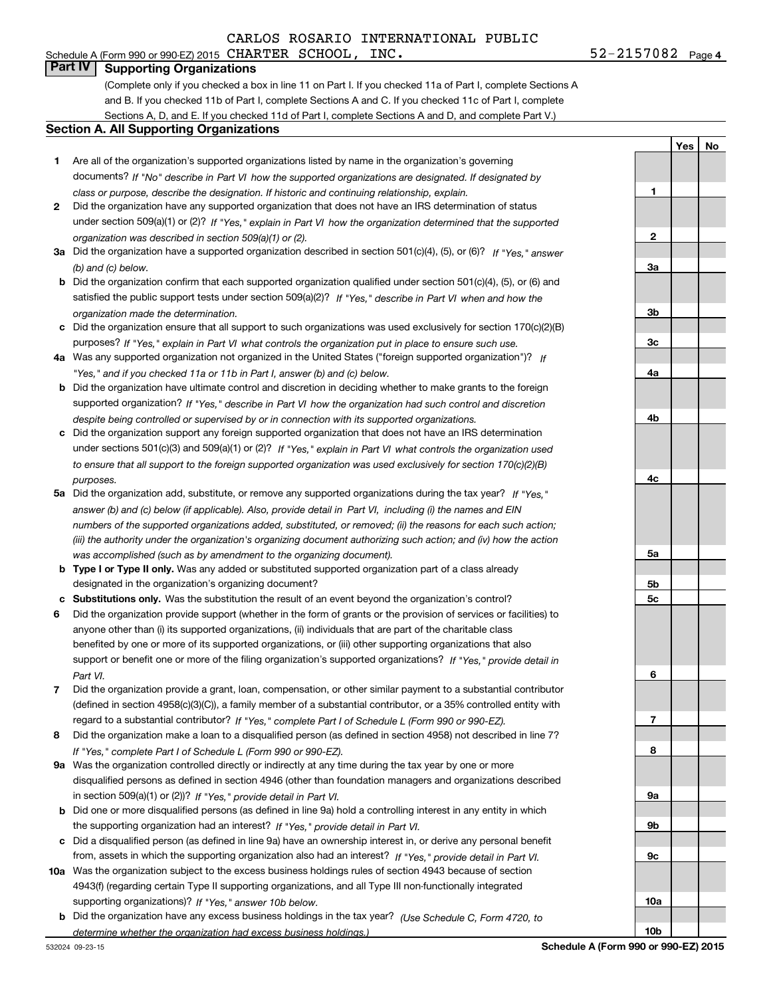# **Part IV Supporting Organizations**

(Complete only if you checked a box in line 11 on Part I. If you checked 11a of Part I, complete Sections A and B. If you checked 11b of Part I, complete Sections A and C. If you checked 11c of Part I, complete Sections A, D, and E. If you checked 11d of Part I, complete Sections A and D, and complete Part V.)

#### **Section A. All Supporting Organizations**

- **1** Are all of the organization's supported organizations listed by name in the organization's governing *If "No" describe in how the supported organizations are designated. If designated by* documents? *Part VI class or purpose, describe the designation. If historic and continuing relationship, explain.*
- **2**under section 509(a)(1) or (2)? If "Yes," explain in Part VI how the organization determined that the supported *organization was described in section 509(a)(1) or (2).* Did the organization have any supported organization that does not have an IRS determination of status
- **3a** Did the organization have a supported organization described in section 501(c)(4), (5), or (6)? If "Yes," answer *(b) and (c) below.*
- **b** Did the organization confirm that each supported organization qualified under section 501(c)(4), (5), or (6) and satisfied the public support tests under section 509(a)(2)? If "Yes," describe in Part VI when and how the *organization made the determination.*
- **c**Did the organization ensure that all support to such organizations was used exclusively for section 170(c)(2)(B) purposes? If "Yes," explain in Part VI what controls the organization put in place to ensure such use.
- **4a***If* Was any supported organization not organized in the United States ("foreign supported organization")? *"Yes," and if you checked 11a or 11b in Part I, answer (b) and (c) below.*
- **b** Did the organization have ultimate control and discretion in deciding whether to make grants to the foreign supported organization? If "Yes," describe in Part VI how the organization had such control and discretion *despite being controlled or supervised by or in connection with its supported organizations.*
- **c** Did the organization support any foreign supported organization that does not have an IRS determination under sections 501(c)(3) and 509(a)(1) or (2)? If "Yes," explain in Part VI what controls the organization used *to ensure that all support to the foreign supported organization was used exclusively for section 170(c)(2)(B) purposes.*
- **5a***If "Yes,"* Did the organization add, substitute, or remove any supported organizations during the tax year? answer (b) and (c) below (if applicable). Also, provide detail in Part VI, including (i) the names and EIN *numbers of the supported organizations added, substituted, or removed; (ii) the reasons for each such action; (iii) the authority under the organization's organizing document authorizing such action; and (iv) how the action was accomplished (such as by amendment to the organizing document).*
- **b** Type I or Type II only. Was any added or substituted supported organization part of a class already designated in the organization's organizing document?
- **cSubstitutions only.**  Was the substitution the result of an event beyond the organization's control?
- **6** Did the organization provide support (whether in the form of grants or the provision of services or facilities) to *If "Yes," provide detail in* support or benefit one or more of the filing organization's supported organizations? anyone other than (i) its supported organizations, (ii) individuals that are part of the charitable class benefited by one or more of its supported organizations, or (iii) other supporting organizations that also *Part VI.*
- **7**Did the organization provide a grant, loan, compensation, or other similar payment to a substantial contributor *If "Yes," complete Part I of Schedule L (Form 990 or 990-EZ).* regard to a substantial contributor? (defined in section 4958(c)(3)(C)), a family member of a substantial contributor, or a 35% controlled entity with
- **8***If "Yes," complete Part I of Schedule L (Form 990 or 990-EZ).* Did the organization make a loan to a disqualified person (as defined in section 4958) not described in line 7?
- **9a** Was the organization controlled directly or indirectly at any time during the tax year by one or more in section 509(a)(1) or (2))? If "Yes," *provide detail in Part VI.* disqualified persons as defined in section 4946 (other than foundation managers and organizations described
- **b**the supporting organization had an interest? If "Yes," provide detail in Part VI. Did one or more disqualified persons (as defined in line 9a) hold a controlling interest in any entity in which
- **c**Did a disqualified person (as defined in line 9a) have an ownership interest in, or derive any personal benefit from, assets in which the supporting organization also had an interest? If "Yes," provide detail in Part VI.
- **10a** Was the organization subject to the excess business holdings rules of section 4943 because of section supporting organizations)? If "Yes," answer 10b below. 4943(f) (regarding certain Type II supporting organizations, and all Type III non-functionally integrated
- **b** Did the organization have any excess business holdings in the tax year? (Use Schedule C, Form 4720, to *determine whether the organization had excess business holdings.)*

532024 09-23-15

**Schedule A (Form 990 or 990-EZ) 2015**

| <u>1</u>        |              |  |
|-----------------|--------------|--|
|                 |              |  |
| $\overline{2}$  |              |  |
|                 |              |  |
| <u>3a</u>       |              |  |
|                 |              |  |
| <u>3b</u>       |              |  |
|                 |              |  |
| $\frac{3c}{2}$  |              |  |
| $\frac{4a}{2}$  |              |  |
|                 |              |  |
|                 |              |  |
| 4 <sub>b</sub>  |              |  |
|                 |              |  |
| $rac{4c}{2}$    |              |  |
|                 |              |  |
|                 |              |  |
| <u>5a</u>       |              |  |
|                 |              |  |
| <u>5b</u>       |              |  |
| $\frac{5c}{2}$  |              |  |
|                 |              |  |
| $6 \overline{}$ |              |  |
|                 |              |  |
| $\mathbf{I}$    |              |  |
|                 |              |  |
| 8               |              |  |
| <u>9a</u>       |              |  |
|                 |              |  |
| <u>9b</u>       |              |  |
|                 |              |  |
| <u>9c</u>       |              |  |
|                 |              |  |
| <u>10a</u>      |              |  |
|                 |              |  |
| 10 <sub>b</sub> |              |  |
| <b>QQO</b>      | 000 EZ) 2015 |  |

**YesNo**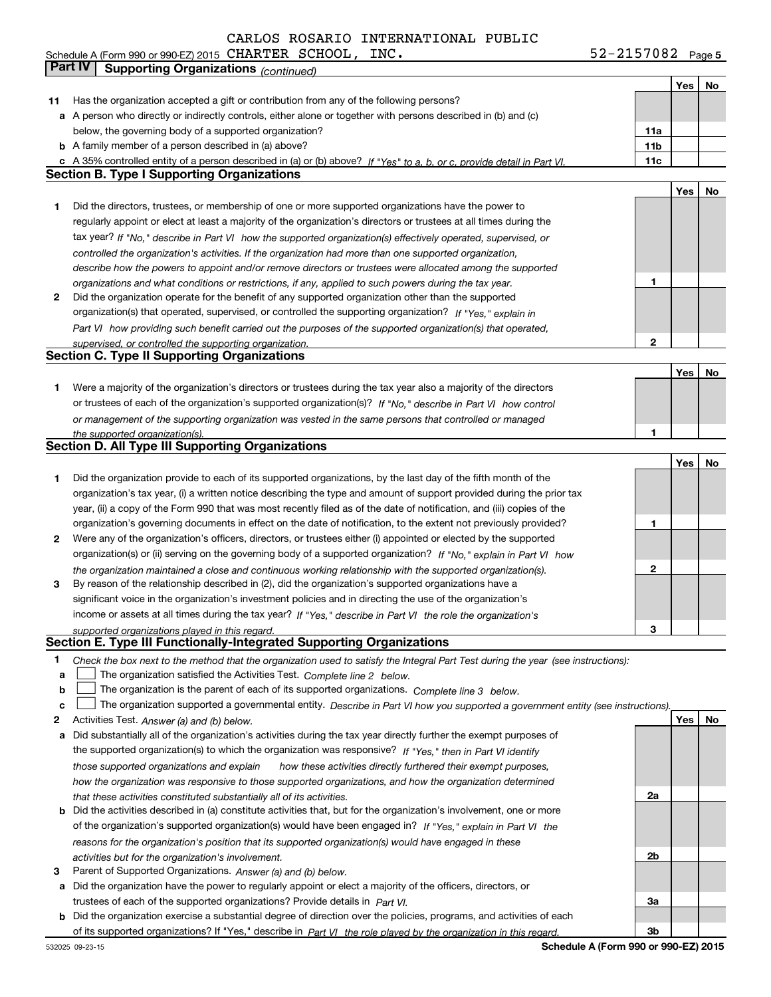Schedule A (Form 990 or 990-EZ) 2015 Page CHARTER SCHOOL, INC. 52-2157082

**5**

|    | <b>Part IV</b><br><b>Supporting Organizations (continued)</b>                                                                     |                 |     |     |
|----|-----------------------------------------------------------------------------------------------------------------------------------|-----------------|-----|-----|
|    |                                                                                                                                   |                 | Yes | No. |
| 11 | Has the organization accepted a gift or contribution from any of the following persons?                                           |                 |     |     |
|    | a A person who directly or indirectly controls, either alone or together with persons described in (b) and (c)                    |                 |     |     |
|    | below, the governing body of a supported organization?                                                                            | 11a             |     |     |
|    | <b>b</b> A family member of a person described in (a) above?                                                                      | 11 <sub>b</sub> |     |     |
|    | c A 35% controlled entity of a person described in (a) or (b) above? If "Yes" to a, b, or c, provide detail in Part VI.           | 11c             |     |     |
|    | <b>Section B. Type I Supporting Organizations</b>                                                                                 |                 |     |     |
|    |                                                                                                                                   |                 | Yes | No  |
| 1  | Did the directors, trustees, or membership of one or more supported organizations have the power to                               |                 |     |     |
|    | regularly appoint or elect at least a majority of the organization's directors or trustees at all times during the                |                 |     |     |
|    | tax year? If "No," describe in Part VI how the supported organization(s) effectively operated, supervised, or                     |                 |     |     |
|    | controlled the organization's activities. If the organization had more than one supported organization,                           |                 |     |     |
|    | describe how the powers to appoint and/or remove directors or trustees were allocated among the supported                         |                 |     |     |
|    | organizations and what conditions or restrictions, if any, applied to such powers during the tax year.                            | 1               |     |     |
| 2  | Did the organization operate for the benefit of any supported organization other than the supported                               |                 |     |     |
|    | organization(s) that operated, supervised, or controlled the supporting organization? If "Yes," explain in                        |                 |     |     |
|    | Part VI how providing such benefit carried out the purposes of the supported organization(s) that operated,                       |                 |     |     |
|    | supervised, or controlled the supporting organization.                                                                            | 2               |     |     |
|    | <b>Section C. Type II Supporting Organizations</b>                                                                                |                 |     |     |
|    |                                                                                                                                   |                 | Yes | No  |
| 1  | Were a majority of the organization's directors or trustees during the tax year also a majority of the directors                  |                 |     |     |
|    | or trustees of each of the organization's supported organization(s)? If "No," describe in Part VI how control                     |                 |     |     |
|    | or management of the supporting organization was vested in the same persons that controlled or managed                            | 1               |     |     |
|    | the supported organization(s).<br><b>Section D. All Type III Supporting Organizations</b>                                         |                 |     |     |
|    |                                                                                                                                   |                 | Yes | No  |
| 1  | Did the organization provide to each of its supported organizations, by the last day of the fifth month of the                    |                 |     |     |
|    | organization's tax year, (i) a written notice describing the type and amount of support provided during the prior tax             |                 |     |     |
|    | year, (ii) a copy of the Form 990 that was most recently filed as of the date of notification, and (iii) copies of the            |                 |     |     |
|    | organization's governing documents in effect on the date of notification, to the extent not previously provided?                  | 1               |     |     |
| 2  | Were any of the organization's officers, directors, or trustees either (i) appointed or elected by the supported                  |                 |     |     |
|    | organization(s) or (ii) serving on the governing body of a supported organization? If "No," explain in Part VI how                |                 |     |     |
|    | the organization maintained a close and continuous working relationship with the supported organization(s).                       | 2               |     |     |
| 3  | By reason of the relationship described in (2), did the organization's supported organizations have a                             |                 |     |     |
|    | significant voice in the organization's investment policies and in directing the use of the organization's                        |                 |     |     |
|    | income or assets at all times during the tax year? If "Yes," describe in Part VI the role the organization's                      |                 |     |     |
|    | supported organizations played in this regard.                                                                                    | 3               |     |     |
|    | Section E. Type III Functionally-Integrated Supporting Organizations                                                              |                 |     |     |
| 1  | Check the box next to the method that the organization used to satisfy the Integral Part Test during the year (see instructions): |                 |     |     |
| a  | The organization satisfied the Activities Test. Complete line 2 below.                                                            |                 |     |     |
| b  | The organization is the parent of each of its supported organizations. Complete line 3 below.                                     |                 |     |     |
| c  | The organization supported a governmental entity. Describe in Part VI how you supported a government entity (see instructions).   |                 |     |     |
| 2  | Activities Test. Answer (a) and (b) below.                                                                                        |                 | Yes | No  |
| а  | Did substantially all of the organization's activities during the tax year directly further the exempt purposes of                |                 |     |     |
|    | the supported organization(s) to which the organization was responsive? If "Yes," then in Part VI identify                        |                 |     |     |
|    | those supported organizations and explain<br>how these activities directly furthered their exempt purposes.                       |                 |     |     |
|    | how the organization was responsive to those supported organizations, and how the organization determined                         |                 |     |     |
|    | that these activities constituted substantially all of its activities.                                                            | 2a              |     |     |
| b  | Did the activities described in (a) constitute activities that, but for the organization's involvement, one or more               |                 |     |     |
|    | of the organization's supported organization(s) would have been engaged in? If "Yes," explain in Part VI the                      |                 |     |     |
|    | reasons for the organization's position that its supported organization(s) would have engaged in these                            |                 |     |     |
|    | activities but for the organization's involvement.                                                                                | 2b              |     |     |
| з  | Parent of Supported Organizations. Answer (a) and (b) below.                                                                      |                 |     |     |
| a  | Did the organization have the power to regularly appoint or elect a majority of the officers, directors, or                       |                 |     |     |
|    | trustees of each of the supported organizations? Provide details in Part VI.                                                      | За              |     |     |
| b  | Did the organization exercise a substantial degree of direction over the policies, programs, and activities of each               |                 |     |     |
|    | of its supported organizations? If "Yes," describe in Part VI the role played by the organization in this regard.                 | 3b              |     |     |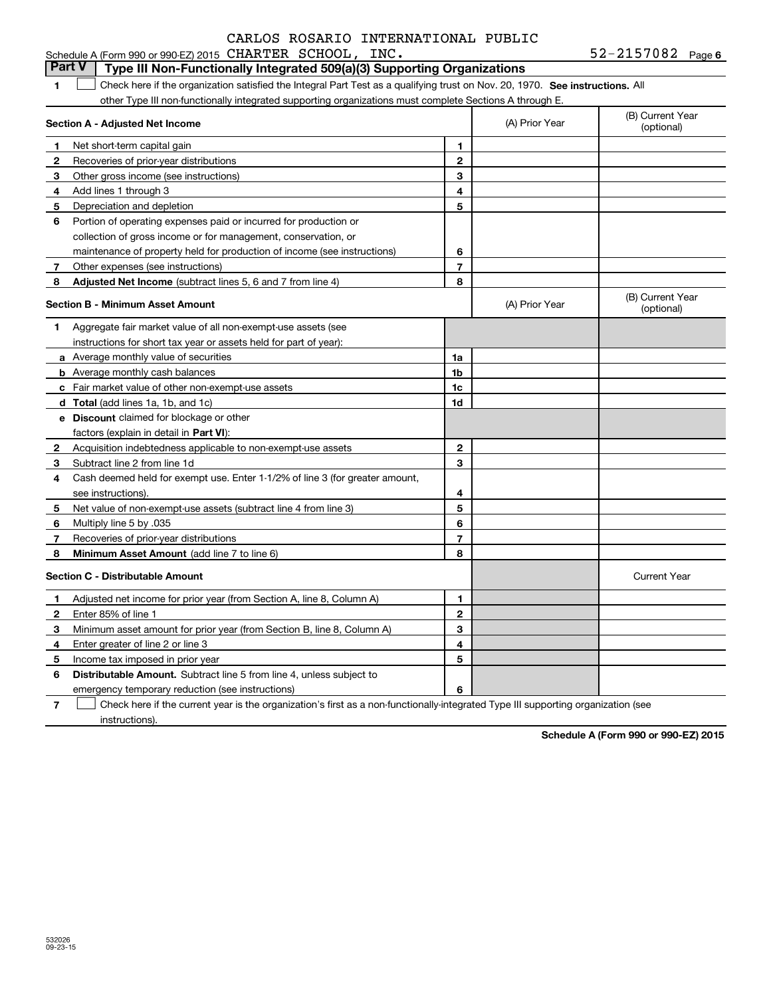|                | Schedule A (Form 990 or 990-EZ) 2015 CHARTER SCHOOL, INC.<br>Part V<br>Type III Non-Functionally Integrated 509(a)(3) Supporting Organizations |                |                | $52 - 2157082$ Page 6          |
|----------------|------------------------------------------------------------------------------------------------------------------------------------------------|----------------|----------------|--------------------------------|
| 1              | Check here if the organization satisfied the Integral Part Test as a qualifying trust on Nov. 20, 1970. See instructions. All                  |                |                |                                |
|                | other Type III non-functionally integrated supporting organizations must complete Sections A through E.                                        |                |                |                                |
|                | Section A - Adjusted Net Income                                                                                                                |                | (A) Prior Year | (B) Current Year<br>(optional) |
| 1.             | Net short-term capital gain                                                                                                                    | 1              |                |                                |
| 2              | Recoveries of prior-year distributions                                                                                                         | $\mathbf{2}$   |                |                                |
| 3              | Other gross income (see instructions)                                                                                                          | 3              |                |                                |
| 4              | Add lines 1 through 3                                                                                                                          | 4              |                |                                |
| 5              | Depreciation and depletion                                                                                                                     | 5              |                |                                |
| 6              | Portion of operating expenses paid or incurred for production or                                                                               |                |                |                                |
|                | collection of gross income or for management, conservation, or                                                                                 |                |                |                                |
|                | maintenance of property held for production of income (see instructions)                                                                       | 6              |                |                                |
| 7 <sup>7</sup> | Other expenses (see instructions)                                                                                                              | $\overline{7}$ |                |                                |
| 8              | Adjusted Net Income (subtract lines 5, 6 and 7 from line 4)                                                                                    | 8              |                |                                |
|                | Section B - Minimum Asset Amount                                                                                                               |                | (A) Prior Year | (B) Current Year<br>(optional) |
| 1              | Aggregate fair market value of all non-exempt-use assets (see                                                                                  |                |                |                                |
|                | instructions for short tax year or assets held for part of year):                                                                              |                |                |                                |
|                | a Average monthly value of securities                                                                                                          | 1a             |                |                                |
|                | <b>b</b> Average monthly cash balances                                                                                                         | 1b             |                |                                |
|                | c Fair market value of other non-exempt-use assets                                                                                             | 1c             |                |                                |
|                | <b>d</b> Total (add lines 1a, 1b, and 1c)                                                                                                      | 1 <sub>d</sub> |                |                                |
|                | <b>e</b> Discount claimed for blockage or other                                                                                                |                |                |                                |
|                | factors (explain in detail in <b>Part VI</b> ):                                                                                                |                |                |                                |
|                | <b>2</b> Acquisition indebtedness applicable to non-exempt-use assets                                                                          | $\mathbf{2}$   |                |                                |
| 3              | Subtract line 2 from line 1d                                                                                                                   | 3              |                |                                |
| 4              | Cash deemed held for exempt use. Enter 1-1/2% of line 3 (for greater amount,                                                                   |                |                |                                |
|                | see instructions).                                                                                                                             | 4              |                |                                |
| 5              | Net value of non-exempt-use assets (subtract line 4 from line 3)                                                                               | 5              |                |                                |
| 6              | Multiply line 5 by .035                                                                                                                        | 6              |                |                                |
| 7              | Recoveries of prior-year distributions                                                                                                         | $\overline{7}$ |                |                                |
| 8              | Minimum Asset Amount (add line 7 to line 6)                                                                                                    | 8              |                |                                |
|                | <b>Section C - Distributable Amount</b>                                                                                                        |                |                | <b>Current Year</b>            |
| 1              | Adjusted net income for prior year (from Section A, line 8, Column A)                                                                          | 1              |                |                                |
| $\mathbf{2}$   | Enter 85% of line 1                                                                                                                            | $\mathbf{2}$   |                |                                |
| 3              | Minimum asset amount for prior year (from Section B, line 8, Column A)                                                                         | 3              |                |                                |
| 4              | Enter greater of line 2 or line 3                                                                                                              | 4              |                |                                |
| 5              | Income tax imposed in prior year                                                                                                               | 5              |                |                                |
| 6              | <b>Distributable Amount.</b> Subtract line 5 from line 4, unless subject to                                                                    |                |                |                                |
|                | emergency temporary reduction (see instructions)                                                                                               | 6              |                |                                |

**7**Check here if the current year is the organization's first as a non-functionally-integrated Type III supporting organization (see instructions).

**Schedule A (Form 990 or 990-EZ) 2015**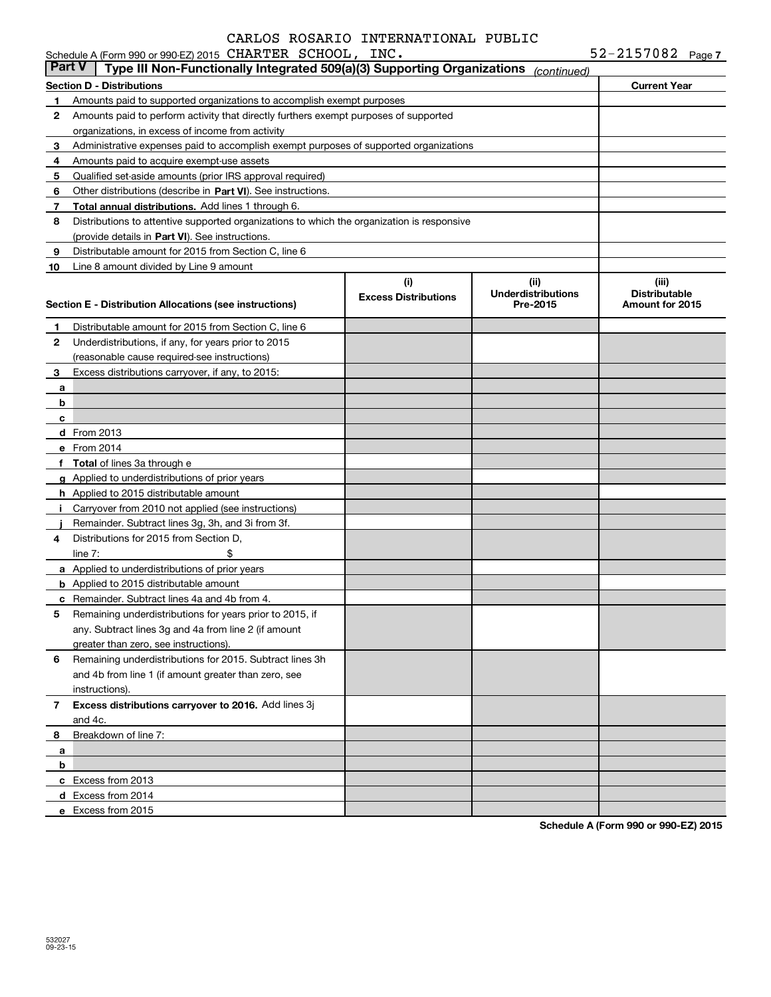| <b>Part V</b> | Type III Non-Functionally Integrated 509(a)(3) Supporting Organizations                        |                             | (continued)               |                      |  |  |
|---------------|------------------------------------------------------------------------------------------------|-----------------------------|---------------------------|----------------------|--|--|
|               | <b>Section D - Distributions</b><br><b>Current Year</b>                                        |                             |                           |                      |  |  |
| 1             | Amounts paid to supported organizations to accomplish exempt purposes                          |                             |                           |                      |  |  |
| $\mathbf{2}$  | Amounts paid to perform activity that directly furthers exempt purposes of supported           |                             |                           |                      |  |  |
|               | organizations, in excess of income from activity                                               |                             |                           |                      |  |  |
| 3             | Administrative expenses paid to accomplish exempt purposes of supported organizations          |                             |                           |                      |  |  |
| 4             | Amounts paid to acquire exempt-use assets                                                      |                             |                           |                      |  |  |
| 5             | Qualified set-aside amounts (prior IRS approval required)                                      |                             |                           |                      |  |  |
| 6             | Other distributions (describe in Part VI). See instructions.                                   |                             |                           |                      |  |  |
| 7             | Total annual distributions. Add lines 1 through 6.                                             |                             |                           |                      |  |  |
| 8             | Distributions to attentive supported organizations to which the organization is responsive     |                             |                           |                      |  |  |
|               | (provide details in Part VI). See instructions.                                                |                             |                           |                      |  |  |
| 9             | Distributable amount for 2015 from Section C, line 6                                           |                             |                           |                      |  |  |
| 10            | Line 8 amount divided by Line 9 amount                                                         | (i)                         | (iii)                     | (iii)                |  |  |
|               |                                                                                                | <b>Excess Distributions</b> | <b>Underdistributions</b> | <b>Distributable</b> |  |  |
|               | <b>Section E - Distribution Allocations (see instructions)</b>                                 |                             | Pre-2015                  | Amount for 2015      |  |  |
| 1             | Distributable amount for 2015 from Section C, line 6                                           |                             |                           |                      |  |  |
| 2             | Underdistributions, if any, for years prior to 2015                                            |                             |                           |                      |  |  |
|               | (reasonable cause required-see instructions)                                                   |                             |                           |                      |  |  |
| 3             | Excess distributions carryover, if any, to 2015:                                               |                             |                           |                      |  |  |
| a             |                                                                                                |                             |                           |                      |  |  |
| b             |                                                                                                |                             |                           |                      |  |  |
| c             |                                                                                                |                             |                           |                      |  |  |
|               | d From 2013                                                                                    |                             |                           |                      |  |  |
|               | e From 2014                                                                                    |                             |                           |                      |  |  |
|               | f Total of lines 3a through e                                                                  |                             |                           |                      |  |  |
|               | g Applied to underdistributions of prior years                                                 |                             |                           |                      |  |  |
|               | h Applied to 2015 distributable amount                                                         |                             |                           |                      |  |  |
| j.            | Carryover from 2010 not applied (see instructions)                                             |                             |                           |                      |  |  |
|               | Remainder. Subtract lines 3g, 3h, and 3i from 3f.                                              |                             |                           |                      |  |  |
| 4             | Distributions for 2015 from Section D,                                                         |                             |                           |                      |  |  |
|               | \$<br>line $7:$                                                                                |                             |                           |                      |  |  |
|               | a Applied to underdistributions of prior years                                                 |                             |                           |                      |  |  |
|               | <b>b</b> Applied to 2015 distributable amount<br>c Remainder. Subtract lines 4a and 4b from 4. |                             |                           |                      |  |  |
| 5             | Remaining underdistributions for years prior to 2015, if                                       |                             |                           |                      |  |  |
|               | any. Subtract lines 3g and 4a from line 2 (if amount                                           |                             |                           |                      |  |  |
|               | greater than zero, see instructions).                                                          |                             |                           |                      |  |  |
| 6             | Remaining underdistributions for 2015. Subtract lines 3h                                       |                             |                           |                      |  |  |
|               | and 4b from line 1 (if amount greater than zero, see                                           |                             |                           |                      |  |  |
|               | instructions).                                                                                 |                             |                           |                      |  |  |
| 7             | Excess distributions carryover to 2016. Add lines 3j                                           |                             |                           |                      |  |  |
|               | and 4c.                                                                                        |                             |                           |                      |  |  |
| 8             | Breakdown of line 7:                                                                           |                             |                           |                      |  |  |
| a             |                                                                                                |                             |                           |                      |  |  |
| b             |                                                                                                |                             |                           |                      |  |  |
|               | c Excess from 2013                                                                             |                             |                           |                      |  |  |
|               | d Excess from 2014                                                                             |                             |                           |                      |  |  |
|               | e Excess from 2015                                                                             |                             |                           |                      |  |  |

**Schedule A (Form 990 or 990-EZ) 2015**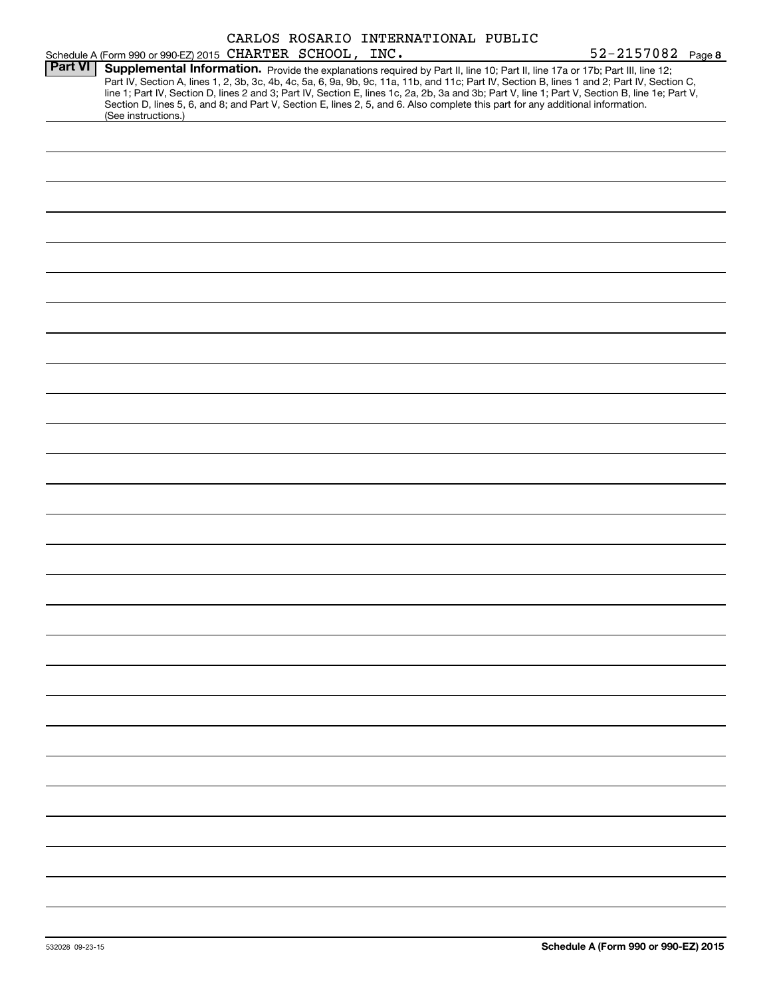|                |                                                           |  | CARLOS ROSARIO INTERNATIONAL PUBLIC |                                                                                                                                                                                                                                                                                                                                                                                                                                                                                                                                                                     |
|----------------|-----------------------------------------------------------|--|-------------------------------------|---------------------------------------------------------------------------------------------------------------------------------------------------------------------------------------------------------------------------------------------------------------------------------------------------------------------------------------------------------------------------------------------------------------------------------------------------------------------------------------------------------------------------------------------------------------------|
|                | Schedule A (Form 990 or 990-EZ) 2015 CHARTER SCHOOL, INC. |  |                                     | $52 - 2157082$ Page 8                                                                                                                                                                                                                                                                                                                                                                                                                                                                                                                                               |
| <b>Part VI</b> | (See instructions.)                                       |  |                                     | Supplemental Information. Provide the explanations required by Part II, line 10; Part II, line 17a or 17b; Part III, line 12;<br>Part IV, Section A, lines 1, 2, 3b, 3c, 4b, 4c, 5a, 6, 9a, 9b, 9c, 11a, 11b, and 11c; Part IV, Section B, lines 1 and 2; Part IV, Section C,<br>line 1; Part IV, Section D, lines 2 and 3; Part IV, Section E, lines 1c, 2a, 2b, 3a and 3b; Part V, line 1; Part V, Section B, line 1e; Part V,<br>Section D, lines 5, 6, and 8; and Part V, Section E, lines 2, 5, and 6. Also complete this part for any additional information. |
|                |                                                           |  |                                     |                                                                                                                                                                                                                                                                                                                                                                                                                                                                                                                                                                     |
|                |                                                           |  |                                     |                                                                                                                                                                                                                                                                                                                                                                                                                                                                                                                                                                     |
|                |                                                           |  |                                     |                                                                                                                                                                                                                                                                                                                                                                                                                                                                                                                                                                     |
|                |                                                           |  |                                     |                                                                                                                                                                                                                                                                                                                                                                                                                                                                                                                                                                     |
|                |                                                           |  |                                     |                                                                                                                                                                                                                                                                                                                                                                                                                                                                                                                                                                     |
|                |                                                           |  |                                     |                                                                                                                                                                                                                                                                                                                                                                                                                                                                                                                                                                     |
|                |                                                           |  |                                     |                                                                                                                                                                                                                                                                                                                                                                                                                                                                                                                                                                     |
|                |                                                           |  |                                     |                                                                                                                                                                                                                                                                                                                                                                                                                                                                                                                                                                     |
|                |                                                           |  |                                     |                                                                                                                                                                                                                                                                                                                                                                                                                                                                                                                                                                     |
|                |                                                           |  |                                     |                                                                                                                                                                                                                                                                                                                                                                                                                                                                                                                                                                     |
|                |                                                           |  |                                     |                                                                                                                                                                                                                                                                                                                                                                                                                                                                                                                                                                     |
|                |                                                           |  |                                     |                                                                                                                                                                                                                                                                                                                                                                                                                                                                                                                                                                     |
|                |                                                           |  |                                     |                                                                                                                                                                                                                                                                                                                                                                                                                                                                                                                                                                     |
|                |                                                           |  |                                     |                                                                                                                                                                                                                                                                                                                                                                                                                                                                                                                                                                     |
|                |                                                           |  |                                     |                                                                                                                                                                                                                                                                                                                                                                                                                                                                                                                                                                     |
|                |                                                           |  |                                     |                                                                                                                                                                                                                                                                                                                                                                                                                                                                                                                                                                     |
|                |                                                           |  |                                     |                                                                                                                                                                                                                                                                                                                                                                                                                                                                                                                                                                     |
|                |                                                           |  |                                     |                                                                                                                                                                                                                                                                                                                                                                                                                                                                                                                                                                     |
|                |                                                           |  |                                     |                                                                                                                                                                                                                                                                                                                                                                                                                                                                                                                                                                     |
|                |                                                           |  |                                     |                                                                                                                                                                                                                                                                                                                                                                                                                                                                                                                                                                     |
|                |                                                           |  |                                     |                                                                                                                                                                                                                                                                                                                                                                                                                                                                                                                                                                     |
|                |                                                           |  |                                     |                                                                                                                                                                                                                                                                                                                                                                                                                                                                                                                                                                     |
|                |                                                           |  |                                     |                                                                                                                                                                                                                                                                                                                                                                                                                                                                                                                                                                     |
|                |                                                           |  |                                     |                                                                                                                                                                                                                                                                                                                                                                                                                                                                                                                                                                     |
|                |                                                           |  |                                     |                                                                                                                                                                                                                                                                                                                                                                                                                                                                                                                                                                     |
|                |                                                           |  |                                     |                                                                                                                                                                                                                                                                                                                                                                                                                                                                                                                                                                     |
|                |                                                           |  |                                     |                                                                                                                                                                                                                                                                                                                                                                                                                                                                                                                                                                     |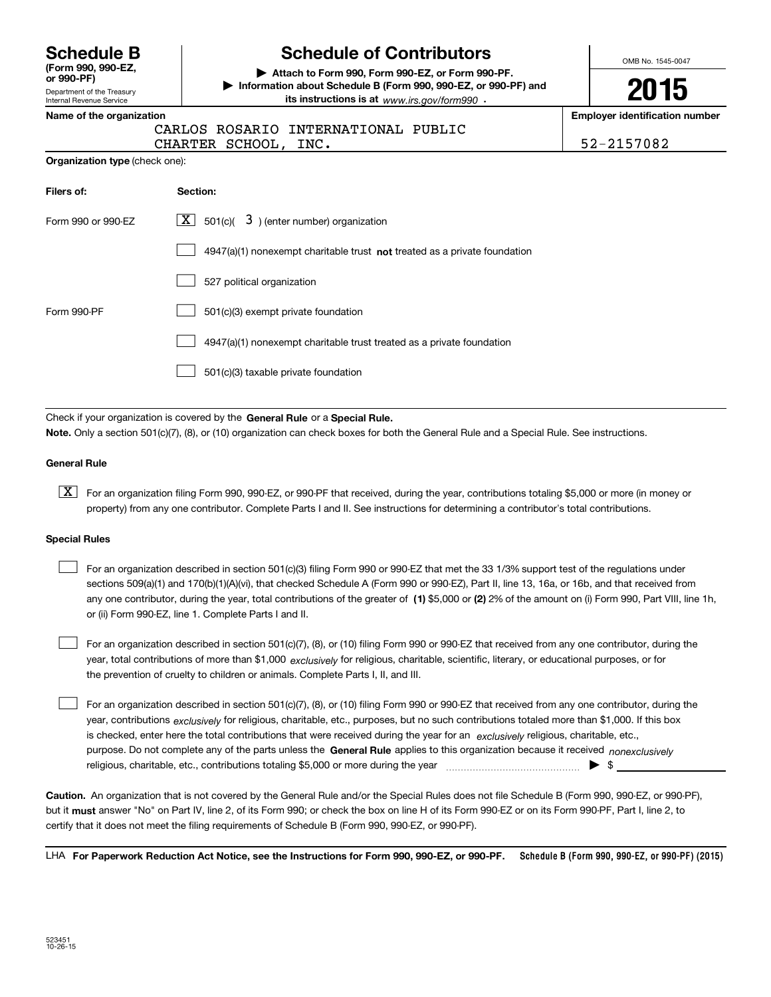**(Form 990, 990-EZ,**

Department of the Treasury Internal Revenue Service **or 990-PF)**

# **Schedule B Schedule of Contributors**

**| Attach to Form 990, Form 990-EZ, or Form 990-PF. | Information about Schedule B (Form 990, 990-EZ, or 990-PF) and its instructions is at** www.irs.gov/form990  $\cdot$ 

PUBLIC

OMB No. 1545-0047

**2015**

**Name of the organization Employer identification number**

CHARTER SCHOOL, INC. 52-2157082

| Organization type (check one): |  |  |
|--------------------------------|--|--|
|--------------------------------|--|--|

| Filers of:         | Section:                                                                           |  |  |
|--------------------|------------------------------------------------------------------------------------|--|--|
| Form 990 or 990-EZ | $\lfloor x \rfloor$ 501(c)( 3) (enter number) organization                         |  |  |
|                    | $4947(a)(1)$ nonexempt charitable trust <b>not</b> treated as a private foundation |  |  |
|                    | 527 political organization                                                         |  |  |
| Form 990-PF        | 501(c)(3) exempt private foundation                                                |  |  |
|                    | 4947(a)(1) nonexempt charitable trust treated as a private foundation              |  |  |
|                    | 501(c)(3) taxable private foundation                                               |  |  |

Check if your organization is covered by the **General Rule** or a **Special Rule. Note.**  Only a section 501(c)(7), (8), or (10) organization can check boxes for both the General Rule and a Special Rule. See instructions.

#### **General Rule**

 $\boxed{\textbf{X}}$  For an organization filing Form 990, 990-EZ, or 990-PF that received, during the year, contributions totaling \$5,000 or more (in money or property) from any one contributor. Complete Parts I and II. See instructions for determining a contributor's total contributions.

#### **Special Rules**

 $\mathcal{L}^{\text{max}}$ 

any one contributor, during the year, total contributions of the greater of  $\,$  (1) \$5,000 or (2) 2% of the amount on (i) Form 990, Part VIII, line 1h, For an organization described in section 501(c)(3) filing Form 990 or 990-EZ that met the 33 1/3% support test of the regulations under sections 509(a)(1) and 170(b)(1)(A)(vi), that checked Schedule A (Form 990 or 990-EZ), Part II, line 13, 16a, or 16b, and that received from or (ii) Form 990-EZ, line 1. Complete Parts I and II.  $\mathcal{L}^{\text{max}}$ 

year, total contributions of more than \$1,000 *exclusively* for religious, charitable, scientific, literary, or educational purposes, or for For an organization described in section 501(c)(7), (8), or (10) filing Form 990 or 990-EZ that received from any one contributor, during the the prevention of cruelty to children or animals. Complete Parts I, II, and III.  $\mathcal{L}^{\text{max}}$ 

purpose. Do not complete any of the parts unless the **General Rule** applies to this organization because it received *nonexclusively* year, contributions <sub>exclusively</sub> for religious, charitable, etc., purposes, but no such contributions totaled more than \$1,000. If this box is checked, enter here the total contributions that were received during the year for an  $\;$ exclusively religious, charitable, etc., For an organization described in section 501(c)(7), (8), or (10) filing Form 990 or 990-EZ that received from any one contributor, during the religious, charitable, etc., contributions totaling \$5,000 or more during the year  $\ldots$  $\ldots$  $\ldots$  $\ldots$  $\ldots$  $\ldots$  $\ldots$ 

**Caution.**An organization that is not covered by the General Rule and/or the Special Rules does not file Schedule B (Form 990, 990-EZ, or 990-PF),  **must** but it answer "No" on Part IV, line 2, of its Form 990; or check the box on line H of its Form 990-EZ or on its Form 990-PF, Part I, line 2, to certify that it does not meet the filing requirements of Schedule B (Form 990, 990-EZ, or 990-PF).

**Schedule B (Form 990, 990-EZ, or 990-PF) (2015) For Paperwork Reduction Act Notice, see the Instructions for Form 990, 990-EZ, or 990-PF.** LHA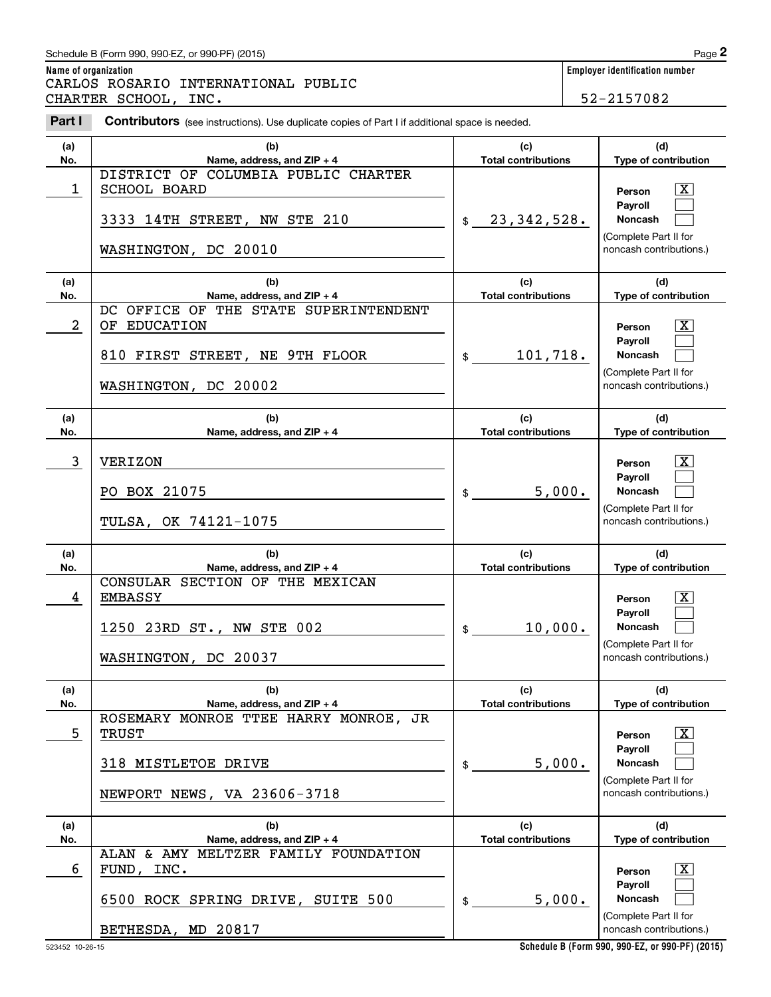#### Schedule B (Form 990, 990-EZ, or 990-PF) (2015) Page 2

**Name of organization Employer identification number** Chedule B (Form 990, 990-EZ, or 990-PF) (2015)<br> **2Part I 2Part I Contributors** (see instructions). Use duplicate copies of Part I if additional space is needed.<br> **2Part I Contributors** (see instructions). Use duplica CARLOS ROSARIO INTERNATIONAL PUBLIC CHARTER SCHOOL, INC. 52-2157082

| Part I     | <b>Contributors</b> (see instructions). Use duplicate copies of Part I if additional space is needed.                                       |                                                        |                                                                                                                                            |
|------------|---------------------------------------------------------------------------------------------------------------------------------------------|--------------------------------------------------------|--------------------------------------------------------------------------------------------------------------------------------------------|
| (a)        | (b)                                                                                                                                         | (c)                                                    | (d)                                                                                                                                        |
| No.        | Name, address, and ZIP + 4                                                                                                                  | <b>Total contributions</b>                             | Type of contribution                                                                                                                       |
| 1          | DISTRICT OF COLUMBIA PUBLIC CHARTER<br><b>SCHOOL BOARD</b><br>3333 14TH STREET, NW STE 210<br>WASHINGTON, DC 20010                          | 23, 342, 528.<br>\$                                    | $\overline{\text{X}}$<br>Person<br>Payroll<br><b>Noncash</b><br>(Complete Part II for<br>noncash contributions.)                           |
| (a)        | (b)                                                                                                                                         | (c)                                                    | (d)                                                                                                                                        |
| No.        | Name, address, and ZIP + 4                                                                                                                  | <b>Total contributions</b>                             | Type of contribution                                                                                                                       |
| 2          | DC OFFICE OF THE STATE SUPERINTENDENT<br>OF EDUCATION<br>810 FIRST STREET, NE 9TH FLOOR<br>WASHINGTON, DC 20002                             | 101,718.<br>$^{\circ}$                                 | $\overline{\text{X}}$<br>Person<br>Payroll<br><b>Noncash</b><br>(Complete Part II for<br>noncash contributions.)                           |
| (a)<br>No. | (b)<br>Name, address, and ZIP + 4                                                                                                           | (c)<br><b>Total contributions</b>                      | (d)<br>Type of contribution                                                                                                                |
| 3          | <b>VERIZON</b><br>PO BOX 21075<br>TULSA, OK 74121-1075                                                                                      | 5,000.<br>$\mathsf{\$}$                                | $\overline{\text{X}}$<br>Person<br>Payroll<br><b>Noncash</b><br>(Complete Part II for<br>noncash contributions.)                           |
| (a)        | (b)                                                                                                                                         | (c)                                                    | (d)                                                                                                                                        |
| No.<br>4   | Name, address, and ZIP + 4<br>CONSULAR SECTION OF THE MEXICAN<br><b>EMBASSY</b><br>1250 23RD ST., NW STE 002<br>WASHINGTON, DC 20037        | <b>Total contributions</b><br>10,000.<br>$\mathsf{\$}$ | Type of contribution<br>$\overline{\text{X}}$<br>Person<br>Payroll<br><b>Noncash</b><br>(Complete Part II for<br>noncash contributions.)   |
| (a)        | (b)                                                                                                                                         | (c)                                                    | (d)                                                                                                                                        |
| No.<br>5   | Name, address, and ZIP + 4<br>ROSEMARY MONROE TTEE HARRY MONROE, JR<br><b>TRUST</b><br>318 MISTLETOE DRIVE<br>NEWPORT NEWS, VA 23606-3718   | <b>Total contributions</b><br>5,000.<br>\$             | Type of contribution<br>$\overline{\mathbf{X}}$<br>Person<br>Payroll<br><b>Noncash</b><br>(Complete Part II for<br>noncash contributions.) |
| (a)        | (b)                                                                                                                                         | (c)                                                    | (d)                                                                                                                                        |
| No.<br>6   | Name, address, and ZIP + 4<br>ALAN & AMY MELTZER FAMILY FOUNDATION<br>FUND, INC.<br>6500 ROCK SPRING DRIVE, SUITE 500<br>BETHESDA, MD 20817 | <b>Total contributions</b><br>5,000.<br>$\mathfrak{S}$ | Type of contribution<br>$\overline{\text{X}}$<br>Person<br>Payroll<br><b>Noncash</b><br>(Complete Part II for<br>noncash contributions.)   |

**Schedule B (Form 990, 990-EZ, or 990-PF) (2015)**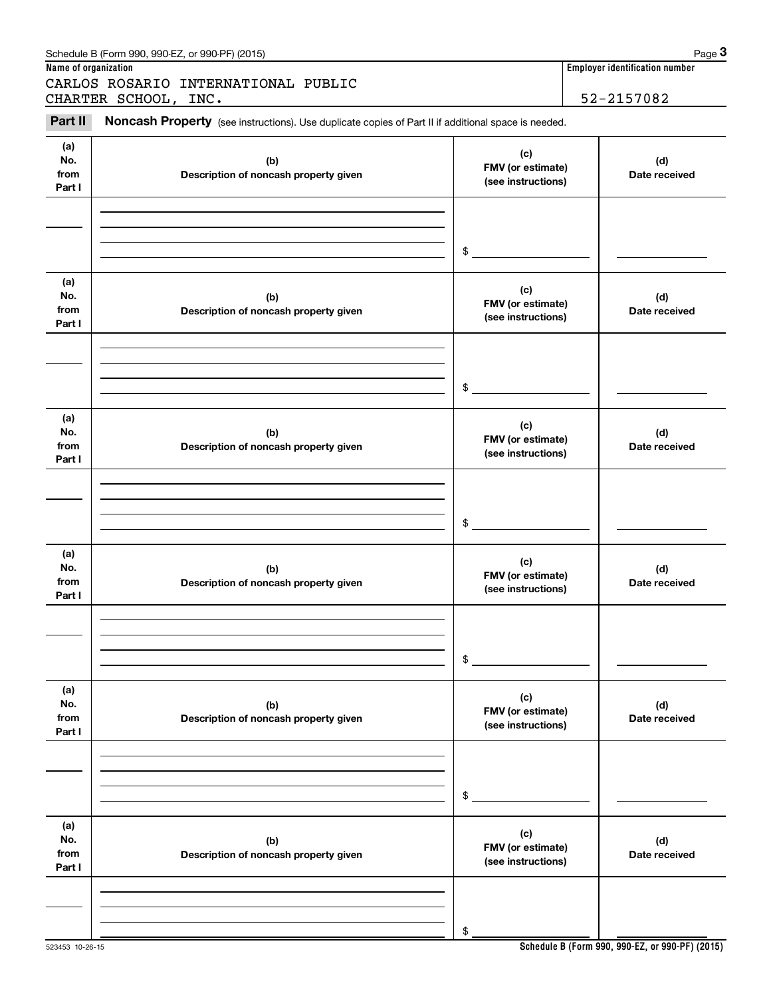#### **(a)No.fromPart I (c)FMV (or estimate) (see instructions) (b) Description of noncash property given (d) Date received (a)No.fromPart I (c) FMV (or estimate) (see instructions) (b) Description of noncash property given (d) Date received (a)No.fromPart I (c)FMV (or estimate) (see instructions) (b) Description of noncash property given (d) Date received (a) No.fromPart I (c) FMV (or estimate) (see instructions) (b)Description of noncash property given (d)Date received (a) No.fromPart I (c) FMV (or estimate) (see instructions) (b) Description of noncash property given (d) Date received (a) No.fromPart I (c)FMV (or estimate) (see instructions) (b)Description of noncash property given (d)Date received** Chedule B (Form 990, 990-EZ, or 990-PF) (2015)<br> **3Page 3**<br> **2PARLOS ROSARIO INTERNATIONAL PUBLIC<br>
2PARTER SCHOOL, INC.**<br> **PARTER SCHOOL, INC.**<br> **PART II Noncash Property** (see instructions). Use duplicate copies of Part \$\$\$\$\$\$CARLOS ROSARIO INTERNATIONAL PUBLIC CHARTER SCHOOL, INC. **52-2157082**

#### Schedule B (Form 990, 990-EZ, or 990-PF) (2015)  $P_3$  Page  $3$

**Name of organization Employer identification number Employer identification number**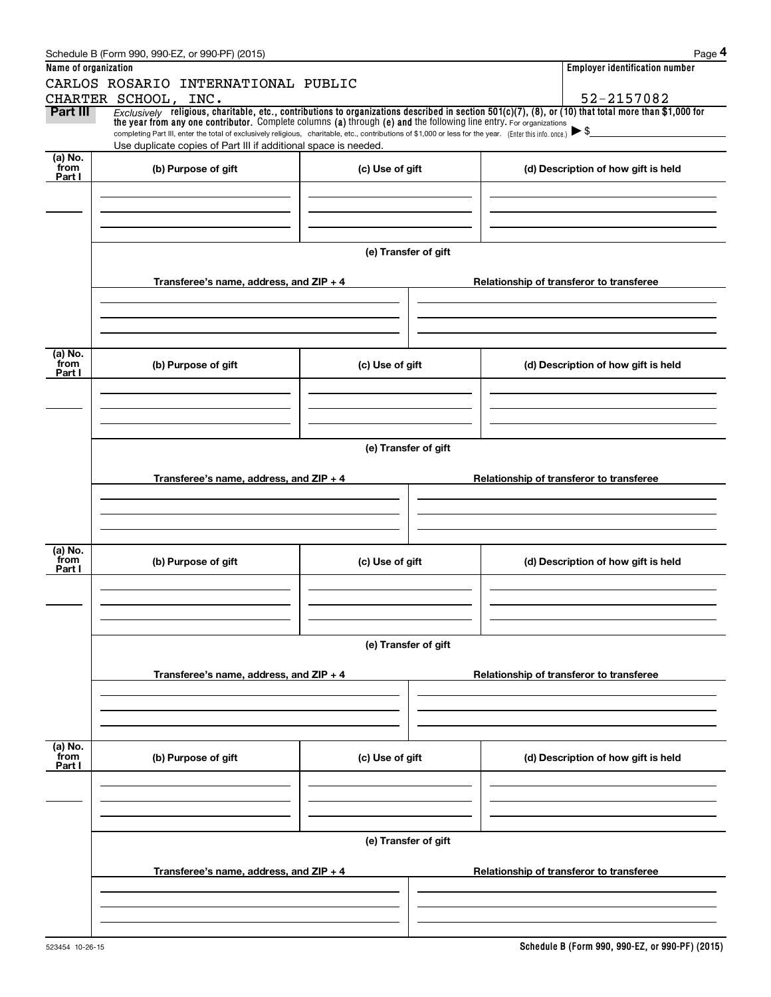|                      | Schedule B (Form 990, 990-EZ, or 990-PF) (2015)                                                                                                                                                                                                                                |                      |  | Page 4                                   |  |  |
|----------------------|--------------------------------------------------------------------------------------------------------------------------------------------------------------------------------------------------------------------------------------------------------------------------------|----------------------|--|------------------------------------------|--|--|
| Name of organization |                                                                                                                                                                                                                                                                                |                      |  | <b>Employer identification number</b>    |  |  |
|                      | CARLOS ROSARIO INTERNATIONAL PUBLIC                                                                                                                                                                                                                                            |                      |  |                                          |  |  |
|                      | CHARTER SCHOOL, INC.                                                                                                                                                                                                                                                           |                      |  | 52-2157082                               |  |  |
| Part III             | $Exclusively$ religious, charitable, etc., contributions to organizations described in section 501(c)(7), (8), or (10) that total more than \$1,000 for<br>the year from any one contributor. Complete columns (a) through (e) and the following line entry. For organizations |                      |  |                                          |  |  |
|                      | completing Part III, enter the total of exclusively religious, charitable, etc., contributions of \$1,000 or less for the year. (Enter this info. once.)<br>Use duplicate copies of Part III if additional space is needed.                                                    |                      |  | $\blacktriangleright$ \$                 |  |  |
| (a) No.              |                                                                                                                                                                                                                                                                                |                      |  |                                          |  |  |
| from<br>Part I       | (b) Purpose of gift                                                                                                                                                                                                                                                            | (c) Use of gift      |  | (d) Description of how gift is held      |  |  |
|                      |                                                                                                                                                                                                                                                                                |                      |  |                                          |  |  |
|                      |                                                                                                                                                                                                                                                                                |                      |  |                                          |  |  |
|                      |                                                                                                                                                                                                                                                                                |                      |  |                                          |  |  |
|                      |                                                                                                                                                                                                                                                                                |                      |  |                                          |  |  |
|                      |                                                                                                                                                                                                                                                                                | (e) Transfer of gift |  |                                          |  |  |
|                      | Transferee's name, address, and $ZIP + 4$                                                                                                                                                                                                                                      |                      |  | Relationship of transferor to transferee |  |  |
|                      |                                                                                                                                                                                                                                                                                |                      |  |                                          |  |  |
|                      |                                                                                                                                                                                                                                                                                |                      |  |                                          |  |  |
|                      |                                                                                                                                                                                                                                                                                |                      |  |                                          |  |  |
|                      |                                                                                                                                                                                                                                                                                |                      |  |                                          |  |  |
| (a) No.<br>from      | (b) Purpose of gift                                                                                                                                                                                                                                                            | (c) Use of gift      |  | (d) Description of how gift is held      |  |  |
| Part I               |                                                                                                                                                                                                                                                                                |                      |  |                                          |  |  |
|                      |                                                                                                                                                                                                                                                                                |                      |  |                                          |  |  |
|                      |                                                                                                                                                                                                                                                                                |                      |  |                                          |  |  |
|                      |                                                                                                                                                                                                                                                                                |                      |  |                                          |  |  |
|                      |                                                                                                                                                                                                                                                                                | (e) Transfer of gift |  |                                          |  |  |
|                      |                                                                                                                                                                                                                                                                                |                      |  | Relationship of transferor to transferee |  |  |
|                      | Transferee's name, address, and $ZIP + 4$                                                                                                                                                                                                                                      |                      |  |                                          |  |  |
|                      |                                                                                                                                                                                                                                                                                |                      |  |                                          |  |  |
|                      |                                                                                                                                                                                                                                                                                |                      |  |                                          |  |  |
|                      |                                                                                                                                                                                                                                                                                |                      |  |                                          |  |  |
| (a) No.<br>from      | (b) Purpose of gift                                                                                                                                                                                                                                                            | (c) Use of gift      |  | (d) Description of how gift is held      |  |  |
| Part I               |                                                                                                                                                                                                                                                                                |                      |  |                                          |  |  |
|                      |                                                                                                                                                                                                                                                                                |                      |  |                                          |  |  |
|                      |                                                                                                                                                                                                                                                                                |                      |  |                                          |  |  |
|                      |                                                                                                                                                                                                                                                                                |                      |  |                                          |  |  |
|                      |                                                                                                                                                                                                                                                                                | (e) Transfer of gift |  |                                          |  |  |
|                      | Relationship of transferor to transferee                                                                                                                                                                                                                                       |                      |  |                                          |  |  |
|                      | Transferee's name, address, and ZIP + 4                                                                                                                                                                                                                                        |                      |  |                                          |  |  |
|                      |                                                                                                                                                                                                                                                                                |                      |  |                                          |  |  |
|                      |                                                                                                                                                                                                                                                                                |                      |  |                                          |  |  |
|                      |                                                                                                                                                                                                                                                                                |                      |  |                                          |  |  |
| (a) No.<br>from      | (b) Purpose of gift                                                                                                                                                                                                                                                            | (c) Use of gift      |  | (d) Description of how gift is held      |  |  |
| Part I               |                                                                                                                                                                                                                                                                                |                      |  |                                          |  |  |
|                      |                                                                                                                                                                                                                                                                                |                      |  |                                          |  |  |
|                      |                                                                                                                                                                                                                                                                                |                      |  |                                          |  |  |
|                      |                                                                                                                                                                                                                                                                                |                      |  |                                          |  |  |
|                      | (e) Transfer of gift                                                                                                                                                                                                                                                           |                      |  |                                          |  |  |
|                      |                                                                                                                                                                                                                                                                                |                      |  |                                          |  |  |
|                      | Transferee's name, address, and $ZIP + 4$                                                                                                                                                                                                                                      |                      |  | Relationship of transferor to transferee |  |  |
|                      |                                                                                                                                                                                                                                                                                |                      |  |                                          |  |  |
|                      |                                                                                                                                                                                                                                                                                |                      |  |                                          |  |  |
|                      |                                                                                                                                                                                                                                                                                |                      |  |                                          |  |  |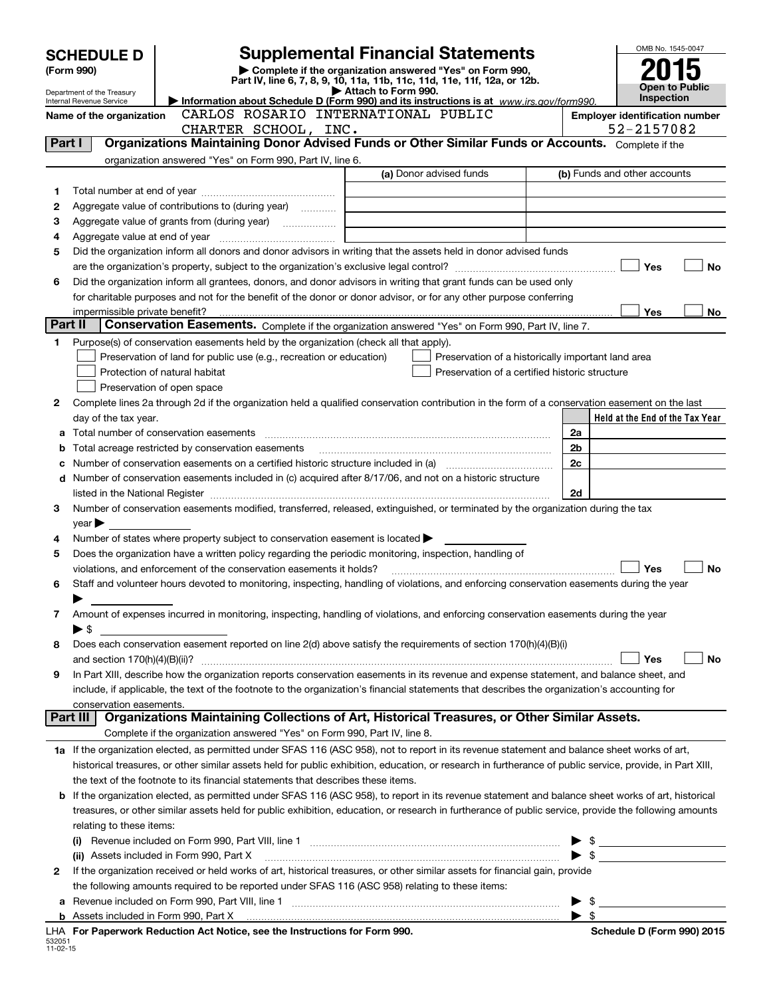| Complete if the organization answered "Yes" on Form 990,<br>(Form 990)<br>Part IV, line 6, 7, 8, 9, 10, 11a, 11b, 11c, 11d, 11e, 11f, 12a, or 12b.<br><b>Open to Public</b><br>Attach to Form 990.<br>Department of the Treasury<br><b>Inspection</b><br>Information about Schedule D (Form 990) and its instructions is at www.irs.gov/form990.<br><b>Internal Revenue Service</b><br>CARLOS ROSARIO INTERNATIONAL PUBLIC<br><b>Employer identification number</b><br>Name of the organization<br>52-2157082<br>CHARTER SCHOOL, INC.<br>Organizations Maintaining Donor Advised Funds or Other Similar Funds or Accounts. Complete if the<br>Part I<br>organization answered "Yes" on Form 990, Part IV, line 6.<br>(a) Donor advised funds<br>(b) Funds and other accounts<br>1<br>Aggregate value of contributions to (during year)<br>2<br>з<br>4<br>Did the organization inform all donors and donor advisors in writing that the assets held in donor advised funds<br>5<br>Yes<br><b>No</b><br>Did the organization inform all grantees, donors, and donor advisors in writing that grant funds can be used only<br>6<br>for charitable purposes and not for the benefit of the donor or donor advisor, or for any other purpose conferring<br>Yes<br>No<br>Part II<br>Conservation Easements. Complete if the organization answered "Yes" on Form 990, Part IV, line 7.<br>Purpose(s) of conservation easements held by the organization (check all that apply).<br>1<br>Preservation of land for public use (e.g., recreation or education)<br>Preservation of a historically important land area<br>Protection of natural habitat<br>Preservation of a certified historic structure<br>Preservation of open space<br>Complete lines 2a through 2d if the organization held a qualified conservation contribution in the form of a conservation easement on the last<br>2<br>day of the tax year.<br>Held at the End of the Tax Year<br>2a<br>а<br>2 <sub>b</sub><br>b<br>2c<br>Number of conservation easements on a certified historic structure included in (a) manufacture included in (a)<br>c<br>Number of conservation easements included in (c) acquired after 8/17/06, and not on a historic structure<br>d<br>listed in the National Register [111] Marshall Marshall Marshall Marshall Marshall Marshall Marshall Marshall M<br>2d<br>Number of conservation easements modified, transferred, released, extinguished, or terminated by the organization during the tax<br>3<br>$year \blacktriangleright$<br>Number of states where property subject to conservation easement is located $\blacktriangleright$<br>4<br>Does the organization have a written policy regarding the periodic monitoring, inspection, handling of<br>5<br>Yes<br><b>No</b><br>violations, and enforcement of the conservation easements it holds?<br>Staff and volunteer hours devoted to monitoring, inspecting, handling of violations, and enforcing conservation easements during the year<br>6<br>Amount of expenses incurred in monitoring, inspecting, handling of violations, and enforcing conservation easements during the year<br>7<br>$\blacktriangleright$ \$<br>Does each conservation easement reported on line 2(d) above satisfy the requirements of section 170(h)(4)(B)(i)<br>8<br>Yes<br>No<br>and section 170(h)(4)(B)(ii)?<br>In Part XIII, describe how the organization reports conservation easements in its revenue and expense statement, and balance sheet, and<br>9<br>include, if applicable, the text of the footnote to the organization's financial statements that describes the organization's accounting for<br>conservation easements.<br>Organizations Maintaining Collections of Art, Historical Treasures, or Other Similar Assets.<br>Part III  <br>Complete if the organization answered "Yes" on Form 990, Part IV, line 8.<br>1a If the organization elected, as permitted under SFAS 116 (ASC 958), not to report in its revenue statement and balance sheet works of art,<br>historical treasures, or other similar assets held for public exhibition, education, or research in furtherance of public service, provide, in Part XIII,<br>the text of the footnote to its financial statements that describes these items.<br><b>b</b> If the organization elected, as permitted under SFAS 116 (ASC 958), to report in its revenue statement and balance sheet works of art, historical<br>treasures, or other similar assets held for public exhibition, education, or research in furtherance of public service, provide the following amounts<br>relating to these items:<br>$\frac{1}{2}$ $\frac{1}{2}$ $\frac{1}{2}$ $\frac{1}{2}$ $\frac{1}{2}$ $\frac{1}{2}$ $\frac{1}{2}$ $\frac{1}{2}$ $\frac{1}{2}$ $\frac{1}{2}$ $\frac{1}{2}$ $\frac{1}{2}$ $\frac{1}{2}$ $\frac{1}{2}$ $\frac{1}{2}$ $\frac{1}{2}$ $\frac{1}{2}$ $\frac{1}{2}$ $\frac{1}{2}$ $\frac{1}{2}$ $\frac{1}{2}$ $\frac{1}{2}$<br>$\blacktriangleright$ \$<br>(ii) Assets included in Form 990, Part X<br>If the organization received or held works of art, historical treasures, or other similar assets for financial gain, provide<br>2<br>the following amounts required to be reported under SFAS 116 (ASC 958) relating to these items:<br>-\$<br>а<br>$\blacktriangleright$ \$<br>$1.21$ and $1.221$ and $1.21$ and $1.21$ and $1.21$ | <b>SCHEDULE D</b> |  |  | <b>Supplemental Financial Statements</b> |  |  | OMB No. 1545-0047 |
|--------------------------------------------------------------------------------------------------------------------------------------------------------------------------------------------------------------------------------------------------------------------------------------------------------------------------------------------------------------------------------------------------------------------------------------------------------------------------------------------------------------------------------------------------------------------------------------------------------------------------------------------------------------------------------------------------------------------------------------------------------------------------------------------------------------------------------------------------------------------------------------------------------------------------------------------------------------------------------------------------------------------------------------------------------------------------------------------------------------------------------------------------------------------------------------------------------------------------------------------------------------------------------------------------------------------------------------------------------------------------------------------------------------------------------------------------------------------------------------------------------------------------------------------------------------------------------------------------------------------------------------------------------------------------------------------------------------------------------------------------------------------------------------------------------------------------------------------------------------------------------------------------------------------------------------------------------------------------------------------------------------------------------------------------------------------------------------------------------------------------------------------------------------------------------------------------------------------------------------------------------------------------------------------------------------------------------------------------------------------------------------------------------------------------------------------------------------------------------------------------------------------------------------------------------------------------------------------------------------------------------------------------------------------------------------------------------------------------------------------------------------------------------------------------------------------------------------------------------------------------------------------------------------------------------------------------------------------------------------------------------------------------------------------------------------------------------------------------------------------------------------------------------------------------------------------------------------------------------------------------------------------------------------------------------------------------------------------------------------------------------------------------------------------------------------------------------------------------------------------------------------------------------------------------------------------------------------------------------------------------------------------------------------------------------------------------------------------------------------------------------------------------------------------------------------------------------------------------------------------------------------------------------------------------------------------------------------------------------------------------------------------------------------------------------------------------------------------------------------------------------------------------------------------------------------------------------------------------------------------------------------------------------------------------------------------------------------------------------------------------------------------------------------------------------------------------------------------------------------------------------------------------------------------------------------------------------------------------------------------------------------------------------------------------------------------------------------------------------------------------------------------------------------------------------------------------------------------------------------------------------------------------------------------------------------------------------------------------------------------------------------------------------------------------------------------------------------------------------------------------------------------------------------------------------------------------------------------------------------------------------------------------------------------------------------------------------------------------------------------|-------------------|--|--|------------------------------------------|--|--|-------------------|
|                                                                                                                                                                                                                                                                                                                                                                                                                                                                                                                                                                                                                                                                                                                                                                                                                                                                                                                                                                                                                                                                                                                                                                                                                                                                                                                                                                                                                                                                                                                                                                                                                                                                                                                                                                                                                                                                                                                                                                                                                                                                                                                                                                                                                                                                                                                                                                                                                                                                                                                                                                                                                                                                                                                                                                                                                                                                                                                                                                                                                                                                                                                                                                                                                                                                                                                                                                                                                                                                                                                                                                                                                                                                                                                                                                                                                                                                                                                                                                                                                                                                                                                                                                                                                                                                                                                                                                                                                                                                                                                                                                                                                                                                                                                                                                                                                                                                                                                                                                                                                                                                                                                                                                                                                                                                                                                                                                    |                   |  |  |                                          |  |  |                   |
|                                                                                                                                                                                                                                                                                                                                                                                                                                                                                                                                                                                                                                                                                                                                                                                                                                                                                                                                                                                                                                                                                                                                                                                                                                                                                                                                                                                                                                                                                                                                                                                                                                                                                                                                                                                                                                                                                                                                                                                                                                                                                                                                                                                                                                                                                                                                                                                                                                                                                                                                                                                                                                                                                                                                                                                                                                                                                                                                                                                                                                                                                                                                                                                                                                                                                                                                                                                                                                                                                                                                                                                                                                                                                                                                                                                                                                                                                                                                                                                                                                                                                                                                                                                                                                                                                                                                                                                                                                                                                                                                                                                                                                                                                                                                                                                                                                                                                                                                                                                                                                                                                                                                                                                                                                                                                                                                                                    |                   |  |  |                                          |  |  |                   |
|                                                                                                                                                                                                                                                                                                                                                                                                                                                                                                                                                                                                                                                                                                                                                                                                                                                                                                                                                                                                                                                                                                                                                                                                                                                                                                                                                                                                                                                                                                                                                                                                                                                                                                                                                                                                                                                                                                                                                                                                                                                                                                                                                                                                                                                                                                                                                                                                                                                                                                                                                                                                                                                                                                                                                                                                                                                                                                                                                                                                                                                                                                                                                                                                                                                                                                                                                                                                                                                                                                                                                                                                                                                                                                                                                                                                                                                                                                                                                                                                                                                                                                                                                                                                                                                                                                                                                                                                                                                                                                                                                                                                                                                                                                                                                                                                                                                                                                                                                                                                                                                                                                                                                                                                                                                                                                                                                                    |                   |  |  |                                          |  |  |                   |
|                                                                                                                                                                                                                                                                                                                                                                                                                                                                                                                                                                                                                                                                                                                                                                                                                                                                                                                                                                                                                                                                                                                                                                                                                                                                                                                                                                                                                                                                                                                                                                                                                                                                                                                                                                                                                                                                                                                                                                                                                                                                                                                                                                                                                                                                                                                                                                                                                                                                                                                                                                                                                                                                                                                                                                                                                                                                                                                                                                                                                                                                                                                                                                                                                                                                                                                                                                                                                                                                                                                                                                                                                                                                                                                                                                                                                                                                                                                                                                                                                                                                                                                                                                                                                                                                                                                                                                                                                                                                                                                                                                                                                                                                                                                                                                                                                                                                                                                                                                                                                                                                                                                                                                                                                                                                                                                                                                    |                   |  |  |                                          |  |  |                   |
|                                                                                                                                                                                                                                                                                                                                                                                                                                                                                                                                                                                                                                                                                                                                                                                                                                                                                                                                                                                                                                                                                                                                                                                                                                                                                                                                                                                                                                                                                                                                                                                                                                                                                                                                                                                                                                                                                                                                                                                                                                                                                                                                                                                                                                                                                                                                                                                                                                                                                                                                                                                                                                                                                                                                                                                                                                                                                                                                                                                                                                                                                                                                                                                                                                                                                                                                                                                                                                                                                                                                                                                                                                                                                                                                                                                                                                                                                                                                                                                                                                                                                                                                                                                                                                                                                                                                                                                                                                                                                                                                                                                                                                                                                                                                                                                                                                                                                                                                                                                                                                                                                                                                                                                                                                                                                                                                                                    |                   |  |  |                                          |  |  |                   |
|                                                                                                                                                                                                                                                                                                                                                                                                                                                                                                                                                                                                                                                                                                                                                                                                                                                                                                                                                                                                                                                                                                                                                                                                                                                                                                                                                                                                                                                                                                                                                                                                                                                                                                                                                                                                                                                                                                                                                                                                                                                                                                                                                                                                                                                                                                                                                                                                                                                                                                                                                                                                                                                                                                                                                                                                                                                                                                                                                                                                                                                                                                                                                                                                                                                                                                                                                                                                                                                                                                                                                                                                                                                                                                                                                                                                                                                                                                                                                                                                                                                                                                                                                                                                                                                                                                                                                                                                                                                                                                                                                                                                                                                                                                                                                                                                                                                                                                                                                                                                                                                                                                                                                                                                                                                                                                                                                                    |                   |  |  |                                          |  |  |                   |
|                                                                                                                                                                                                                                                                                                                                                                                                                                                                                                                                                                                                                                                                                                                                                                                                                                                                                                                                                                                                                                                                                                                                                                                                                                                                                                                                                                                                                                                                                                                                                                                                                                                                                                                                                                                                                                                                                                                                                                                                                                                                                                                                                                                                                                                                                                                                                                                                                                                                                                                                                                                                                                                                                                                                                                                                                                                                                                                                                                                                                                                                                                                                                                                                                                                                                                                                                                                                                                                                                                                                                                                                                                                                                                                                                                                                                                                                                                                                                                                                                                                                                                                                                                                                                                                                                                                                                                                                                                                                                                                                                                                                                                                                                                                                                                                                                                                                                                                                                                                                                                                                                                                                                                                                                                                                                                                                                                    |                   |  |  |                                          |  |  |                   |
|                                                                                                                                                                                                                                                                                                                                                                                                                                                                                                                                                                                                                                                                                                                                                                                                                                                                                                                                                                                                                                                                                                                                                                                                                                                                                                                                                                                                                                                                                                                                                                                                                                                                                                                                                                                                                                                                                                                                                                                                                                                                                                                                                                                                                                                                                                                                                                                                                                                                                                                                                                                                                                                                                                                                                                                                                                                                                                                                                                                                                                                                                                                                                                                                                                                                                                                                                                                                                                                                                                                                                                                                                                                                                                                                                                                                                                                                                                                                                                                                                                                                                                                                                                                                                                                                                                                                                                                                                                                                                                                                                                                                                                                                                                                                                                                                                                                                                                                                                                                                                                                                                                                                                                                                                                                                                                                                                                    |                   |  |  |                                          |  |  |                   |
|                                                                                                                                                                                                                                                                                                                                                                                                                                                                                                                                                                                                                                                                                                                                                                                                                                                                                                                                                                                                                                                                                                                                                                                                                                                                                                                                                                                                                                                                                                                                                                                                                                                                                                                                                                                                                                                                                                                                                                                                                                                                                                                                                                                                                                                                                                                                                                                                                                                                                                                                                                                                                                                                                                                                                                                                                                                                                                                                                                                                                                                                                                                                                                                                                                                                                                                                                                                                                                                                                                                                                                                                                                                                                                                                                                                                                                                                                                                                                                                                                                                                                                                                                                                                                                                                                                                                                                                                                                                                                                                                                                                                                                                                                                                                                                                                                                                                                                                                                                                                                                                                                                                                                                                                                                                                                                                                                                    |                   |  |  |                                          |  |  |                   |
|                                                                                                                                                                                                                                                                                                                                                                                                                                                                                                                                                                                                                                                                                                                                                                                                                                                                                                                                                                                                                                                                                                                                                                                                                                                                                                                                                                                                                                                                                                                                                                                                                                                                                                                                                                                                                                                                                                                                                                                                                                                                                                                                                                                                                                                                                                                                                                                                                                                                                                                                                                                                                                                                                                                                                                                                                                                                                                                                                                                                                                                                                                                                                                                                                                                                                                                                                                                                                                                                                                                                                                                                                                                                                                                                                                                                                                                                                                                                                                                                                                                                                                                                                                                                                                                                                                                                                                                                                                                                                                                                                                                                                                                                                                                                                                                                                                                                                                                                                                                                                                                                                                                                                                                                                                                                                                                                                                    |                   |  |  |                                          |  |  |                   |
|                                                                                                                                                                                                                                                                                                                                                                                                                                                                                                                                                                                                                                                                                                                                                                                                                                                                                                                                                                                                                                                                                                                                                                                                                                                                                                                                                                                                                                                                                                                                                                                                                                                                                                                                                                                                                                                                                                                                                                                                                                                                                                                                                                                                                                                                                                                                                                                                                                                                                                                                                                                                                                                                                                                                                                                                                                                                                                                                                                                                                                                                                                                                                                                                                                                                                                                                                                                                                                                                                                                                                                                                                                                                                                                                                                                                                                                                                                                                                                                                                                                                                                                                                                                                                                                                                                                                                                                                                                                                                                                                                                                                                                                                                                                                                                                                                                                                                                                                                                                                                                                                                                                                                                                                                                                                                                                                                                    |                   |  |  |                                          |  |  |                   |
|                                                                                                                                                                                                                                                                                                                                                                                                                                                                                                                                                                                                                                                                                                                                                                                                                                                                                                                                                                                                                                                                                                                                                                                                                                                                                                                                                                                                                                                                                                                                                                                                                                                                                                                                                                                                                                                                                                                                                                                                                                                                                                                                                                                                                                                                                                                                                                                                                                                                                                                                                                                                                                                                                                                                                                                                                                                                                                                                                                                                                                                                                                                                                                                                                                                                                                                                                                                                                                                                                                                                                                                                                                                                                                                                                                                                                                                                                                                                                                                                                                                                                                                                                                                                                                                                                                                                                                                                                                                                                                                                                                                                                                                                                                                                                                                                                                                                                                                                                                                                                                                                                                                                                                                                                                                                                                                                                                    |                   |  |  |                                          |  |  |                   |
|                                                                                                                                                                                                                                                                                                                                                                                                                                                                                                                                                                                                                                                                                                                                                                                                                                                                                                                                                                                                                                                                                                                                                                                                                                                                                                                                                                                                                                                                                                                                                                                                                                                                                                                                                                                                                                                                                                                                                                                                                                                                                                                                                                                                                                                                                                                                                                                                                                                                                                                                                                                                                                                                                                                                                                                                                                                                                                                                                                                                                                                                                                                                                                                                                                                                                                                                                                                                                                                                                                                                                                                                                                                                                                                                                                                                                                                                                                                                                                                                                                                                                                                                                                                                                                                                                                                                                                                                                                                                                                                                                                                                                                                                                                                                                                                                                                                                                                                                                                                                                                                                                                                                                                                                                                                                                                                                                                    |                   |  |  |                                          |  |  |                   |
|                                                                                                                                                                                                                                                                                                                                                                                                                                                                                                                                                                                                                                                                                                                                                                                                                                                                                                                                                                                                                                                                                                                                                                                                                                                                                                                                                                                                                                                                                                                                                                                                                                                                                                                                                                                                                                                                                                                                                                                                                                                                                                                                                                                                                                                                                                                                                                                                                                                                                                                                                                                                                                                                                                                                                                                                                                                                                                                                                                                                                                                                                                                                                                                                                                                                                                                                                                                                                                                                                                                                                                                                                                                                                                                                                                                                                                                                                                                                                                                                                                                                                                                                                                                                                                                                                                                                                                                                                                                                                                                                                                                                                                                                                                                                                                                                                                                                                                                                                                                                                                                                                                                                                                                                                                                                                                                                                                    |                   |  |  |                                          |  |  |                   |
|                                                                                                                                                                                                                                                                                                                                                                                                                                                                                                                                                                                                                                                                                                                                                                                                                                                                                                                                                                                                                                                                                                                                                                                                                                                                                                                                                                                                                                                                                                                                                                                                                                                                                                                                                                                                                                                                                                                                                                                                                                                                                                                                                                                                                                                                                                                                                                                                                                                                                                                                                                                                                                                                                                                                                                                                                                                                                                                                                                                                                                                                                                                                                                                                                                                                                                                                                                                                                                                                                                                                                                                                                                                                                                                                                                                                                                                                                                                                                                                                                                                                                                                                                                                                                                                                                                                                                                                                                                                                                                                                                                                                                                                                                                                                                                                                                                                                                                                                                                                                                                                                                                                                                                                                                                                                                                                                                                    |                   |  |  |                                          |  |  |                   |
|                                                                                                                                                                                                                                                                                                                                                                                                                                                                                                                                                                                                                                                                                                                                                                                                                                                                                                                                                                                                                                                                                                                                                                                                                                                                                                                                                                                                                                                                                                                                                                                                                                                                                                                                                                                                                                                                                                                                                                                                                                                                                                                                                                                                                                                                                                                                                                                                                                                                                                                                                                                                                                                                                                                                                                                                                                                                                                                                                                                                                                                                                                                                                                                                                                                                                                                                                                                                                                                                                                                                                                                                                                                                                                                                                                                                                                                                                                                                                                                                                                                                                                                                                                                                                                                                                                                                                                                                                                                                                                                                                                                                                                                                                                                                                                                                                                                                                                                                                                                                                                                                                                                                                                                                                                                                                                                                                                    |                   |  |  |                                          |  |  |                   |
|                                                                                                                                                                                                                                                                                                                                                                                                                                                                                                                                                                                                                                                                                                                                                                                                                                                                                                                                                                                                                                                                                                                                                                                                                                                                                                                                                                                                                                                                                                                                                                                                                                                                                                                                                                                                                                                                                                                                                                                                                                                                                                                                                                                                                                                                                                                                                                                                                                                                                                                                                                                                                                                                                                                                                                                                                                                                                                                                                                                                                                                                                                                                                                                                                                                                                                                                                                                                                                                                                                                                                                                                                                                                                                                                                                                                                                                                                                                                                                                                                                                                                                                                                                                                                                                                                                                                                                                                                                                                                                                                                                                                                                                                                                                                                                                                                                                                                                                                                                                                                                                                                                                                                                                                                                                                                                                                                                    |                   |  |  |                                          |  |  |                   |
|                                                                                                                                                                                                                                                                                                                                                                                                                                                                                                                                                                                                                                                                                                                                                                                                                                                                                                                                                                                                                                                                                                                                                                                                                                                                                                                                                                                                                                                                                                                                                                                                                                                                                                                                                                                                                                                                                                                                                                                                                                                                                                                                                                                                                                                                                                                                                                                                                                                                                                                                                                                                                                                                                                                                                                                                                                                                                                                                                                                                                                                                                                                                                                                                                                                                                                                                                                                                                                                                                                                                                                                                                                                                                                                                                                                                                                                                                                                                                                                                                                                                                                                                                                                                                                                                                                                                                                                                                                                                                                                                                                                                                                                                                                                                                                                                                                                                                                                                                                                                                                                                                                                                                                                                                                                                                                                                                                    |                   |  |  |                                          |  |  |                   |
|                                                                                                                                                                                                                                                                                                                                                                                                                                                                                                                                                                                                                                                                                                                                                                                                                                                                                                                                                                                                                                                                                                                                                                                                                                                                                                                                                                                                                                                                                                                                                                                                                                                                                                                                                                                                                                                                                                                                                                                                                                                                                                                                                                                                                                                                                                                                                                                                                                                                                                                                                                                                                                                                                                                                                                                                                                                                                                                                                                                                                                                                                                                                                                                                                                                                                                                                                                                                                                                                                                                                                                                                                                                                                                                                                                                                                                                                                                                                                                                                                                                                                                                                                                                                                                                                                                                                                                                                                                                                                                                                                                                                                                                                                                                                                                                                                                                                                                                                                                                                                                                                                                                                                                                                                                                                                                                                                                    |                   |  |  |                                          |  |  |                   |
|                                                                                                                                                                                                                                                                                                                                                                                                                                                                                                                                                                                                                                                                                                                                                                                                                                                                                                                                                                                                                                                                                                                                                                                                                                                                                                                                                                                                                                                                                                                                                                                                                                                                                                                                                                                                                                                                                                                                                                                                                                                                                                                                                                                                                                                                                                                                                                                                                                                                                                                                                                                                                                                                                                                                                                                                                                                                                                                                                                                                                                                                                                                                                                                                                                                                                                                                                                                                                                                                                                                                                                                                                                                                                                                                                                                                                                                                                                                                                                                                                                                                                                                                                                                                                                                                                                                                                                                                                                                                                                                                                                                                                                                                                                                                                                                                                                                                                                                                                                                                                                                                                                                                                                                                                                                                                                                                                                    |                   |  |  |                                          |  |  |                   |
|                                                                                                                                                                                                                                                                                                                                                                                                                                                                                                                                                                                                                                                                                                                                                                                                                                                                                                                                                                                                                                                                                                                                                                                                                                                                                                                                                                                                                                                                                                                                                                                                                                                                                                                                                                                                                                                                                                                                                                                                                                                                                                                                                                                                                                                                                                                                                                                                                                                                                                                                                                                                                                                                                                                                                                                                                                                                                                                                                                                                                                                                                                                                                                                                                                                                                                                                                                                                                                                                                                                                                                                                                                                                                                                                                                                                                                                                                                                                                                                                                                                                                                                                                                                                                                                                                                                                                                                                                                                                                                                                                                                                                                                                                                                                                                                                                                                                                                                                                                                                                                                                                                                                                                                                                                                                                                                                                                    |                   |  |  |                                          |  |  |                   |
|                                                                                                                                                                                                                                                                                                                                                                                                                                                                                                                                                                                                                                                                                                                                                                                                                                                                                                                                                                                                                                                                                                                                                                                                                                                                                                                                                                                                                                                                                                                                                                                                                                                                                                                                                                                                                                                                                                                                                                                                                                                                                                                                                                                                                                                                                                                                                                                                                                                                                                                                                                                                                                                                                                                                                                                                                                                                                                                                                                                                                                                                                                                                                                                                                                                                                                                                                                                                                                                                                                                                                                                                                                                                                                                                                                                                                                                                                                                                                                                                                                                                                                                                                                                                                                                                                                                                                                                                                                                                                                                                                                                                                                                                                                                                                                                                                                                                                                                                                                                                                                                                                                                                                                                                                                                                                                                                                                    |                   |  |  |                                          |  |  |                   |
|                                                                                                                                                                                                                                                                                                                                                                                                                                                                                                                                                                                                                                                                                                                                                                                                                                                                                                                                                                                                                                                                                                                                                                                                                                                                                                                                                                                                                                                                                                                                                                                                                                                                                                                                                                                                                                                                                                                                                                                                                                                                                                                                                                                                                                                                                                                                                                                                                                                                                                                                                                                                                                                                                                                                                                                                                                                                                                                                                                                                                                                                                                                                                                                                                                                                                                                                                                                                                                                                                                                                                                                                                                                                                                                                                                                                                                                                                                                                                                                                                                                                                                                                                                                                                                                                                                                                                                                                                                                                                                                                                                                                                                                                                                                                                                                                                                                                                                                                                                                                                                                                                                                                                                                                                                                                                                                                                                    |                   |  |  |                                          |  |  |                   |
|                                                                                                                                                                                                                                                                                                                                                                                                                                                                                                                                                                                                                                                                                                                                                                                                                                                                                                                                                                                                                                                                                                                                                                                                                                                                                                                                                                                                                                                                                                                                                                                                                                                                                                                                                                                                                                                                                                                                                                                                                                                                                                                                                                                                                                                                                                                                                                                                                                                                                                                                                                                                                                                                                                                                                                                                                                                                                                                                                                                                                                                                                                                                                                                                                                                                                                                                                                                                                                                                                                                                                                                                                                                                                                                                                                                                                                                                                                                                                                                                                                                                                                                                                                                                                                                                                                                                                                                                                                                                                                                                                                                                                                                                                                                                                                                                                                                                                                                                                                                                                                                                                                                                                                                                                                                                                                                                                                    |                   |  |  |                                          |  |  |                   |
|                                                                                                                                                                                                                                                                                                                                                                                                                                                                                                                                                                                                                                                                                                                                                                                                                                                                                                                                                                                                                                                                                                                                                                                                                                                                                                                                                                                                                                                                                                                                                                                                                                                                                                                                                                                                                                                                                                                                                                                                                                                                                                                                                                                                                                                                                                                                                                                                                                                                                                                                                                                                                                                                                                                                                                                                                                                                                                                                                                                                                                                                                                                                                                                                                                                                                                                                                                                                                                                                                                                                                                                                                                                                                                                                                                                                                                                                                                                                                                                                                                                                                                                                                                                                                                                                                                                                                                                                                                                                                                                                                                                                                                                                                                                                                                                                                                                                                                                                                                                                                                                                                                                                                                                                                                                                                                                                                                    |                   |  |  |                                          |  |  |                   |
|                                                                                                                                                                                                                                                                                                                                                                                                                                                                                                                                                                                                                                                                                                                                                                                                                                                                                                                                                                                                                                                                                                                                                                                                                                                                                                                                                                                                                                                                                                                                                                                                                                                                                                                                                                                                                                                                                                                                                                                                                                                                                                                                                                                                                                                                                                                                                                                                                                                                                                                                                                                                                                                                                                                                                                                                                                                                                                                                                                                                                                                                                                                                                                                                                                                                                                                                                                                                                                                                                                                                                                                                                                                                                                                                                                                                                                                                                                                                                                                                                                                                                                                                                                                                                                                                                                                                                                                                                                                                                                                                                                                                                                                                                                                                                                                                                                                                                                                                                                                                                                                                                                                                                                                                                                                                                                                                                                    |                   |  |  |                                          |  |  |                   |
|                                                                                                                                                                                                                                                                                                                                                                                                                                                                                                                                                                                                                                                                                                                                                                                                                                                                                                                                                                                                                                                                                                                                                                                                                                                                                                                                                                                                                                                                                                                                                                                                                                                                                                                                                                                                                                                                                                                                                                                                                                                                                                                                                                                                                                                                                                                                                                                                                                                                                                                                                                                                                                                                                                                                                                                                                                                                                                                                                                                                                                                                                                                                                                                                                                                                                                                                                                                                                                                                                                                                                                                                                                                                                                                                                                                                                                                                                                                                                                                                                                                                                                                                                                                                                                                                                                                                                                                                                                                                                                                                                                                                                                                                                                                                                                                                                                                                                                                                                                                                                                                                                                                                                                                                                                                                                                                                                                    |                   |  |  |                                          |  |  |                   |
|                                                                                                                                                                                                                                                                                                                                                                                                                                                                                                                                                                                                                                                                                                                                                                                                                                                                                                                                                                                                                                                                                                                                                                                                                                                                                                                                                                                                                                                                                                                                                                                                                                                                                                                                                                                                                                                                                                                                                                                                                                                                                                                                                                                                                                                                                                                                                                                                                                                                                                                                                                                                                                                                                                                                                                                                                                                                                                                                                                                                                                                                                                                                                                                                                                                                                                                                                                                                                                                                                                                                                                                                                                                                                                                                                                                                                                                                                                                                                                                                                                                                                                                                                                                                                                                                                                                                                                                                                                                                                                                                                                                                                                                                                                                                                                                                                                                                                                                                                                                                                                                                                                                                                                                                                                                                                                                                                                    |                   |  |  |                                          |  |  |                   |
|                                                                                                                                                                                                                                                                                                                                                                                                                                                                                                                                                                                                                                                                                                                                                                                                                                                                                                                                                                                                                                                                                                                                                                                                                                                                                                                                                                                                                                                                                                                                                                                                                                                                                                                                                                                                                                                                                                                                                                                                                                                                                                                                                                                                                                                                                                                                                                                                                                                                                                                                                                                                                                                                                                                                                                                                                                                                                                                                                                                                                                                                                                                                                                                                                                                                                                                                                                                                                                                                                                                                                                                                                                                                                                                                                                                                                                                                                                                                                                                                                                                                                                                                                                                                                                                                                                                                                                                                                                                                                                                                                                                                                                                                                                                                                                                                                                                                                                                                                                                                                                                                                                                                                                                                                                                                                                                                                                    |                   |  |  |                                          |  |  |                   |
|                                                                                                                                                                                                                                                                                                                                                                                                                                                                                                                                                                                                                                                                                                                                                                                                                                                                                                                                                                                                                                                                                                                                                                                                                                                                                                                                                                                                                                                                                                                                                                                                                                                                                                                                                                                                                                                                                                                                                                                                                                                                                                                                                                                                                                                                                                                                                                                                                                                                                                                                                                                                                                                                                                                                                                                                                                                                                                                                                                                                                                                                                                                                                                                                                                                                                                                                                                                                                                                                                                                                                                                                                                                                                                                                                                                                                                                                                                                                                                                                                                                                                                                                                                                                                                                                                                                                                                                                                                                                                                                                                                                                                                                                                                                                                                                                                                                                                                                                                                                                                                                                                                                                                                                                                                                                                                                                                                    |                   |  |  |                                          |  |  |                   |
|                                                                                                                                                                                                                                                                                                                                                                                                                                                                                                                                                                                                                                                                                                                                                                                                                                                                                                                                                                                                                                                                                                                                                                                                                                                                                                                                                                                                                                                                                                                                                                                                                                                                                                                                                                                                                                                                                                                                                                                                                                                                                                                                                                                                                                                                                                                                                                                                                                                                                                                                                                                                                                                                                                                                                                                                                                                                                                                                                                                                                                                                                                                                                                                                                                                                                                                                                                                                                                                                                                                                                                                                                                                                                                                                                                                                                                                                                                                                                                                                                                                                                                                                                                                                                                                                                                                                                                                                                                                                                                                                                                                                                                                                                                                                                                                                                                                                                                                                                                                                                                                                                                                                                                                                                                                                                                                                                                    |                   |  |  |                                          |  |  |                   |
|                                                                                                                                                                                                                                                                                                                                                                                                                                                                                                                                                                                                                                                                                                                                                                                                                                                                                                                                                                                                                                                                                                                                                                                                                                                                                                                                                                                                                                                                                                                                                                                                                                                                                                                                                                                                                                                                                                                                                                                                                                                                                                                                                                                                                                                                                                                                                                                                                                                                                                                                                                                                                                                                                                                                                                                                                                                                                                                                                                                                                                                                                                                                                                                                                                                                                                                                                                                                                                                                                                                                                                                                                                                                                                                                                                                                                                                                                                                                                                                                                                                                                                                                                                                                                                                                                                                                                                                                                                                                                                                                                                                                                                                                                                                                                                                                                                                                                                                                                                                                                                                                                                                                                                                                                                                                                                                                                                    |                   |  |  |                                          |  |  |                   |
|                                                                                                                                                                                                                                                                                                                                                                                                                                                                                                                                                                                                                                                                                                                                                                                                                                                                                                                                                                                                                                                                                                                                                                                                                                                                                                                                                                                                                                                                                                                                                                                                                                                                                                                                                                                                                                                                                                                                                                                                                                                                                                                                                                                                                                                                                                                                                                                                                                                                                                                                                                                                                                                                                                                                                                                                                                                                                                                                                                                                                                                                                                                                                                                                                                                                                                                                                                                                                                                                                                                                                                                                                                                                                                                                                                                                                                                                                                                                                                                                                                                                                                                                                                                                                                                                                                                                                                                                                                                                                                                                                                                                                                                                                                                                                                                                                                                                                                                                                                                                                                                                                                                                                                                                                                                                                                                                                                    |                   |  |  |                                          |  |  |                   |
|                                                                                                                                                                                                                                                                                                                                                                                                                                                                                                                                                                                                                                                                                                                                                                                                                                                                                                                                                                                                                                                                                                                                                                                                                                                                                                                                                                                                                                                                                                                                                                                                                                                                                                                                                                                                                                                                                                                                                                                                                                                                                                                                                                                                                                                                                                                                                                                                                                                                                                                                                                                                                                                                                                                                                                                                                                                                                                                                                                                                                                                                                                                                                                                                                                                                                                                                                                                                                                                                                                                                                                                                                                                                                                                                                                                                                                                                                                                                                                                                                                                                                                                                                                                                                                                                                                                                                                                                                                                                                                                                                                                                                                                                                                                                                                                                                                                                                                                                                                                                                                                                                                                                                                                                                                                                                                                                                                    |                   |  |  |                                          |  |  |                   |
|                                                                                                                                                                                                                                                                                                                                                                                                                                                                                                                                                                                                                                                                                                                                                                                                                                                                                                                                                                                                                                                                                                                                                                                                                                                                                                                                                                                                                                                                                                                                                                                                                                                                                                                                                                                                                                                                                                                                                                                                                                                                                                                                                                                                                                                                                                                                                                                                                                                                                                                                                                                                                                                                                                                                                                                                                                                                                                                                                                                                                                                                                                                                                                                                                                                                                                                                                                                                                                                                                                                                                                                                                                                                                                                                                                                                                                                                                                                                                                                                                                                                                                                                                                                                                                                                                                                                                                                                                                                                                                                                                                                                                                                                                                                                                                                                                                                                                                                                                                                                                                                                                                                                                                                                                                                                                                                                                                    |                   |  |  |                                          |  |  |                   |
|                                                                                                                                                                                                                                                                                                                                                                                                                                                                                                                                                                                                                                                                                                                                                                                                                                                                                                                                                                                                                                                                                                                                                                                                                                                                                                                                                                                                                                                                                                                                                                                                                                                                                                                                                                                                                                                                                                                                                                                                                                                                                                                                                                                                                                                                                                                                                                                                                                                                                                                                                                                                                                                                                                                                                                                                                                                                                                                                                                                                                                                                                                                                                                                                                                                                                                                                                                                                                                                                                                                                                                                                                                                                                                                                                                                                                                                                                                                                                                                                                                                                                                                                                                                                                                                                                                                                                                                                                                                                                                                                                                                                                                                                                                                                                                                                                                                                                                                                                                                                                                                                                                                                                                                                                                                                                                                                                                    |                   |  |  |                                          |  |  |                   |
|                                                                                                                                                                                                                                                                                                                                                                                                                                                                                                                                                                                                                                                                                                                                                                                                                                                                                                                                                                                                                                                                                                                                                                                                                                                                                                                                                                                                                                                                                                                                                                                                                                                                                                                                                                                                                                                                                                                                                                                                                                                                                                                                                                                                                                                                                                                                                                                                                                                                                                                                                                                                                                                                                                                                                                                                                                                                                                                                                                                                                                                                                                                                                                                                                                                                                                                                                                                                                                                                                                                                                                                                                                                                                                                                                                                                                                                                                                                                                                                                                                                                                                                                                                                                                                                                                                                                                                                                                                                                                                                                                                                                                                                                                                                                                                                                                                                                                                                                                                                                                                                                                                                                                                                                                                                                                                                                                                    |                   |  |  |                                          |  |  |                   |
|                                                                                                                                                                                                                                                                                                                                                                                                                                                                                                                                                                                                                                                                                                                                                                                                                                                                                                                                                                                                                                                                                                                                                                                                                                                                                                                                                                                                                                                                                                                                                                                                                                                                                                                                                                                                                                                                                                                                                                                                                                                                                                                                                                                                                                                                                                                                                                                                                                                                                                                                                                                                                                                                                                                                                                                                                                                                                                                                                                                                                                                                                                                                                                                                                                                                                                                                                                                                                                                                                                                                                                                                                                                                                                                                                                                                                                                                                                                                                                                                                                                                                                                                                                                                                                                                                                                                                                                                                                                                                                                                                                                                                                                                                                                                                                                                                                                                                                                                                                                                                                                                                                                                                                                                                                                                                                                                                                    |                   |  |  |                                          |  |  |                   |
|                                                                                                                                                                                                                                                                                                                                                                                                                                                                                                                                                                                                                                                                                                                                                                                                                                                                                                                                                                                                                                                                                                                                                                                                                                                                                                                                                                                                                                                                                                                                                                                                                                                                                                                                                                                                                                                                                                                                                                                                                                                                                                                                                                                                                                                                                                                                                                                                                                                                                                                                                                                                                                                                                                                                                                                                                                                                                                                                                                                                                                                                                                                                                                                                                                                                                                                                                                                                                                                                                                                                                                                                                                                                                                                                                                                                                                                                                                                                                                                                                                                                                                                                                                                                                                                                                                                                                                                                                                                                                                                                                                                                                                                                                                                                                                                                                                                                                                                                                                                                                                                                                                                                                                                                                                                                                                                                                                    |                   |  |  |                                          |  |  |                   |
|                                                                                                                                                                                                                                                                                                                                                                                                                                                                                                                                                                                                                                                                                                                                                                                                                                                                                                                                                                                                                                                                                                                                                                                                                                                                                                                                                                                                                                                                                                                                                                                                                                                                                                                                                                                                                                                                                                                                                                                                                                                                                                                                                                                                                                                                                                                                                                                                                                                                                                                                                                                                                                                                                                                                                                                                                                                                                                                                                                                                                                                                                                                                                                                                                                                                                                                                                                                                                                                                                                                                                                                                                                                                                                                                                                                                                                                                                                                                                                                                                                                                                                                                                                                                                                                                                                                                                                                                                                                                                                                                                                                                                                                                                                                                                                                                                                                                                                                                                                                                                                                                                                                                                                                                                                                                                                                                                                    |                   |  |  |                                          |  |  |                   |
|                                                                                                                                                                                                                                                                                                                                                                                                                                                                                                                                                                                                                                                                                                                                                                                                                                                                                                                                                                                                                                                                                                                                                                                                                                                                                                                                                                                                                                                                                                                                                                                                                                                                                                                                                                                                                                                                                                                                                                                                                                                                                                                                                                                                                                                                                                                                                                                                                                                                                                                                                                                                                                                                                                                                                                                                                                                                                                                                                                                                                                                                                                                                                                                                                                                                                                                                                                                                                                                                                                                                                                                                                                                                                                                                                                                                                                                                                                                                                                                                                                                                                                                                                                                                                                                                                                                                                                                                                                                                                                                                                                                                                                                                                                                                                                                                                                                                                                                                                                                                                                                                                                                                                                                                                                                                                                                                                                    |                   |  |  |                                          |  |  |                   |
|                                                                                                                                                                                                                                                                                                                                                                                                                                                                                                                                                                                                                                                                                                                                                                                                                                                                                                                                                                                                                                                                                                                                                                                                                                                                                                                                                                                                                                                                                                                                                                                                                                                                                                                                                                                                                                                                                                                                                                                                                                                                                                                                                                                                                                                                                                                                                                                                                                                                                                                                                                                                                                                                                                                                                                                                                                                                                                                                                                                                                                                                                                                                                                                                                                                                                                                                                                                                                                                                                                                                                                                                                                                                                                                                                                                                                                                                                                                                                                                                                                                                                                                                                                                                                                                                                                                                                                                                                                                                                                                                                                                                                                                                                                                                                                                                                                                                                                                                                                                                                                                                                                                                                                                                                                                                                                                                                                    |                   |  |  |                                          |  |  |                   |
|                                                                                                                                                                                                                                                                                                                                                                                                                                                                                                                                                                                                                                                                                                                                                                                                                                                                                                                                                                                                                                                                                                                                                                                                                                                                                                                                                                                                                                                                                                                                                                                                                                                                                                                                                                                                                                                                                                                                                                                                                                                                                                                                                                                                                                                                                                                                                                                                                                                                                                                                                                                                                                                                                                                                                                                                                                                                                                                                                                                                                                                                                                                                                                                                                                                                                                                                                                                                                                                                                                                                                                                                                                                                                                                                                                                                                                                                                                                                                                                                                                                                                                                                                                                                                                                                                                                                                                                                                                                                                                                                                                                                                                                                                                                                                                                                                                                                                                                                                                                                                                                                                                                                                                                                                                                                                                                                                                    |                   |  |  |                                          |  |  |                   |
|                                                                                                                                                                                                                                                                                                                                                                                                                                                                                                                                                                                                                                                                                                                                                                                                                                                                                                                                                                                                                                                                                                                                                                                                                                                                                                                                                                                                                                                                                                                                                                                                                                                                                                                                                                                                                                                                                                                                                                                                                                                                                                                                                                                                                                                                                                                                                                                                                                                                                                                                                                                                                                                                                                                                                                                                                                                                                                                                                                                                                                                                                                                                                                                                                                                                                                                                                                                                                                                                                                                                                                                                                                                                                                                                                                                                                                                                                                                                                                                                                                                                                                                                                                                                                                                                                                                                                                                                                                                                                                                                                                                                                                                                                                                                                                                                                                                                                                                                                                                                                                                                                                                                                                                                                                                                                                                                                                    |                   |  |  |                                          |  |  |                   |
|                                                                                                                                                                                                                                                                                                                                                                                                                                                                                                                                                                                                                                                                                                                                                                                                                                                                                                                                                                                                                                                                                                                                                                                                                                                                                                                                                                                                                                                                                                                                                                                                                                                                                                                                                                                                                                                                                                                                                                                                                                                                                                                                                                                                                                                                                                                                                                                                                                                                                                                                                                                                                                                                                                                                                                                                                                                                                                                                                                                                                                                                                                                                                                                                                                                                                                                                                                                                                                                                                                                                                                                                                                                                                                                                                                                                                                                                                                                                                                                                                                                                                                                                                                                                                                                                                                                                                                                                                                                                                                                                                                                                                                                                                                                                                                                                                                                                                                                                                                                                                                                                                                                                                                                                                                                                                                                                                                    |                   |  |  |                                          |  |  |                   |
|                                                                                                                                                                                                                                                                                                                                                                                                                                                                                                                                                                                                                                                                                                                                                                                                                                                                                                                                                                                                                                                                                                                                                                                                                                                                                                                                                                                                                                                                                                                                                                                                                                                                                                                                                                                                                                                                                                                                                                                                                                                                                                                                                                                                                                                                                                                                                                                                                                                                                                                                                                                                                                                                                                                                                                                                                                                                                                                                                                                                                                                                                                                                                                                                                                                                                                                                                                                                                                                                                                                                                                                                                                                                                                                                                                                                                                                                                                                                                                                                                                                                                                                                                                                                                                                                                                                                                                                                                                                                                                                                                                                                                                                                                                                                                                                                                                                                                                                                                                                                                                                                                                                                                                                                                                                                                                                                                                    |                   |  |  |                                          |  |  |                   |
|                                                                                                                                                                                                                                                                                                                                                                                                                                                                                                                                                                                                                                                                                                                                                                                                                                                                                                                                                                                                                                                                                                                                                                                                                                                                                                                                                                                                                                                                                                                                                                                                                                                                                                                                                                                                                                                                                                                                                                                                                                                                                                                                                                                                                                                                                                                                                                                                                                                                                                                                                                                                                                                                                                                                                                                                                                                                                                                                                                                                                                                                                                                                                                                                                                                                                                                                                                                                                                                                                                                                                                                                                                                                                                                                                                                                                                                                                                                                                                                                                                                                                                                                                                                                                                                                                                                                                                                                                                                                                                                                                                                                                                                                                                                                                                                                                                                                                                                                                                                                                                                                                                                                                                                                                                                                                                                                                                    |                   |  |  |                                          |  |  |                   |
|                                                                                                                                                                                                                                                                                                                                                                                                                                                                                                                                                                                                                                                                                                                                                                                                                                                                                                                                                                                                                                                                                                                                                                                                                                                                                                                                                                                                                                                                                                                                                                                                                                                                                                                                                                                                                                                                                                                                                                                                                                                                                                                                                                                                                                                                                                                                                                                                                                                                                                                                                                                                                                                                                                                                                                                                                                                                                                                                                                                                                                                                                                                                                                                                                                                                                                                                                                                                                                                                                                                                                                                                                                                                                                                                                                                                                                                                                                                                                                                                                                                                                                                                                                                                                                                                                                                                                                                                                                                                                                                                                                                                                                                                                                                                                                                                                                                                                                                                                                                                                                                                                                                                                                                                                                                                                                                                                                    |                   |  |  |                                          |  |  |                   |
|                                                                                                                                                                                                                                                                                                                                                                                                                                                                                                                                                                                                                                                                                                                                                                                                                                                                                                                                                                                                                                                                                                                                                                                                                                                                                                                                                                                                                                                                                                                                                                                                                                                                                                                                                                                                                                                                                                                                                                                                                                                                                                                                                                                                                                                                                                                                                                                                                                                                                                                                                                                                                                                                                                                                                                                                                                                                                                                                                                                                                                                                                                                                                                                                                                                                                                                                                                                                                                                                                                                                                                                                                                                                                                                                                                                                                                                                                                                                                                                                                                                                                                                                                                                                                                                                                                                                                                                                                                                                                                                                                                                                                                                                                                                                                                                                                                                                                                                                                                                                                                                                                                                                                                                                                                                                                                                                                                    |                   |  |  |                                          |  |  |                   |
|                                                                                                                                                                                                                                                                                                                                                                                                                                                                                                                                                                                                                                                                                                                                                                                                                                                                                                                                                                                                                                                                                                                                                                                                                                                                                                                                                                                                                                                                                                                                                                                                                                                                                                                                                                                                                                                                                                                                                                                                                                                                                                                                                                                                                                                                                                                                                                                                                                                                                                                                                                                                                                                                                                                                                                                                                                                                                                                                                                                                                                                                                                                                                                                                                                                                                                                                                                                                                                                                                                                                                                                                                                                                                                                                                                                                                                                                                                                                                                                                                                                                                                                                                                                                                                                                                                                                                                                                                                                                                                                                                                                                                                                                                                                                                                                                                                                                                                                                                                                                                                                                                                                                                                                                                                                                                                                                                                    |                   |  |  |                                          |  |  |                   |
|                                                                                                                                                                                                                                                                                                                                                                                                                                                                                                                                                                                                                                                                                                                                                                                                                                                                                                                                                                                                                                                                                                                                                                                                                                                                                                                                                                                                                                                                                                                                                                                                                                                                                                                                                                                                                                                                                                                                                                                                                                                                                                                                                                                                                                                                                                                                                                                                                                                                                                                                                                                                                                                                                                                                                                                                                                                                                                                                                                                                                                                                                                                                                                                                                                                                                                                                                                                                                                                                                                                                                                                                                                                                                                                                                                                                                                                                                                                                                                                                                                                                                                                                                                                                                                                                                                                                                                                                                                                                                                                                                                                                                                                                                                                                                                                                                                                                                                                                                                                                                                                                                                                                                                                                                                                                                                                                                                    |                   |  |  |                                          |  |  |                   |
|                                                                                                                                                                                                                                                                                                                                                                                                                                                                                                                                                                                                                                                                                                                                                                                                                                                                                                                                                                                                                                                                                                                                                                                                                                                                                                                                                                                                                                                                                                                                                                                                                                                                                                                                                                                                                                                                                                                                                                                                                                                                                                                                                                                                                                                                                                                                                                                                                                                                                                                                                                                                                                                                                                                                                                                                                                                                                                                                                                                                                                                                                                                                                                                                                                                                                                                                                                                                                                                                                                                                                                                                                                                                                                                                                                                                                                                                                                                                                                                                                                                                                                                                                                                                                                                                                                                                                                                                                                                                                                                                                                                                                                                                                                                                                                                                                                                                                                                                                                                                                                                                                                                                                                                                                                                                                                                                                                    |                   |  |  |                                          |  |  |                   |
|                                                                                                                                                                                                                                                                                                                                                                                                                                                                                                                                                                                                                                                                                                                                                                                                                                                                                                                                                                                                                                                                                                                                                                                                                                                                                                                                                                                                                                                                                                                                                                                                                                                                                                                                                                                                                                                                                                                                                                                                                                                                                                                                                                                                                                                                                                                                                                                                                                                                                                                                                                                                                                                                                                                                                                                                                                                                                                                                                                                                                                                                                                                                                                                                                                                                                                                                                                                                                                                                                                                                                                                                                                                                                                                                                                                                                                                                                                                                                                                                                                                                                                                                                                                                                                                                                                                                                                                                                                                                                                                                                                                                                                                                                                                                                                                                                                                                                                                                                                                                                                                                                                                                                                                                                                                                                                                                                                    |                   |  |  |                                          |  |  |                   |

|                    | LHA For Paperwork Reduction Act Notice, see the Instructions for Form 990. |  |
|--------------------|----------------------------------------------------------------------------|--|
| 532051<br>11-02-15 |                                                                            |  |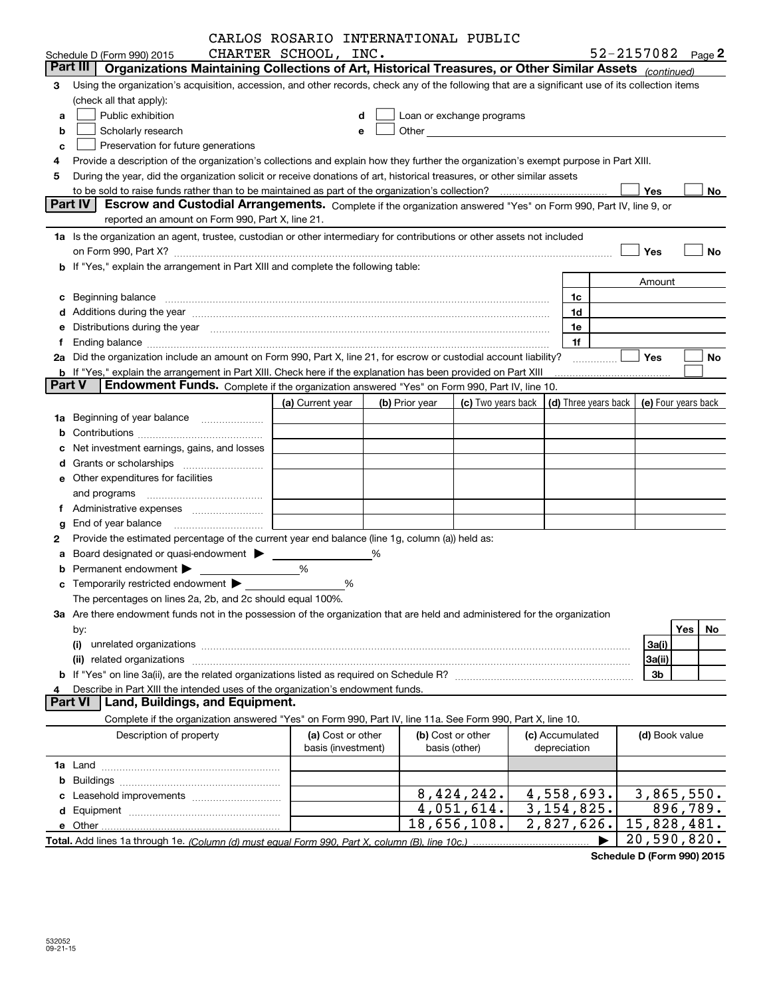|               |                                                                                                                                                                                                                                | CARLOS ROSARIO INTERNATIONAL PUBLIC     |   |                |                                                                                                                                                                                                                               |            |                                 |                                            |           |  |
|---------------|--------------------------------------------------------------------------------------------------------------------------------------------------------------------------------------------------------------------------------|-----------------------------------------|---|----------------|-------------------------------------------------------------------------------------------------------------------------------------------------------------------------------------------------------------------------------|------------|---------------------------------|--------------------------------------------|-----------|--|
|               | Schedule D (Form 990) 2015                                                                                                                                                                                                     | CHARTER SCHOOL, INC.                    |   |                |                                                                                                                                                                                                                               |            |                                 | 52-2157082 $_{Page}$ 2                     |           |  |
|               | Part III<br>Organizations Maintaining Collections of Art, Historical Treasures, or Other Similar Assets (continued)                                                                                                            |                                         |   |                |                                                                                                                                                                                                                               |            |                                 |                                            |           |  |
| 3             | Using the organization's acquisition, accession, and other records, check any of the following that are a significant use of its collection items                                                                              |                                         |   |                |                                                                                                                                                                                                                               |            |                                 |                                            |           |  |
|               | (check all that apply):                                                                                                                                                                                                        |                                         |   |                |                                                                                                                                                                                                                               |            |                                 |                                            |           |  |
| a             | Public exhibition                                                                                                                                                                                                              |                                         |   |                | Loan or exchange programs                                                                                                                                                                                                     |            |                                 |                                            |           |  |
| b             | Scholarly research                                                                                                                                                                                                             |                                         |   |                | Other and the contract of the contract of the contract of the contract of the contract of the contract of the contract of the contract of the contract of the contract of the contract of the contract of the contract of the |            |                                 |                                            |           |  |
| c             | Preservation for future generations                                                                                                                                                                                            |                                         |   |                |                                                                                                                                                                                                                               |            |                                 |                                            |           |  |
|               | Provide a description of the organization's collections and explain how they further the organization's exempt purpose in Part XIII.                                                                                           |                                         |   |                |                                                                                                                                                                                                                               |            |                                 |                                            |           |  |
| 5             | During the year, did the organization solicit or receive donations of art, historical treasures, or other similar assets                                                                                                       |                                         |   |                |                                                                                                                                                                                                                               |            |                                 |                                            |           |  |
|               | to be sold to raise funds rather than to be maintained as part of the organization's collection?                                                                                                                               |                                         |   |                |                                                                                                                                                                                                                               | . <u>.</u> |                                 | Yes                                        | No        |  |
|               | <b>Part IV</b><br>Escrow and Custodial Arrangements. Complete if the organization answered "Yes" on Form 990, Part IV, line 9, or                                                                                              |                                         |   |                |                                                                                                                                                                                                                               |            |                                 |                                            |           |  |
|               | reported an amount on Form 990, Part X, line 21.                                                                                                                                                                               |                                         |   |                |                                                                                                                                                                                                                               |            |                                 |                                            |           |  |
|               | 1a Is the organization an agent, trustee, custodian or other intermediary for contributions or other assets not included                                                                                                       |                                         |   |                |                                                                                                                                                                                                                               |            |                                 |                                            |           |  |
|               | on Form 990, Part X? [11] matter contracts and contracts and contracts are contracted as a form 990, Part X?                                                                                                                   |                                         |   |                |                                                                                                                                                                                                                               |            |                                 | Yes                                        | No        |  |
|               | b If "Yes," explain the arrangement in Part XIII and complete the following table:                                                                                                                                             |                                         |   |                |                                                                                                                                                                                                                               |            |                                 |                                            |           |  |
|               |                                                                                                                                                                                                                                |                                         |   |                |                                                                                                                                                                                                                               |            |                                 |                                            |           |  |
|               |                                                                                                                                                                                                                                |                                         |   |                |                                                                                                                                                                                                                               |            |                                 | Amount                                     |           |  |
|               | c Beginning balance measurements and the contract of Beginning balance measurements and the contract of the contract of the contract of the contract of the contract of the contract of the contract of the contract of the co |                                         |   |                |                                                                                                                                                                                                                               |            | 1c                              |                                            |           |  |
|               |                                                                                                                                                                                                                                |                                         |   |                |                                                                                                                                                                                                                               |            | 1d                              |                                            |           |  |
|               | e Distributions during the year manufactured and contain an account of the state of the state of the state of the state of the state of the state of the state of the state of the state of the state of the state of the stat |                                         |   |                |                                                                                                                                                                                                                               |            | 1e                              |                                            |           |  |
| f             |                                                                                                                                                                                                                                |                                         |   |                |                                                                                                                                                                                                                               |            | 1f                              |                                            |           |  |
|               | 2a Did the organization include an amount on Form 990, Part X, line 21, for escrow or custodial account liability?                                                                                                             |                                         |   |                |                                                                                                                                                                                                                               |            |                                 | <b>Yes</b>                                 | No        |  |
| <b>Part V</b> | <b>b</b> If "Yes," explain the arrangement in Part XIII. Check here if the explanation has been provided on Part XIII                                                                                                          |                                         |   |                |                                                                                                                                                                                                                               |            |                                 |                                            |           |  |
|               | Endowment Funds. Complete if the organization answered "Yes" on Form 990, Part IV, line 10.                                                                                                                                    |                                         |   |                |                                                                                                                                                                                                                               |            |                                 |                                            |           |  |
|               |                                                                                                                                                                                                                                | (a) Current year                        |   | (b) Prior year | (c) Two years back                                                                                                                                                                                                            |            |                                 | (d) Three years back   (e) Four years back |           |  |
|               | 1a Beginning of year balance                                                                                                                                                                                                   |                                         |   |                |                                                                                                                                                                                                                               |            |                                 |                                            |           |  |
| b             |                                                                                                                                                                                                                                |                                         |   |                |                                                                                                                                                                                                                               |            |                                 |                                            |           |  |
|               | Net investment earnings, gains, and losses                                                                                                                                                                                     |                                         |   |                |                                                                                                                                                                                                                               |            |                                 |                                            |           |  |
|               |                                                                                                                                                                                                                                |                                         |   |                |                                                                                                                                                                                                                               |            |                                 |                                            |           |  |
|               | e Other expenditures for facilities                                                                                                                                                                                            |                                         |   |                |                                                                                                                                                                                                                               |            |                                 |                                            |           |  |
|               |                                                                                                                                                                                                                                |                                         |   |                |                                                                                                                                                                                                                               |            |                                 |                                            |           |  |
|               | f Administrative expenses <i>manually community</i>                                                                                                                                                                            |                                         |   |                |                                                                                                                                                                                                                               |            |                                 |                                            |           |  |
| g             |                                                                                                                                                                                                                                |                                         |   |                |                                                                                                                                                                                                                               |            |                                 |                                            |           |  |
| 2             | Provide the estimated percentage of the current year end balance (line 1g, column (a)) held as:                                                                                                                                |                                         |   |                |                                                                                                                                                                                                                               |            |                                 |                                            |           |  |
| а             | Board designated or quasi-endowment >                                                                                                                                                                                          |                                         | ℅ |                |                                                                                                                                                                                                                               |            |                                 |                                            |           |  |
|               | Permanent endowment >                                                                                                                                                                                                          | %                                       |   |                |                                                                                                                                                                                                                               |            |                                 |                                            |           |  |
|               | c Temporarily restricted endowment $\blacktriangleright$                                                                                                                                                                       | %                                       |   |                |                                                                                                                                                                                                                               |            |                                 |                                            |           |  |
|               | The percentages on lines 2a, 2b, and 2c should equal 100%.                                                                                                                                                                     |                                         |   |                |                                                                                                                                                                                                                               |            |                                 |                                            |           |  |
|               | 3a Are there endowment funds not in the possession of the organization that are held and administered for the organization                                                                                                     |                                         |   |                |                                                                                                                                                                                                                               |            |                                 |                                            |           |  |
|               | by:                                                                                                                                                                                                                            |                                         |   |                |                                                                                                                                                                                                                               |            |                                 |                                            | Yes<br>No |  |
|               | (i)                                                                                                                                                                                                                            |                                         |   |                |                                                                                                                                                                                                                               |            |                                 | 3a(i)                                      |           |  |
|               |                                                                                                                                                                                                                                |                                         |   |                |                                                                                                                                                                                                                               |            |                                 | 3a(ii)                                     |           |  |
|               |                                                                                                                                                                                                                                |                                         |   |                |                                                                                                                                                                                                                               |            |                                 | 3b                                         |           |  |
| 4             | Describe in Part XIII the intended uses of the organization's endowment funds.                                                                                                                                                 |                                         |   |                |                                                                                                                                                                                                                               |            |                                 |                                            |           |  |
|               | Land, Buildings, and Equipment.<br><b>Part VI</b>                                                                                                                                                                              |                                         |   |                |                                                                                                                                                                                                                               |            |                                 |                                            |           |  |
|               | Complete if the organization answered "Yes" on Form 990, Part IV, line 11a. See Form 990, Part X, line 10.                                                                                                                     |                                         |   |                |                                                                                                                                                                                                                               |            |                                 |                                            |           |  |
|               |                                                                                                                                                                                                                                |                                         |   |                |                                                                                                                                                                                                                               |            |                                 |                                            |           |  |
|               | Description of property                                                                                                                                                                                                        | (a) Cost or other<br>basis (investment) |   |                | (b) Cost or other<br>basis (other)                                                                                                                                                                                            |            | (c) Accumulated<br>depreciation | (d) Book value                             |           |  |
|               |                                                                                                                                                                                                                                |                                         |   |                |                                                                                                                                                                                                                               |            |                                 |                                            |           |  |
|               |                                                                                                                                                                                                                                |                                         |   |                |                                                                                                                                                                                                                               |            |                                 |                                            |           |  |
|               |                                                                                                                                                                                                                                |                                         |   |                |                                                                                                                                                                                                                               |            |                                 |                                            |           |  |
|               |                                                                                                                                                                                                                                |                                         |   |                | 8,424,242.                                                                                                                                                                                                                    |            | 4,558,693.                      | 3,865,550.                                 |           |  |
|               |                                                                                                                                                                                                                                |                                         |   |                | 4,051,614.                                                                                                                                                                                                                    |            | 3, 154, 825.                    |                                            | 896,789.  |  |
|               |                                                                                                                                                                                                                                |                                         |   |                | $\overline{18}$ , 656, 108.                                                                                                                                                                                                   |            | 2,827,626.                      | 15,828,481.                                |           |  |
|               |                                                                                                                                                                                                                                |                                         |   |                |                                                                                                                                                                                                                               |            |                                 | 20,590,820.                                |           |  |

**Schedule D (Form 990) 2015**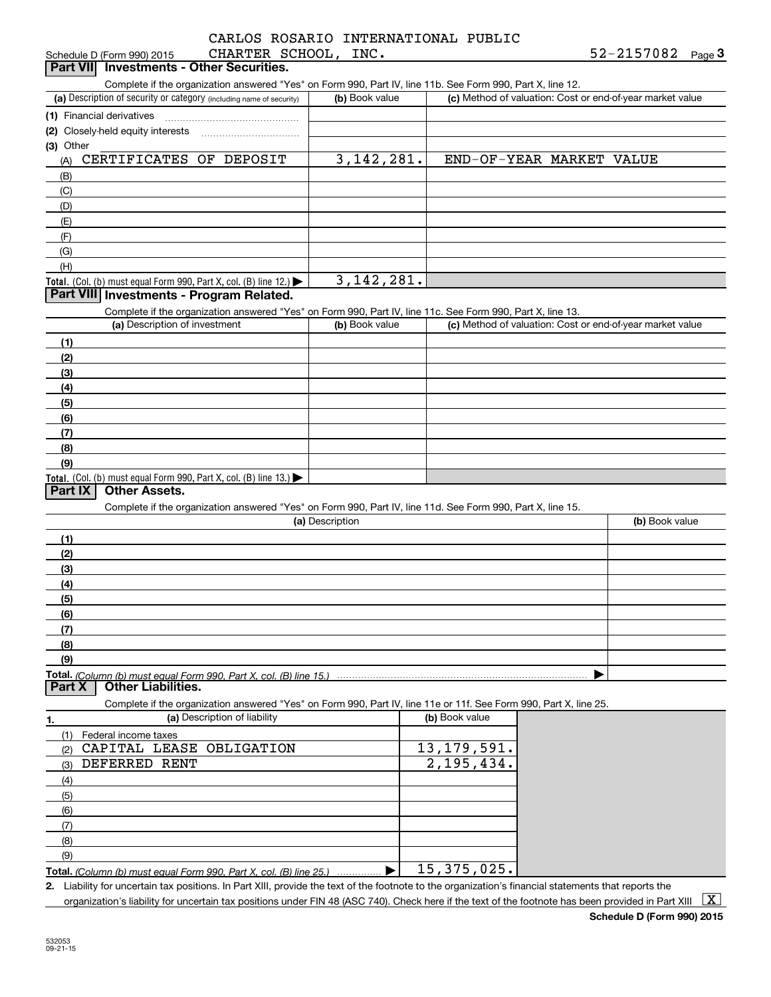|                            |                      | CARLOS ROSARIO INTERNATIONAL PUBLIC |                     |  |
|----------------------------|----------------------|-------------------------------------|---------------------|--|
| Schedule D (Form 990) 2015 | CHARTER SCHOOL, INC. |                                     | $52 - 2157082$ Page |  |

|             | Schedule D (Form 990) 2015        | CHARTER SCHOOL, INC.                                                 |                 |                                                                                                                   | 52-2157082<br>Page $3$                                    |
|-------------|-----------------------------------|----------------------------------------------------------------------|-----------------|-------------------------------------------------------------------------------------------------------------------|-----------------------------------------------------------|
|             |                                   | Part VII Investments - Other Securities.                             |                 |                                                                                                                   |                                                           |
|             |                                   |                                                                      |                 | Complete if the organization answered "Yes" on Form 990, Part IV, line 11b. See Form 990, Part X, line 12.        |                                                           |
|             |                                   | (a) Description of security or category (including name of security) | (b) Book value  |                                                                                                                   | (c) Method of valuation: Cost or end-of-year market value |
|             | (1) Financial derivatives         |                                                                      |                 |                                                                                                                   |                                                           |
|             | (2) Closely-held equity interests |                                                                      |                 |                                                                                                                   |                                                           |
| $(3)$ Other |                                   |                                                                      |                 |                                                                                                                   |                                                           |
| (A)         |                                   | CERTIFICATES OF DEPOSIT                                              | 3,142,281.      | END-OF-YEAR MARKET VALUE                                                                                          |                                                           |
| (B)         |                                   |                                                                      |                 |                                                                                                                   |                                                           |
| (C)         |                                   |                                                                      |                 |                                                                                                                   |                                                           |
| (D)         |                                   |                                                                      |                 |                                                                                                                   |                                                           |
| (E)         |                                   |                                                                      |                 |                                                                                                                   |                                                           |
| (F)         |                                   |                                                                      |                 |                                                                                                                   |                                                           |
| (G)         |                                   |                                                                      |                 |                                                                                                                   |                                                           |
| (H)         |                                   |                                                                      |                 |                                                                                                                   |                                                           |
|             |                                   | Total. (Col. (b) must equal Form 990, Part X, col. (B) line 12.)     | 3, 142, 281.    |                                                                                                                   |                                                           |
|             |                                   | Part VIII Investments - Program Related.                             |                 |                                                                                                                   |                                                           |
|             |                                   |                                                                      |                 | Complete if the organization answered "Yes" on Form 990, Part IV, line 11c. See Form 990, Part X, line 13.        |                                                           |
|             | (a) Description of investment     |                                                                      | (b) Book value  |                                                                                                                   | (c) Method of valuation: Cost or end-of-year market value |
| (1)         |                                   |                                                                      |                 |                                                                                                                   |                                                           |
| (2)         |                                   |                                                                      |                 |                                                                                                                   |                                                           |
| (3)         |                                   |                                                                      |                 |                                                                                                                   |                                                           |
| (4)         |                                   |                                                                      |                 |                                                                                                                   |                                                           |
| (5)         |                                   |                                                                      |                 |                                                                                                                   |                                                           |
| (6)         |                                   |                                                                      |                 |                                                                                                                   |                                                           |
| (7)         |                                   |                                                                      |                 |                                                                                                                   |                                                           |
| (8)         |                                   |                                                                      |                 |                                                                                                                   |                                                           |
| (9)         |                                   |                                                                      |                 |                                                                                                                   |                                                           |
|             |                                   | Total. (Col. (b) must equal Form 990, Part X, col. (B) line 13.)     |                 |                                                                                                                   |                                                           |
| Part IX     | <b>Other Assets.</b>              |                                                                      |                 |                                                                                                                   |                                                           |
|             |                                   |                                                                      |                 | Complete if the organization answered "Yes" on Form 990, Part IV, line 11d. See Form 990, Part X, line 15.        |                                                           |
|             |                                   |                                                                      | (a) Description |                                                                                                                   | (b) Book value                                            |
| (1)         |                                   |                                                                      |                 |                                                                                                                   |                                                           |
| (2)         |                                   |                                                                      |                 |                                                                                                                   |                                                           |
| (3)         |                                   |                                                                      |                 |                                                                                                                   |                                                           |
| (4)         |                                   |                                                                      |                 |                                                                                                                   |                                                           |
| (5)         |                                   |                                                                      |                 |                                                                                                                   |                                                           |
| (6)         |                                   |                                                                      |                 |                                                                                                                   |                                                           |
| (7)         |                                   |                                                                      |                 |                                                                                                                   |                                                           |
| (8)         |                                   |                                                                      |                 |                                                                                                                   |                                                           |
| (9)         |                                   |                                                                      |                 |                                                                                                                   |                                                           |
|             |                                   |                                                                      |                 |                                                                                                                   |                                                           |
| Part X      | <b>Other Liabilities.</b>         |                                                                      |                 |                                                                                                                   |                                                           |
|             |                                   |                                                                      |                 | Complete if the organization answered "Yes" on Form 990, Part IV, line 11e or 11f. See Form 990, Part X, line 25. |                                                           |
| 1.          |                                   | (a) Description of liability                                         |                 | (b) Book value                                                                                                    |                                                           |
|             |                                   |                                                                      |                 |                                                                                                                   |                                                           |
|             |                                   |                                                                      |                 |                                                                                                                   |                                                           |
| (1)         | Federal income taxes              |                                                                      |                 |                                                                                                                   |                                                           |
| (2)         |                                   | CAPITAL LEASE OBLIGATION                                             |                 | 13, 179, 591.                                                                                                     |                                                           |
| (3)         | DEFERRED RENT                     |                                                                      |                 | 2,195,434.                                                                                                        |                                                           |
| (4)         |                                   |                                                                      |                 |                                                                                                                   |                                                           |
| (5)         |                                   |                                                                      |                 |                                                                                                                   |                                                           |
| (6)         |                                   |                                                                      |                 |                                                                                                                   |                                                           |
| (7)         |                                   |                                                                      |                 |                                                                                                                   |                                                           |
| (8)         |                                   |                                                                      |                 |                                                                                                                   |                                                           |
| (9)         |                                   | Total. (Column (b) must equal Form 990, Part X, col. (B) line 25.)   |                 | 15, 375, 025.                                                                                                     |                                                           |

organization's liability for uncertain tax positions under FIN 48 (ASC 740). Check here if the text of the footnote has been provided in Part XIII  $~\boxed{\rm X}$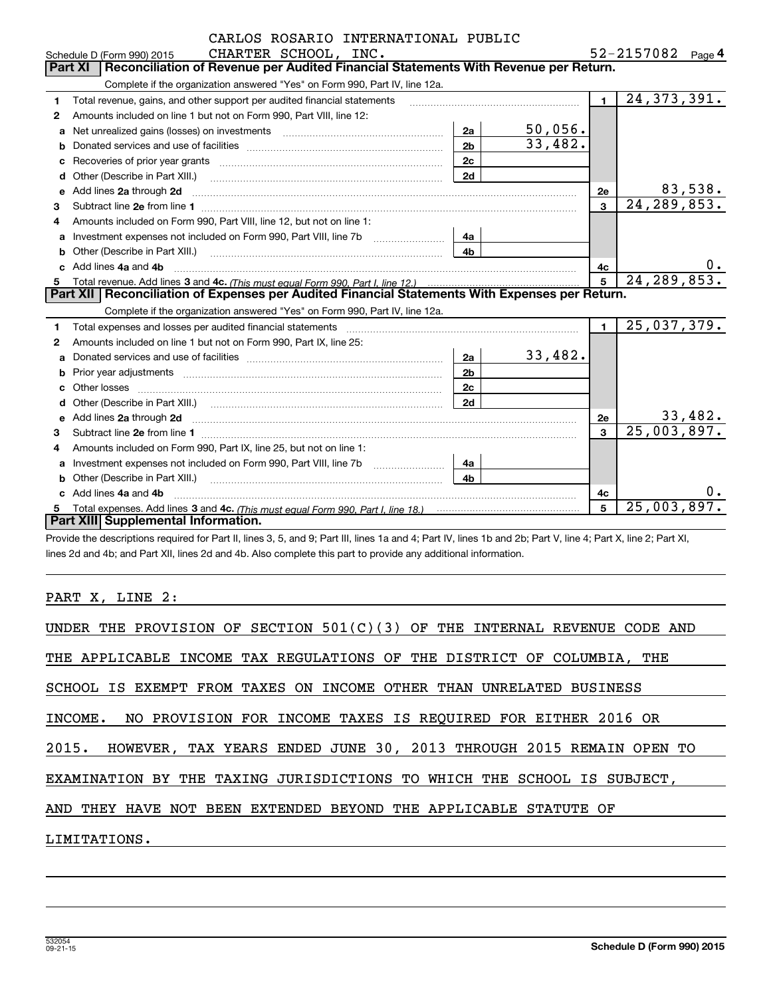|    | CARLOS ROSARIO INTERNATIONAL PUBLIC                                                                                                                                                                                                 |                |               |                |               |           |  |  |  |  |
|----|-------------------------------------------------------------------------------------------------------------------------------------------------------------------------------------------------------------------------------------|----------------|---------------|----------------|---------------|-----------|--|--|--|--|
|    | 52-2157082 Page 4<br>CHARTER SCHOOL, INC.<br>Schedule D (Form 990) 2015                                                                                                                                                             |                |               |                |               |           |  |  |  |  |
|    | Reconciliation of Revenue per Audited Financial Statements With Revenue per Return.<br><b>Part XI</b>                                                                                                                               |                |               |                |               |           |  |  |  |  |
|    | Complete if the organization answered "Yes" on Form 990, Part IV, line 12a.                                                                                                                                                         |                |               |                |               |           |  |  |  |  |
| 1  | Total revenue, gains, and other support per audited financial statements                                                                                                                                                            |                |               | $\mathbf{1}$   | 24, 373, 391. |           |  |  |  |  |
| 2  | Amounts included on line 1 but not on Form 990, Part VIII, line 12:                                                                                                                                                                 |                |               |                |               |           |  |  |  |  |
| a  | Net unrealized gains (losses) on investments [11] matter contracts and the unrealized gains (losses) on investments                                                                                                                 | 2a             | 50,056.       |                |               |           |  |  |  |  |
|    |                                                                                                                                                                                                                                     | 2 <sub>b</sub> | 33,482.       |                |               |           |  |  |  |  |
| c  |                                                                                                                                                                                                                                     | 2c             |               |                |               |           |  |  |  |  |
| d  | Other (Describe in Part XIII.) (2000) (2000) (2000) (2010) (2010) (2010) (2010) (2010) (2010) (2010) (2010) (20                                                                                                                     | 2d             |               |                |               |           |  |  |  |  |
| e  | Add lines 2a through 2d                                                                                                                                                                                                             |                |               | 2е             |               | 83,538.   |  |  |  |  |
| 3  |                                                                                                                                                                                                                                     |                |               | $\mathbf{3}$   | 24, 289, 853. |           |  |  |  |  |
| 4  | Amounts included on Form 990, Part VIII, line 12, but not on line 1:                                                                                                                                                                |                |               |                |               |           |  |  |  |  |
| a  |                                                                                                                                                                                                                                     | 4a             |               |                |               |           |  |  |  |  |
|    |                                                                                                                                                                                                                                     | 4b             |               |                |               |           |  |  |  |  |
|    | Add lines 4a and 4b                                                                                                                                                                                                                 |                |               | 4c             |               | $0 \cdot$ |  |  |  |  |
| 5. |                                                                                                                                                                                                                                     | 5              | 24, 289, 853. |                |               |           |  |  |  |  |
|    | Part XII   Reconciliation of Expenses per Audited Financial Statements With Expenses per Return.                                                                                                                                    |                |               |                |               |           |  |  |  |  |
|    | Complete if the organization answered "Yes" on Form 990, Part IV, line 12a.                                                                                                                                                         |                |               |                |               |           |  |  |  |  |
| 1  |                                                                                                                                                                                                                                     |                |               | $\blacksquare$ | 25,037,379.   |           |  |  |  |  |
| 2  | Amounts included on line 1 but not on Form 990, Part IX, line 25:                                                                                                                                                                   |                |               |                |               |           |  |  |  |  |
| a  |                                                                                                                                                                                                                                     | 2a             | 33,482.       |                |               |           |  |  |  |  |
|    |                                                                                                                                                                                                                                     | 2 <sub>b</sub> |               |                |               |           |  |  |  |  |
|    |                                                                                                                                                                                                                                     | 2c             |               |                |               |           |  |  |  |  |
| d  |                                                                                                                                                                                                                                     | 2d             |               |                |               |           |  |  |  |  |
| e  | Add lines 2a through 2d <b>contract and all anomalisation</b> and all and all anomalisation of the state of the state of the state of the state of the state of the state of the state of the state of the state of the state of th |                |               | 2e             |               | 33,482.   |  |  |  |  |
| 3  |                                                                                                                                                                                                                                     |                |               | 3              | 25,003,897.   |           |  |  |  |  |
| 4  | Amounts included on Form 990, Part IX, line 25, but not on line 1:                                                                                                                                                                  |                |               |                |               |           |  |  |  |  |
| a  |                                                                                                                                                                                                                                     | 4a             |               |                |               |           |  |  |  |  |
| b  | Other (Describe in Part XIII.) <b>Construction Contract Construction</b> Construction Construction Construction Const                                                                                                               | 4 <sub>b</sub> |               |                |               |           |  |  |  |  |
|    | Add lines 4a and 4b                                                                                                                                                                                                                 |                |               | 4c             |               |           |  |  |  |  |
|    |                                                                                                                                                                                                                                     |                |               | 5              | 25,003,897.   |           |  |  |  |  |
|    | Part XIII Supplemental Information.                                                                                                                                                                                                 |                |               |                |               |           |  |  |  |  |

Provide the descriptions required for Part II, lines 3, 5, and 9; Part III, lines 1a and 4; Part IV, lines 1b and 2b; Part V, line 4; Part X, line 2; Part XI, lines 2d and 4b; and Part XII, lines 2d and 4b. Also complete this part to provide any additional information.

#### PART X, LINE 2:

| UNDER THE PROVISION OF SECTION $501(C)(3)$ OF THE INTERNAL REVENUE CODE AND |  |  |  |  |  |  |
|-----------------------------------------------------------------------------|--|--|--|--|--|--|
| THE APPLICABLE INCOME TAX REGULATIONS OF THE DISTRICT OF COLUMBIA, THE      |  |  |  |  |  |  |
| SCHOOL IS EXEMPT FROM TAXES ON INCOME OTHER THAN UNRELATED BUSINESS         |  |  |  |  |  |  |
| INCOME. NO PROVISION FOR INCOME TAXES IS REQUIRED FOR EITHER 2016 OR        |  |  |  |  |  |  |
| 2015. HOWEVER, TAX YEARS ENDED JUNE 30, 2013 THROUGH 2015 REMAIN OPEN TO    |  |  |  |  |  |  |
| EXAMINATION BY THE TAXING JURISDICTIONS TO WHICH THE SCHOOL IS SUBJECT,     |  |  |  |  |  |  |
| AND THEY HAVE NOT BEEN EXTENDED BEYOND THE APPLICABLE STATUTE OF            |  |  |  |  |  |  |
| LIMITATIONS.                                                                |  |  |  |  |  |  |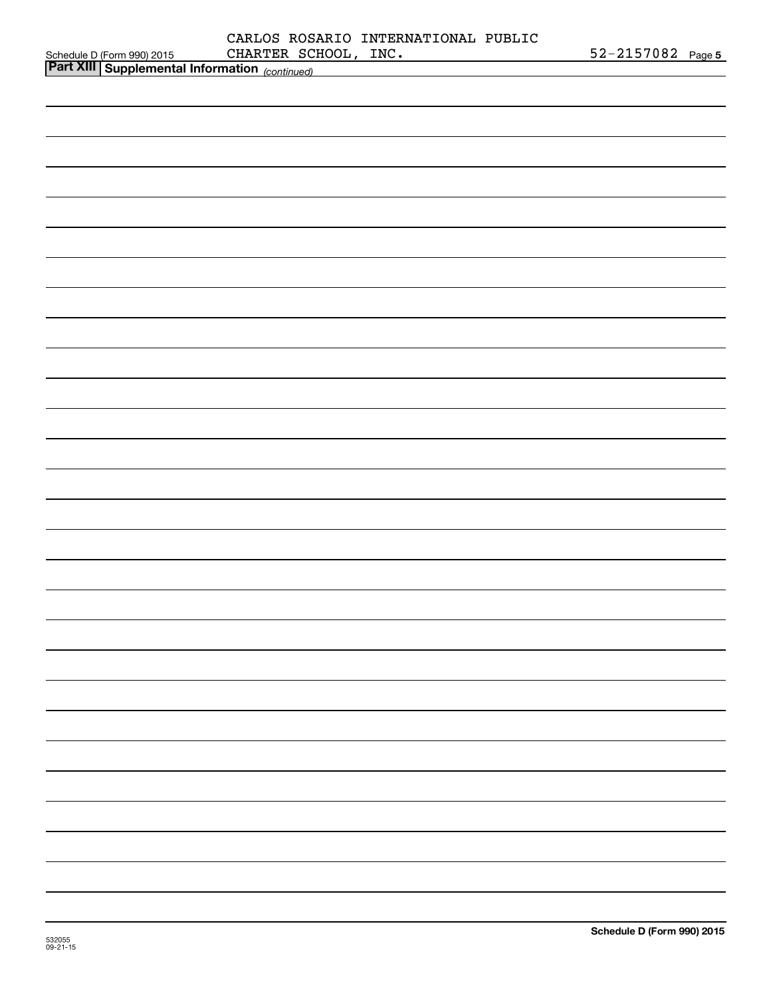|                                                                                                              |  | CARLOS ROSARIO INTERNATIONAL PUBLIC | CHARTER SCHOOL, INC. | 52-2157082 Page 5 |  |
|--------------------------------------------------------------------------------------------------------------|--|-------------------------------------|----------------------|-------------------|--|
| Schedule D (Form 990) 2015 CHARTER SCHOOL, INC.<br>Part XIII Supplemental Information <sub>(continued)</sub> |  |                                     |                      |                   |  |
|                                                                                                              |  |                                     |                      |                   |  |
|                                                                                                              |  |                                     |                      |                   |  |
|                                                                                                              |  |                                     |                      |                   |  |
|                                                                                                              |  |                                     |                      |                   |  |
|                                                                                                              |  |                                     |                      |                   |  |
|                                                                                                              |  |                                     |                      |                   |  |
|                                                                                                              |  |                                     |                      |                   |  |
|                                                                                                              |  |                                     |                      |                   |  |
|                                                                                                              |  |                                     |                      |                   |  |
|                                                                                                              |  |                                     |                      |                   |  |
|                                                                                                              |  |                                     |                      |                   |  |
|                                                                                                              |  |                                     |                      |                   |  |
|                                                                                                              |  |                                     |                      |                   |  |
|                                                                                                              |  |                                     |                      |                   |  |
|                                                                                                              |  |                                     |                      |                   |  |
|                                                                                                              |  |                                     |                      |                   |  |
|                                                                                                              |  |                                     |                      |                   |  |
|                                                                                                              |  |                                     |                      |                   |  |
|                                                                                                              |  |                                     |                      |                   |  |
|                                                                                                              |  |                                     |                      |                   |  |
|                                                                                                              |  |                                     |                      |                   |  |
|                                                                                                              |  |                                     |                      |                   |  |
|                                                                                                              |  |                                     |                      |                   |  |
|                                                                                                              |  |                                     |                      |                   |  |
|                                                                                                              |  |                                     |                      |                   |  |
|                                                                                                              |  |                                     |                      |                   |  |
|                                                                                                              |  |                                     |                      |                   |  |
|                                                                                                              |  |                                     |                      |                   |  |
|                                                                                                              |  |                                     |                      |                   |  |
|                                                                                                              |  |                                     |                      |                   |  |
|                                                                                                              |  |                                     |                      |                   |  |
|                                                                                                              |  |                                     |                      |                   |  |
|                                                                                                              |  |                                     |                      |                   |  |
|                                                                                                              |  |                                     |                      |                   |  |
|                                                                                                              |  |                                     |                      |                   |  |
|                                                                                                              |  |                                     |                      |                   |  |
|                                                                                                              |  |                                     |                      |                   |  |
|                                                                                                              |  |                                     |                      |                   |  |
|                                                                                                              |  |                                     |                      |                   |  |
|                                                                                                              |  |                                     |                      |                   |  |
|                                                                                                              |  |                                     |                      |                   |  |
|                                                                                                              |  |                                     |                      |                   |  |
|                                                                                                              |  |                                     |                      |                   |  |
|                                                                                                              |  |                                     |                      |                   |  |
|                                                                                                              |  |                                     |                      |                   |  |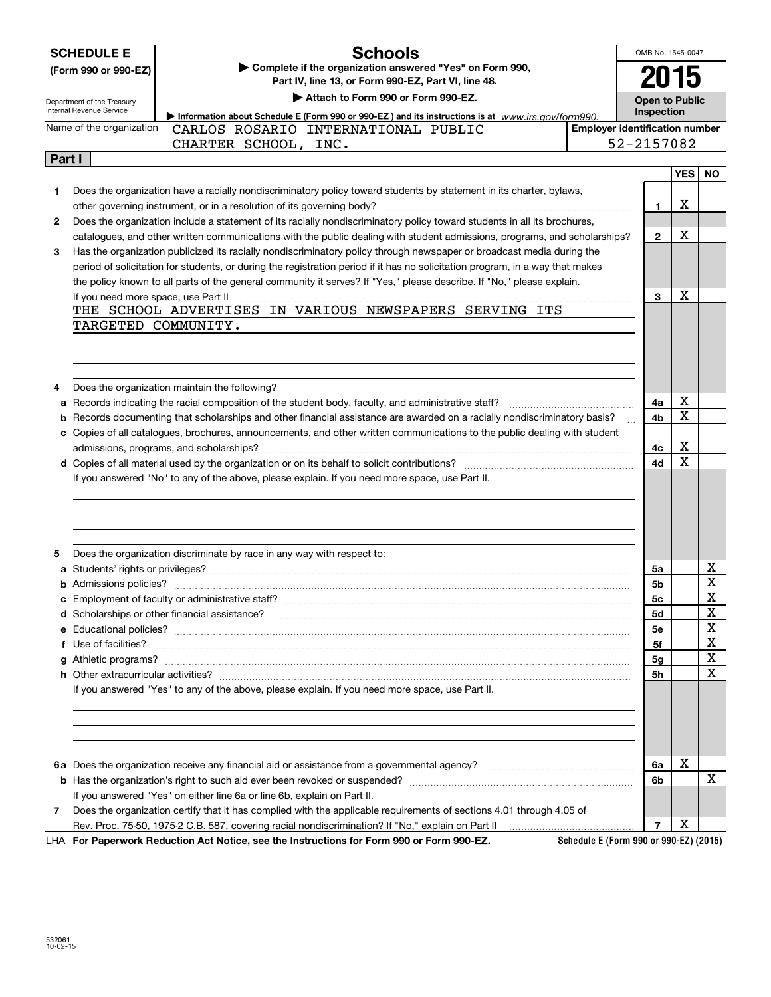|        | <b>SCHEDULE E</b><br>(Form 990 or 990-EZ)<br>Department of the Treasury | <b>Schools</b><br>Complete if the organization answered "Yes" on Form 990,<br>Part IV, line 13, or Form 990-EZ, Part VI, line 48.<br>Attach to Form 990 or Form 990-EZ.                                                                                                                                                                                                         |                                               | OMB No. 1545-0047<br>2015<br><b>Open to Public</b> |             |             |  |  |
|--------|-------------------------------------------------------------------------|---------------------------------------------------------------------------------------------------------------------------------------------------------------------------------------------------------------------------------------------------------------------------------------------------------------------------------------------------------------------------------|-----------------------------------------------|----------------------------------------------------|-------------|-------------|--|--|
|        | Internal Revenue Service<br>Name of the organization                    | Information about Schedule E (Form 990 or 990-EZ) and its instructions is at www.irs.gov/form990.<br>CARLOS ROSARIO INTERNATIONAL PUBLIC                                                                                                                                                                                                                                        | <b>Employer identification number</b>         |                                                    |             |             |  |  |
| Part I |                                                                         | CHARTER SCHOOL, INC.                                                                                                                                                                                                                                                                                                                                                            |                                               | 52-2157082                                         |             |             |  |  |
|        |                                                                         |                                                                                                                                                                                                                                                                                                                                                                                 |                                               |                                                    | <b>YES</b>  | <b>NO</b>   |  |  |
| 1.     |                                                                         | Does the organization have a racially nondiscriminatory policy toward students by statement in its charter, bylaws,                                                                                                                                                                                                                                                             |                                               | 1                                                  | X           |             |  |  |
| 2      |                                                                         | Does the organization include a statement of its racially nondiscriminatory policy toward students in all its brochures,                                                                                                                                                                                                                                                        |                                               |                                                    |             |             |  |  |
|        |                                                                         | catalogues, and other written communications with the public dealing with student admissions, programs, and scholarships?                                                                                                                                                                                                                                                       |                                               | $\mathbf{2}$                                       | X           |             |  |  |
| З      |                                                                         | Has the organization publicized its racially nondiscriminatory policy through newspaper or broadcast media during the<br>period of solicitation for students, or during the registration period if it has no solicitation program, in a way that makes<br>the policy known to all parts of the general community it serves? If "Yes," please describe. If "No," please explain. |                                               |                                                    |             |             |  |  |
|        | If you need more space, use Part II                                     |                                                                                                                                                                                                                                                                                                                                                                                 |                                               | 3                                                  | X           |             |  |  |
| 4      | TARGETED COMMUNITY.                                                     | THE SCHOOL ADVERTISES IN VARIOUS NEWSPAPERS SERVING ITS<br>Does the organization maintain the following?                                                                                                                                                                                                                                                                        |                                               |                                                    |             |             |  |  |
| a      |                                                                         |                                                                                                                                                                                                                                                                                                                                                                                 |                                               | 4a                                                 | х           |             |  |  |
|        |                                                                         | <b>b</b> Records documenting that scholarships and other financial assistance are awarded on a racially nondiscriminatory basis?                                                                                                                                                                                                                                                |                                               | 4b                                                 | X           |             |  |  |
|        |                                                                         | c Copies of all catalogues, brochures, announcements, and other written communications to the public dealing with student                                                                                                                                                                                                                                                       |                                               |                                                    |             |             |  |  |
|        |                                                                         |                                                                                                                                                                                                                                                                                                                                                                                 |                                               | 4с                                                 | X           |             |  |  |
|        |                                                                         |                                                                                                                                                                                                                                                                                                                                                                                 |                                               | 4d                                                 | $\mathbf X$ |             |  |  |
| 5      |                                                                         | If you answered "No" to any of the above, please explain. If you need more space, use Part II.<br>Does the organization discriminate by race in any way with respect to:                                                                                                                                                                                                        |                                               |                                                    |             |             |  |  |
|        |                                                                         |                                                                                                                                                                                                                                                                                                                                                                                 |                                               | 5a                                                 |             | x           |  |  |
|        |                                                                         |                                                                                                                                                                                                                                                                                                                                                                                 |                                               | 5b                                                 |             | X           |  |  |
|        |                                                                         | c Employment of faculty or administrative staff?                                                                                                                                                                                                                                                                                                                                |                                               | 5c                                                 |             | X           |  |  |
|        |                                                                         |                                                                                                                                                                                                                                                                                                                                                                                 |                                               | 5d                                                 |             | Χ           |  |  |
|        |                                                                         |                                                                                                                                                                                                                                                                                                                                                                                 |                                               | 5е                                                 |             | Χ           |  |  |
|        | f Use of facilities?                                                    |                                                                                                                                                                                                                                                                                                                                                                                 |                                               | 5f                                                 |             | Χ           |  |  |
|        |                                                                         |                                                                                                                                                                                                                                                                                                                                                                                 |                                               | 5g                                                 |             | X           |  |  |
|        |                                                                         |                                                                                                                                                                                                                                                                                                                                                                                 |                                               | 5h                                                 |             | $\mathbf X$ |  |  |
|        |                                                                         | If you answered "Yes" to any of the above, please explain. If you need more space, use Part II.                                                                                                                                                                                                                                                                                 |                                               |                                                    |             |             |  |  |
|        |                                                                         |                                                                                                                                                                                                                                                                                                                                                                                 |                                               | 6а                                                 | X           |             |  |  |
|        |                                                                         |                                                                                                                                                                                                                                                                                                                                                                                 |                                               | 6b                                                 |             | х           |  |  |
|        |                                                                         | If you answered "Yes" on either line 6a or line 6b, explain on Part II.                                                                                                                                                                                                                                                                                                         |                                               |                                                    |             |             |  |  |
| 7      |                                                                         | Does the organization certify that it has complied with the applicable requirements of sections 4.01 through 4.05 of                                                                                                                                                                                                                                                            |                                               |                                                    |             |             |  |  |
|        |                                                                         | For Departments Reduction Act Notice, and the Instructions for Ferm 000 or Ferm 000 FZ                                                                                                                                                                                                                                                                                          | <b>Cohodulo E (Form 000 or 000 E7) (2015)</b> | 7                                                  | X           |             |  |  |

**For Paperwork Reduction Act Notice, see the Instructions for Form 990 or Form 990-EZ.** LHA

**Schedule E (Form 990 or 990-EZ) (2015)**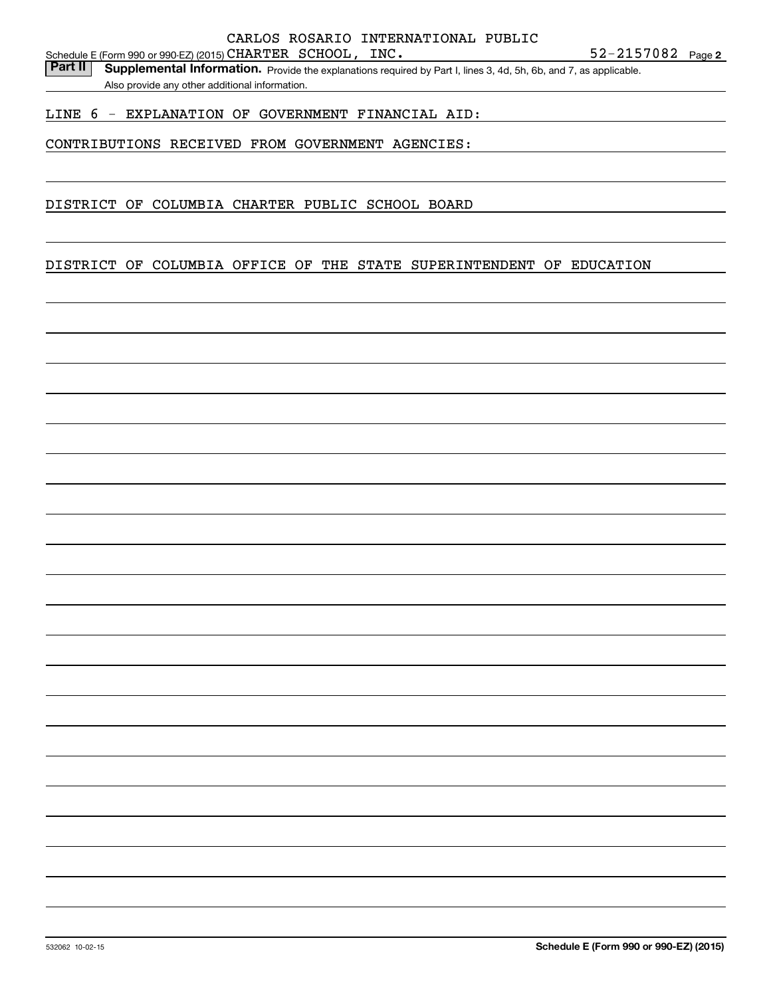Part II | Supplemental Information. Provide the explanations required by Part I, lines 3, 4d, 5h, 6b, and 7, as applicable. Also provide any other additional information.

#### LINE 6 - EXPLANATION OF GOVERNMENT FINANCIAL AID:

#### CONTRIBUTIONS RECEIVED FROM GOVERNMENT AGENCIES:

DISTRICT OF COLUMBIA CHARTER PUBLIC SCHOOL BOARD

#### DISTRICT OF COLUMBIA OFFICE OF THE STATE SUPERINTENDENT OF EDUCATION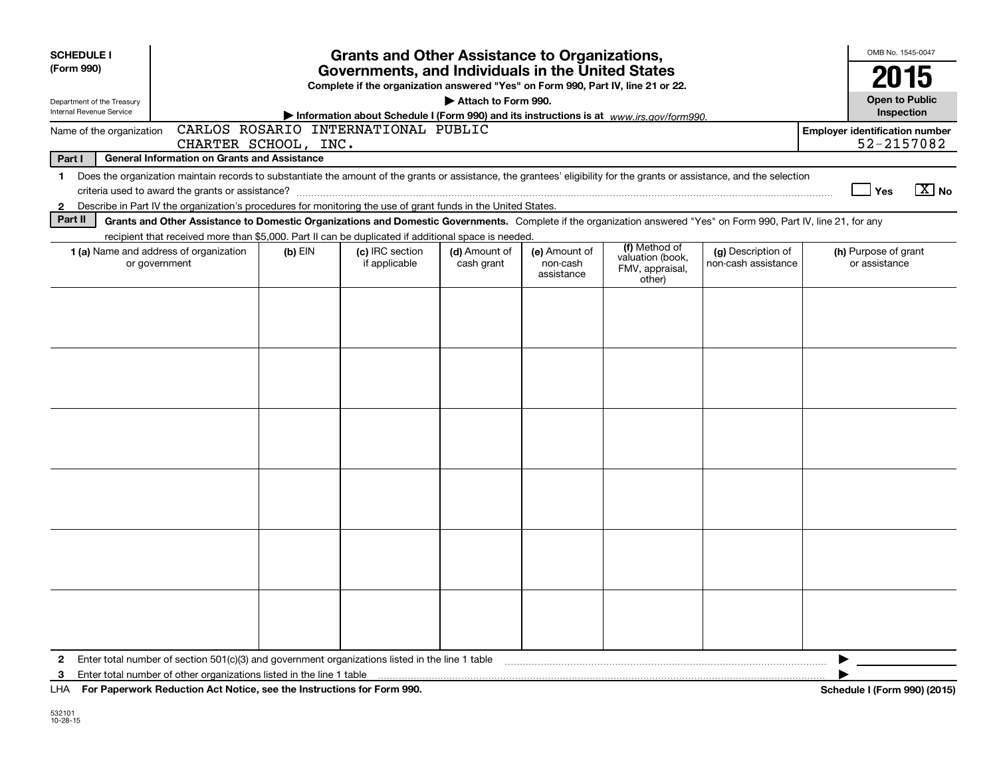| <b>SCHEDULE I</b>                                                                                                                                                        |                                                                                                                                                                                                                                                                                           |                      | <b>Grants and Other Assistance to Organizations,</b> |                             |                                         |                                                                |                                           |                                       | OMB No. 1545-0047                                                                                                                                                                                                                                                                                                                                                                    |  |  |
|--------------------------------------------------------------------------------------------------------------------------------------------------------------------------|-------------------------------------------------------------------------------------------------------------------------------------------------------------------------------------------------------------------------------------------------------------------------------------------|----------------------|------------------------------------------------------|-----------------------------|-----------------------------------------|----------------------------------------------------------------|-------------------------------------------|---------------------------------------|--------------------------------------------------------------------------------------------------------------------------------------------------------------------------------------------------------------------------------------------------------------------------------------------------------------------------------------------------------------------------------------|--|--|
| (Form 990)                                                                                                                                                               | Governments, and Individuals in the United States<br>Complete if the organization answered "Yes" on Form 990, Part IV, line 21 or 22.                                                                                                                                                     |                      |                                                      |                             |                                         |                                                                |                                           |                                       |                                                                                                                                                                                                                                                                                                                                                                                      |  |  |
| Attach to Form 990.<br>Department of the Treasury<br>Internal Revenue Service<br>Information about Schedule I (Form 990) and its instructions is at www.irs.gov/form990. |                                                                                                                                                                                                                                                                                           |                      |                                                      |                             |                                         |                                                                |                                           |                                       |                                                                                                                                                                                                                                                                                                                                                                                      |  |  |
| Name of the organization                                                                                                                                                 |                                                                                                                                                                                                                                                                                           | CHARTER SCHOOL, INC. | CARLOS ROSARIO INTERNATIONAL PUBLIC                  |                             |                                         |                                                                |                                           | <b>Employer identification number</b> | Inspection<br>52-2157082                                                                                                                                                                                                                                                                                                                                                             |  |  |
| Part I<br><b>General Information on Grants and Assistance</b>                                                                                                            |                                                                                                                                                                                                                                                                                           |                      |                                                      |                             |                                         |                                                                |                                           |                                       |                                                                                                                                                                                                                                                                                                                                                                                      |  |  |
| $\mathbf 1$<br>$\mathbf{2}$                                                                                                                                              | Does the organization maintain records to substantiate the amount of the grants or assistance, the grantees' eligibility for the grants or assistance, and the selection<br>Describe in Part IV the organization's procedures for monitoring the use of grant funds in the United States. |                      |                                                      |                             |                                         |                                                                |                                           | Yes                                   | $X$ No                                                                                                                                                                                                                                                                                                                                                                               |  |  |
| Part II                                                                                                                                                                  | Grants and Other Assistance to Domestic Organizations and Domestic Governments. Complete if the organization answered "Yes" on Form 990, Part IV, line 21, for any<br>recipient that received more than \$5,000. Part II can be duplicated if additional space is needed.                 |                      |                                                      |                             |                                         |                                                                |                                           |                                       |                                                                                                                                                                                                                                                                                                                                                                                      |  |  |
|                                                                                                                                                                          | 1 (a) Name and address of organization<br>or government                                                                                                                                                                                                                                   | $(b)$ EIN            | (c) IRC section<br>if applicable                     | (d) Amount of<br>cash grant | (e) Amount of<br>non-cash<br>assistance | (f) Method of<br>valuation (book,<br>FMV, appraisal,<br>other) | (g) Description of<br>non-cash assistance | (h) Purpose of grant<br>or assistance |                                                                                                                                                                                                                                                                                                                                                                                      |  |  |
|                                                                                                                                                                          |                                                                                                                                                                                                                                                                                           |                      |                                                      |                             |                                         |                                                                |                                           |                                       |                                                                                                                                                                                                                                                                                                                                                                                      |  |  |
|                                                                                                                                                                          |                                                                                                                                                                                                                                                                                           |                      |                                                      |                             |                                         |                                                                |                                           |                                       |                                                                                                                                                                                                                                                                                                                                                                                      |  |  |
|                                                                                                                                                                          |                                                                                                                                                                                                                                                                                           |                      |                                                      |                             |                                         |                                                                |                                           |                                       |                                                                                                                                                                                                                                                                                                                                                                                      |  |  |
|                                                                                                                                                                          |                                                                                                                                                                                                                                                                                           |                      |                                                      |                             |                                         |                                                                |                                           |                                       |                                                                                                                                                                                                                                                                                                                                                                                      |  |  |
|                                                                                                                                                                          |                                                                                                                                                                                                                                                                                           |                      |                                                      |                             |                                         |                                                                |                                           |                                       |                                                                                                                                                                                                                                                                                                                                                                                      |  |  |
|                                                                                                                                                                          |                                                                                                                                                                                                                                                                                           |                      |                                                      |                             |                                         |                                                                |                                           |                                       |                                                                                                                                                                                                                                                                                                                                                                                      |  |  |
| 2<br>3                                                                                                                                                                   | Enter total number of section 501(c)(3) and government organizations listed in the line 1 table manufable manufactured in the manufactured in the line 1 table<br>For Box concerts Book of the Ast Motter and the Instrument of Ass From 000.                                             |                      |                                                      |                             |                                         |                                                                |                                           |                                       | $\overline{1}$ $\overline{1}$ $\overline{1}$ $\overline{1}$ $\overline{1}$ $\overline{1}$ $\overline{1}$ $\overline{1}$ $\overline{1}$ $\overline{1}$ $\overline{1}$ $\overline{1}$ $\overline{1}$ $\overline{1}$ $\overline{1}$ $\overline{1}$ $\overline{1}$ $\overline{1}$ $\overline{1}$ $\overline{1}$ $\overline{1}$ $\overline{1}$ $\overline{1}$ $\overline{1}$ $\overline{$ |  |  |

**For Paperwork Reduction Act Notice, see the Instructions for Form 990. Schedule I (Form 990) (2015)** LHA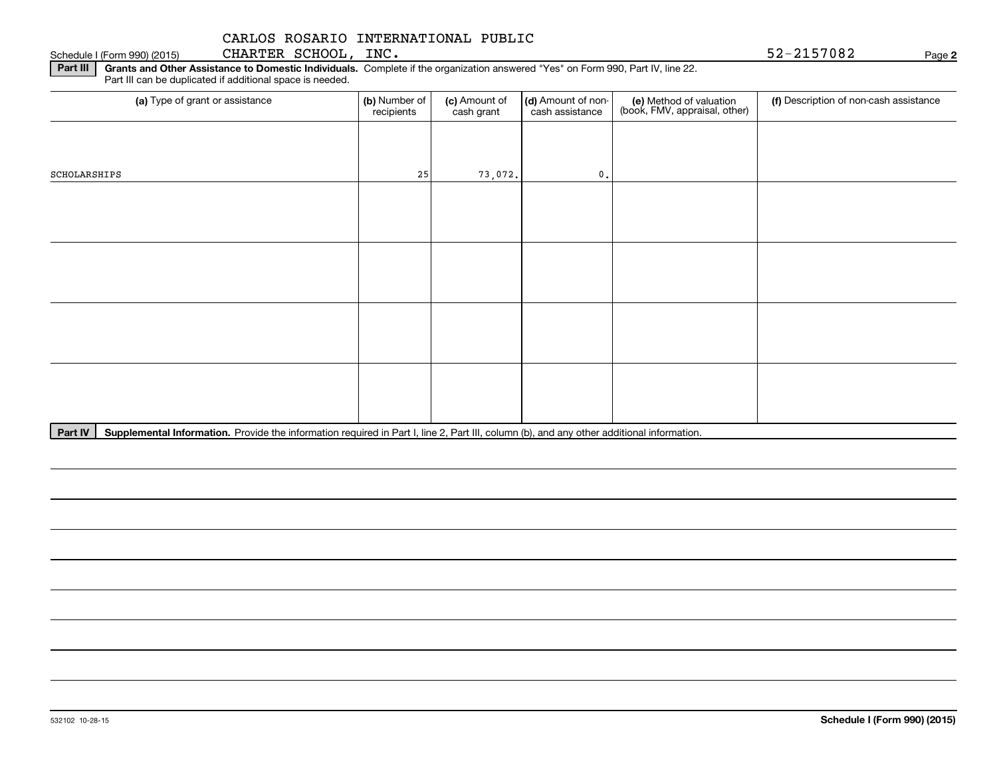Schedule I (Form 990) (2015) Page CHARTER SCHOOL, INC. 52-2157082

**2**

**Part III | Grants and Other Assistance to Domestic Individuals. Complete if the organization answered "Yes" on Form 990, Part IV, line 22.** Part III can be duplicated if additional space is needed.

| (a) Type of grant or assistance | (b) Number of<br>recipients | (c) Amount of<br>cash grant | (d) Amount of non-<br>cash assistance | (e) Method of valuation<br>(book, FMV, appraisal, other) | (f) Description of non-cash assistance |
|---------------------------------|-----------------------------|-----------------------------|---------------------------------------|----------------------------------------------------------|----------------------------------------|
|                                 |                             |                             |                                       |                                                          |                                        |
| SCHOLARSHIPS                    | 25                          | 73,072.                     | $\mathbf{0}$ .                        |                                                          |                                        |
|                                 |                             |                             |                                       |                                                          |                                        |
|                                 |                             |                             |                                       |                                                          |                                        |
|                                 |                             |                             |                                       |                                                          |                                        |
|                                 |                             |                             |                                       |                                                          |                                        |
|                                 |                             |                             |                                       |                                                          |                                        |
|                                 |                             |                             |                                       |                                                          |                                        |
|                                 |                             |                             |                                       |                                                          |                                        |
|                                 |                             |                             |                                       |                                                          |                                        |

Part IV | Supplemental Information. Provide the information required in Part I, line 2, Part III, column (b), and any other additional information.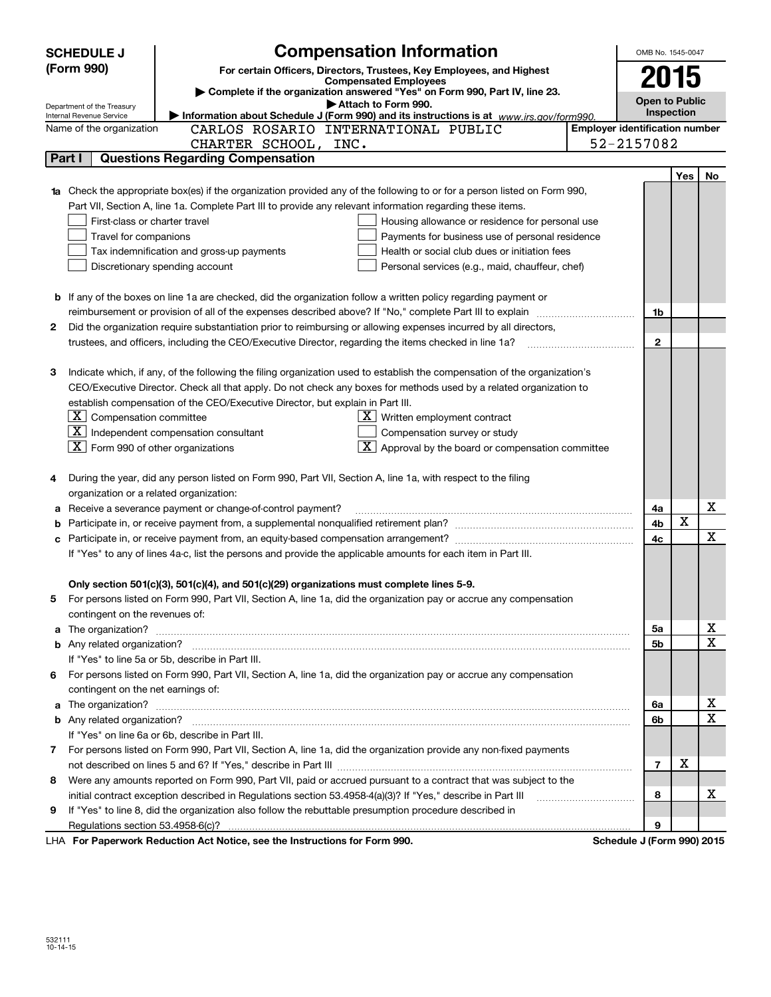|   | <b>SCHEDULE J</b>                                      | <b>Compensation Information</b>                                                                                                                                                                                                      |                                       | OMB No. 1545-0047     |     |             |  |
|---|--------------------------------------------------------|--------------------------------------------------------------------------------------------------------------------------------------------------------------------------------------------------------------------------------------|---------------------------------------|-----------------------|-----|-------------|--|
|   | (Form 990)                                             | For certain Officers, Directors, Trustees, Key Employees, and Highest                                                                                                                                                                |                                       |                       |     |             |  |
|   |                                                        | <b>Compensated Employees</b>                                                                                                                                                                                                         |                                       | 2015                  |     |             |  |
|   |                                                        | Complete if the organization answered "Yes" on Form 990, Part IV, line 23.<br>Attach to Form 990.                                                                                                                                    |                                       | <b>Open to Public</b> |     |             |  |
|   | Department of the Treasury<br>Internal Revenue Service | Information about Schedule J (Form 990) and its instructions is at $www.irs.gov/form990$ .                                                                                                                                           |                                       | Inspection            |     |             |  |
|   | Name of the organization                               | CARLOS ROSARIO INTERNATIONAL PUBLIC                                                                                                                                                                                                  | <b>Employer identification number</b> |                       |     |             |  |
|   |                                                        | CHARTER SCHOOL, INC.                                                                                                                                                                                                                 | 52-2157082                            |                       |     |             |  |
|   | Part I                                                 | <b>Questions Regarding Compensation</b>                                                                                                                                                                                              |                                       |                       |     |             |  |
|   |                                                        |                                                                                                                                                                                                                                      |                                       |                       | Yes | No          |  |
|   |                                                        | 1a Check the appropriate box(es) if the organization provided any of the following to or for a person listed on Form 990,                                                                                                            |                                       |                       |     |             |  |
|   |                                                        | Part VII, Section A, line 1a. Complete Part III to provide any relevant information regarding these items.                                                                                                                           |                                       |                       |     |             |  |
|   | First-class or charter travel                          | Housing allowance or residence for personal use                                                                                                                                                                                      |                                       |                       |     |             |  |
|   | Travel for companions                                  | Payments for business use of personal residence                                                                                                                                                                                      |                                       |                       |     |             |  |
|   |                                                        | Tax indemnification and gross-up payments<br>Health or social club dues or initiation fees                                                                                                                                           |                                       |                       |     |             |  |
|   |                                                        | Discretionary spending account<br>Personal services (e.g., maid, chauffeur, chef)                                                                                                                                                    |                                       |                       |     |             |  |
|   |                                                        |                                                                                                                                                                                                                                      |                                       |                       |     |             |  |
|   |                                                        | <b>b</b> If any of the boxes on line 1a are checked, did the organization follow a written policy regarding payment or                                                                                                               |                                       |                       |     |             |  |
|   |                                                        |                                                                                                                                                                                                                                      |                                       | 1b                    |     |             |  |
| 2 |                                                        | Did the organization require substantiation prior to reimbursing or allowing expenses incurred by all directors,                                                                                                                     |                                       | $\mathbf{2}$          |     |             |  |
|   |                                                        |                                                                                                                                                                                                                                      |                                       |                       |     |             |  |
| З |                                                        | Indicate which, if any, of the following the filing organization used to establish the compensation of the organization's                                                                                                            |                                       |                       |     |             |  |
|   |                                                        | CEO/Executive Director. Check all that apply. Do not check any boxes for methods used by a related organization to                                                                                                                   |                                       |                       |     |             |  |
|   |                                                        | establish compensation of the CEO/Executive Director, but explain in Part III.                                                                                                                                                       |                                       |                       |     |             |  |
|   | $X$ Compensation committee                             | $X$ Written employment contract                                                                                                                                                                                                      |                                       |                       |     |             |  |
|   |                                                        | $X$ Independent compensation consultant<br>Compensation survey or study                                                                                                                                                              |                                       |                       |     |             |  |
|   | $X$ Form 990 of other organizations                    | $ \mathbf{X} $ Approval by the board or compensation committee                                                                                                                                                                       |                                       |                       |     |             |  |
|   |                                                        |                                                                                                                                                                                                                                      |                                       |                       |     |             |  |
| 4 |                                                        | During the year, did any person listed on Form 990, Part VII, Section A, line 1a, with respect to the filing                                                                                                                         |                                       |                       |     |             |  |
|   | organization or a related organization:                |                                                                                                                                                                                                                                      |                                       |                       |     |             |  |
| а |                                                        | Receive a severance payment or change-of-control payment?                                                                                                                                                                            |                                       | 4a                    |     | х           |  |
| b |                                                        |                                                                                                                                                                                                                                      |                                       | 4b                    | X   |             |  |
|   |                                                        |                                                                                                                                                                                                                                      |                                       | 4с                    |     | х           |  |
|   |                                                        | If "Yes" to any of lines 4a-c, list the persons and provide the applicable amounts for each item in Part III.                                                                                                                        |                                       |                       |     |             |  |
|   |                                                        |                                                                                                                                                                                                                                      |                                       |                       |     |             |  |
|   |                                                        | Only section 501(c)(3), 501(c)(4), and 501(c)(29) organizations must complete lines 5-9.                                                                                                                                             |                                       |                       |     |             |  |
|   |                                                        | For persons listed on Form 990, Part VII, Section A, line 1a, did the organization pay or accrue any compensation                                                                                                                    |                                       |                       |     |             |  |
|   | contingent on the revenues of:                         |                                                                                                                                                                                                                                      |                                       |                       |     |             |  |
|   |                                                        | a The organization? <b>Entitation</b> 2008 Communication of the organization of the organization?                                                                                                                                    |                                       | 5a                    |     | х           |  |
|   |                                                        |                                                                                                                                                                                                                                      |                                       | 5b                    |     | x           |  |
|   |                                                        | If "Yes" to line 5a or 5b, describe in Part III.                                                                                                                                                                                     |                                       |                       |     |             |  |
|   |                                                        | 6 For persons listed on Form 990, Part VII, Section A, line 1a, did the organization pay or accrue any compensation                                                                                                                  |                                       |                       |     |             |  |
|   | contingent on the net earnings of:                     |                                                                                                                                                                                                                                      |                                       |                       |     | x           |  |
|   |                                                        | a The organization? <b>Entitled Strategies and Strategies and Strategies and Strategies and Strategies and Strategies and Strategies and Strategies and Strategies and Strategies and Strategies and Strategies and Strategies a</b> |                                       | 6a                    |     | $\mathbf X$ |  |
|   |                                                        | If "Yes" on line 6a or 6b, describe in Part III.                                                                                                                                                                                     |                                       | 6b                    |     |             |  |
|   |                                                        | 7 For persons listed on Form 990, Part VII, Section A, line 1a, did the organization provide any non-fixed payments                                                                                                                  |                                       |                       |     |             |  |
|   |                                                        |                                                                                                                                                                                                                                      |                                       | $\overline{7}$        | x   |             |  |
| 8 |                                                        | Were any amounts reported on Form 990, Part VII, paid or accrued pursuant to a contract that was subject to the                                                                                                                      |                                       |                       |     |             |  |
|   |                                                        | initial contract exception described in Regulations section 53.4958-4(a)(3)? If "Yes," describe in Part III                                                                                                                          |                                       | 8                     |     | х           |  |
| 9 |                                                        | If "Yes" to line 8, did the organization also follow the rebuttable presumption procedure described in                                                                                                                               |                                       |                       |     |             |  |
|   |                                                        |                                                                                                                                                                                                                                      |                                       | 9                     |     |             |  |
|   |                                                        | LHA For Paperwork Reduction Act Notice, see the Instructions for Form 990.                                                                                                                                                           | Schedule J (Form 990) 2015            |                       |     |             |  |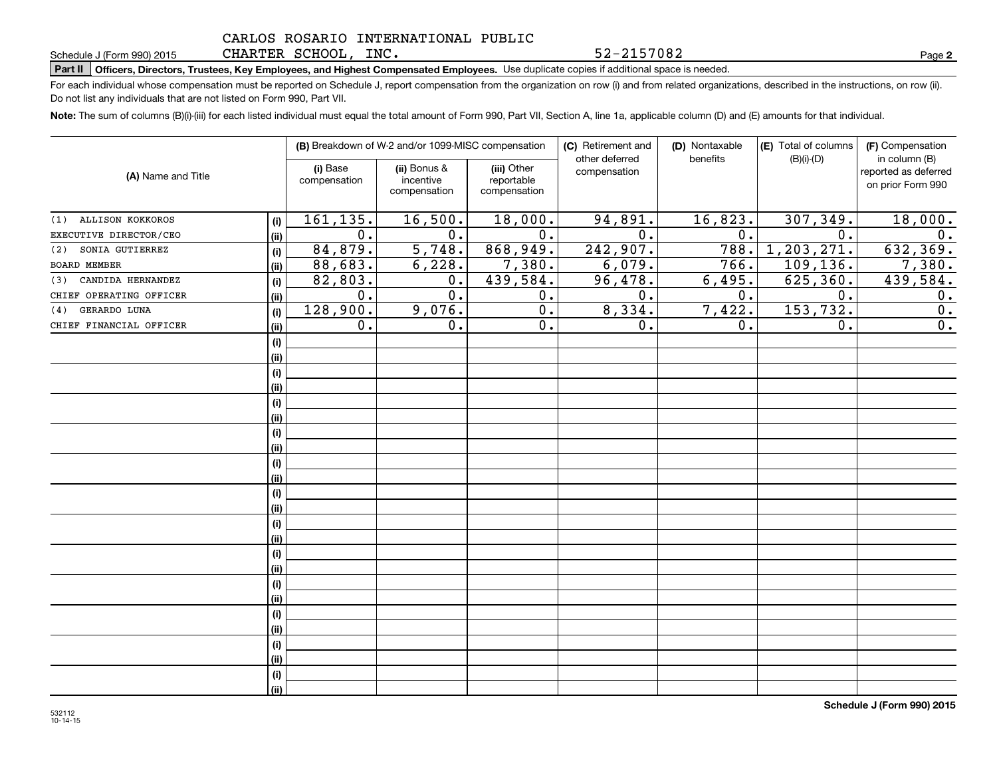CHARTER SCHOOL, INC.

# **Part II Officers, Directors, Trustees, Key Employees, and Highest Compensated Employees.**  Schedule J (Form 990) 2015 Page Use duplicate copies if additional space is needed.

For each individual whose compensation must be reported on Schedule J, report compensation from the organization on row (i) and from related organizations, described in the instructions, on row (ii). Do not list any individuals that are not listed on Form 990, Part VII.

**Note:**  The sum of columns (B)(i)-(iii) for each listed individual must equal the total amount of Form 990, Part VII, Section A, line 1a, applicable column (D) and (E) amounts for that individual.

|                          |      | (B) Breakdown of W-2 and/or 1099-MISC compensation |                                           |                                           | (C) Retirement and<br>(D) Nontaxable<br>other deferred<br>benefits |         | (E) Total of columns<br>$(B)(i)-(D)$ | (F) Compensation<br>in column (B)         |
|--------------------------|------|----------------------------------------------------|-------------------------------------------|-------------------------------------------|--------------------------------------------------------------------|---------|--------------------------------------|-------------------------------------------|
| (A) Name and Title       |      | (i) Base<br>compensation                           | (ii) Bonus &<br>incentive<br>compensation | (iii) Other<br>reportable<br>compensation | compensation                                                       |         |                                      | reported as deferred<br>on prior Form 990 |
| ALLISON KOKKOROS<br>(1)  | (i)  | 161, 135.                                          | 16,500.                                   | 18,000.                                   | 94,891.                                                            | 16,823. | 307,349.                             | 18,000.                                   |
| EXECUTIVE DIRECTOR/CEO   | (ii) | 0.                                                 | 0.                                        | $\overline{0}$ .                          | $\mathbf{0}$ .                                                     | 0.      | 0.                                   | 0.                                        |
| SONIA GUTIERREZ<br>(2)   | (i)  | 84,879.                                            | $\overline{5,748}$ .                      | 868,949.                                  | 242,907.                                                           | 788.    | 1, 203, 271.                         | 632, 369.                                 |
| <b>BOARD MEMBER</b>      | (ii) | 88,683.                                            | 6,228.                                    | 7,380.                                    | 6,079.                                                             | 766.    | 109,136.                             | 7,380.                                    |
| CANDIDA HERNANDEZ<br>(3) | (i)  | 82,803.                                            | 0.                                        | 439,584.                                  | 96,478.                                                            | 6,495.  | 625, 360.                            | 439,584.                                  |
| CHIEF OPERATING OFFICER  | (ii) | 0.                                                 | $\overline{0}$ .                          | 0.                                        | 0.                                                                 | 0.      | 0.                                   | 0.                                        |
| GERARDO LUNA<br>(4)      | (i)  | 128,900.                                           | 9,076.                                    | 0.                                        | 8,334.                                                             | 7,422.  | 153, 732.                            | 0.                                        |
| CHIEF FINANCIAL OFFICER  | (ii) | 0.                                                 | 0.                                        | $0$ .                                     | 0.                                                                 | 0.      | $0$ .                                | $\overline{0}$ .                          |
|                          | (i)  |                                                    |                                           |                                           |                                                                    |         |                                      |                                           |
|                          | (ii) |                                                    |                                           |                                           |                                                                    |         |                                      |                                           |
|                          | (i)  |                                                    |                                           |                                           |                                                                    |         |                                      |                                           |
|                          | (ii) |                                                    |                                           |                                           |                                                                    |         |                                      |                                           |
|                          | (i)  |                                                    |                                           |                                           |                                                                    |         |                                      |                                           |
|                          | (ii) |                                                    |                                           |                                           |                                                                    |         |                                      |                                           |
|                          | (i)  |                                                    |                                           |                                           |                                                                    |         |                                      |                                           |
|                          | (ii) |                                                    |                                           |                                           |                                                                    |         |                                      |                                           |
|                          | (i)  |                                                    |                                           |                                           |                                                                    |         |                                      |                                           |
|                          | (ii) |                                                    |                                           |                                           |                                                                    |         |                                      |                                           |
|                          | (i)  |                                                    |                                           |                                           |                                                                    |         |                                      |                                           |
|                          | (ii) |                                                    |                                           |                                           |                                                                    |         |                                      |                                           |
|                          | (i)  |                                                    |                                           |                                           |                                                                    |         |                                      |                                           |
|                          | (ii) |                                                    |                                           |                                           |                                                                    |         |                                      |                                           |
|                          | (i)  |                                                    |                                           |                                           |                                                                    |         |                                      |                                           |
|                          | (ii) |                                                    |                                           |                                           |                                                                    |         |                                      |                                           |
|                          | (i)  |                                                    |                                           |                                           |                                                                    |         |                                      |                                           |
|                          | (ii) |                                                    |                                           |                                           |                                                                    |         |                                      |                                           |
|                          | (i)  |                                                    |                                           |                                           |                                                                    |         |                                      |                                           |
|                          | (ii) |                                                    |                                           |                                           |                                                                    |         |                                      |                                           |
|                          | (i)  |                                                    |                                           |                                           |                                                                    |         |                                      |                                           |
|                          | (ii) |                                                    |                                           |                                           |                                                                    |         |                                      |                                           |
|                          | (i)  |                                                    |                                           |                                           |                                                                    |         |                                      |                                           |
|                          | (ii) |                                                    |                                           |                                           |                                                                    |         |                                      |                                           |

**2**

52-2157082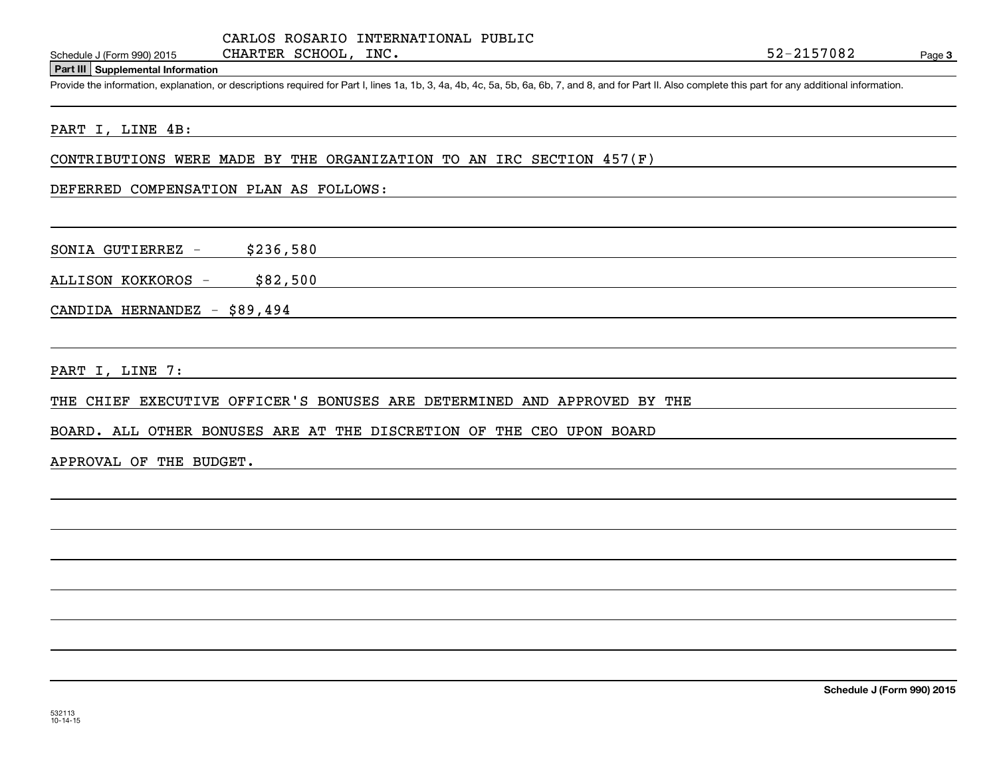CARLOS ROSARIO INTERNATIONAL PUBLIC CHARTER SCHOOL, INC.

#### **Part III Supplemental Information**

Schedule J (Form 990) 2015 CHARTER SCHOOL, INC.<br>Part III Supplemental Information<br>Provide the information, explanation, or descriptions required for Part I, lines 1a, 1b, 3, 4a, 4b, 4c, 5a, 5b, 6a, 6b, 7, and 8, and for Pa

PART I, LINE 4B:

CONTRIBUTIONS WERE MADE BY THE ORGANIZATION TO AN IRC SECTION 457(F)

DEFERRED COMPENSATION PLAN AS FOLLOWS:

 $SONIA$  GUTIERREZ -  $$236,580$ 

ALLISON KOKKOROS - \$82,500

CANDIDA HERNANDEZ - \$89,494

PART I, LINE 7:

THE CHIEF EXECUTIVE OFFICER'S BONUSES ARE DETERMINED AND APPROVED BY THE

BOARD. ALL OTHER BONUSES ARE AT THE DISCRETION OF THE CEO UPON BOARD

APPROVAL OF THE BUDGET.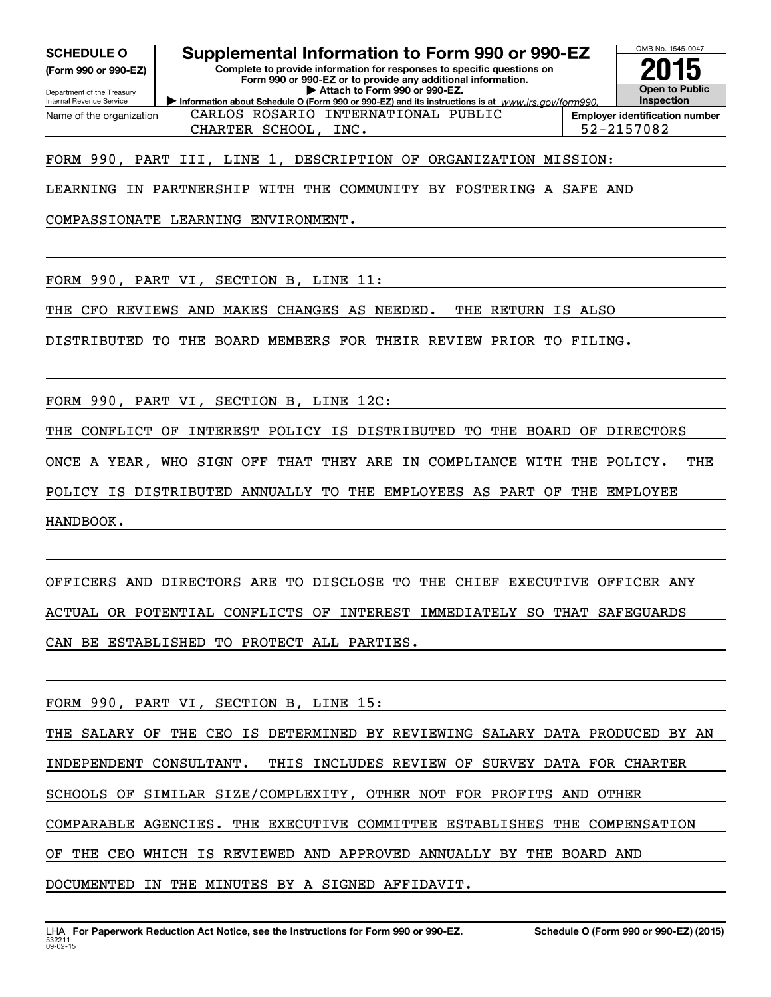**(Form 990 or 990-EZ)**

Department of the Treasury Internal Revenue Service Name of the organization

#### **SCHEDULE O Supplemental Information to Form 990 or 990-EZ**

**Information about Schedule O (Form 990 or 990-EZ) and its instructions is at**  $www.irs.gov/form990.$ **Complete to provide information for responses to specific questions on Form 990 or 990-EZ or to provide any additional information. | Attach to Form 990 or 990-EZ.**



CHARTER SCHOOL, INC. 52-2157082

#### FORM 990, PART III, LINE 1, DESCRIPTION OF ORGANIZATION MISSION:

LEARNING IN PARTNERSHIP WITH THE COMMUNITY BY FOSTERING A SAFE AND

CARLOS ROSARIO INTERNATIONAL PUBLIC

COMPASSIONATE LEARNING ENVIRONMENT.

FORM 990, PART VI, SECTION B, LINE 11:

THE CFO REVIEWS AND MAKES CHANGES AS NEEDED. THE RETURN IS ALSO

DISTRIBUTED TO THE BOARD MEMBERS FOR THEIR REVIEW PRIOR TO FILING.

FORM 990, PART VI, SECTION B, LINE 12C:

THE CONFLICT OF INTEREST POLICY IS DISTRIBUTED TO THE BOARD OF DIRECTORS

ONCE A YEAR, WHO SIGN OFF THAT THEY ARE IN COMPLIANCE WITH THE POLICY. THE

POLICY IS DISTRIBUTED ANNUALLY TO THE EMPLOYEES AS PART OF THE EMPLOYEE

HANDBOOK.

OFFICERS AND DIRECTORS ARE TO DISCLOSE TO THE CHIEF EXECUTIVE OFFICER ANY ACTUAL OR POTENTIAL CONFLICTS OF INTEREST IMMEDIATELY SO THAT SAFEGUARDS CAN BE ESTABLISHED TO PROTECT ALL PARTIES.

FORM 990, PART VI, SECTION B, LINE 15:

THE SALARY OF THE CEO IS DETERMINED BY REVIEWING SALARY DATA PRODUCED BY AN INDEPENDENT CONSULTANT. THIS INCLUDES REVIEW OF SURVEY DATA FOR CHARTER SCHOOLS OF SIMILAR SIZE/COMPLEXITY, OTHER NOT FOR PROFITS AND OTHER COMPARABLE AGENCIES. THE EXECUTIVE COMMITTEE ESTABLISHES THE COMPENSATION OF THE CEO WHICH IS REVIEWED AND APPROVED ANNUALLY BY THE BOARD AND DOCUMENTED IN THE MINUTES BY A SIGNED AFFIDAVIT.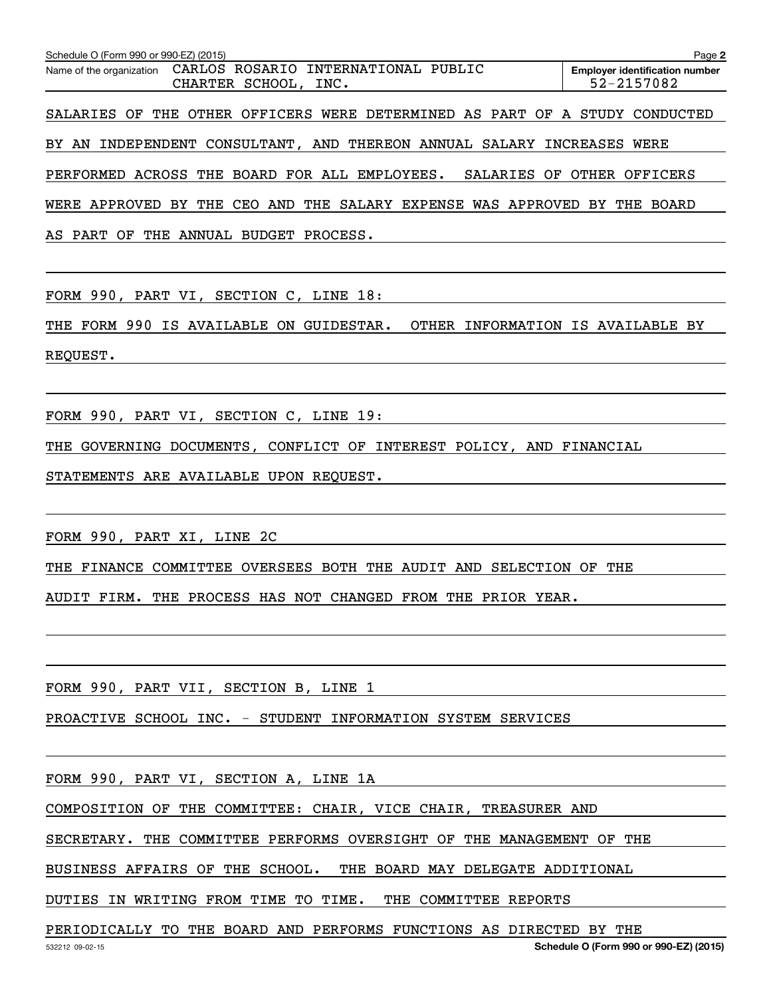| Schedule O (Form 990 or 990-EZ) (2015) |                                                                                      |                                                                                                                        | Page 2                                              |
|----------------------------------------|--------------------------------------------------------------------------------------|------------------------------------------------------------------------------------------------------------------------|-----------------------------------------------------|
|                                        | Name of the organization CARLOS ROSARIO INTERNATIONAL PUBLIC<br>CHARTER SCHOOL, INC. |                                                                                                                        | <b>Employer identification number</b><br>52-2157082 |
|                                        | SALARIES OF THE OTHER OFFICERS WERE DETERMINED AS PART OF A STUDY CONDUCTED          |                                                                                                                        |                                                     |
|                                        | BY AN INDEPENDENT CONSULTANT, AND THEREON ANNUAL SALARY INCREASES WERE               |                                                                                                                        |                                                     |
|                                        | PERFORMED ACROSS THE BOARD FOR ALL EMPLOYEES. SALARIES OF OTHER OFFICERS             |                                                                                                                        |                                                     |
|                                        | WERE APPROVED BY THE CEO AND THE SALARY EXPENSE WAS APPROVED BY THE BOARD            |                                                                                                                        |                                                     |
|                                        | AS PART OF THE ANNUAL BUDGET PROCESS.                                                |                                                                                                                        |                                                     |
|                                        |                                                                                      |                                                                                                                        |                                                     |
|                                        | FORM 990, PART VI, SECTION C, LINE 18:                                               |                                                                                                                        |                                                     |
|                                        | THE FORM 990 IS AVAILABLE ON GUIDESTAR. OTHER INFORMATION IS AVAILABLE BY            |                                                                                                                        |                                                     |
| REQUEST.                               |                                                                                      |                                                                                                                        |                                                     |
|                                        |                                                                                      |                                                                                                                        |                                                     |
|                                        | FORM 990, PART VI, SECTION C, LINE 19:                                               |                                                                                                                        |                                                     |
|                                        | THE GOVERNING DOCUMENTS, CONFLICT OF INTEREST POLICY, AND FINANCIAL                  |                                                                                                                        |                                                     |
|                                        | STATEMENTS ARE AVAILABLE UPON REQUEST.                                               |                                                                                                                        |                                                     |
|                                        |                                                                                      |                                                                                                                        |                                                     |
| FORM 990, PART XI, LINE 2C             |                                                                                      |                                                                                                                        |                                                     |
|                                        | THE FINANCE COMMITTEE OVERSEES BOTH THE AUDIT AND SELECTION OF THE                   |                                                                                                                        |                                                     |
|                                        | AUDIT FIRM. THE PROCESS HAS NOT CHANGED FROM THE PRIOR YEAR.                         |                                                                                                                        |                                                     |
|                                        |                                                                                      |                                                                                                                        |                                                     |
|                                        |                                                                                      |                                                                                                                        |                                                     |
|                                        | FORM 990, PART VII, SECTION B, LINE 1                                                | <u> 1989 - Johann Stoff, deutscher Stoffen und der Stoffen und der Stoffen und der Stoffen und der Stoffen und der</u> |                                                     |
|                                        | PROACTIVE SCHOOL INC. - STUDENT INFORMATION SYSTEM SERVICES                          |                                                                                                                        |                                                     |
|                                        |                                                                                      |                                                                                                                        |                                                     |
|                                        | FORM 990, PART VI, SECTION A, LINE 1A                                                |                                                                                                                        |                                                     |

COMPOSITION OF THE COMMITTEE: CHAIR, VICE CHAIR, TREASURER AND

SECRETARY. THE COMMITTEE PERFORMS OVERSIGHT OF THE MANAGEMENT OF THE

BUSINESS AFFAIRS OF THE SCHOOL. THE BOARD MAY DELEGATE ADDITIONAL

DUTIES IN WRITING FROM TIME TO TIME. THE COMMITTEE REPORTS

PERIODICALLY TO THE BOARD AND PERFORMS FUNCTIONS AS DIRECTED BY THE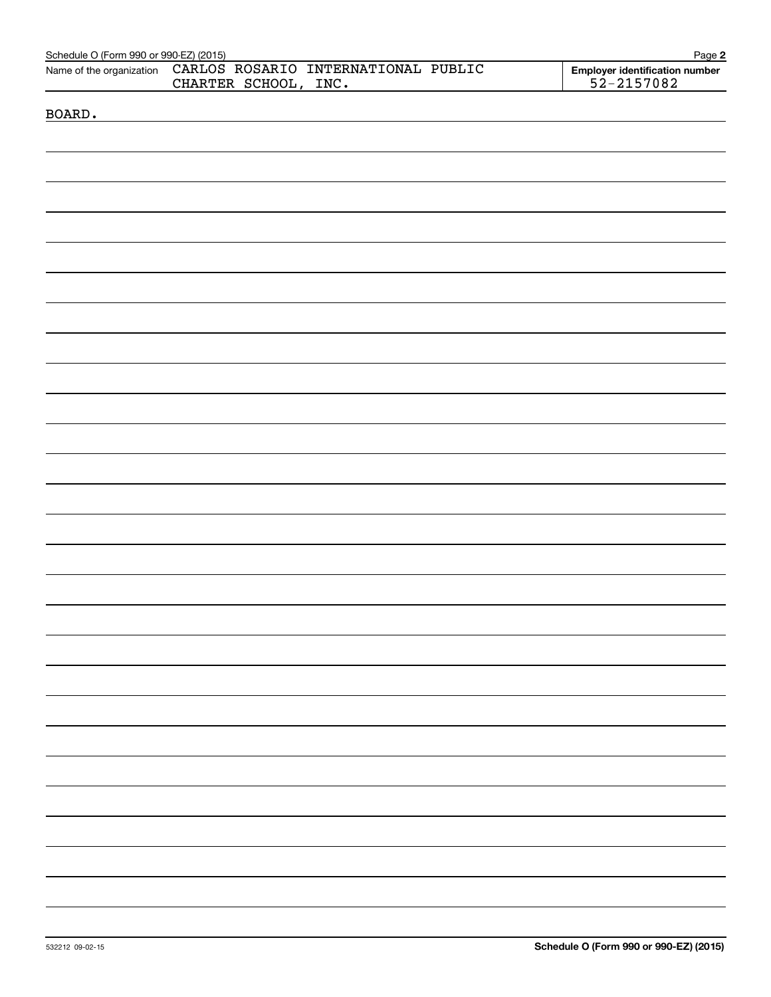| Schedule O (Form 990 or 990-EZ) (2015) |                                                             | Page 2                                           |
|----------------------------------------|-------------------------------------------------------------|--------------------------------------------------|
| Name of the organization               | CARLOS ROSARIO INTERNATIONAL PUBLIC<br>CHARTER SCHOOL, INC. | Employer identification number<br>$52 - 2157082$ |
|                                        |                                                             |                                                  |
| BOARD.                                 |                                                             |                                                  |
|                                        |                                                             |                                                  |
|                                        |                                                             |                                                  |
|                                        |                                                             |                                                  |
|                                        |                                                             |                                                  |
|                                        |                                                             |                                                  |
|                                        |                                                             |                                                  |
|                                        |                                                             |                                                  |
|                                        |                                                             |                                                  |
|                                        |                                                             |                                                  |
|                                        |                                                             |                                                  |
|                                        |                                                             |                                                  |
|                                        |                                                             |                                                  |
|                                        |                                                             |                                                  |
|                                        |                                                             |                                                  |
|                                        |                                                             |                                                  |
|                                        |                                                             |                                                  |
|                                        |                                                             |                                                  |
|                                        |                                                             |                                                  |
|                                        |                                                             |                                                  |
|                                        |                                                             |                                                  |
|                                        |                                                             |                                                  |
|                                        |                                                             |                                                  |
|                                        |                                                             |                                                  |
|                                        |                                                             |                                                  |
|                                        |                                                             |                                                  |
|                                        |                                                             |                                                  |
|                                        |                                                             |                                                  |
|                                        |                                                             |                                                  |
|                                        |                                                             |                                                  |
|                                        |                                                             |                                                  |
|                                        |                                                             |                                                  |
|                                        |                                                             |                                                  |
|                                        |                                                             |                                                  |
|                                        |                                                             |                                                  |
|                                        |                                                             |                                                  |
|                                        |                                                             |                                                  |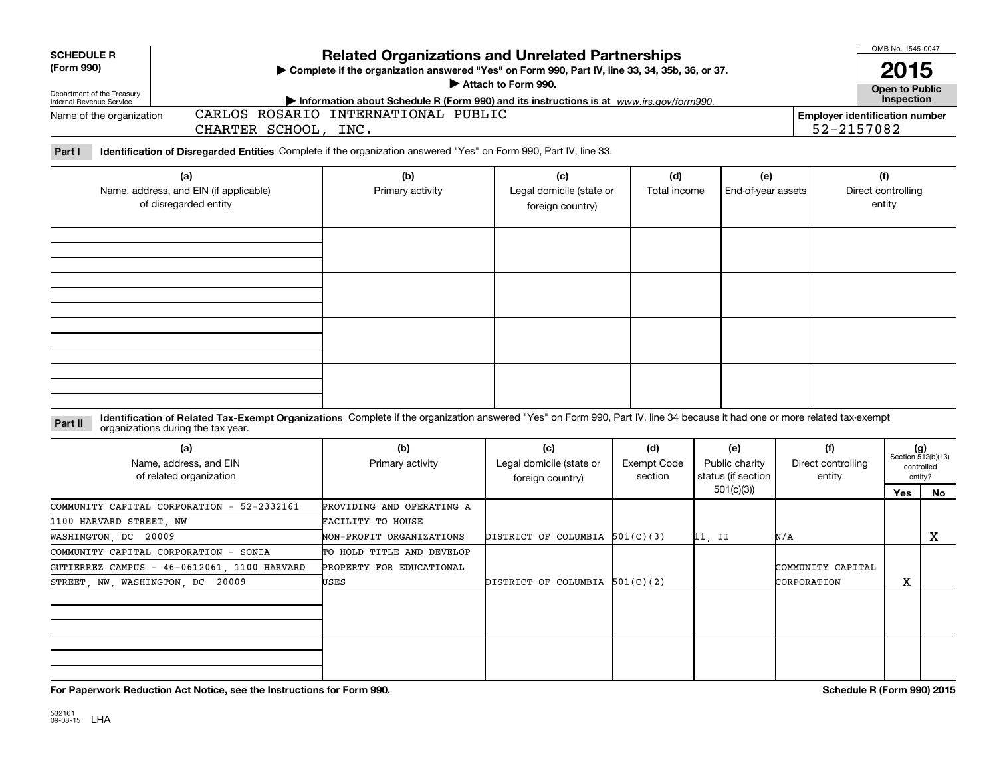| <b>SCHEDULE R</b><br>(Form 990)<br>Department of the Treasury<br>Internal Revenue Service                             |                                                                                                                                                                            | <b>Related Organizations and Unrelated Partnerships</b><br>> Complete if the organization answered "Yes" on Form 990, Part IV, line 33, 34, 35b, 36, or 37.<br>Attach to Form 990.<br>Information about Schedule R (Form 990) and its instructions is at www.irs.gov/form990. | OMB No. 1545-0047<br><b>Open to Public</b><br>Inspection<br><b>Employer identification number</b> |                                      |                                                          |                                     |                                     |                                                      |
|-----------------------------------------------------------------------------------------------------------------------|----------------------------------------------------------------------------------------------------------------------------------------------------------------------------|-------------------------------------------------------------------------------------------------------------------------------------------------------------------------------------------------------------------------------------------------------------------------------|---------------------------------------------------------------------------------------------------|--------------------------------------|----------------------------------------------------------|-------------------------------------|-------------------------------------|------------------------------------------------------|
| CARLOS ROSARIO INTERNATIONAL PUBLIC<br>Name of the organization<br>CHARTER SCHOOL, INC.                               |                                                                                                                                                                            |                                                                                                                                                                                                                                                                               |                                                                                                   |                                      |                                                          |                                     |                                     |                                                      |
| Part I                                                                                                                | Identification of Disregarded Entities Complete if the organization answered "Yes" on Form 990, Part IV, line 33.                                                          |                                                                                                                                                                                                                                                                               |                                                                                                   |                                      |                                                          |                                     |                                     |                                                      |
| (a)<br>Name, address, and EIN (if applicable)<br>of disregarded entity                                                |                                                                                                                                                                            | (b)<br>Primary activity                                                                                                                                                                                                                                                       | (c)<br>Legal domicile (state or<br>foreign country)                                               | (d)<br>Total income                  | (e)<br>End-of-year assets                                |                                     | (f)<br>Direct controlling<br>entity |                                                      |
|                                                                                                                       |                                                                                                                                                                            |                                                                                                                                                                                                                                                                               |                                                                                                   |                                      |                                                          |                                     |                                     |                                                      |
|                                                                                                                       | Identification of Related Tax-Exempt Organizations Complete if the organization answered "Yes" on Form 990, Part IV, line 34 because it had one or more related tax-exempt |                                                                                                                                                                                                                                                                               |                                                                                                   |                                      |                                                          |                                     |                                     |                                                      |
| Part II<br>organizations during the tax year.<br>(a)<br>Name, address, and EIN<br>of related organization             |                                                                                                                                                                            | (b)<br>Primary activity                                                                                                                                                                                                                                                       | (c)<br>Legal domicile (state or<br>foreign country)                                               | (d)<br><b>Exempt Code</b><br>section | (e)<br>Public charity<br>status (if section<br>501(c)(3) | (f)<br>Direct controlling<br>entity |                                     | $(g)$<br>Section 512(b)(13)<br>controlled<br>entity? |
| COMMUNITY CAPITAL CORPORATION - 52-2332161<br>1100 HARVARD STREET, NW<br>WASHINGTON, DC 20009                         |                                                                                                                                                                            | PROVIDING AND OPERATING A<br>FACILITY TO HOUSE<br>NON-PROFIT ORGANIZATIONS                                                                                                                                                                                                    | DISTRICT OF COLUMBIA $501(C)(3)$                                                                  |                                      | 11, II<br>N/A                                            |                                     | Yes                                 | No<br>X                                              |
| COMMUNITY CAPITAL CORPORATION - SONIA<br>GUTIERREZ CAMPUS - 46-0612061, 1100 HARVARD<br>STREET NW WASHINGTON DC 20009 |                                                                                                                                                                            | TO HOLD TITLE AND DEVELOP<br>PROPERTY FOR EDUCATIONAL<br>USES                                                                                                                                                                                                                 | DISTRICT OF COLUMBIA 501(C)(2)                                                                    |                                      |                                                          | COMMUNITY CAPITAL<br>CORPORATION    | Х                                   |                                                      |
|                                                                                                                       |                                                                                                                                                                            |                                                                                                                                                                                                                                                                               |                                                                                                   |                                      |                                                          |                                     |                                     |                                                      |
|                                                                                                                       |                                                                                                                                                                            |                                                                                                                                                                                                                                                                               |                                                                                                   |                                      |                                                          |                                     |                                     |                                                      |

**For Paperwork Reduction Act Notice, see the Instructions for Form 990. Schedule R (Form 990) 2015**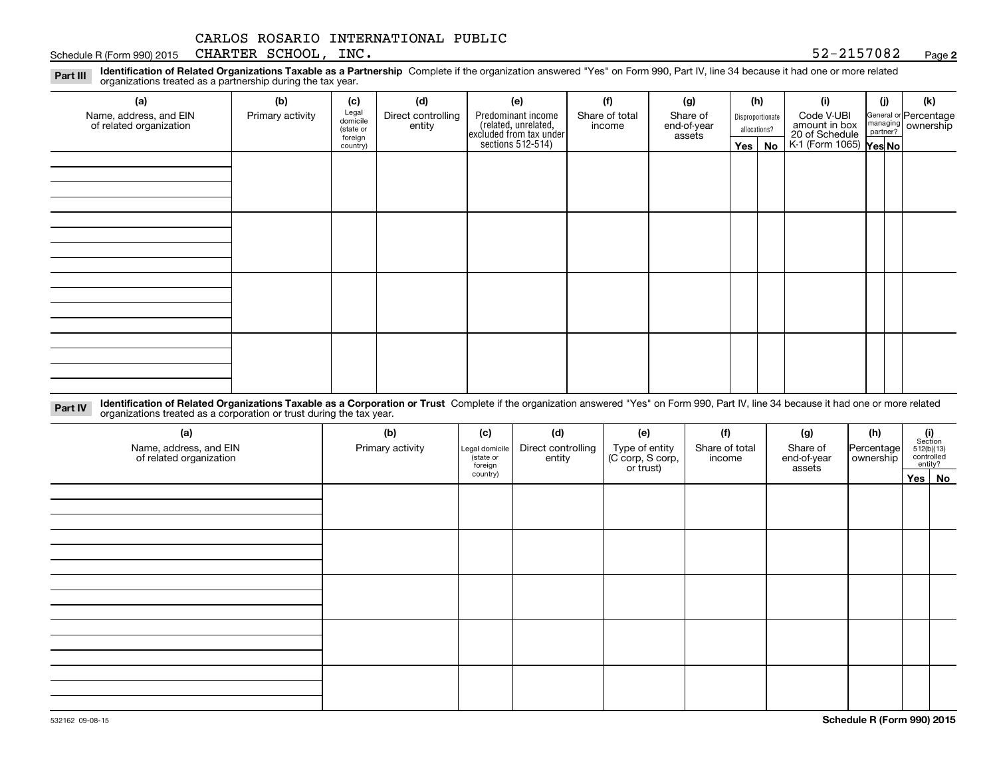#### Schedule R (Form 990) 2015 Page CHARTER SCHOOL, INC. 52-2157082

**2**

**Identification of Related Organizations Taxable as a Partnership** Complete if the organization answered "Yes" on Form 990, Part IV, line 34 because it had one or more related **Part III** organizations treated as a partnership during the tax year.

| (a)                                               | (b)              | (c)                  | (d)                          | (e)                                                                 | (f)                      | (g)                     |                  | (h) | (i)                                                       | (i) | (k)                            |
|---------------------------------------------------|------------------|----------------------|------------------------------|---------------------------------------------------------------------|--------------------------|-------------------------|------------------|-----|-----------------------------------------------------------|-----|--------------------------------|
| Name, address, and EIN<br>of related organization | Primary activity | Legal<br>domicile    | Direct controlling<br>entity | Predominant income                                                  | Share of total<br>income | Share of<br>end-of-year | Disproportionate |     | Code V-UBI                                                |     | General or Percentage          |
|                                                   |                  | (state or<br>foreign |                              |                                                                     |                          | assets                  | allocations?     |     |                                                           |     | managing<br>partner? Ownership |
|                                                   |                  | country)             |                              | related, unrelated,<br>excluded from tax under<br>sections 512-514) |                          |                         | Yes $ $          | No  | amount in box<br>20 of Schedule<br>K-1 (Form 1065) Yes No |     |                                |
|                                                   |                  |                      |                              |                                                                     |                          |                         |                  |     |                                                           |     |                                |
|                                                   |                  |                      |                              |                                                                     |                          |                         |                  |     |                                                           |     |                                |
|                                                   |                  |                      |                              |                                                                     |                          |                         |                  |     |                                                           |     |                                |
|                                                   |                  |                      |                              |                                                                     |                          |                         |                  |     |                                                           |     |                                |
|                                                   |                  |                      |                              |                                                                     |                          |                         |                  |     |                                                           |     |                                |
|                                                   |                  |                      |                              |                                                                     |                          |                         |                  |     |                                                           |     |                                |
|                                                   |                  |                      |                              |                                                                     |                          |                         |                  |     |                                                           |     |                                |
|                                                   |                  |                      |                              |                                                                     |                          |                         |                  |     |                                                           |     |                                |
|                                                   |                  |                      |                              |                                                                     |                          |                         |                  |     |                                                           |     |                                |
|                                                   |                  |                      |                              |                                                                     |                          |                         |                  |     |                                                           |     |                                |
|                                                   |                  |                      |                              |                                                                     |                          |                         |                  |     |                                                           |     |                                |
|                                                   |                  |                      |                              |                                                                     |                          |                         |                  |     |                                                           |     |                                |
|                                                   |                  |                      |                              |                                                                     |                          |                         |                  |     |                                                           |     |                                |
|                                                   |                  |                      |                              |                                                                     |                          |                         |                  |     |                                                           |     |                                |
|                                                   |                  |                      |                              |                                                                     |                          |                         |                  |     |                                                           |     |                                |
|                                                   |                  |                      |                              |                                                                     |                          |                         |                  |     |                                                           |     |                                |
|                                                   |                  |                      |                              |                                                                     |                          |                         |                  |     |                                                           |     |                                |

**Identification of Related Organizations Taxable as a Corporation or Trust** Complete if the organization answered "Yes" on Form 990, Part IV, line 34 because it had one or more related **Part IV** organizations treated as a corporation or trust during the tax year.

| (a)<br>Name, address, and EIN<br>of related organization | (b)<br>Primary activity | (c)<br>Legal domicile<br>state or<br>foreign | (d)<br>Direct controlling<br>entity | (e)<br>Type of entity<br>(C corp, S corp,<br>or trust) | (f)<br>Share of total<br>income | (g)<br>Share of<br>end-of-year<br>assets | (h)<br>Percentage<br>ownership | $\begin{array}{c} \textbf{(i)}\\ \text{Section}\\ 512 \text{(b)} \text{(13)}\\ \text{controlled}\\ \text{entity?} \end{array}$ |
|----------------------------------------------------------|-------------------------|----------------------------------------------|-------------------------------------|--------------------------------------------------------|---------------------------------|------------------------------------------|--------------------------------|--------------------------------------------------------------------------------------------------------------------------------|
|                                                          |                         | country)                                     |                                     |                                                        |                                 |                                          |                                | Yes   No                                                                                                                       |
|                                                          |                         |                                              |                                     |                                                        |                                 |                                          |                                |                                                                                                                                |
|                                                          |                         |                                              |                                     |                                                        |                                 |                                          |                                |                                                                                                                                |
|                                                          |                         |                                              |                                     |                                                        |                                 |                                          |                                |                                                                                                                                |
|                                                          |                         |                                              |                                     |                                                        |                                 |                                          |                                |                                                                                                                                |
|                                                          |                         |                                              |                                     |                                                        |                                 |                                          |                                |                                                                                                                                |
|                                                          |                         |                                              |                                     |                                                        |                                 |                                          |                                |                                                                                                                                |
|                                                          |                         |                                              |                                     |                                                        |                                 |                                          |                                |                                                                                                                                |
|                                                          |                         |                                              |                                     |                                                        |                                 |                                          |                                |                                                                                                                                |
|                                                          |                         |                                              |                                     |                                                        |                                 |                                          |                                |                                                                                                                                |
|                                                          |                         |                                              |                                     |                                                        |                                 |                                          |                                |                                                                                                                                |
|                                                          |                         |                                              |                                     |                                                        |                                 |                                          |                                |                                                                                                                                |
|                                                          |                         |                                              |                                     |                                                        |                                 |                                          |                                |                                                                                                                                |
|                                                          |                         |                                              |                                     |                                                        |                                 |                                          |                                |                                                                                                                                |
|                                                          |                         |                                              |                                     |                                                        |                                 |                                          |                                |                                                                                                                                |
|                                                          |                         |                                              |                                     |                                                        |                                 |                                          |                                |                                                                                                                                |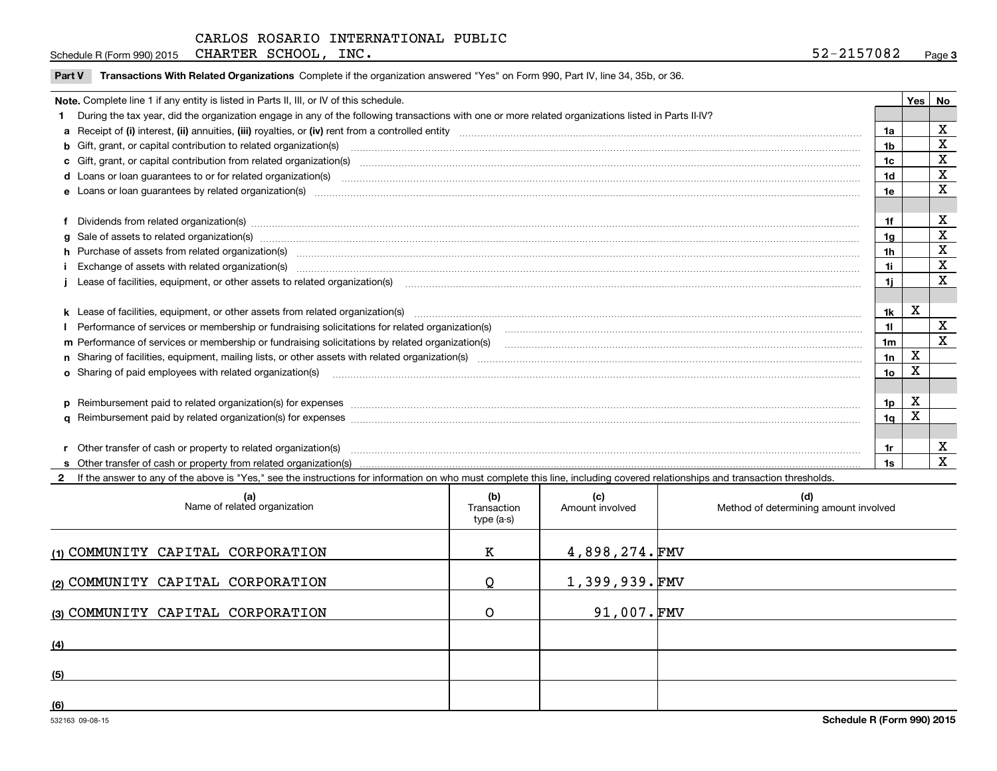Schedule R (Form 990) 2015 Page CHARTER SCHOOL, INC. 52-2157082

| Part V | Transactions With Related Organizations Complete if the organization answered "Yes" on Form 990, Part IV, line 34, 35b, or 36.                                                                                                 |                 |             |             |
|--------|--------------------------------------------------------------------------------------------------------------------------------------------------------------------------------------------------------------------------------|-----------------|-------------|-------------|
|        | Note. Complete line 1 if any entity is listed in Parts II, III, or IV of this schedule.                                                                                                                                        |                 | Yes   No    |             |
|        | During the tax year, did the organization engage in any of the following transactions with one or more related organizations listed in Parts II-IV?                                                                            |                 |             |             |
|        |                                                                                                                                                                                                                                | 1a              |             | X           |
|        | b Gift, grant, or capital contribution to related organization(s) manufactured and contribution to related organization(s)                                                                                                     | 1b              |             | X           |
|        | c Gift, grant, or capital contribution from related organization(s) material content and contribution from related organization(s) material content and content and contribution from related organization(s) material content | 1c              |             | X           |
|        |                                                                                                                                                                                                                                | 1 <sub>d</sub>  |             | X           |
|        |                                                                                                                                                                                                                                | 1e              |             | X           |
|        |                                                                                                                                                                                                                                |                 |             |             |
|        | f Dividends from related organization(s) manufactured contains and contained and contained contained and contained and contained and contained and contained and contained and contained and contained and contained and conta | 1f              |             | x           |
|        | $g$ Sale of assets to related organization(s) manufactured contains and contained contained and contained contained and contained and contained and contained and contained and contained and contained and contained and con  | 1g              |             | X           |
|        | h Purchase of assets from related organization(s) manufactured and content and content and content and content and content and content and content and content and content and content and content and content and content and | 1h              |             | X           |
|        | Exchange of assets with related organization(s) www.communically.communically.communically and a set and a set set of the communical communication of the set of the communication of the set of the communication of the set  | 1i.             |             | X           |
|        |                                                                                                                                                                                                                                | 1j.             |             | X           |
|        |                                                                                                                                                                                                                                |                 |             |             |
|        |                                                                                                                                                                                                                                | 1k              | х           |             |
|        |                                                                                                                                                                                                                                | 11              |             | X           |
|        | m Performance of services or membership or fundraising solicitations by related organization(s)                                                                                                                                | 1m              |             | X           |
|        |                                                                                                                                                                                                                                | 1n              | $\mathbf X$ |             |
|        | o Sharing of paid employees with related organization(s) manufactured and content to the content of the content of the content of the content of the content of the content of the content of the content of the content of th | 10 <sub>o</sub> | X           |             |
|        |                                                                                                                                                                                                                                |                 |             |             |
|        | p Reimbursement paid to related organization(s) for expenses [1,111] The content is constructed and a set of the content of the constraint of the constraint of the constraint of the constraint of the constraint of the cons | 1p              | X           |             |
|        |                                                                                                                                                                                                                                | 1q              | х           |             |
|        |                                                                                                                                                                                                                                |                 |             |             |
|        | r Other transfer of cash or property to related organization(s)                                                                                                                                                                | 1r              |             | x           |
|        |                                                                                                                                                                                                                                | 1s              |             | $\mathbf X$ |

**2**If the answer to any of the above is "Yes," see the instructions for information on who must complete this line, including covered relationships and transaction thresholds.

| (a)<br>Name of related organization | (b)<br>Transaction<br>type (a-s) | (c)<br>Amount involved | (d)<br>Method of determining amount involved |
|-------------------------------------|----------------------------------|------------------------|----------------------------------------------|
| (1) COMMUNITY CAPITAL CORPORATION   | Κ                                | 4,898,274.FMV          |                                              |
| (2) COMMUNITY CAPITAL CORPORATION   | O                                | $1,399,939$ . FMV      |                                              |
| (3) COMMUNITY CAPITAL CORPORATION   | O                                | 91,007.FMV             |                                              |
| (4)                                 |                                  |                        |                                              |
| (5)                                 |                                  |                        |                                              |
| (6)                                 |                                  |                        |                                              |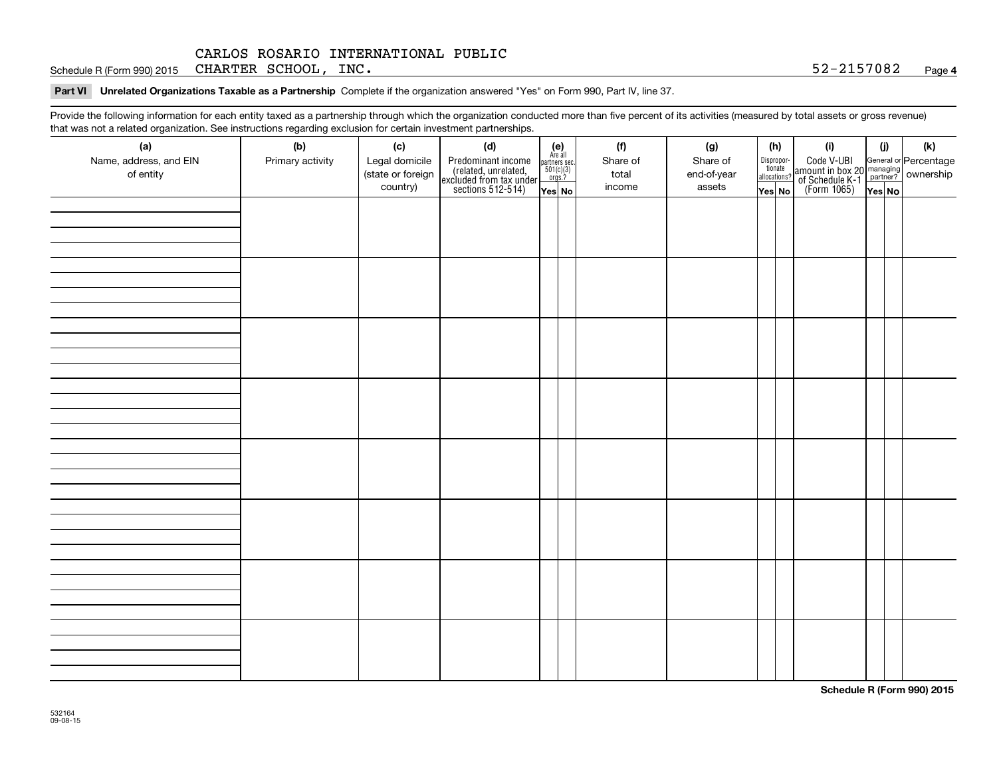Schedule R (Form 990) 2015 CHARTER SCHOOL, INC. 52-2157082 <sub>Page</sub>

**Part VI Unrelated Organizations Taxable as a Partnership Complete if the organization answered "Yes" on Form 990, Part IV, line 37.** 

Provide the following information for each entity taxed as a partnership through which the organization conducted more than five percent of its activities (measured by total assets or gross revenue) that was not a related organization. See instructions regarding exclusion for certain investment partnerships.

| - - - - -<br>(a)                    | − ອ−<br>(b)      | (c)                                 | (d)                                                                                        |                                                                                                                  | (f)               | (g)                     | (h)                                   | (i)                                                                                          | (i) | (k) |
|-------------------------------------|------------------|-------------------------------------|--------------------------------------------------------------------------------------------|------------------------------------------------------------------------------------------------------------------|-------------------|-------------------------|---------------------------------------|----------------------------------------------------------------------------------------------|-----|-----|
| Name, address, and EIN<br>of entity | Primary activity | Legal domicile<br>(state or foreign | Predominant income<br>(related, unrelated,<br>excluded from tax under<br>sections 512-514) | $\begin{array}{c} \textbf{(e)}\\ \text{Are all} \\ \text{partners sec.}\\ 501(c)(3)\\ \text{orgs.?} \end{array}$ | Share of<br>total | Share of<br>end-of-year | Dispropor-<br>tionate<br>allocations? | Code V-UBI<br>amount in box 20 managing<br>of Schedule K-1 partner?<br>(Form 1065)<br>ves No |     |     |
|                                     |                  | country)                            |                                                                                            | Yes No                                                                                                           | income            | assets                  | Yes No                                |                                                                                              |     |     |
|                                     |                  |                                     |                                                                                            |                                                                                                                  |                   |                         |                                       |                                                                                              |     |     |
|                                     |                  |                                     |                                                                                            |                                                                                                                  |                   |                         |                                       |                                                                                              |     |     |
|                                     |                  |                                     |                                                                                            |                                                                                                                  |                   |                         |                                       |                                                                                              |     |     |
|                                     |                  |                                     |                                                                                            |                                                                                                                  |                   |                         |                                       |                                                                                              |     |     |
|                                     |                  |                                     |                                                                                            |                                                                                                                  |                   |                         |                                       |                                                                                              |     |     |
|                                     |                  |                                     |                                                                                            |                                                                                                                  |                   |                         |                                       |                                                                                              |     |     |
|                                     |                  |                                     |                                                                                            |                                                                                                                  |                   |                         |                                       |                                                                                              |     |     |
|                                     |                  |                                     |                                                                                            |                                                                                                                  |                   |                         |                                       |                                                                                              |     |     |
|                                     |                  |                                     |                                                                                            |                                                                                                                  |                   |                         |                                       |                                                                                              |     |     |
|                                     |                  |                                     |                                                                                            |                                                                                                                  |                   |                         |                                       |                                                                                              |     |     |
|                                     |                  |                                     |                                                                                            |                                                                                                                  |                   |                         |                                       |                                                                                              |     |     |
|                                     |                  |                                     |                                                                                            |                                                                                                                  |                   |                         |                                       |                                                                                              |     |     |
|                                     |                  |                                     |                                                                                            |                                                                                                                  |                   |                         |                                       |                                                                                              |     |     |
|                                     |                  |                                     |                                                                                            |                                                                                                                  |                   |                         |                                       |                                                                                              |     |     |
|                                     |                  |                                     |                                                                                            |                                                                                                                  |                   |                         |                                       |                                                                                              |     |     |
|                                     |                  |                                     |                                                                                            |                                                                                                                  |                   |                         |                                       |                                                                                              |     |     |
|                                     |                  |                                     |                                                                                            |                                                                                                                  |                   |                         |                                       |                                                                                              |     |     |
|                                     |                  |                                     |                                                                                            |                                                                                                                  |                   |                         |                                       |                                                                                              |     |     |
|                                     |                  |                                     |                                                                                            |                                                                                                                  |                   |                         |                                       |                                                                                              |     |     |
|                                     |                  |                                     |                                                                                            |                                                                                                                  |                   |                         |                                       |                                                                                              |     |     |
|                                     |                  |                                     |                                                                                            |                                                                                                                  |                   |                         |                                       |                                                                                              |     |     |
|                                     |                  |                                     |                                                                                            |                                                                                                                  |                   |                         |                                       |                                                                                              |     |     |
|                                     |                  |                                     |                                                                                            |                                                                                                                  |                   |                         |                                       |                                                                                              |     |     |
|                                     |                  |                                     |                                                                                            |                                                                                                                  |                   |                         |                                       |                                                                                              |     |     |
|                                     |                  |                                     |                                                                                            |                                                                                                                  |                   |                         |                                       |                                                                                              |     |     |
|                                     |                  |                                     |                                                                                            |                                                                                                                  |                   |                         |                                       |                                                                                              |     |     |
|                                     |                  |                                     |                                                                                            |                                                                                                                  |                   |                         |                                       |                                                                                              |     |     |
|                                     |                  |                                     |                                                                                            |                                                                                                                  |                   |                         |                                       |                                                                                              |     |     |
|                                     |                  |                                     |                                                                                            |                                                                                                                  |                   |                         |                                       |                                                                                              |     |     |
|                                     |                  |                                     |                                                                                            |                                                                                                                  |                   |                         |                                       |                                                                                              |     |     |
|                                     |                  |                                     |                                                                                            |                                                                                                                  |                   |                         |                                       |                                                                                              |     |     |
|                                     |                  |                                     |                                                                                            |                                                                                                                  |                   |                         |                                       |                                                                                              |     |     |
|                                     |                  |                                     |                                                                                            |                                                                                                                  |                   |                         |                                       |                                                                                              |     |     |

**Schedule R (Form 990) 2015**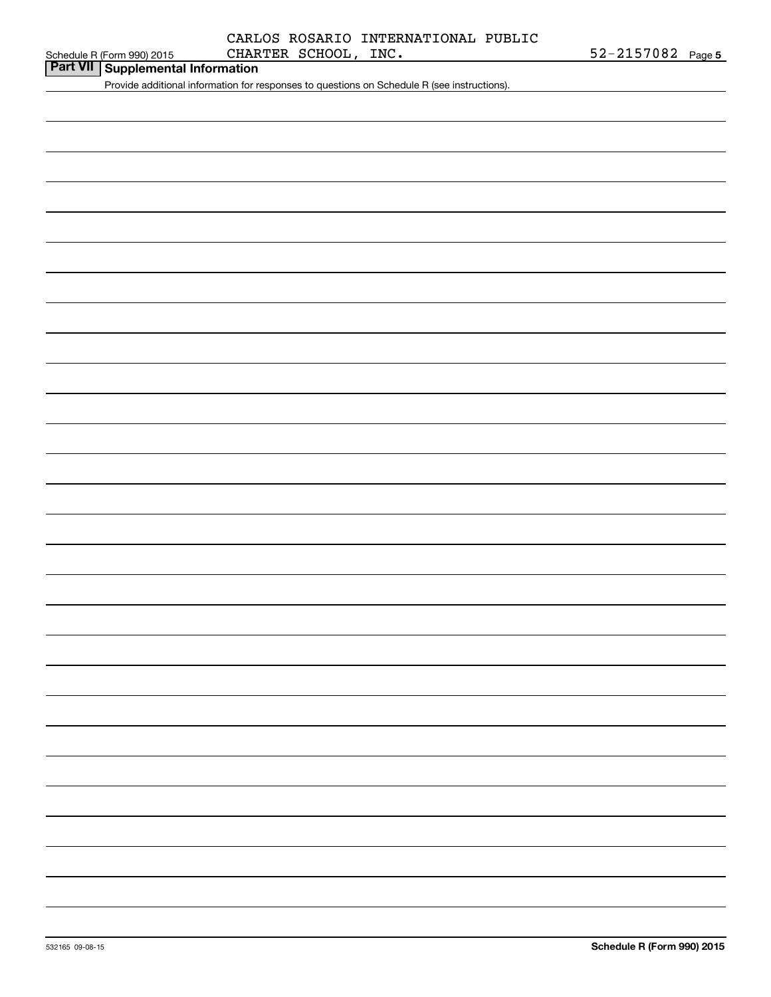#### Schedule R (Form 990) 2015 CHARTER SCHOOL,INC 52-2157082 Page CARLOS ROSARIO INTERNATIONAL PUBLIC

#### **Part VII Supplemental Information**

Provide additional information for responses to questions on Schedule R (see instructions).

**Schedule R (Form 990) 2015**